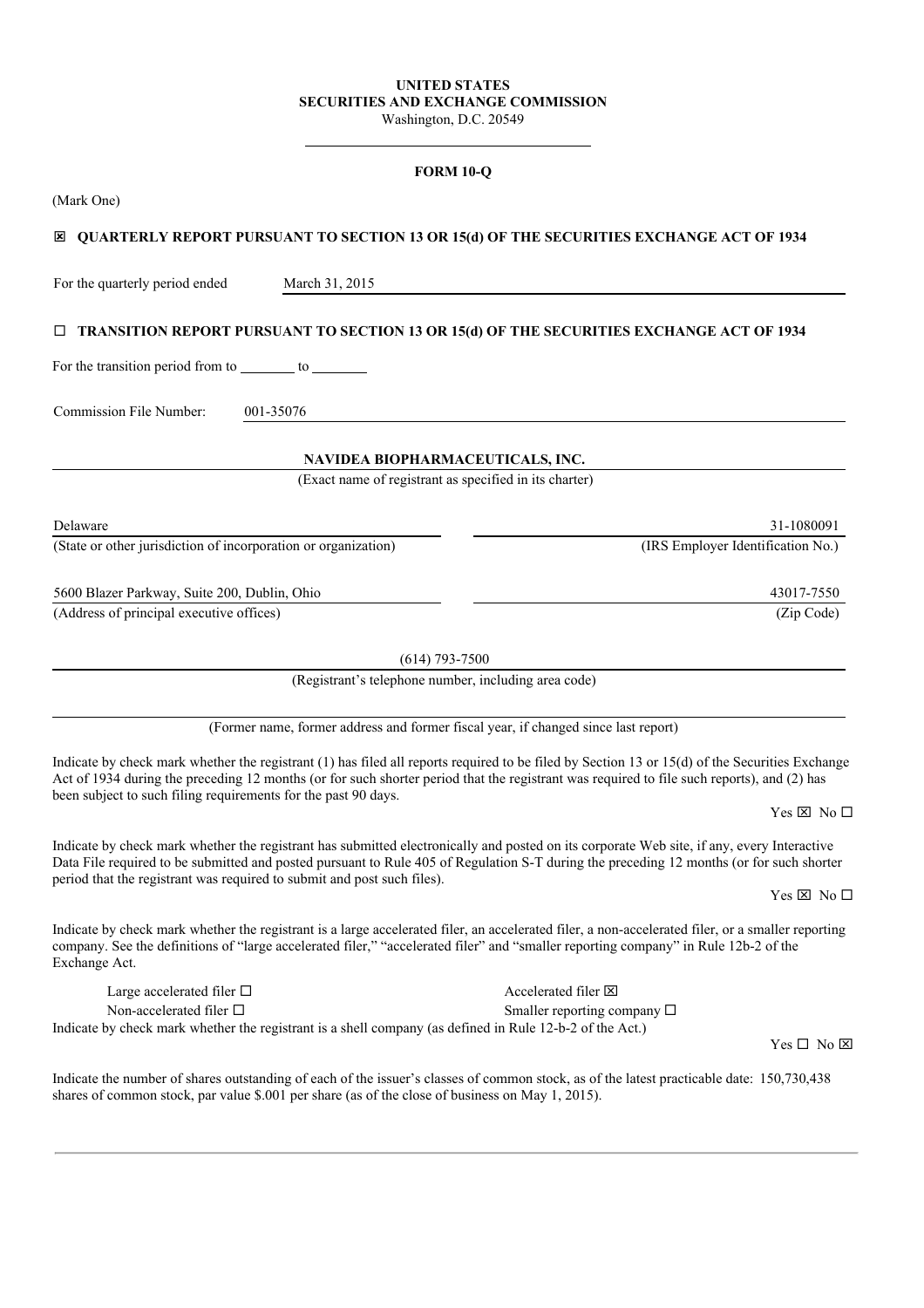# **UNITED STATES SECURITIES AND EXCHANGE COMMISSION**

Washington, D.C. 20549

ı

| FORM 10-Q |  |
|-----------|--|

|                                                                                                          | <b>FORM 10-O</b>                                                                                                                                                                                                                                                                             |
|----------------------------------------------------------------------------------------------------------|----------------------------------------------------------------------------------------------------------------------------------------------------------------------------------------------------------------------------------------------------------------------------------------------|
| (Mark One)                                                                                               |                                                                                                                                                                                                                                                                                              |
| ⊠                                                                                                        | <b>QUARTERLY REPORT PURSUANT TO SECTION 13 OR 15(d) OF THE SECURITIES EXCHANGE ACT OF 1934</b>                                                                                                                                                                                               |
| For the quarterly period ended<br>March 31, 2015                                                         |                                                                                                                                                                                                                                                                                              |
|                                                                                                          | $\Box$ TRANSITION REPORT PURSUANT TO SECTION 13 OR 15(d) OF THE SECURITIES EXCHANGE ACT OF 1934                                                                                                                                                                                              |
| For the transition period from to _________ to _________                                                 |                                                                                                                                                                                                                                                                                              |
| Commission File Number:<br>001-35076                                                                     |                                                                                                                                                                                                                                                                                              |
|                                                                                                          | NAVIDEA BIOPHARMACEUTICALS, INC.                                                                                                                                                                                                                                                             |
|                                                                                                          | (Exact name of registrant as specified in its charter)                                                                                                                                                                                                                                       |
| Delaware                                                                                                 | 31-1080091                                                                                                                                                                                                                                                                                   |
| (State or other jurisdiction of incorporation or organization)                                           | (IRS Employer Identification No.)                                                                                                                                                                                                                                                            |
| 5600 Blazer Parkway, Suite 200, Dublin, Ohio                                                             | 43017-7550                                                                                                                                                                                                                                                                                   |
| (Address of principal executive offices)                                                                 | (Zip Code)                                                                                                                                                                                                                                                                                   |
|                                                                                                          |                                                                                                                                                                                                                                                                                              |
|                                                                                                          | $(614)$ 793-7500<br>(Registrant's telephone number, including area code)                                                                                                                                                                                                                     |
|                                                                                                          |                                                                                                                                                                                                                                                                                              |
|                                                                                                          | (Former name, former address and former fiscal year, if changed since last report)                                                                                                                                                                                                           |
|                                                                                                          | Indicate by check mark whether the registrant (1) has filed all reports required to be filed by Section 13 or 15(d) of the Securities Exchange<br>Act of 1934 during the preceding 12 months (or for such shorter period that the registrant was required to file such reports), and (2) has |
| been subject to such filing requirements for the past 90 days.                                           | $Yes \boxtimes No \Box$                                                                                                                                                                                                                                                                      |
|                                                                                                          | Indicate by check mark whether the registrant has submitted electronically and posted on its corporate Web site, if any, every Interactive<br>Data File required to be submitted and posted pursuant to Rule 405 of Regulation S-T during the preceding 12 months (or for such shorter       |
| period that the registrant was required to submit and post such files).                                  | Yes $\boxtimes$ No $\square$                                                                                                                                                                                                                                                                 |
| Exchange Act.                                                                                            | Indicate by check mark whether the registrant is a large accelerated filer, an accelerated filer, a non-accelerated filer, or a smaller reporting<br>company. See the definitions of "large accelerated filer," "accelerated filer" and "smaller reporting company" in Rule 12b-2 of the     |
| Large accelerated filer $\Box$<br>Non-accelerated filer $\Box$                                           | Accelerated filer $\boxtimes$<br>Smaller reporting company $\Box$                                                                                                                                                                                                                            |
| Indicate by check mark whether the registrant is a shell company (as defined in Rule 12-b-2 of the Act.) | $Yes \Box No \boxtimes$                                                                                                                                                                                                                                                                      |
|                                                                                                          |                                                                                                                                                                                                                                                                                              |
| shares of common stock, par value \$.001 per share (as of the close of business on May 1, 2015).         | Indicate the number of shares outstanding of each of the issuer's classes of common stock, as of the latest practicable date: 150,730,438                                                                                                                                                    |
|                                                                                                          |                                                                                                                                                                                                                                                                                              |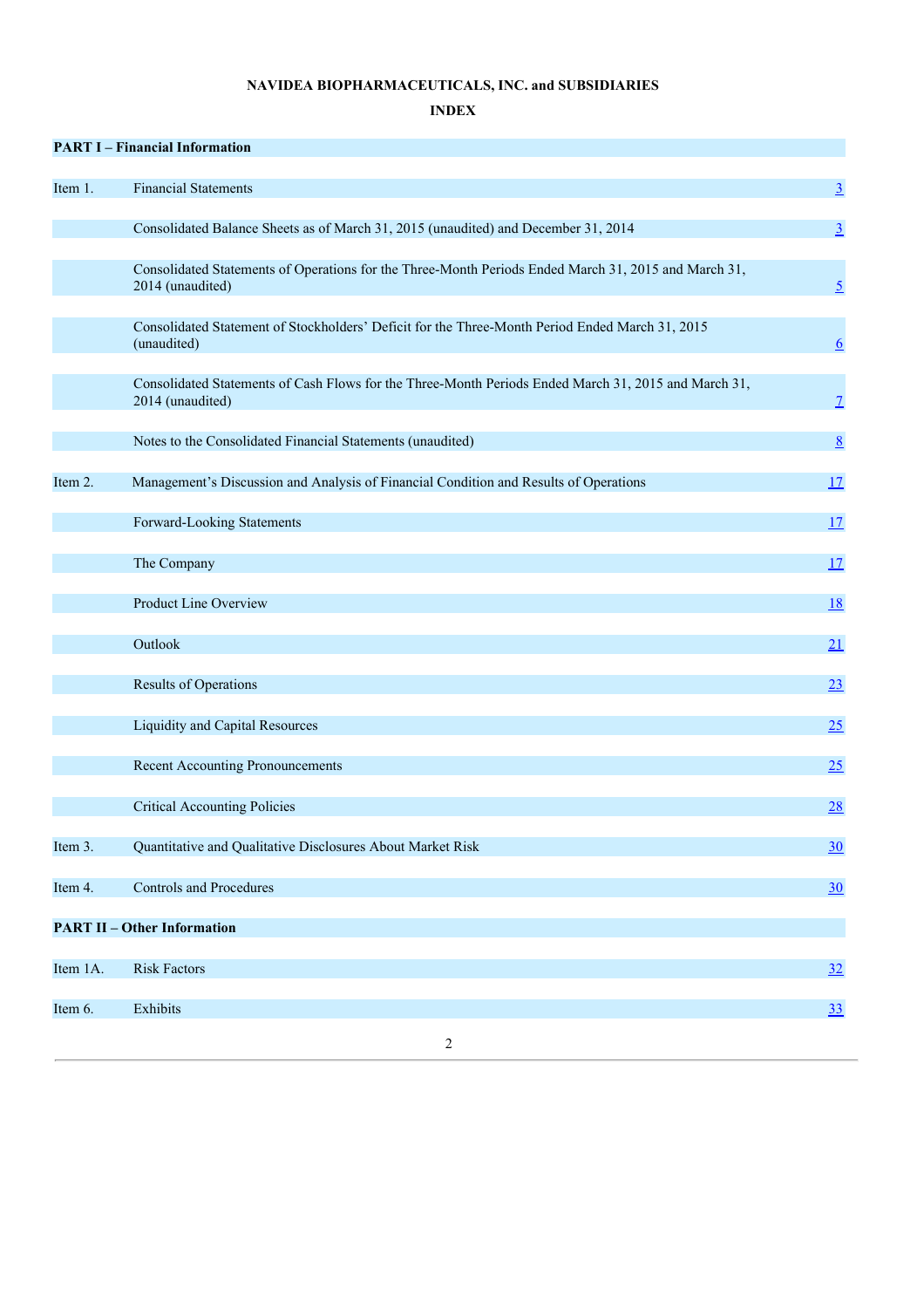## **NAVIDEA BIOPHARMACEUTICALS, INC. and SUBSIDIARIES**

### **INDEX**

|          | <b>PART I - Financial Information</b>                                                                                    |                 |
|----------|--------------------------------------------------------------------------------------------------------------------------|-----------------|
| Item 1.  | <b>Financial Statements</b>                                                                                              | $\underline{3}$ |
|          | Consolidated Balance Sheets as of March 31, 2015 (unaudited) and December 31, 2014                                       | $\underline{3}$ |
|          | Consolidated Statements of Operations for the Three-Month Periods Ended March 31, 2015 and March 31,<br>2014 (unaudited) | $\overline{2}$  |
|          | Consolidated Statement of Stockholders' Deficit for the Three-Month Period Ended March 31, 2015<br>(unaudited)           | $6\overline{6}$ |
|          | Consolidated Statements of Cash Flows for the Three-Month Periods Ended March 31, 2015 and March 31,<br>2014 (unaudited) | $\overline{1}$  |
|          | Notes to the Consolidated Financial Statements (unaudited)                                                               | 8               |
| Item 2.  | Management's Discussion and Analysis of Financial Condition and Results of Operations                                    | 17              |
|          | Forward-Looking Statements                                                                                               | 17              |
|          | The Company                                                                                                              | 17              |
|          | Product Line Overview                                                                                                    | <u>18</u>       |
|          | Outlook                                                                                                                  | 21              |
|          | Results of Operations                                                                                                    | 23              |
|          | Liquidity and Capital Resources                                                                                          | 25              |
|          | Recent Accounting Pronouncements                                                                                         | 25              |
|          | <b>Critical Accounting Policies</b>                                                                                      | 28              |
| Item 3.  | Quantitative and Qualitative Disclosures About Market Risk                                                               | 30              |
| Item 4.  | <b>Controls and Procedures</b>                                                                                           | 30              |
|          | <b>PART II - Other Information</b>                                                                                       |                 |
| Item 1A. | <b>Risk Factors</b>                                                                                                      | 32              |
| Item 6.  | Exhibits                                                                                                                 | 33              |
|          | $\overline{c}$                                                                                                           |                 |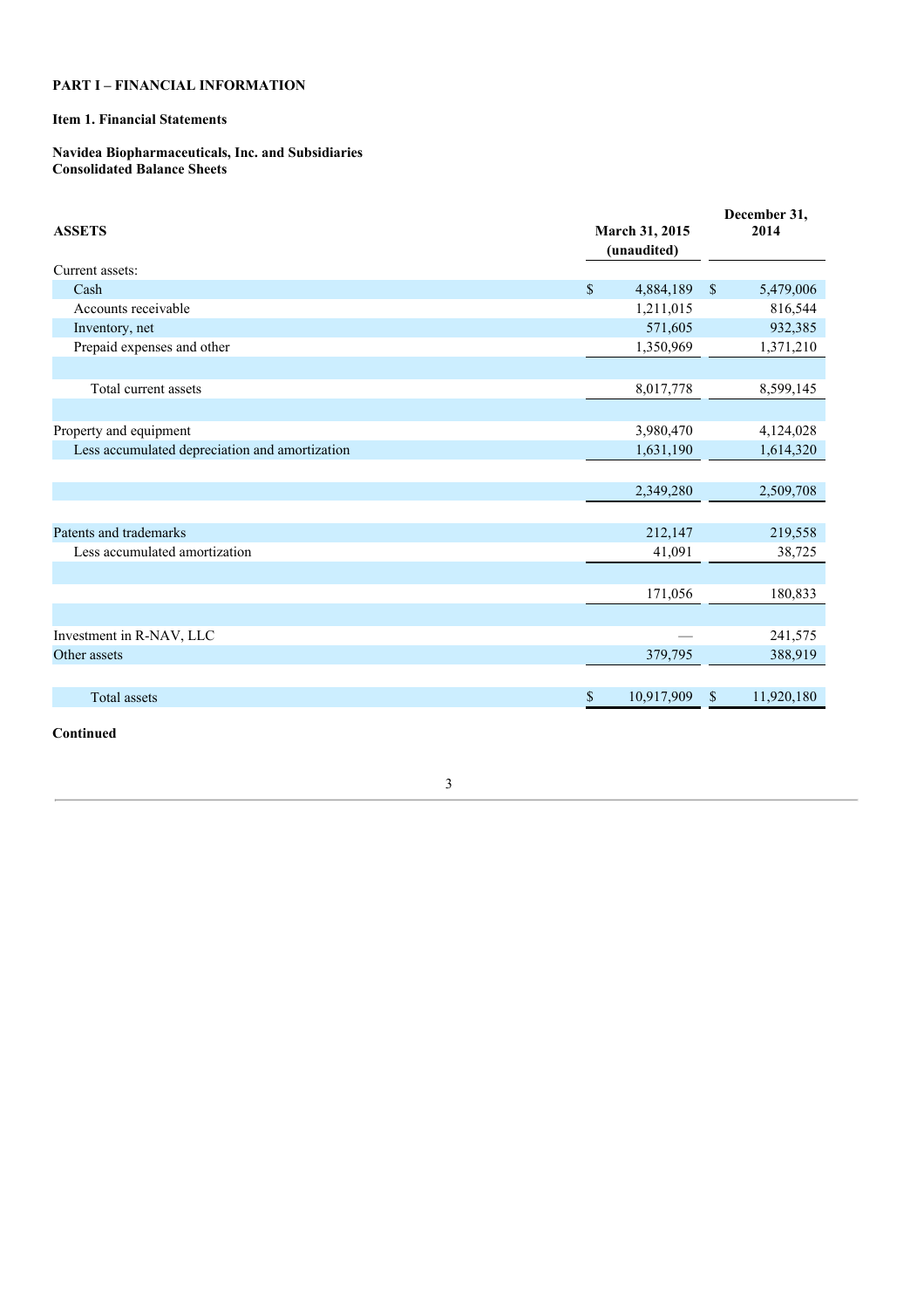### **PART I – FINANCIAL INFORMATION**

### **Item 1. Financial Statements**

#### **Navidea Biopharmaceuticals, Inc. and Subsidiaries Consolidated Balance Sheets**

| <b>ASSETS</b>                                  |              | March 31, 2015<br>(unaudited) |               | December 31,<br>2014 |
|------------------------------------------------|--------------|-------------------------------|---------------|----------------------|
| Current assets:                                |              |                               |               |                      |
| Cash                                           | $\mathbb{S}$ | 4,884,189                     | $\mathcal{S}$ | 5,479,006            |
| Accounts receivable                            |              | 1,211,015                     |               | 816,544              |
| Inventory, net                                 |              | 571,605                       |               | 932,385              |
| Prepaid expenses and other                     |              | 1,350,969                     |               | 1,371,210            |
|                                                |              |                               |               |                      |
| Total current assets                           |              | 8,017,778                     |               | 8,599,145            |
|                                                |              |                               |               |                      |
| Property and equipment                         |              | 3,980,470                     |               | 4,124,028            |
| Less accumulated depreciation and amortization |              | 1,631,190                     |               | 1,614,320            |
|                                                |              |                               |               |                      |
|                                                |              | 2,349,280                     |               | 2,509,708            |
|                                                |              |                               |               |                      |
| Patents and trademarks                         |              | 212,147                       |               | 219,558              |
| Less accumulated amortization                  |              | 41,091                        |               | 38,725               |
|                                                |              |                               |               |                      |
|                                                |              | 171,056                       |               | 180,833              |
|                                                |              |                               |               |                      |
| Investment in R-NAV, LLC                       |              |                               |               | 241,575              |
| Other assets                                   |              | 379,795                       |               | 388,919              |
|                                                |              |                               |               |                      |
| <b>Total</b> assets                            | $\mathbb{S}$ | 10,917,909                    | $\sqrt$       | 11,920,180           |
| Continued                                      |              |                               |               |                      |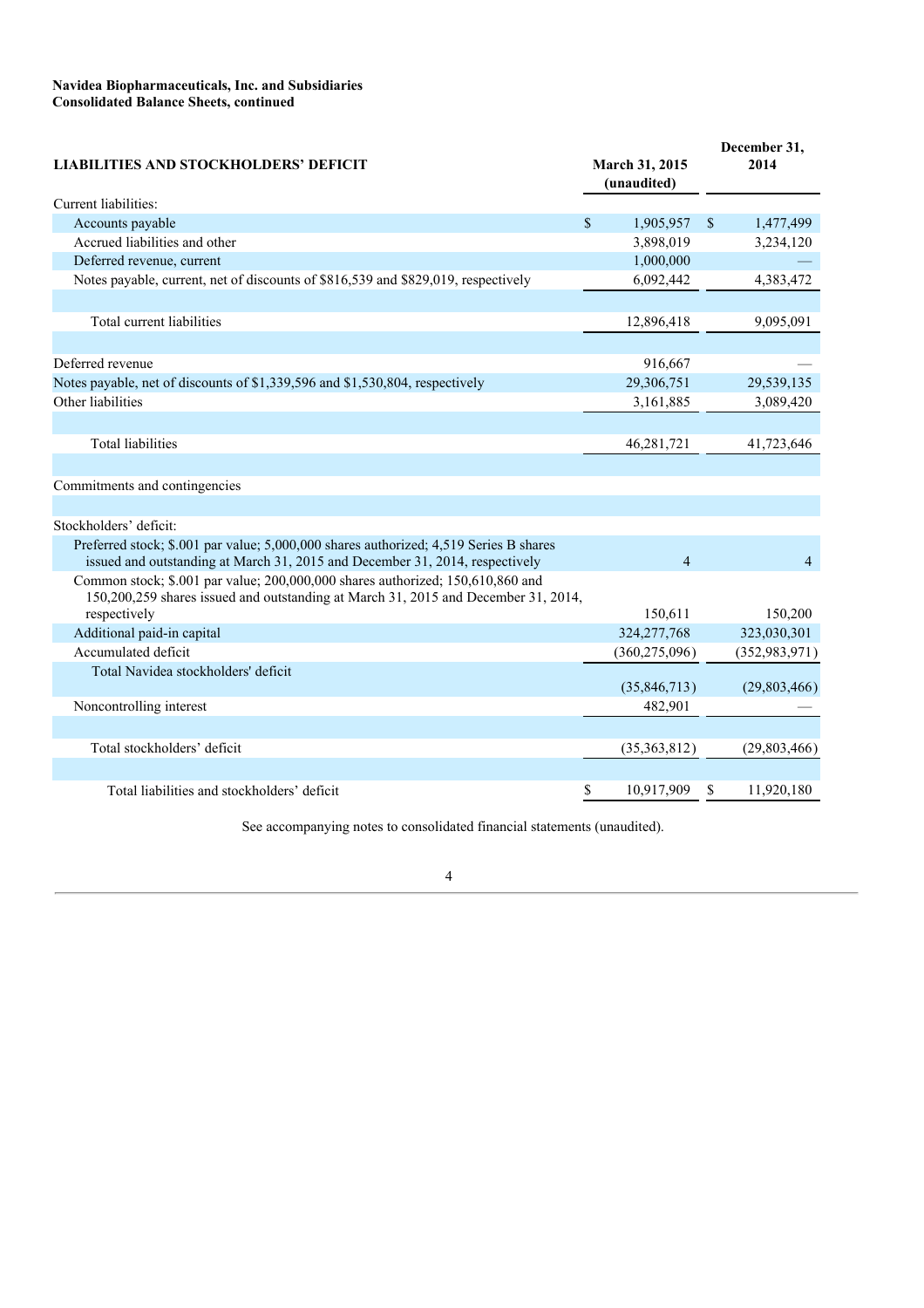| <b>LIABILITIES AND STOCKHOLDERS' DEFICIT</b>                                                                                                                          |              | March 31, 2015<br>(unaudited) |               | December 31,<br>2014 |
|-----------------------------------------------------------------------------------------------------------------------------------------------------------------------|--------------|-------------------------------|---------------|----------------------|
| Current liabilities:                                                                                                                                                  |              |                               |               |                      |
| Accounts payable                                                                                                                                                      | $\mathbb{S}$ | 1,905,957                     | $\mathcal{S}$ | 1,477,499            |
| Accrued liabilities and other                                                                                                                                         |              | 3,898,019                     |               | 3,234,120            |
| Deferred revenue, current                                                                                                                                             |              | 1,000,000                     |               |                      |
| Notes payable, current, net of discounts of \$816,539 and \$829,019, respectively                                                                                     |              | 6,092,442                     |               | 4,383,472            |
| Total current liabilities                                                                                                                                             |              | 12,896,418                    |               | 9,095,091            |
|                                                                                                                                                                       |              |                               |               |                      |
| Deferred revenue                                                                                                                                                      |              | 916,667                       |               |                      |
| Notes payable, net of discounts of \$1,339,596 and \$1,530,804, respectively                                                                                          |              | 29,306,751                    |               | 29,539,135           |
| Other liabilities                                                                                                                                                     |              | 3,161,885                     |               | 3,089,420            |
| <b>Total liabilities</b>                                                                                                                                              |              | 46,281,721                    |               | 41,723,646           |
| Commitments and contingencies                                                                                                                                         |              |                               |               |                      |
| Stockholders' deficit:                                                                                                                                                |              |                               |               |                      |
| Preferred stock; \$.001 par value; 5,000,000 shares authorized; 4,519 Series B shares<br>issued and outstanding at March 31, 2015 and December 31, 2014, respectively |              | $\overline{4}$                |               | $\overline{4}$       |
| Common stock; \$.001 par value; 200,000,000 shares authorized; 150,610,860 and<br>150,200,259 shares issued and outstanding at March 31, 2015 and December 31, 2014,  |              |                               |               |                      |
| respectively                                                                                                                                                          |              | 150,611                       |               | 150,200              |
| Additional paid-in capital                                                                                                                                            |              | 324, 277, 768                 |               | 323,030,301          |
| Accumulated deficit                                                                                                                                                   |              | (360, 275, 096)               |               | (352, 983, 971)      |
| Total Navidea stockholders' deficit                                                                                                                                   |              | (35,846,713)                  |               | (29,803,466)         |
| Noncontrolling interest                                                                                                                                               |              | 482,901                       |               |                      |
|                                                                                                                                                                       |              |                               |               |                      |
| Total stockholders' deficit                                                                                                                                           |              | (35,363,812)                  |               | (29, 803, 466)       |
|                                                                                                                                                                       | \$           | 10,917,909                    |               | 11,920,180           |
| Total liabilities and stockholders' deficit                                                                                                                           |              |                               | \$            |                      |

See accompanying notes to consolidated financial statements (unaudited).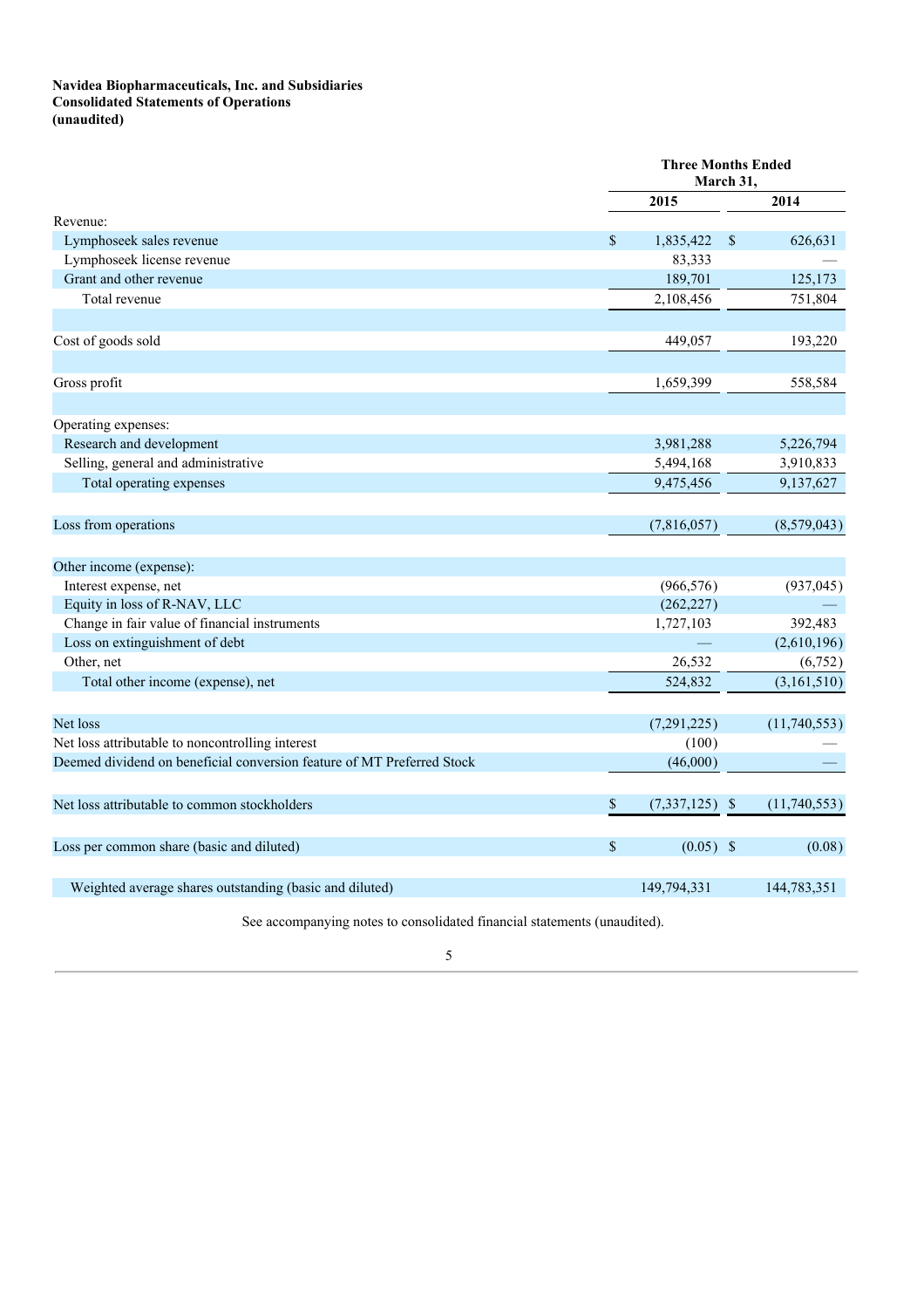#### **Navidea Biopharmaceuticals, Inc. and Subsidiaries Consolidated Statements of Operations (unaudited)**

|                                                                        | <b>Three Months Ended</b><br>March 31, |                  |              |              |
|------------------------------------------------------------------------|----------------------------------------|------------------|--------------|--------------|
|                                                                        |                                        | 2015             |              | 2014         |
| Revenue:                                                               |                                        |                  |              |              |
| Lymphoseek sales revenue                                               | $\mathbb{S}$                           | 1,835,422        | $\mathbb{S}$ | 626,631      |
| Lymphoseek license revenue                                             |                                        | 83,333           |              |              |
| Grant and other revenue                                                |                                        | 189,701          |              | 125,173      |
| Total revenue                                                          |                                        | 2,108,456        |              | 751,804      |
| Cost of goods sold                                                     |                                        | 449,057          |              | 193,220      |
|                                                                        |                                        |                  |              |              |
| Gross profit                                                           |                                        | 1,659,399        |              | 558,584      |
| Operating expenses:                                                    |                                        |                  |              |              |
| Research and development                                               |                                        | 3,981,288        |              | 5,226,794    |
| Selling, general and administrative                                    |                                        | 5,494,168        |              | 3,910,833    |
| Total operating expenses                                               |                                        | 9,475,456        |              | 9,137,627    |
| Loss from operations                                                   |                                        | (7,816,057)      |              | (8,579,043)  |
| Other income (expense):                                                |                                        |                  |              |              |
| Interest expense, net                                                  |                                        | (966, 576)       |              | (937, 045)   |
| Equity in loss of R-NAV, LLC                                           |                                        | (262, 227)       |              |              |
| Change in fair value of financial instruments                          |                                        | 1,727,103        |              | 392,483      |
| Loss on extinguishment of debt                                         |                                        |                  |              | (2,610,196)  |
| Other, net                                                             |                                        | 26,532           |              | (6,752)      |
| Total other income (expense), net                                      |                                        | 524,832          |              | (3,161,510)  |
| Net loss                                                               |                                        | (7, 291, 225)    |              | (11,740,553) |
| Net loss attributable to noncontrolling interest                       |                                        | (100)            |              |              |
| Deemed dividend on beneficial conversion feature of MT Preferred Stock |                                        | (46,000)         |              |              |
| Net loss attributable to common stockholders                           | $\mathbb{S}$                           | $(7,337,125)$ \$ |              | (11,740,553) |
|                                                                        |                                        |                  |              |              |
| Loss per common share (basic and diluted)                              | \$                                     | $(0.05)$ \$      |              | (0.08)       |
| Weighted average shares outstanding (basic and diluted)                |                                        | 149,794,331      |              | 144,783,351  |
|                                                                        |                                        |                  |              |              |

See accompanying notes to consolidated financial statements (unaudited).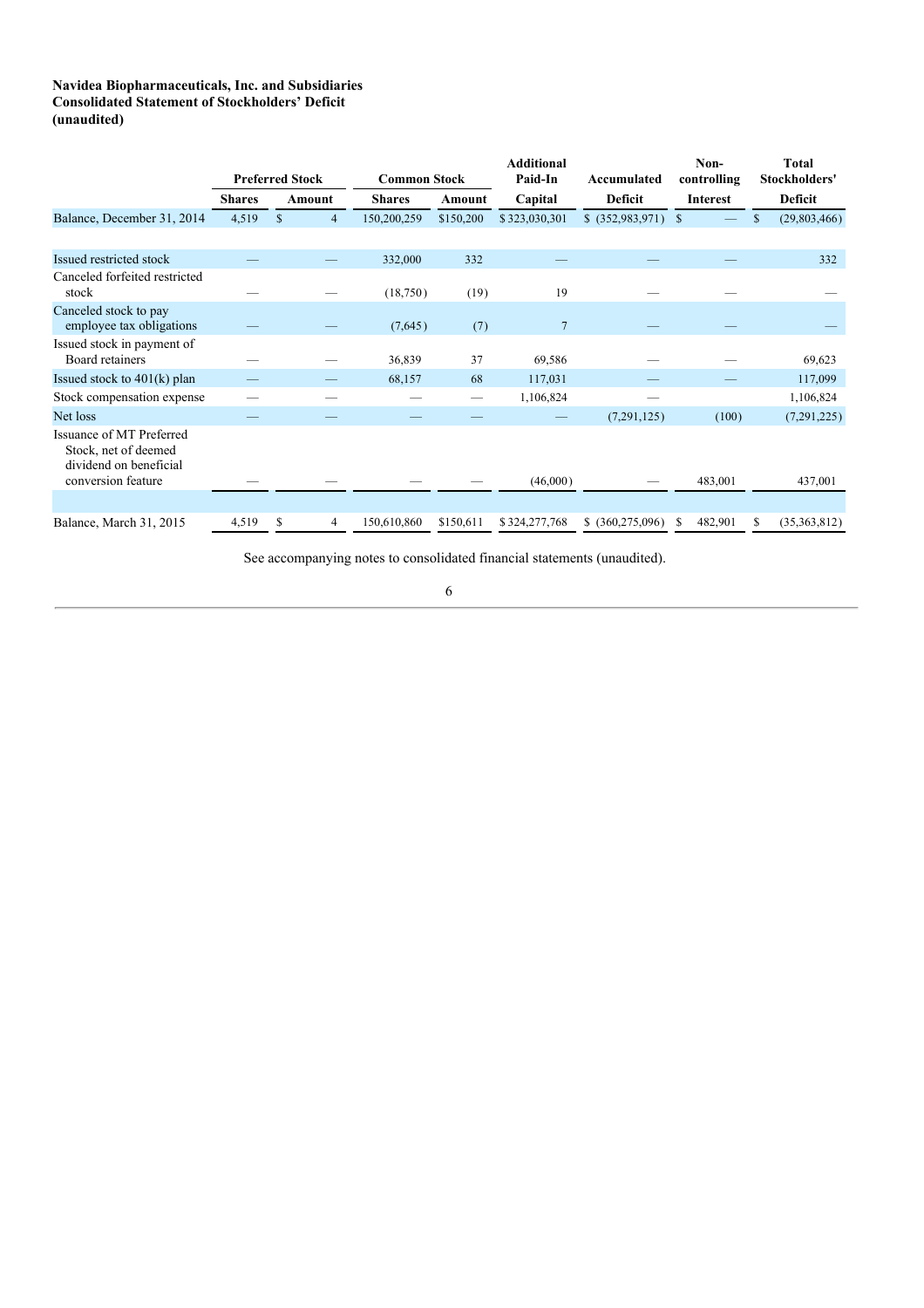### **Navidea Biopharmaceuticals, Inc. and Subsidiaries Consolidated Statement of Stockholders' Deficit (unaudited)**

|                                                                                                  | <b>Preferred Stock</b> |                      | <b>Common Stock</b> |               | <b>Additional</b><br>Paid-In | Accumulated      |              | Non-<br>controlling | Total<br>Stockholders' |
|--------------------------------------------------------------------------------------------------|------------------------|----------------------|---------------------|---------------|------------------------------|------------------|--------------|---------------------|------------------------|
|                                                                                                  | <b>Shares</b>          | Amount               | <b>Shares</b>       | <b>Amount</b> | Capital                      | <b>Deficit</b>   |              | <b>Interest</b>     | <b>Deficit</b>         |
| Balance, December 31, 2014                                                                       | 4,519                  | \$<br>$\overline{4}$ | 150,200,259         | \$150,200     | \$323,030,301                | \$ (352,983,971) | $\mathbb{S}$ |                     | \$<br>(29,803,466)     |
|                                                                                                  |                        |                      |                     |               |                              |                  |              |                     |                        |
| Issued restricted stock                                                                          |                        |                      | 332,000             | 332           |                              |                  |              |                     | 332                    |
| Canceled forfeited restricted<br>stock                                                           |                        |                      | (18,750)            | (19)          | 19                           |                  |              |                     |                        |
| Canceled stock to pay<br>employee tax obligations                                                |                        |                      | (7,645)             | (7)           | $\overline{7}$               |                  |              |                     |                        |
| Issued stock in payment of<br>Board retainers                                                    |                        |                      | 36,839              | 37            | 69,586                       |                  |              |                     | 69,623                 |
| Issued stock to $401(k)$ plan                                                                    |                        |                      | 68,157              | 68            | 117,031                      |                  |              |                     | 117,099                |
| Stock compensation expense                                                                       |                        |                      |                     |               | 1,106,824                    |                  |              |                     | 1,106,824              |
| Net loss                                                                                         |                        |                      |                     |               |                              | (7,291,125)      |              | (100)               | (7,291,225)            |
| Issuance of MT Preferred<br>Stock, net of deemed<br>dividend on beneficial<br>conversion feature |                        |                      |                     |               | (46,000)                     |                  |              | 483,001             | 437,001                |
|                                                                                                  |                        |                      |                     |               |                              |                  |              |                     |                        |
| Balance, March 31, 2015                                                                          | 4,519                  | \$<br>4              | 150,610,860         | \$150,611     | \$324,277,768                | \$ (360,275,096) | S.           | 482,901             | \$<br>(35,363,812)     |

See accompanying notes to consolidated financial statements (unaudited).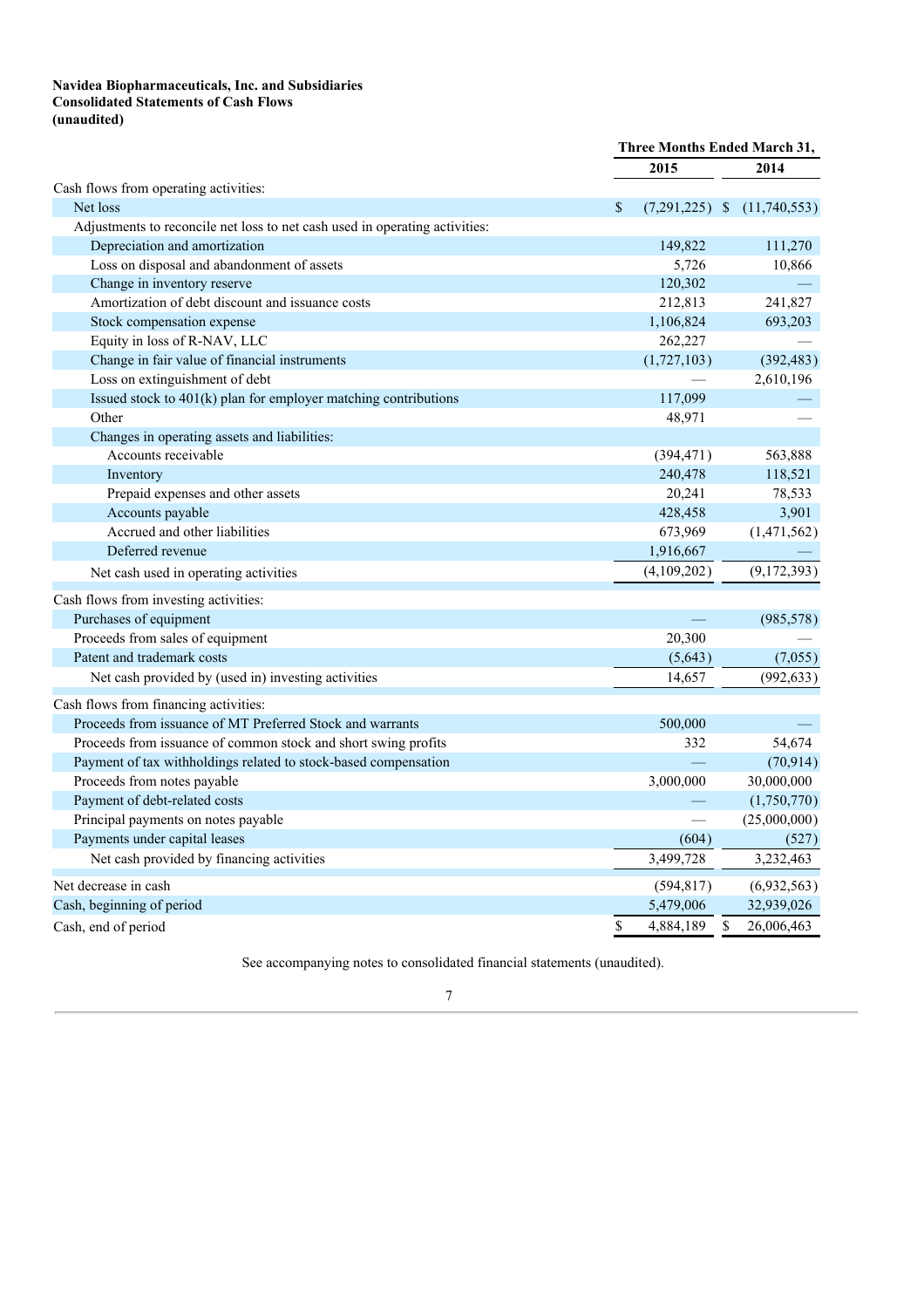#### **Navidea Biopharmaceuticals, Inc. and Subsidiaries Consolidated Statements of Cash Flows (unaudited)**

|                                                                             | Three Months Ended March 31, |                  |    |              |
|-----------------------------------------------------------------------------|------------------------------|------------------|----|--------------|
|                                                                             |                              | 2015             |    | 2014         |
| Cash flows from operating activities:                                       |                              |                  |    |              |
| Net loss                                                                    | \$                           | $(7,291,225)$ \$ |    | (11,740,553) |
| Adjustments to reconcile net loss to net cash used in operating activities: |                              |                  |    |              |
| Depreciation and amortization                                               |                              | 149,822          |    | 111,270      |
| Loss on disposal and abandonment of assets                                  |                              | 5,726            |    | 10,866       |
| Change in inventory reserve                                                 |                              | 120,302          |    |              |
| Amortization of debt discount and issuance costs                            |                              | 212,813          |    | 241,827      |
| Stock compensation expense                                                  |                              | 1,106,824        |    | 693,203      |
| Equity in loss of R-NAV, LLC                                                |                              | 262,227          |    |              |
| Change in fair value of financial instruments                               |                              | (1,727,103)      |    | (392, 483)   |
| Loss on extinguishment of debt                                              |                              |                  |    | 2,610,196    |
| Issued stock to 401(k) plan for employer matching contributions             |                              | 117,099          |    |              |
| Other                                                                       |                              | 48,971           |    |              |
| Changes in operating assets and liabilities:                                |                              |                  |    |              |
| Accounts receivable                                                         |                              | (394, 471)       |    | 563,888      |
| Inventory                                                                   |                              | 240,478          |    | 118,521      |
| Prepaid expenses and other assets                                           |                              | 20,241           |    | 78,533       |
| Accounts payable                                                            |                              | 428,458          |    | 3,901        |
| Accrued and other liabilities                                               |                              | 673,969          |    | (1,471,562)  |
| Deferred revenue                                                            |                              | 1,916,667        |    |              |
| Net cash used in operating activities                                       |                              | (4,109,202)      |    | (9,172,393)  |
| Cash flows from investing activities:                                       |                              |                  |    |              |
| Purchases of equipment                                                      |                              |                  |    | (985, 578)   |
| Proceeds from sales of equipment                                            |                              | 20,300           |    |              |
| Patent and trademark costs                                                  |                              | (5,643)          |    | (7,055)      |
| Net cash provided by (used in) investing activities                         |                              | 14,657           |    | (992, 633)   |
| Cash flows from financing activities:                                       |                              |                  |    |              |
| Proceeds from issuance of MT Preferred Stock and warrants                   |                              | 500,000          |    |              |
| Proceeds from issuance of common stock and short swing profits              |                              | 332              |    | 54,674       |
| Payment of tax withholdings related to stock-based compensation             |                              |                  |    | (70, 914)    |
| Proceeds from notes payable                                                 |                              | 3,000,000        |    | 30,000,000   |
| Payment of debt-related costs                                               |                              |                  |    | (1,750,770)  |
| Principal payments on notes payable                                         |                              |                  |    | (25,000,000) |
| Payments under capital leases                                               |                              | (604)            |    | (527)        |
| Net cash provided by financing activities                                   |                              | 3,499,728        |    | 3,232,463    |
| Net decrease in cash                                                        |                              | (594, 817)       |    | (6,932,563)  |
| Cash, beginning of period                                                   |                              | 5,479,006        |    | 32,939,026   |
| Cash, end of period                                                         | \$                           | 4,884,189        | \$ | 26,006,463   |

See accompanying notes to consolidated financial statements (unaudited).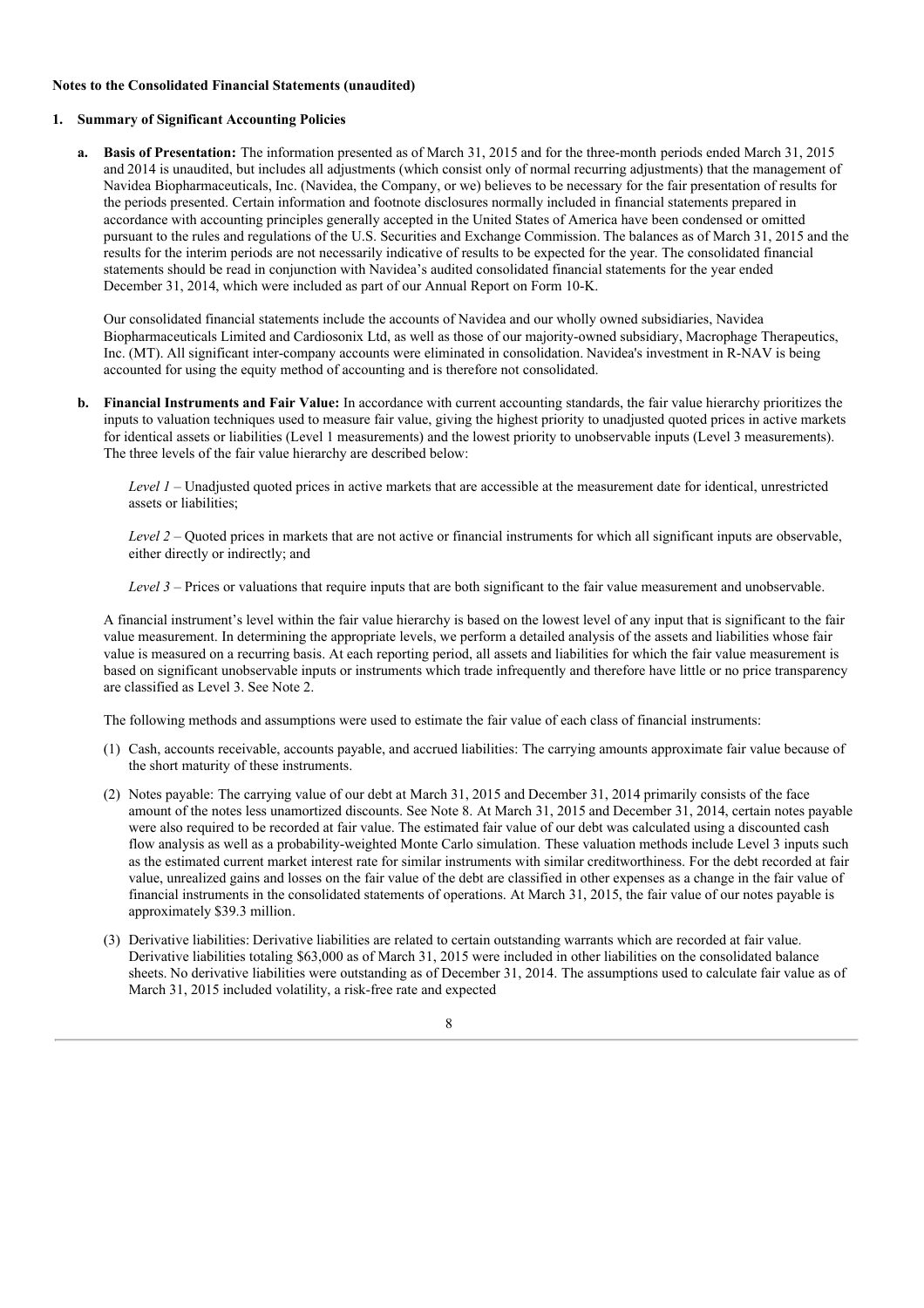#### **Notes to the Consolidated Financial Statements (unaudited)**

#### **1. Summary of Significant Accounting Policies**

**a. Basis of Presentation:** The information presented as of March 31, 2015 and for the three-month periods ended March 31, 2015 and 2014 is unaudited, but includes all adjustments (which consist only of normal recurring adjustments) that the management of Navidea Biopharmaceuticals, Inc. (Navidea, the Company, or we) believes to be necessary for the fair presentation of results for the periods presented. Certain information and footnote disclosures normally included in financial statements prepared in accordance with accounting principles generally accepted in the United States of America have been condensed or omitted pursuant to the rules and regulations of the U.S. Securities and Exchange Commission. The balances as of March 31, 2015 and the results for the interim periods are not necessarily indicative of results to be expected for the year. The consolidated financial statements should be read in conjunction with Navidea's audited consolidated financial statements for the year ended December 31, 2014, which were included as part of our Annual Report on Form 10-K.

Our consolidated financial statements include the accounts of Navidea and our wholly owned subsidiaries, Navidea Biopharmaceuticals Limited and Cardiosonix Ltd, as well as those of our majority-owned subsidiary, Macrophage Therapeutics, Inc. (MT). All significant inter-company accounts were eliminated in consolidation. Navidea's investment in R-NAV is being accounted for using the equity method of accounting and is therefore not consolidated.

**b. Financial Instruments and Fair Value:** In accordance with current accounting standards, the fair value hierarchy prioritizes the inputs to valuation techniques used to measure fair value, giving the highest priority to unadjusted quoted prices in active markets for identical assets or liabilities (Level 1 measurements) and the lowest priority to unobservable inputs (Level 3 measurements). The three levels of the fair value hierarchy are described below:

*Level 1* – Unadjusted quoted prices in active markets that are accessible at the measurement date for identical, unrestricted assets or liabilities;

*Level 2* – Quoted prices in markets that are not active or financial instruments for which all significant inputs are observable, either directly or indirectly; and

*Level 3* – Prices or valuations that require inputs that are both significant to the fair value measurement and unobservable.

A financial instrument's level within the fair value hierarchy is based on the lowest level of any input that is significant to the fair value measurement. In determining the appropriate levels, we perform a detailed analysis of the assets and liabilities whose fair value is measured on a recurring basis. At each reporting period, all assets and liabilities for which the fair value measurement is based on significant unobservable inputs or instruments which trade infrequently and therefore have little or no price transparency are classified as Level 3. See Note 2.

The following methods and assumptions were used to estimate the fair value of each class of financial instruments:

- (1) Cash, accounts receivable, accounts payable, and accrued liabilities: The carrying amounts approximate fair value because of the short maturity of these instruments.
- (2) Notes payable: The carrying value of our debt at March 31, 2015 and December 31, 2014 primarily consists of the face amount of the notes less unamortized discounts. See Note 8. At March 31, 2015 and December 31, 2014, certain notes payable were also required to be recorded at fair value. The estimated fair value of our debt was calculated using a discounted cash flow analysis as well as a probability-weighted Monte Carlo simulation. These valuation methods include Level 3 inputs such as the estimated current market interest rate for similar instruments with similar creditworthiness. For the debt recorded at fair value, unrealized gains and losses on the fair value of the debt are classified in other expenses as a change in the fair value of financial instruments in the consolidated statements of operations. At March 31, 2015, the fair value of our notes payable is approximately \$39.3 million.
- (3) Derivative liabilities: Derivative liabilities are related to certain outstanding warrants which are recorded at fair value. Derivative liabilities totaling \$63,000 as of March 31, 2015 were included in other liabilities on the consolidated balance sheets. No derivative liabilities were outstanding as of December 31, 2014. The assumptions used to calculate fair value as of March 31, 2015 included volatility, a risk-free rate and expected

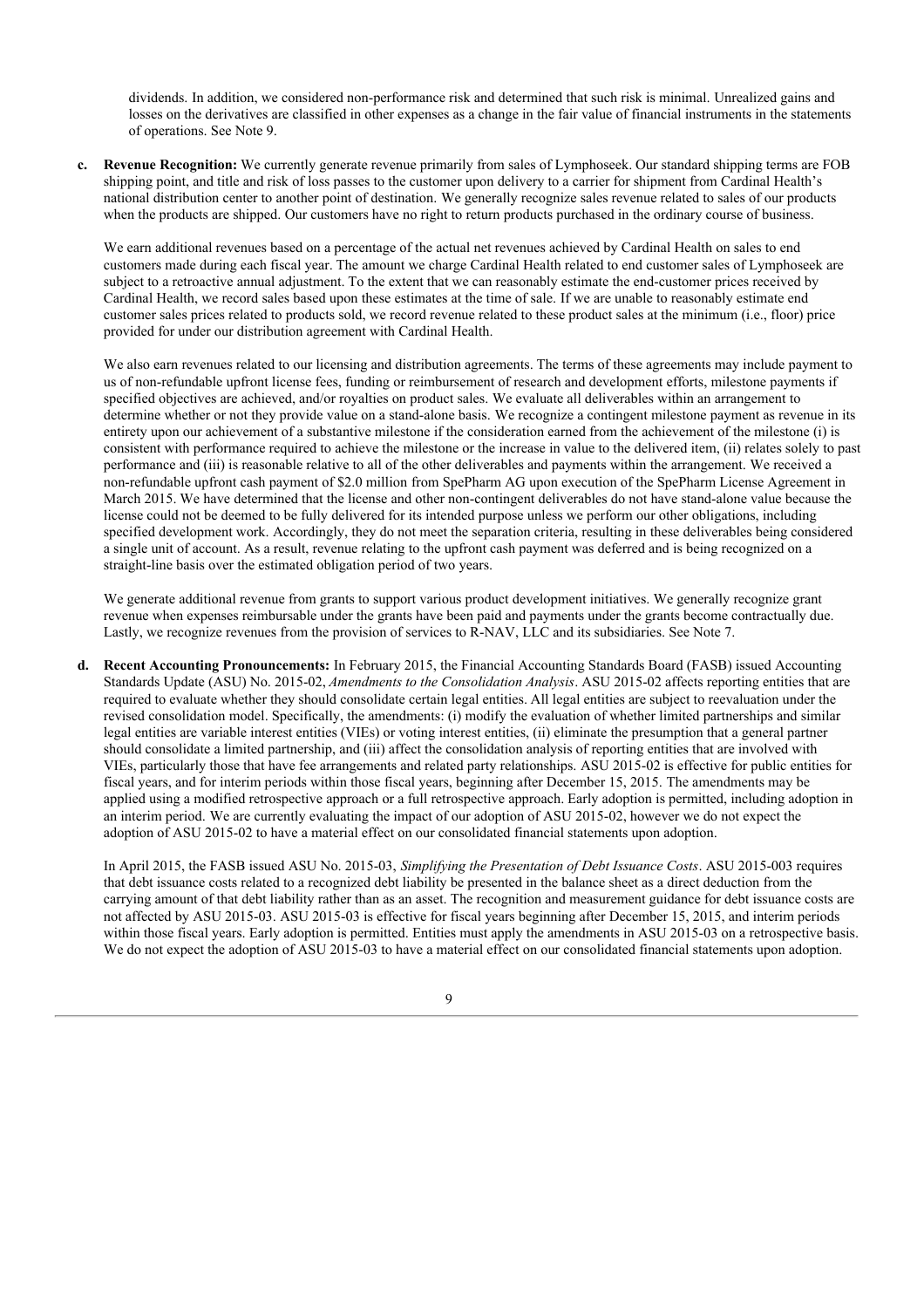dividends. In addition, we considered non-performance risk and determined that such risk is minimal. Unrealized gains and losses on the derivatives are classified in other expenses as a change in the fair value of financial instruments in the statements of operations. See Note 9.

**c. Revenue Recognition:** We currently generate revenue primarily from sales of Lymphoseek. Our standard shipping terms are FOB shipping point, and title and risk of loss passes to the customer upon delivery to a carrier for shipment from Cardinal Health's national distribution center to another point of destination. We generally recognize sales revenue related to sales of our products when the products are shipped. Our customers have no right to return products purchased in the ordinary course of business.

We earn additional revenues based on a percentage of the actual net revenues achieved by Cardinal Health on sales to end customers made during each fiscal year. The amount we charge Cardinal Health related to end customer sales of Lymphoseek are subject to a retroactive annual adjustment. To the extent that we can reasonably estimate the end-customer prices received by Cardinal Health, we record sales based upon these estimates at the time of sale. If we are unable to reasonably estimate end customer sales prices related to products sold, we record revenue related to these product sales at the minimum (i.e., floor) price provided for under our distribution agreement with Cardinal Health.

We also earn revenues related to our licensing and distribution agreements. The terms of these agreements may include payment to us of non-refundable upfront license fees, funding or reimbursement of research and development efforts, milestone payments if specified objectives are achieved, and/or royalties on product sales. We evaluate all deliverables within an arrangement to determine whether or not they provide value on a stand-alone basis. We recognize a contingent milestone payment as revenue in its entirety upon our achievement of a substantive milestone if the consideration earned from the achievement of the milestone (i) is consistent with performance required to achieve the milestone or the increase in value to the delivered item, (ii) relates solely to past performance and (iii) is reasonable relative to all of the other deliverables and payments within the arrangement. We received a non-refundable upfront cash payment of \$2.0 million from SpePharm AG upon execution of the SpePharm License Agreement in March 2015. We have determined that the license and other non-contingent deliverables do not have stand-alone value because the license could not be deemed to be fully delivered for its intended purpose unless we perform our other obligations, including specified development work. Accordingly, they do not meet the separation criteria, resulting in these deliverables being considered a single unit of account. As a result, revenue relating to the upfront cash payment was deferred and is being recognized on a straight-line basis over the estimated obligation period of two years.

We generate additional revenue from grants to support various product development initiatives. We generally recognize grant revenue when expenses reimbursable under the grants have been paid and payments under the grants become contractually due. Lastly, we recognize revenues from the provision of services to R-NAV, LLC and its subsidiaries. See Note 7.

**d. Recent Accounting Pronouncements:** In February 2015, the Financial Accounting Standards Board (FASB) issued Accounting Standards Update (ASU) No. 2015-02, *Amendments to the Consolidation Analysis*. ASU 2015-02 affects reporting entities that are required to evaluate whether they should consolidate certain legal entities. All legal entities are subject to reevaluation under the revised consolidation model. Specifically, the amendments: (i) modify the evaluation of whether limited partnerships and similar legal entities are variable interest entities (VIEs) or voting interest entities, (ii) eliminate the presumption that a general partner should consolidate a limited partnership, and (iii) affect the consolidation analysis of reporting entities that are involved with VIEs, particularly those that have fee arrangements and related party relationships. ASU 2015-02 is effective for public entities for fiscal years, and for interim periods within those fiscal years, beginning after December 15, 2015. The amendments may be applied using a modified retrospective approach or a full retrospective approach. Early adoption is permitted, including adoption in an interim period. We are currently evaluating the impact of our adoption of ASU 2015-02, however we do not expect the adoption of ASU 2015-02 to have a material effect on our consolidated financial statements upon adoption.

In April 2015, the FASB issued ASU No. 2015-03, *Simplifying the Presentation of Debt Issuance Costs*. ASU 2015-003 requires that debt issuance costs related to a recognized debt liability be presented in the balance sheet as a direct deduction from the carrying amount of that debt liability rather than as an asset. The recognition and measurement guidance for debt issuance costs are not affected by ASU 2015-03. ASU 2015-03 is effective for fiscal years beginning after December 15, 2015, and interim periods within those fiscal years. Early adoption is permitted. Entities must apply the amendments in ASU 2015-03 on a retrospective basis. We do not expect the adoption of ASU 2015-03 to have a material effect on our consolidated financial statements upon adoption.

 $\overline{Q}$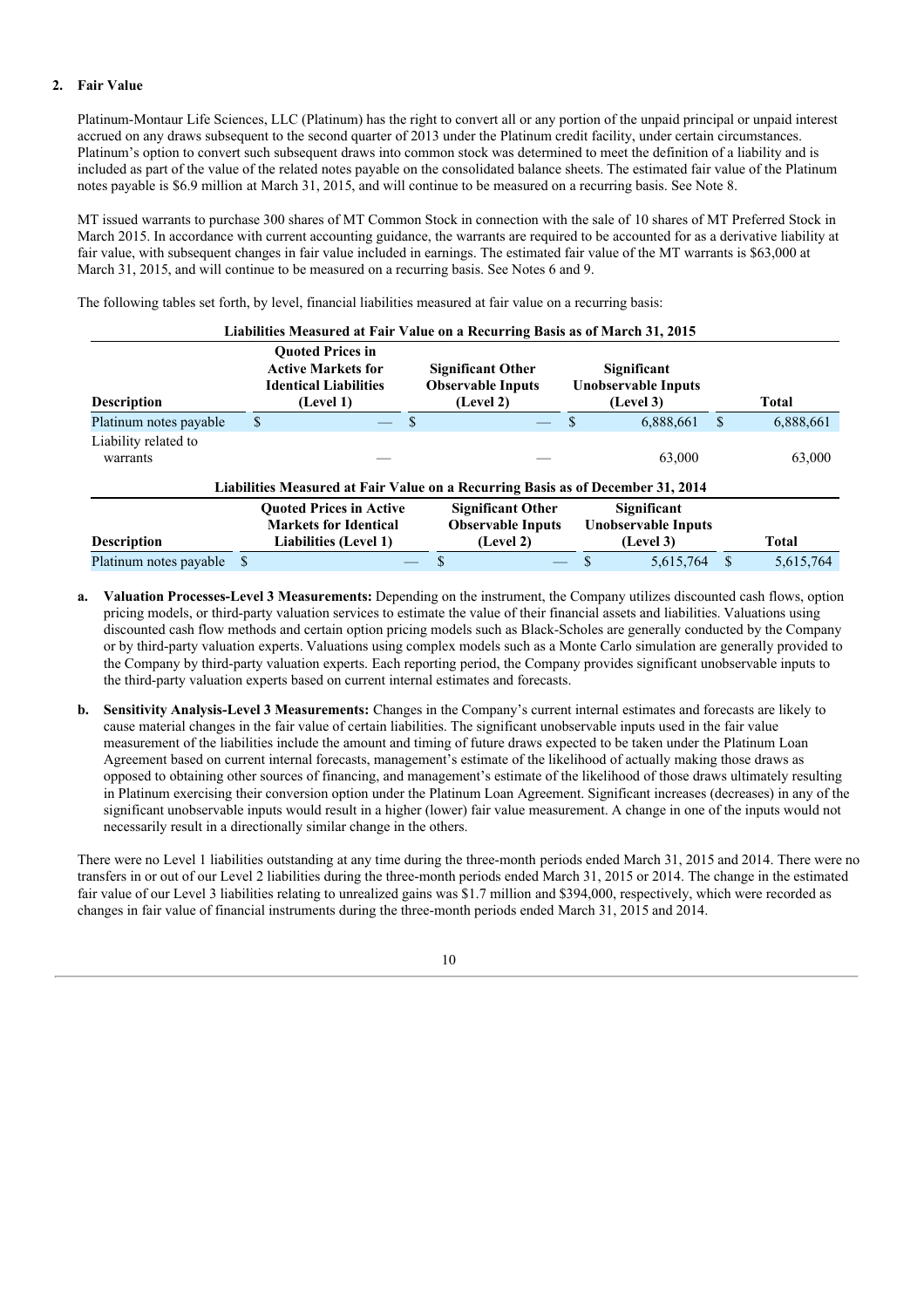### **2. Fair Value**

Platinum-Montaur Life Sciences, LLC (Platinum) has the right to convert all or any portion of the unpaid principal or unpaid interest accrued on any draws subsequent to the second quarter of 2013 under the Platinum credit facility, under certain circumstances. Platinum's option to convert such subsequent draws into common stock was determined to meet the definition of a liability and is included as part of the value of the related notes payable on the consolidated balance sheets. The estimated fair value of the Platinum notes payable is \$6.9 million at March 31, 2015, and will continue to be measured on a recurring basis. See Note 8.

MT issued warrants to purchase 300 shares of MT Common Stock in connection with the sale of 10 shares of MT Preferred Stock in March 2015. In accordance with current accounting guidance, the warrants are required to be accounted for as a derivative liability at fair value, with subsequent changes in fair value included in earnings. The estimated fair value of the MT warrants is \$63,000 at March 31, 2015, and will continue to be measured on a recurring basis. See Notes 6 and 9.

The following tables set forth, by level, financial liabilities measured at fair value on a recurring basis:

|                                  |                                                                                                   |                                                                                         | Liabilities Measured at Fair Value on a Recurring Basis as of March 31, 2015    |                                                               |              |
|----------------------------------|---------------------------------------------------------------------------------------------------|-----------------------------------------------------------------------------------------|---------------------------------------------------------------------------------|---------------------------------------------------------------|--------------|
| <b>Description</b>               | <b>Ouoted Prices in</b><br><b>Active Markets for</b><br><b>Identical Liabilities</b><br>(Level 1) |                                                                                         | <b>Significant Other</b><br><b>Observable Inputs</b><br>(Level 2)               | <b>Significant</b><br><b>Unobservable Inputs</b><br>(Level 3) | Total        |
| Platinum notes payable           | S                                                                                                 |                                                                                         |                                                                                 | \$<br>6,888,661                                               | 6,888,661    |
| Liability related to<br>warrants |                                                                                                   |                                                                                         | Liabilities Measured at Fair Value on a Recurring Basis as of December 31, 2014 | 63,000                                                        | 63,000       |
| <b>Description</b>               |                                                                                                   | <b>Ouoted Prices in Active</b><br><b>Markets for Identical</b><br>Liabilities (Level 1) | <b>Significant Other</b><br><b>Observable Inputs</b><br>(Level 2)               | Significant<br><b>Unobservable Inputs</b><br>(Level 3)        | <b>Total</b> |
| Platinum notes payable           | <sup>\$</sup>                                                                                     |                                                                                         |                                                                                 | 5,615,764                                                     | 5.615.764    |

- **a. Valuation Processes-Level 3 Measurements:** Depending on the instrument, the Company utilizes discounted cash flows, option pricing models, or third-party valuation services to estimate the value of their financial assets and liabilities. Valuations using discounted cash flow methods and certain option pricing models such as Black-Scholes are generally conducted by the Company or by third-party valuation experts. Valuations using complex models such as a Monte Carlo simulation are generally provided to the Company by third-party valuation experts. Each reporting period, the Company provides significant unobservable inputs to the third-party valuation experts based on current internal estimates and forecasts.
- **b. Sensitivity Analysis-Level 3 Measurements:** Changes in the Company's current internal estimates and forecasts are likely to cause material changes in the fair value of certain liabilities. The significant unobservable inputs used in the fair value measurement of the liabilities include the amount and timing of future draws expected to be taken under the Platinum Loan Agreement based on current internal forecasts, management's estimate of the likelihood of actually making those draws as opposed to obtaining other sources of financing, and management's estimate of the likelihood of those draws ultimately resulting in Platinum exercising their conversion option under the Platinum Loan Agreement. Significant increases (decreases) in any of the significant unobservable inputs would result in a higher (lower) fair value measurement. A change in one of the inputs would not necessarily result in a directionally similar change in the others.

There were no Level 1 liabilities outstanding at any time during the three-month periods ended March 31, 2015 and 2014. There were no transfers in or out of our Level 2 liabilities during the three-month periods ended March 31, 2015 or 2014. The change in the estimated fair value of our Level 3 liabilities relating to unrealized gains was \$1.7 million and \$394,000, respectively, which were recorded as changes in fair value of financial instruments during the three-month periods ended March 31, 2015 and 2014.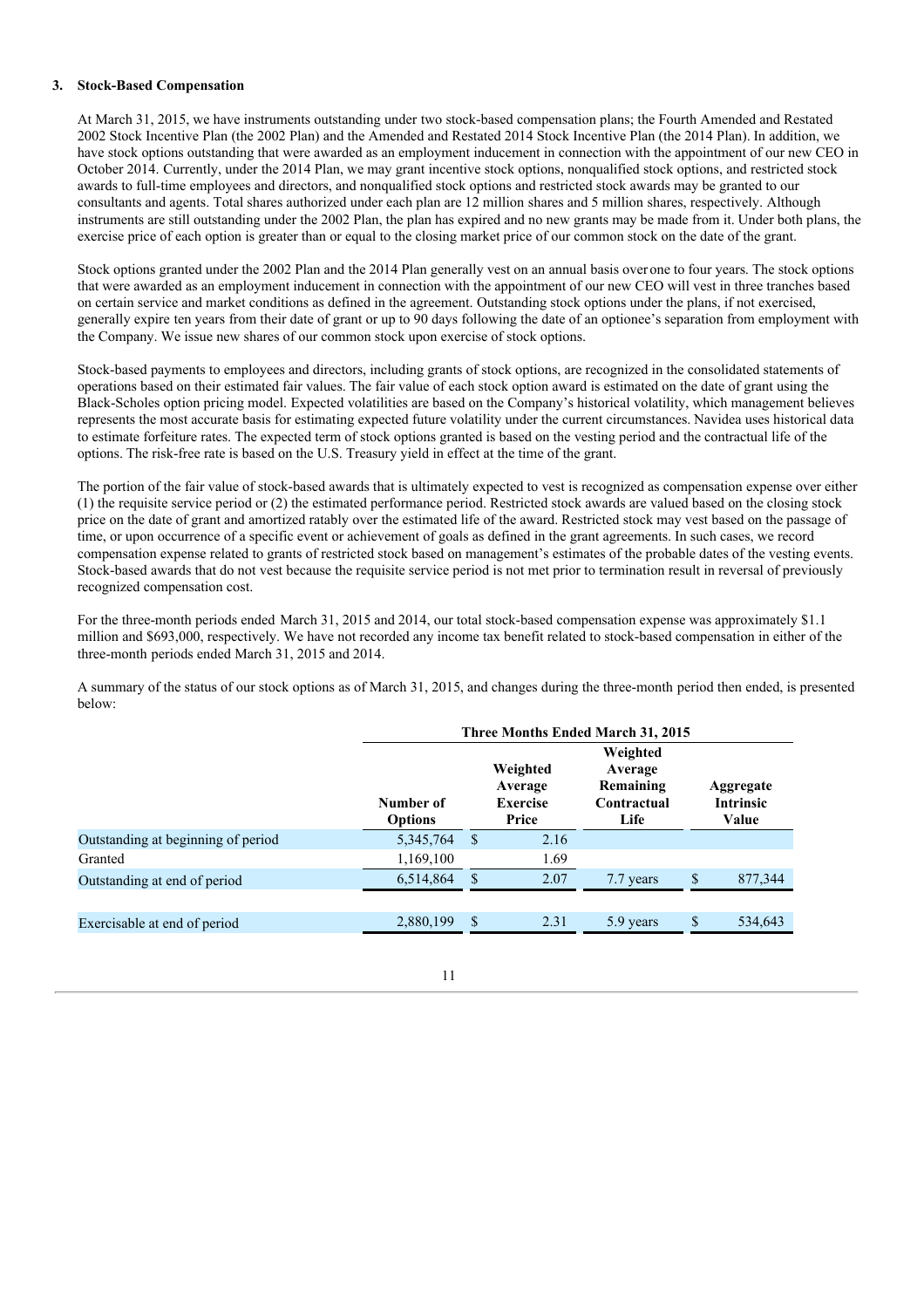#### **3. Stock-Based Compensation**

At March 31, 2015, we have instruments outstanding under two stock-based compensation plans; the Fourth Amended and Restated 2002 Stock Incentive Plan (the 2002 Plan) and the Amended and Restated 2014 Stock Incentive Plan (the 2014 Plan). In addition, we have stock options outstanding that were awarded as an employment inducement in connection with the appointment of our new CEO in October 2014. Currently, under the 2014 Plan, we may grant incentive stock options, nonqualified stock options, and restricted stock awards to full-time employees and directors, and nonqualified stock options and restricted stock awards may be granted to our consultants and agents. Total shares authorized under each plan are 12 million shares and 5 million shares, respectively. Although instruments are still outstanding under the 2002 Plan, the plan has expired and no new grants may be made from it. Under both plans, the exercise price of each option is greater than or equal to the closing market price of our common stock on the date of the grant.

Stock options granted under the 2002 Plan and the 2014 Plan generally vest on an annual basis overone to four years. The stock options that were awarded as an employment inducement in connection with the appointment of our new CEO will vest in three tranches based on certain service and market conditions as defined in the agreement. Outstanding stock options under the plans, if not exercised, generally expire ten years from their date of grant or up to 90 days following the date of an optionee's separation from employment with the Company. We issue new shares of our common stock upon exercise of stock options.

Stock-based payments to employees and directors, including grants of stock options, are recognized in the consolidated statements of operations based on their estimated fair values. The fair value of each stock option award is estimated on the date of grant using the Black-Scholes option pricing model. Expected volatilities are based on the Company's historical volatility, which management believes represents the most accurate basis for estimating expected future volatility under the current circumstances. Navidea uses historical data to estimate forfeiture rates. The expected term of stock options granted is based on the vesting period and the contractual life of the options. The risk-free rate is based on the U.S. Treasury yield in effect at the time of the grant.

The portion of the fair value of stock-based awards that is ultimately expected to vest is recognized as compensation expense over either (1) the requisite service period or (2) the estimated performance period. Restricted stock awards are valued based on the closing stock price on the date of grant and amortized ratably over the estimated life of the award. Restricted stock may vest based on the passage of time, or upon occurrence of a specific event or achievement of goals as defined in the grant agreements. In such cases, we record compensation expense related to grants of restricted stock based on management's estimates of the probable dates of the vesting events. Stock-based awards that do not vest because the requisite service period is not met prior to termination result in reversal of previously recognized compensation cost.

For the three-month periods ended March 31, 2015 and 2014, our total stock-based compensation expense was approximately \$1.1 million and \$693,000, respectively. We have not recorded any income tax benefit related to stock-based compensation in either of the three-month periods ended March 31, 2015 and 2014.

A summary of the status of our stock options as of March 31, 2015, and changes during the three-month period then ended, is presented below:

|                                    | Three Months Ended March 31, 2015 |     |                                                 |                                                         |    |                                 |  |  |
|------------------------------------|-----------------------------------|-----|-------------------------------------------------|---------------------------------------------------------|----|---------------------------------|--|--|
|                                    | Number of<br><b>Options</b>       |     | Weighted<br>Average<br><b>Exercise</b><br>Price | Weighted<br>Average<br>Remaining<br>Contractual<br>Life |    | Aggregate<br>Intrinsic<br>Value |  |  |
| Outstanding at beginning of period | 5,345,764                         | \$. | 2.16                                            |                                                         |    |                                 |  |  |
| Granted                            | 1,169,100                         |     | 1.69                                            |                                                         |    |                                 |  |  |
| Outstanding at end of period       | 6,514,864                         | \$. | 2.07                                            | 7.7 years                                               | \$ | 877,344                         |  |  |
|                                    |                                   |     |                                                 |                                                         |    |                                 |  |  |
| Exercisable at end of period       | 2,880,199                         | \$  | 2.31                                            | 5.9 years                                               | \$ | 534,643                         |  |  |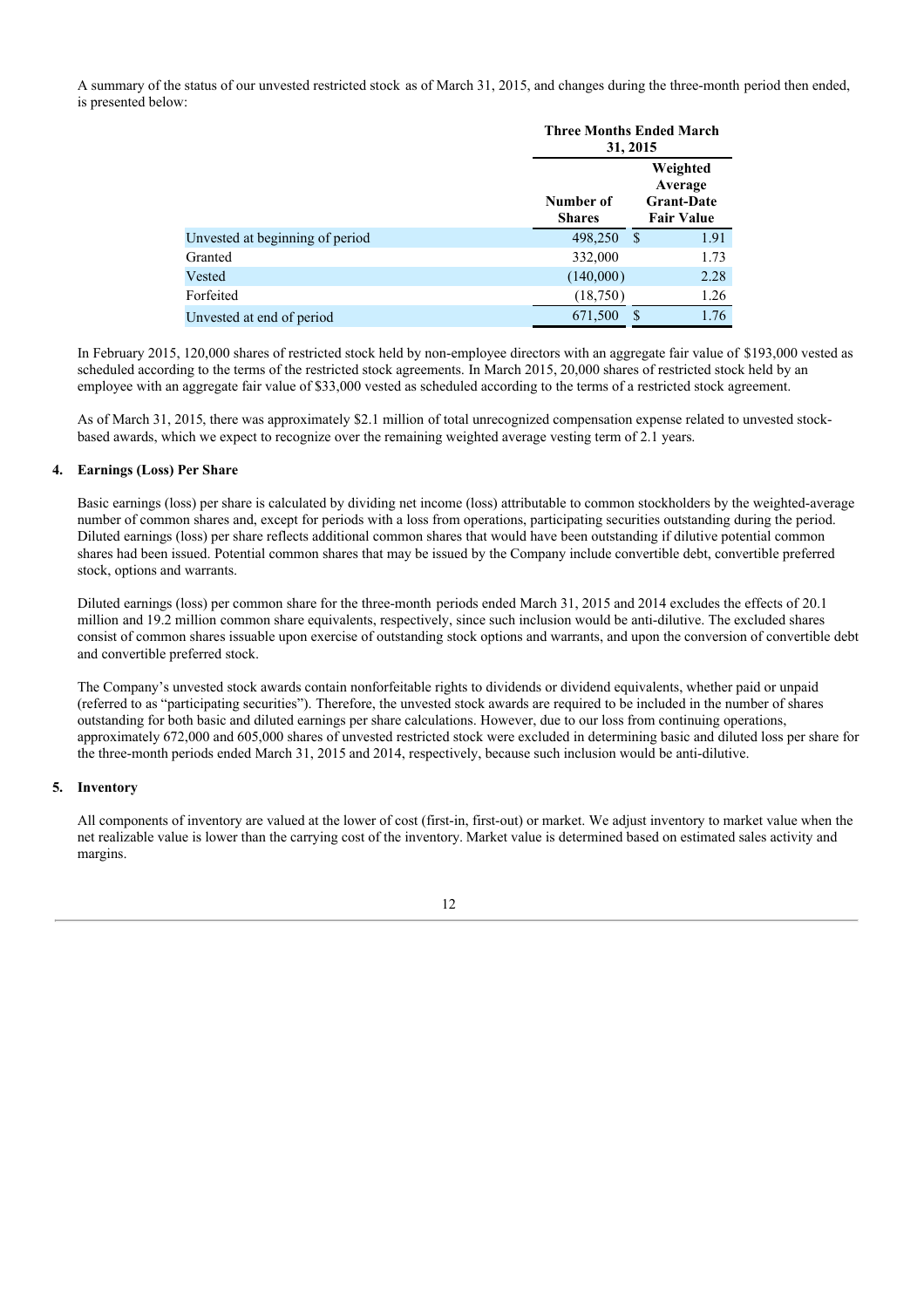A summary of the status of our unvested restricted stock as of March 31, 2015, and changes during the three-month period then ended, is presented below:

|                                 |                            | <b>Three Months Ended March</b><br>31, 2015                   |
|---------------------------------|----------------------------|---------------------------------------------------------------|
|                                 | Number of<br><b>Shares</b> | Weighted<br>Average<br><b>Grant-Date</b><br><b>Fair Value</b> |
| Unvested at beginning of period | 498,250                    | -S<br>1.91                                                    |
| Granted                         | 332,000                    | 1.73                                                          |
| Vested                          | (140,000)                  | 2.28                                                          |
| Forfeited                       | (18,750)                   | 1.26                                                          |
| Unvested at end of period       | 671,500                    | 1.76<br>S                                                     |

In February 2015, 120,000 shares of restricted stock held by non-employee directors with an aggregate fair value of \$193,000 vested as scheduled according to the terms of the restricted stock agreements. In March 2015, 20,000 shares of restricted stock held by an employee with an aggregate fair value of \$33,000 vested as scheduled according to the terms of a restricted stock agreement.

As of March 31, 2015, there was approximately \$2.1 million of total unrecognized compensation expense related to unvested stockbased awards, which we expect to recognize over the remaining weighted average vesting term of 2.1 years.

#### **4. Earnings (Loss) Per Share**

Basic earnings (loss) per share is calculated by dividing net income (loss) attributable to common stockholders by the weighted-average number of common shares and, except for periods with a loss from operations, participating securities outstanding during the period. Diluted earnings (loss) per share reflects additional common shares that would have been outstanding if dilutive potential common shares had been issued. Potential common shares that may be issued by the Company include convertible debt, convertible preferred stock, options and warrants.

Diluted earnings (loss) per common share for the three-month periods ended March 31, 2015 and 2014 excludes the effects of 20.1 million and 19.2 million common share equivalents, respectively, since such inclusion would be anti-dilutive. The excluded shares consist of common shares issuable upon exercise of outstanding stock options and warrants, and upon the conversion of convertible debt and convertible preferred stock.

The Company's unvested stock awards contain nonforfeitable rights to dividends or dividend equivalents, whether paid or unpaid (referred to as "participating securities"). Therefore, the unvested stock awards are required to be included in the number of shares outstanding for both basic and diluted earnings per share calculations. However, due to our loss from continuing operations, approximately 672,000 and 605,000 shares of unvested restricted stock were excluded in determining basic and diluted loss per share for the three-month periods ended March 31, 2015 and 2014, respectively, because such inclusion would be anti-dilutive.

#### **5. Inventory**

All components of inventory are valued at the lower of cost (first-in, first-out) or market. We adjust inventory to market value when the net realizable value is lower than the carrying cost of the inventory. Market value is determined based on estimated sales activity and margins.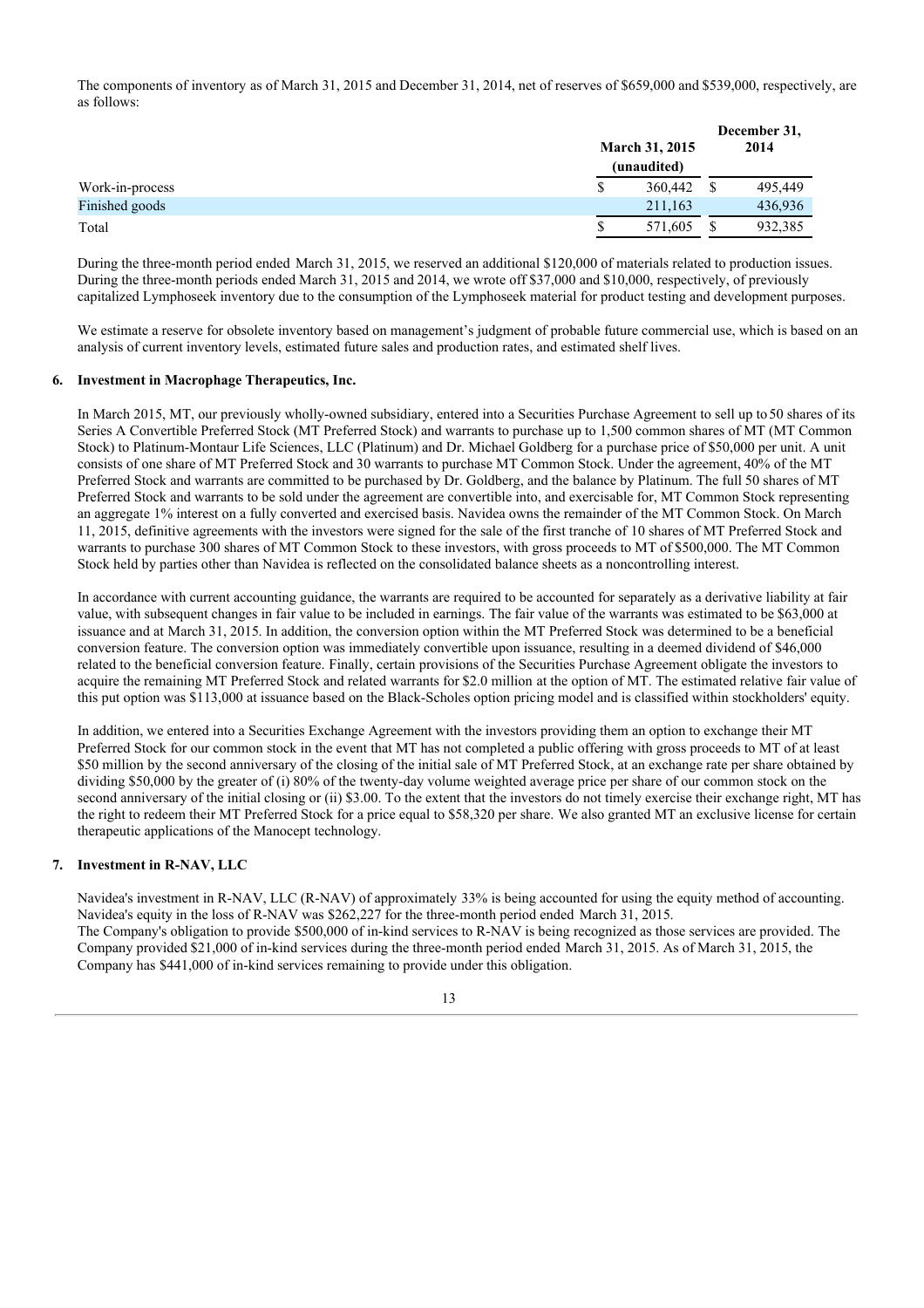The components of inventory as of March 31, 2015 and December 31, 2014, net of reserves of \$659,000 and \$539,000, respectively, are as follows:

|                 | <b>March 31, 2015</b><br>(unaudited) | December 31,<br>2014 |
|-----------------|--------------------------------------|----------------------|
| Work-in-process | 360,442                              | 495,449              |
| Finished goods  | 211,163                              | 436,936              |
| Total           | 571,605                              | 932,385              |

During the three-month period ended March 31, 2015, we reserved an additional \$120,000 of materials related to production issues. During the three-month periods ended March 31, 2015 and 2014, we wrote off \$37,000 and \$10,000, respectively, of previously capitalized Lymphoseek inventory due to the consumption of the Lymphoseek material for product testing and development purposes.

We estimate a reserve for obsolete inventory based on management's judgment of probable future commercial use, which is based on an analysis of current inventory levels, estimated future sales and production rates, and estimated shelf lives.

### **6. Investment in Macrophage Therapeutics, Inc.**

In March 2015, MT, our previously wholly-owned subsidiary, entered into a Securities Purchase Agreement to sell up to50 shares of its Series A Convertible Preferred Stock (MT Preferred Stock) and warrants to purchase up to 1,500 common shares of MT (MT Common Stock) to Platinum-Montaur Life Sciences, LLC (Platinum) and Dr. Michael Goldberg for a purchase price of \$50,000 per unit. A unit consists of one share of MT Preferred Stock and 30 warrants to purchase MT Common Stock. Under the agreement, 40% of the MT Preferred Stock and warrants are committed to be purchased by Dr. Goldberg, and the balance by Platinum. The full 50 shares of MT Preferred Stock and warrants to be sold under the agreement are convertible into, and exercisable for, MT Common Stock representing an aggregate 1% interest on a fully converted and exercised basis. Navidea owns the remainder of the MT Common Stock. On March 11, 2015, definitive agreements with the investors were signed for the sale of the first tranche of 10 shares of MT Preferred Stock and warrants to purchase 300 shares of MT Common Stock to these investors, with gross proceeds to MT of \$500,000. The MT Common Stock held by parties other than Navidea is reflected on the consolidated balance sheets as a noncontrolling interest.

In accordance with current accounting guidance, the warrants are required to be accounted for separately as a derivative liability at fair value, with subsequent changes in fair value to be included in earnings. The fair value of the warrants was estimated to be \$63,000 at issuance and at March 31, 2015. In addition, the conversion option within the MT Preferred Stock was determined to be a beneficial conversion feature. The conversion option was immediately convertible upon issuance, resulting in a deemed dividend of \$46,000 related to the beneficial conversion feature. Finally, certain provisions of the Securities Purchase Agreement obligate the investors to acquire the remaining MT Preferred Stock and related warrants for \$2.0 million at the option of MT. The estimated relative fair value of this put option was \$113,000 at issuance based on the Black-Scholes option pricing model and is classified within stockholders' equity.

In addition, we entered into a Securities Exchange Agreement with the investors providing them an option to exchange their MT Preferred Stock for our common stock in the event that MT has not completed a public offering with gross proceeds to MT of at least \$50 million by the second anniversary of the closing of the initial sale of MT Preferred Stock, at an exchange rate per share obtained by dividing \$50,000 by the greater of (i) 80% of the twenty-day volume weighted average price per share of our common stock on the second anniversary of the initial closing or (ii) \$3.00. To the extent that the investors do not timely exercise their exchange right, MT has the right to redeem their MT Preferred Stock for a price equal to \$58,320 per share. We also granted MT an exclusive license for certain therapeutic applications of the Manocept technology.

### **7. Investment in R-NAV, LLC**

Navidea's investment in R-NAV, LLC (R-NAV) of approximately 33% is being accounted for using the equity method of accounting. Navidea's equity in the loss of R-NAV was \$262,227 for the three-month period ended March 31, 2015. The Company's obligation to provide \$500,000 of in-kind services to R-NAV is being recognized as those services are provided. The Company provided \$21,000 of in-kind services during the three-month period ended March 31, 2015. As of March 31, 2015, the Company has \$441,000 of in-kind services remaining to provide under this obligation.

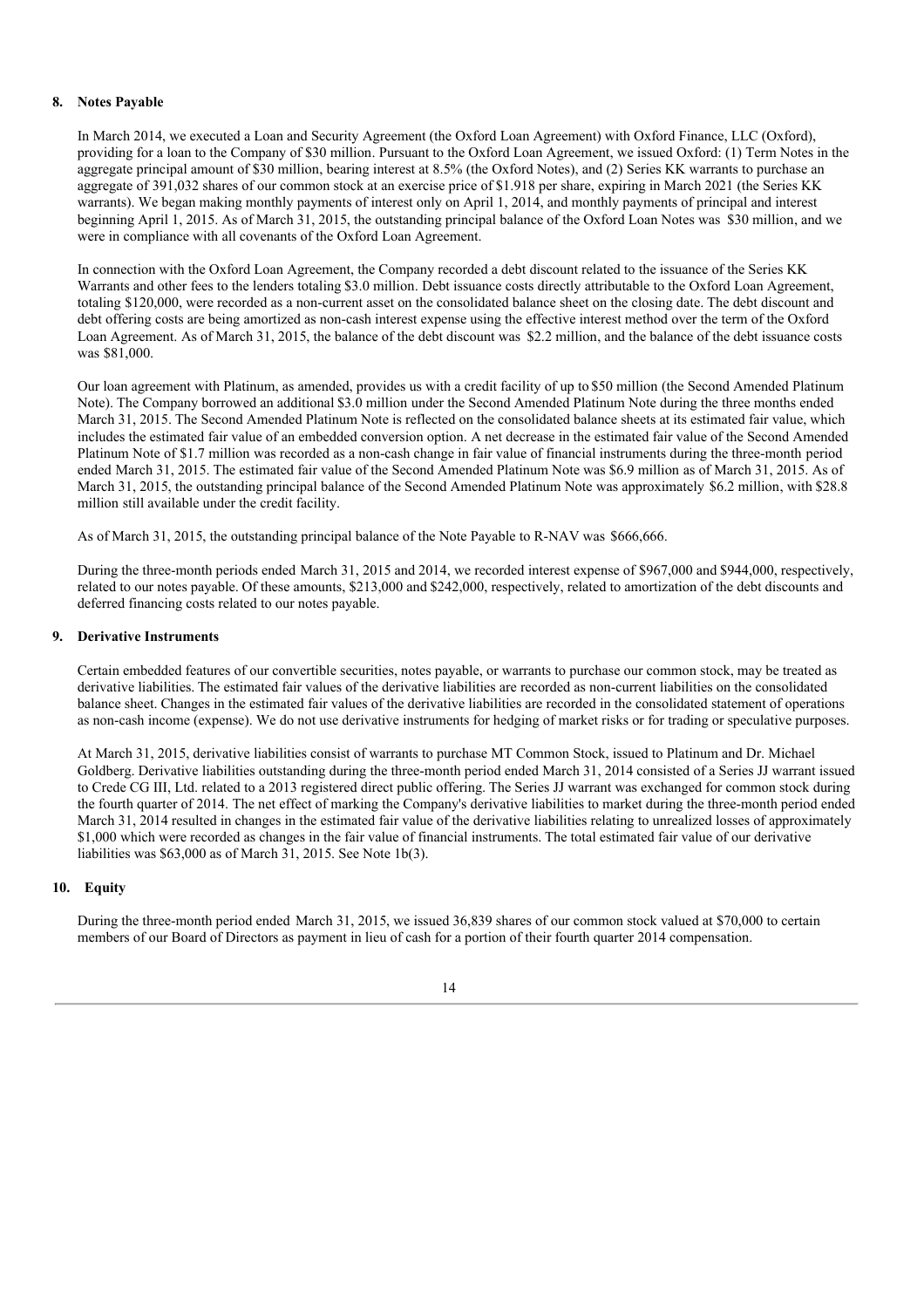#### **8. Notes Payable**

In March 2014, we executed a Loan and Security Agreement (the Oxford Loan Agreement) with Oxford Finance, LLC (Oxford), providing for a loan to the Company of \$30 million. Pursuant to the Oxford Loan Agreement, we issued Oxford: (1) Term Notes in the aggregate principal amount of \$30 million, bearing interest at 8.5% (the Oxford Notes), and (2) Series KK warrants to purchase an aggregate of 391,032 shares of our common stock at an exercise price of \$1.918 per share, expiring in March 2021 (the Series KK warrants). We began making monthly payments of interest only on April 1, 2014, and monthly payments of principal and interest beginning April 1, 2015. As of March 31, 2015, the outstanding principal balance of the Oxford Loan Notes was \$30 million, and we were in compliance with all covenants of the Oxford Loan Agreement.

In connection with the Oxford Loan Agreement, the Company recorded a debt discount related to the issuance of the Series KK Warrants and other fees to the lenders totaling \$3.0 million. Debt issuance costs directly attributable to the Oxford Loan Agreement, totaling \$120,000, were recorded as a non-current asset on the consolidated balance sheet on the closing date. The debt discount and debt offering costs are being amortized as non-cash interest expense using the effective interest method over the term of the Oxford Loan Agreement. As of March 31, 2015, the balance of the debt discount was \$2.2 million, and the balance of the debt issuance costs was \$81,000.

Our loan agreement with Platinum, as amended, provides us with a credit facility of up to\$50 million (the Second Amended Platinum Note). The Company borrowed an additional \$3.0 million under the Second Amended Platinum Note during the three months ended March 31, 2015. The Second Amended Platinum Note is reflected on the consolidated balance sheets at its estimated fair value, which includes the estimated fair value of an embedded conversion option. A net decrease in the estimated fair value of the Second Amended Platinum Note of \$1.7 million was recorded as a non-cash change in fair value of financial instruments during the three-month period ended March 31, 2015. The estimated fair value of the Second Amended Platinum Note was \$6.9 million as of March 31, 2015. As of March 31, 2015, the outstanding principal balance of the Second Amended Platinum Note was approximately \$6.2 million, with \$28.8 million still available under the credit facility.

As of March 31, 2015, the outstanding principal balance of the Note Payable to R-NAV was \$666,666.

During the three-month periods ended March 31, 2015 and 2014, we recorded interest expense of \$967,000 and \$944,000, respectively, related to our notes payable. Of these amounts, \$213,000 and \$242,000, respectively, related to amortization of the debt discounts and deferred financing costs related to our notes payable.

### **9. Derivative Instruments**

Certain embedded features of our convertible securities, notes payable, or warrants to purchase our common stock, may be treated as derivative liabilities. The estimated fair values of the derivative liabilities are recorded as non-current liabilities on the consolidated balance sheet. Changes in the estimated fair values of the derivative liabilities are recorded in the consolidated statement of operations as non-cash income (expense). We do not use derivative instruments for hedging of market risks or for trading or speculative purposes.

At March 31, 2015, derivative liabilities consist of warrants to purchase MT Common Stock, issued to Platinum and Dr. Michael Goldberg. Derivative liabilities outstanding during the three-month period ended March 31, 2014 consisted of a Series JJ warrant issued to Crede CG III, Ltd. related to a 2013 registered direct public offering. The Series JJ warrant was exchanged for common stock during the fourth quarter of 2014. The net effect of marking the Company's derivative liabilities to market during the three-month period ended March 31, 2014 resulted in changes in the estimated fair value of the derivative liabilities relating to unrealized losses of approximately \$1,000 which were recorded as changes in the fair value of financial instruments. The total estimated fair value of our derivative liabilities was \$63,000 as of March 31, 2015. See Note 1b(3).

#### **10. Equity**

During the three-month period ended March 31, 2015, we issued 36,839 shares of our common stock valued at \$70,000 to certain members of our Board of Directors as payment in lieu of cash for a portion of their fourth quarter 2014 compensation.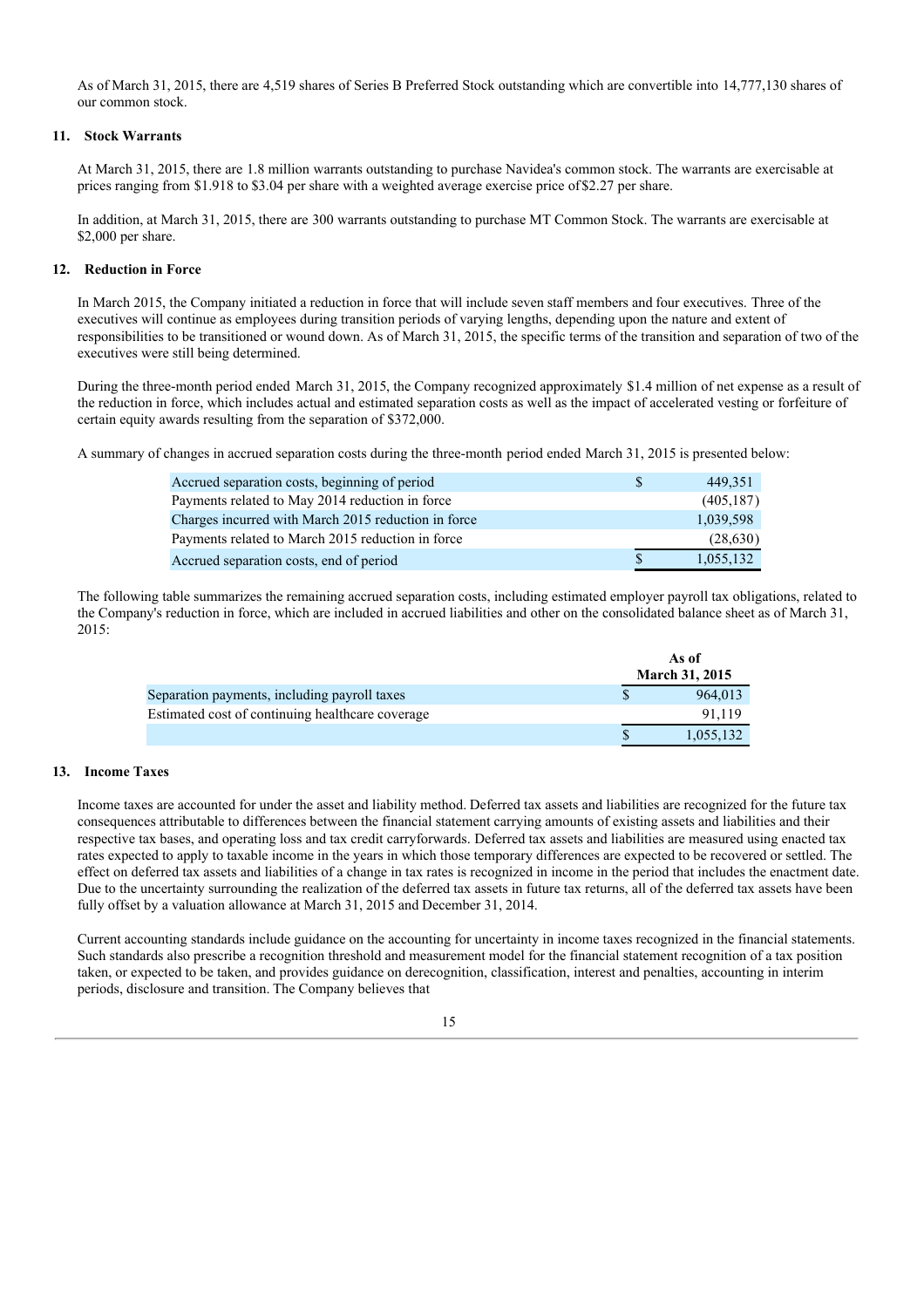As of March 31, 2015, there are 4,519 shares of Series B Preferred Stock outstanding which are convertible into 14,777,130 shares of our common stock.

#### **11. Stock Warrants**

At March 31, 2015, there are 1.8 million warrants outstanding to purchase Navidea's common stock. The warrants are exercisable at prices ranging from \$1.918 to \$3.04 per share with a weighted average exercise price of\$2.27 per share.

In addition, at March 31, 2015, there are 300 warrants outstanding to purchase MT Common Stock. The warrants are exercisable at \$2,000 per share.

#### **12. Reduction in Force**

In March 2015, the Company initiated a reduction in force that will include seven staff members and four executives. Three of the executives will continue as employees during transition periods of varying lengths, depending upon the nature and extent of responsibilities to be transitioned or wound down. As of March 31, 2015, the specific terms of the transition and separation of two of the executives were still being determined.

During the three-month period ended March 31, 2015, the Company recognized approximately \$1.4 million of net expense as a result of the reduction in force, which includes actual and estimated separation costs as well as the impact of accelerated vesting or forfeiture of certain equity awards resulting from the separation of \$372,000.

A summary of changes in accrued separation costs during the three-month period ended March 31, 2015 is presented below:

| Accrued separation costs, beginning of period       | 449.351    |
|-----------------------------------------------------|------------|
| Payments related to May 2014 reduction in force     | (405, 187) |
| Charges incurred with March 2015 reduction in force | 1.039.598  |
| Payments related to March 2015 reduction in force   | (28, 630)  |
| Accrued separation costs, end of period             | 1,055,132  |

The following table summarizes the remaining accrued separation costs, including estimated employer payroll tax obligations, related to the Company's reduction in force, which are included in accrued liabilities and other on the consolidated balance sheet as of March 31, 2015:

|                                                  | As of<br><b>March 31, 2015</b> |
|--------------------------------------------------|--------------------------------|
| Separation payments, including payroll taxes     | 964.013                        |
| Estimated cost of continuing healthcare coverage | 91.119                         |
|                                                  | 1.055.132                      |

### **13. Income Taxes**

Income taxes are accounted for under the asset and liability method. Deferred tax assets and liabilities are recognized for the future tax consequences attributable to differences between the financial statement carrying amounts of existing assets and liabilities and their respective tax bases, and operating loss and tax credit carryforwards. Deferred tax assets and liabilities are measured using enacted tax rates expected to apply to taxable income in the years in which those temporary differences are expected to be recovered or settled. The effect on deferred tax assets and liabilities of a change in tax rates is recognized in income in the period that includes the enactment date. Due to the uncertainty surrounding the realization of the deferred tax assets in future tax returns, all of the deferred tax assets have been fully offset by a valuation allowance at March 31, 2015 and December 31, 2014.

Current accounting standards include guidance on the accounting for uncertainty in income taxes recognized in the financial statements. Such standards also prescribe a recognition threshold and measurement model for the financial statement recognition of a tax position taken, or expected to be taken, and provides guidance on derecognition, classification, interest and penalties, accounting in interim periods, disclosure and transition. The Company believes that

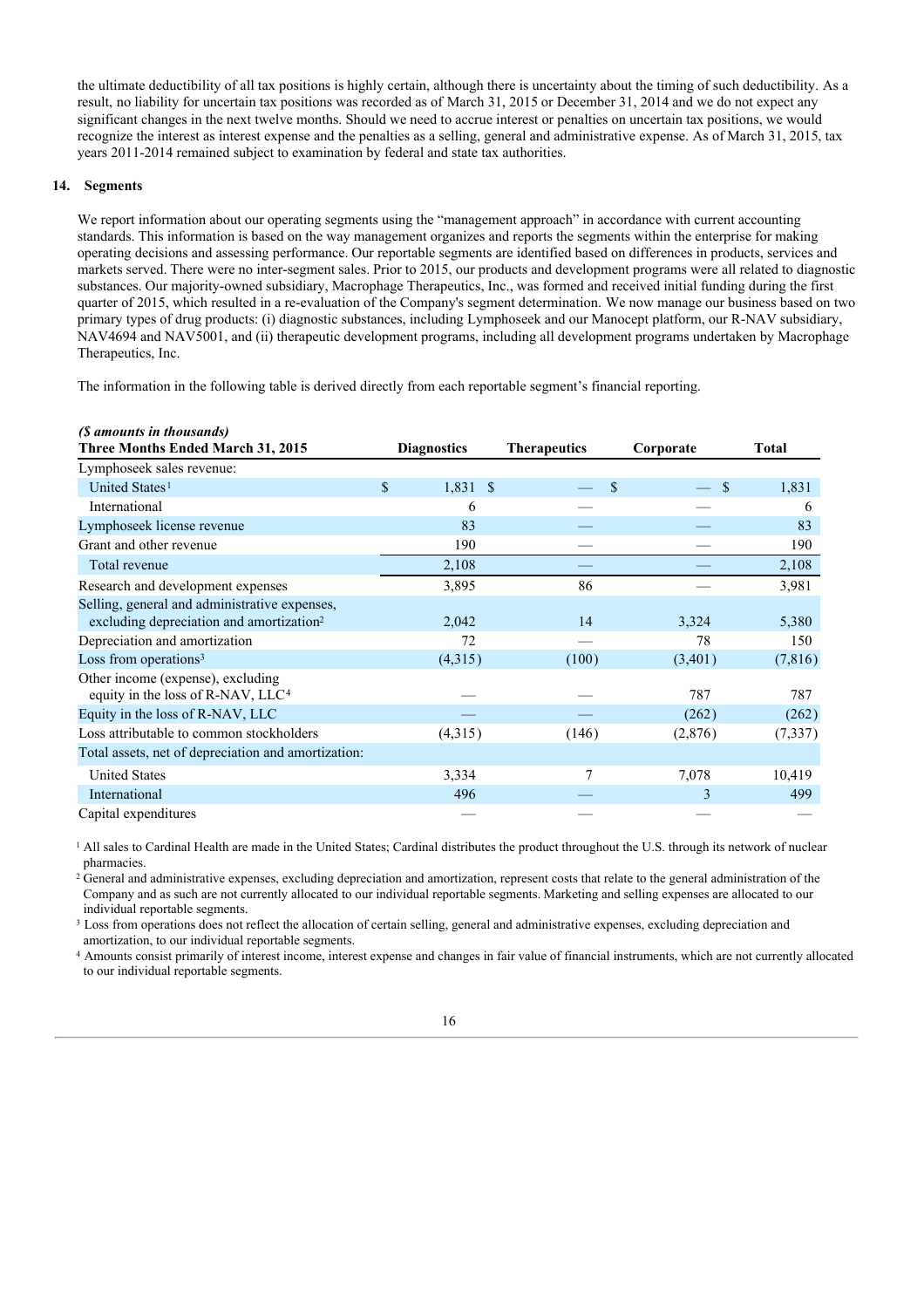the ultimate deductibility of all tax positions is highly certain, although there is uncertainty about the timing of such deductibility. As a result, no liability for uncertain tax positions was recorded as of March 31, 2015 or December 31, 2014 and we do not expect any significant changes in the next twelve months. Should we need to accrue interest or penalties on uncertain tax positions, we would recognize the interest as interest expense and the penalties as a selling, general and administrative expense. As of March 31, 2015, tax years 2011-2014 remained subject to examination by federal and state tax authorities.

#### **14. Segments**

We report information about our operating segments using the "management approach" in accordance with current accounting standards. This information is based on the way management organizes and reports the segments within the enterprise for making operating decisions and assessing performance. Our reportable segments are identified based on differences in products, services and markets served. There were no inter-segment sales. Prior to 2015, our products and development programs were all related to diagnostic substances. Our majority-owned subsidiary, Macrophage Therapeutics, Inc., was formed and received initial funding during the first quarter of 2015, which resulted in a re-evaluation of the Company's segment determination. We now manage our business based on two primary types of drug products: (i) diagnostic substances, including Lymphoseek and our Manocept platform, our R-NAV subsidiary, NAV4694 and NAV5001, and (ii) therapeutic development programs, including all development programs undertaken by Macrophage Therapeutics, Inc.

The information in the following table is derived directly from each reportable segment's financial reporting.

| (\$ amounts in thousands)                                                                             |              |                    |                     |           |              |
|-------------------------------------------------------------------------------------------------------|--------------|--------------------|---------------------|-----------|--------------|
| Three Months Ended March 31, 2015                                                                     |              | <b>Diagnostics</b> | <b>Therapeutics</b> | Corporate | <b>Total</b> |
| Lymphoseek sales revenue:                                                                             |              |                    |                     |           |              |
| United States <sup>1</sup>                                                                            | $\mathbb{S}$ | $1,831$ \$         |                     | \$<br>\$  | 1,831        |
| International                                                                                         |              | 6                  |                     |           | 6            |
| Lymphoseek license revenue                                                                            |              | 83                 |                     |           | 83           |
| Grant and other revenue                                                                               |              | 190                |                     |           | 190          |
| Total revenue                                                                                         |              | 2,108              |                     |           | 2,108        |
| Research and development expenses                                                                     |              | 3,895              | 86                  |           | 3,981        |
| Selling, general and administrative expenses,<br>excluding depreciation and amortization <sup>2</sup> |              | 2,042              | 14                  | 3,324     | 5,380        |
| Depreciation and amortization                                                                         |              | 72                 |                     | 78        | 150          |
| Loss from operations <sup>3</sup>                                                                     |              | (4,315)            | (100)               | (3,401)   | (7,816)      |
| Other income (expense), excluding<br>equity in the loss of R-NAV, LLC <sup>4</sup>                    |              |                    |                     | 787       | 787          |
| Equity in the loss of R-NAV, LLC                                                                      |              |                    |                     | (262)     | (262)        |
| Loss attributable to common stockholders                                                              |              | (4,315)            | (146)               | (2,876)   | (7, 337)     |
| Total assets, net of depreciation and amortization:                                                   |              |                    |                     |           |              |
| <b>United States</b>                                                                                  |              | 3,334              | 7                   | 7,078     | 10,419       |
| International                                                                                         |              | 496                |                     | 3         | 499          |
| Capital expenditures                                                                                  |              |                    |                     |           |              |

<sup>1</sup> All sales to Cardinal Health are made in the United States; Cardinal distributes the product throughout the U.S. through its network of nuclear pharmacies.

<sup>2</sup> General and administrative expenses, excluding depreciation and amortization, represent costs that relate to the general administration of the Company and as such are not currently allocated to our individual reportable segments. Marketing and selling expenses are allocated to our individual reportable segments.

<sup>3</sup> Loss from operations does not reflect the allocation of certain selling, general and administrative expenses, excluding depreciation and amortization, to our individual reportable segments.

<sup>4</sup> Amounts consist primarily of interest income, interest expense and changes in fair value of financial instruments, which are not currently allocated to our individual reportable segments.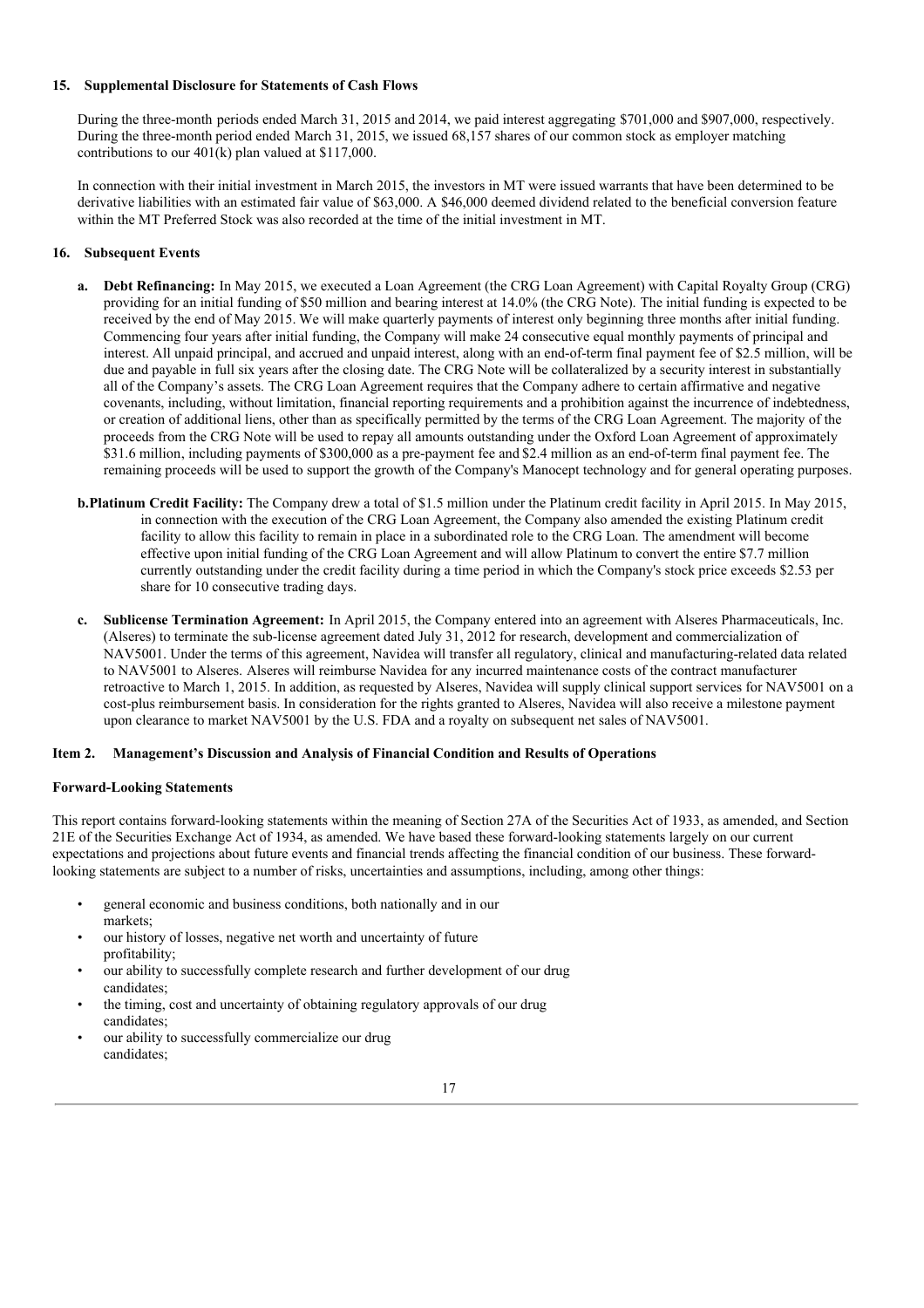#### **15. Supplemental Disclosure for Statements of Cash Flows**

During the three-month periods ended March 31, 2015 and 2014, we paid interest aggregating \$701,000 and \$907,000, respectively. During the three-month period ended March 31, 2015, we issued 68,157 shares of our common stock as employer matching contributions to our 401(k) plan valued at \$117,000.

In connection with their initial investment in March 2015, the investors in MT were issued warrants that have been determined to be derivative liabilities with an estimated fair value of \$63,000. A \$46,000 deemed dividend related to the beneficial conversion feature within the MT Preferred Stock was also recorded at the time of the initial investment in MT.

### **16. Subsequent Events**

- **a. Debt Refinancing:** In May 2015, we executed a Loan Agreement (the CRG Loan Agreement) with Capital Royalty Group (CRG) providing for an initial funding of \$50 million and bearing interest at 14.0% (the CRG Note). The initial funding is expected to be received by the end of May 2015. We will make quarterly payments of interest only beginning three months after initial funding. Commencing four years after initial funding, the Company will make 24 consecutive equal monthly payments of principal and interest. All unpaid principal, and accrued and unpaid interest, along with an end-of-term final payment fee of \$2.5 million, will be due and payable in full six years after the closing date. The CRG Note will be collateralized by a security interest in substantially all of the Company's assets. The CRG Loan Agreement requires that the Company adhere to certain affirmative and negative covenants, including, without limitation, financial reporting requirements and a prohibition against the incurrence of indebtedness, or creation of additional liens, other than as specifically permitted by the terms of the CRG Loan Agreement. The majority of the proceeds from the CRG Note will be used to repay all amounts outstanding under the Oxford Loan Agreement of approximately \$31.6 million, including payments of \$300,000 as a pre-payment fee and \$2.4 million as an end-of-term final payment fee. The remaining proceeds will be used to support the growth of the Company's Manocept technology and for general operating purposes.
- **b.Platinum Credit Facility:** The Company drew a total of \$1.5 million under the Platinum credit facility in April 2015. In May 2015, in connection with the execution of the CRG Loan Agreement, the Company also amended the existing Platinum credit facility to allow this facility to remain in place in a subordinated role to the CRG Loan. The amendment will become effective upon initial funding of the CRG Loan Agreement and will allow Platinum to convert the entire \$7.7 million currently outstanding under the credit facility during a time period in which the Company's stock price exceeds \$2.53 per share for 10 consecutive trading days.
- **c. Sublicense Termination Agreement:** In April 2015, the Company entered into an agreement with Alseres Pharmaceuticals, Inc. (Alseres) to terminate the sub-license agreement dated July 31, 2012 for research, development and commercialization of NAV5001. Under the terms of this agreement, Navidea will transfer all regulatory, clinical and manufacturing-related data related to NAV5001 to Alseres. Alseres will reimburse Navidea for any incurred maintenance costs of the contract manufacturer retroactive to March 1, 2015. In addition, as requested by Alseres, Navidea will supply clinical support services for NAV5001 on a cost-plus reimbursement basis. In consideration for the rights granted to Alseres, Navidea will also receive a milestone payment upon clearance to market NAV5001 by the U.S. FDA and a royalty on subsequent net sales of NAV5001.

### **Item 2. Management's Discussion and Analysis of Financial Condition and Results of Operations**

#### **Forward-Looking Statements**

This report contains forward-looking statements within the meaning of Section 27A of the Securities Act of 1933, as amended, and Section 21E of the Securities Exchange Act of 1934, as amended. We have based these forward-looking statements largely on our current expectations and projections about future events and financial trends affecting the financial condition of our business. These forwardlooking statements are subject to a number of risks, uncertainties and assumptions, including, among other things:

- general economic and business conditions, both nationally and in our markets;
- our history of losses, negative net worth and uncertainty of future profitability;
- our ability to successfully complete research and further development of our drug candidates;
- the timing, cost and uncertainty of obtaining regulatory approvals of our drug candidates;
- our ability to successfully commercialize our drug candidates;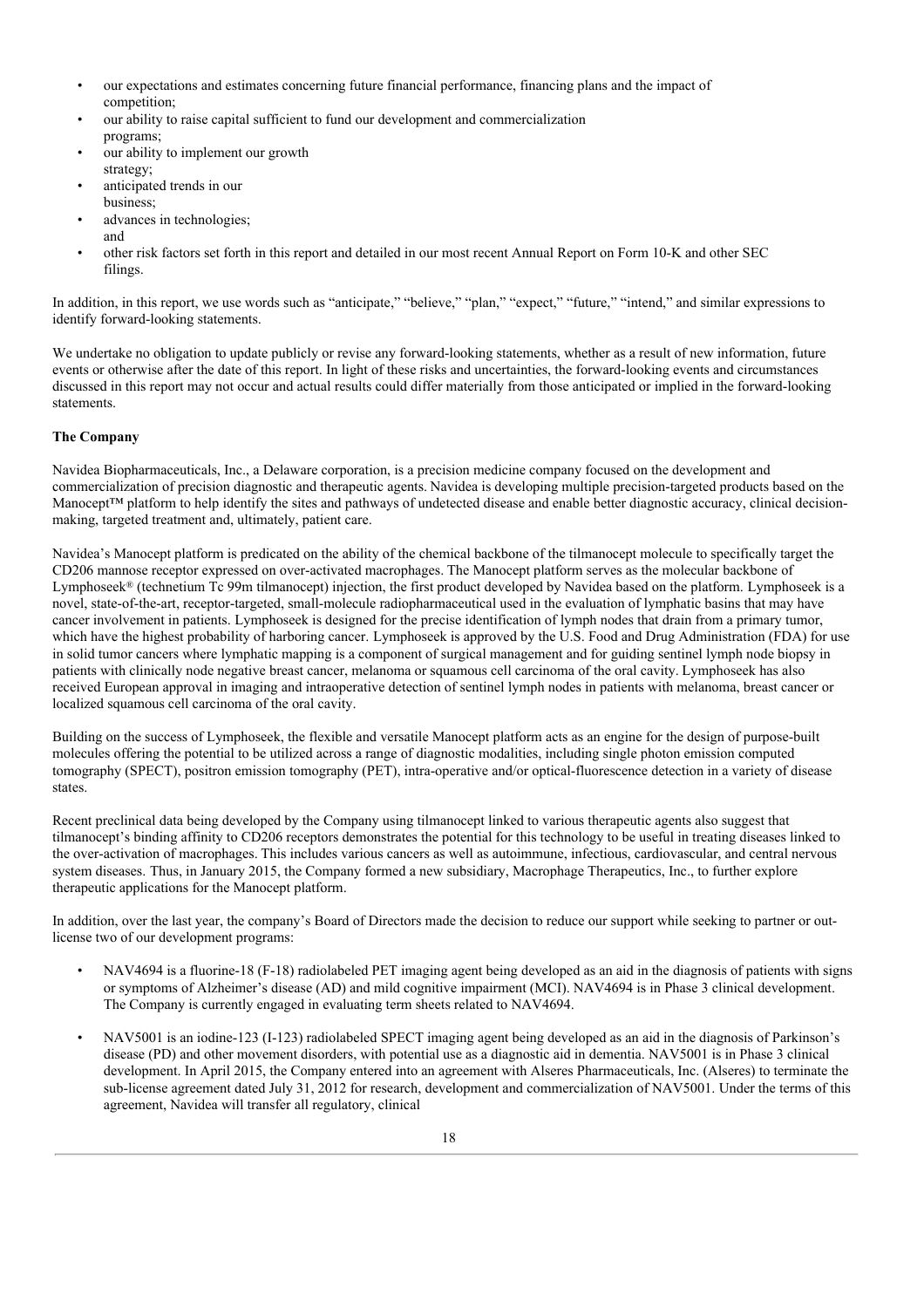- our expectations and estimates concerning future financial performance, financing plans and the impact of competition;
- our ability to raise capital sufficient to fund our development and commercialization programs;
- our ability to implement our growth strategy;
- anticipated trends in our business;
- advances in technologies;
	- and
- other risk factors set forth in this report and detailed in our most recent Annual Report on Form 10-K and other SEC filings.

In addition, in this report, we use words such as "anticipate," "believe," "plan," "expect," "future," "intend," and similar expressions to identify forward-looking statements.

We undertake no obligation to update publicly or revise any forward-looking statements, whether as a result of new information, future events or otherwise after the date of this report. In light of these risks and uncertainties, the forward-looking events and circumstances discussed in this report may not occur and actual results could differ materially from those anticipated or implied in the forward-looking statements.

### **The Company**

Navidea Biopharmaceuticals, Inc., a Delaware corporation, is a precision medicine company focused on the development and commercialization of precision diagnostic and therapeutic agents. Navidea is developing multiple precision-targeted products based on the Manocept<sup>™</sup> platform to help identify the sites and pathways of undetected disease and enable better diagnostic accuracy, clinical decisionmaking, targeted treatment and, ultimately, patient care.

Navidea's Manocept platform is predicated on the ability of the chemical backbone of the tilmanocept molecule to specifically target the CD206 mannose receptor expressed on over-activated macrophages. The Manocept platform serves as the molecular backbone of Lymphoseek® (technetium Tc 99m tilmanocept) injection, the first product developed by Navidea based on the platform. Lymphoseek is a novel, state-of-the-art, receptor-targeted, small-molecule radiopharmaceutical used in the evaluation of lymphatic basins that may have cancer involvement in patients. Lymphoseek is designed for the precise identification of lymph nodes that drain from a primary tumor, which have the highest probability of harboring cancer. Lymphoseek is approved by the U.S. Food and Drug Administration (FDA) for use in solid tumor cancers where lymphatic mapping is a component of surgical management and for guiding sentinel lymph node biopsy in patients with clinically node negative breast cancer, melanoma or squamous cell carcinoma of the oral cavity. Lymphoseek has also received European approval in imaging and intraoperative detection of sentinel lymph nodes in patients with melanoma, breast cancer or localized squamous cell carcinoma of the oral cavity.

Building on the success of Lymphoseek, the flexible and versatile Manocept platform acts as an engine for the design of purpose-built molecules offering the potential to be utilized across a range of diagnostic modalities, including single photon emission computed tomography (SPECT), positron emission tomography (PET), intra-operative and/or optical-fluorescence detection in a variety of disease states.

Recent preclinical data being developed by the Company using tilmanocept linked to various therapeutic agents also suggest that tilmanocept's binding affinity to CD206 receptors demonstrates the potential for this technology to be useful in treating diseases linked to the over-activation of macrophages. This includes various cancers as well as autoimmune, infectious, cardiovascular, and central nervous system diseases. Thus, in January 2015, the Company formed a new subsidiary, Macrophage Therapeutics, Inc., to further explore therapeutic applications for the Manocept platform.

In addition, over the last year, the company's Board of Directors made the decision to reduce our support while seeking to partner or outlicense two of our development programs:

- NAV4694 is a fluorine-18 (F-18) radiolabeled PET imaging agent being developed as an aid in the diagnosis of patients with signs or symptoms of Alzheimer's disease (AD) and mild cognitive impairment (MCI). NAV4694 is in Phase 3 clinical development. The Company is currently engaged in evaluating term sheets related to NAV4694.
- NAV5001 is an iodine-123 (I-123) radiolabeled SPECT imaging agent being developed as an aid in the diagnosis of Parkinson's disease (PD) and other movement disorders, with potential use as a diagnostic aid in dementia. NAV5001 is in Phase 3 clinical development. In April 2015, the Company entered into an agreement with Alseres Pharmaceuticals, Inc. (Alseres) to terminate the sub-license agreement dated July 31, 2012 for research, development and commercialization of NAV5001. Under the terms of this agreement, Navidea will transfer all regulatory, clinical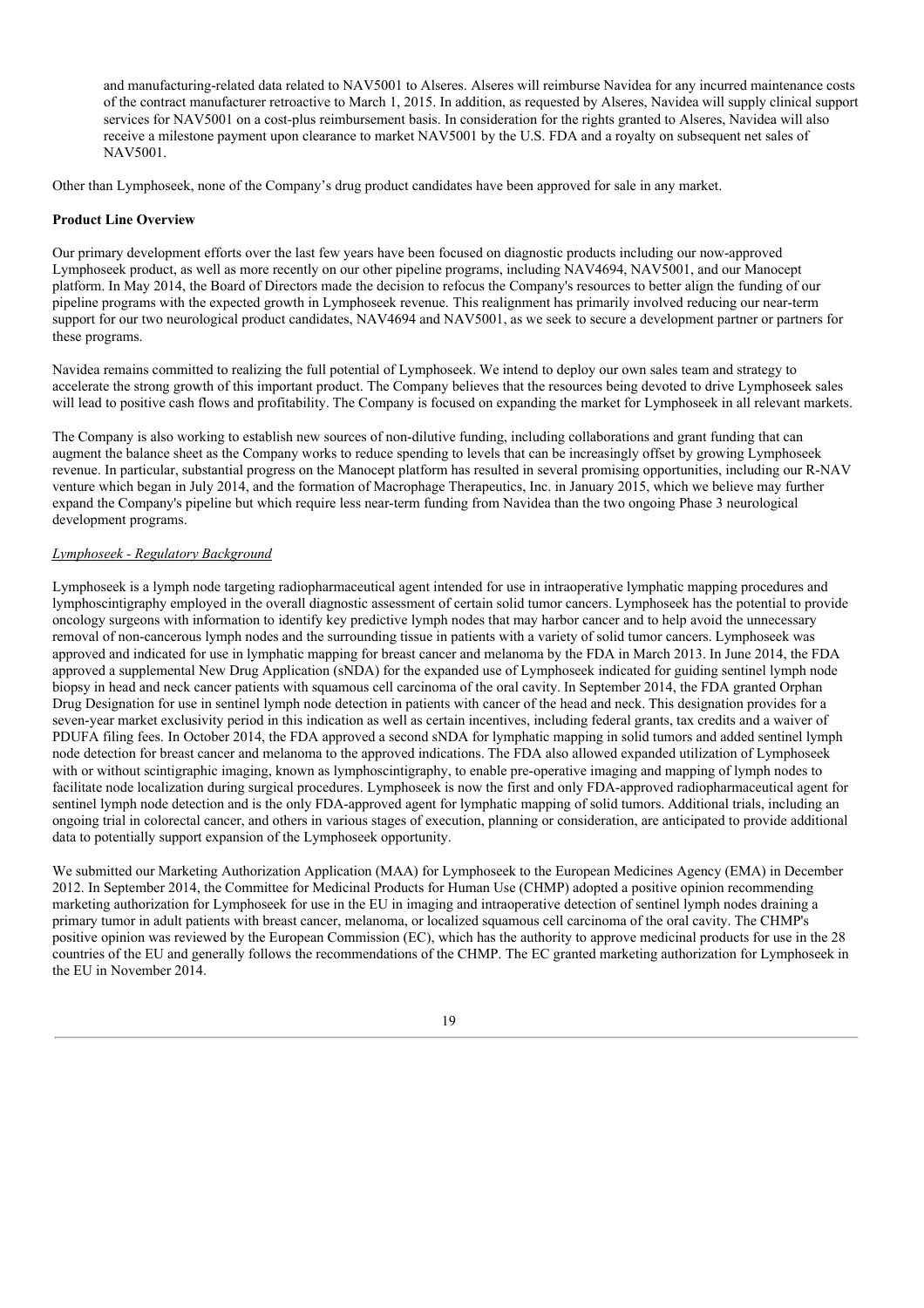and manufacturing-related data related to NAV5001 to Alseres. Alseres will reimburse Navidea for any incurred maintenance costs of the contract manufacturer retroactive to March 1, 2015. In addition, as requested by Alseres, Navidea will supply clinical support services for NAV5001 on a cost-plus reimbursement basis. In consideration for the rights granted to Alseres, Navidea will also receive a milestone payment upon clearance to market NAV5001 by the U.S. FDA and a royalty on subsequent net sales of NAV5001.

Other than Lymphoseek, none of the Company's drug product candidates have been approved for sale in any market.

#### **Product Line Overview**

Our primary development efforts over the last few years have been focused on diagnostic products including our now-approved Lymphoseek product, as well as more recently on our other pipeline programs, including NAV4694, NAV5001, and our Manocept platform. In May 2014, the Board of Directors made the decision to refocus the Company's resources to better align the funding of our pipeline programs with the expected growth in Lymphoseek revenue. This realignment has primarily involved reducing our near-term support for our two neurological product candidates, NAV4694 and NAV5001, as we seek to secure a development partner or partners for these programs.

Navidea remains committed to realizing the full potential of Lymphoseek. We intend to deploy our own sales team and strategy to accelerate the strong growth of this important product. The Company believes that the resources being devoted to drive Lymphoseek sales will lead to positive cash flows and profitability. The Company is focused on expanding the market for Lymphoseek in all relevant markets.

The Company is also working to establish new sources of non-dilutive funding, including collaborations and grant funding that can augment the balance sheet as the Company works to reduce spending to levels that can be increasingly offset by growing Lymphoseek revenue. In particular, substantial progress on the Manocept platform has resulted in several promising opportunities, including our R-NAV venture which began in July 2014, and the formation of Macrophage Therapeutics, Inc. in January 2015, which we believe may further expand the Company's pipeline but which require less near-term funding from Navidea than the two ongoing Phase 3 neurological development programs.

### *Lymphoseek - Regulatory Background*

Lymphoseek is a lymph node targeting radiopharmaceutical agent intended for use in intraoperative lymphatic mapping procedures and lymphoscintigraphy employed in the overall diagnostic assessment of certain solid tumor cancers. Lymphoseek has the potential to provide oncology surgeons with information to identify key predictive lymph nodes that may harbor cancer and to help avoid the unnecessary removal of non-cancerous lymph nodes and the surrounding tissue in patients with a variety of solid tumor cancers. Lymphoseek was approved and indicated for use in lymphatic mapping for breast cancer and melanoma by the FDA in March 2013. In June 2014, the FDA approved a supplemental New Drug Application (sNDA) for the expanded use of Lymphoseek indicated for guiding sentinel lymph node biopsy in head and neck cancer patients with squamous cell carcinoma of the oral cavity. In September 2014, the FDA granted Orphan Drug Designation for use in sentinel lymph node detection in patients with cancer of the head and neck. This designation provides for a seven-year market exclusivity period in this indication as well as certain incentives, including federal grants, tax credits and a waiver of PDUFA filing fees. In October 2014, the FDA approved a second sNDA for lymphatic mapping in solid tumors and added sentinel lymph node detection for breast cancer and melanoma to the approved indications. The FDA also allowed expanded utilization of Lymphoseek with or without scintigraphic imaging, known as lymphoscintigraphy, to enable pre-operative imaging and mapping of lymph nodes to facilitate node localization during surgical procedures. Lymphoseek is now the first and only FDA-approved radiopharmaceutical agent for sentinel lymph node detection and is the only FDA-approved agent for lymphatic mapping of solid tumors. Additional trials, including an ongoing trial in colorectal cancer, and others in various stages of execution, planning or consideration, are anticipated to provide additional data to potentially support expansion of the Lymphoseek opportunity.

We submitted our Marketing Authorization Application (MAA) for Lymphoseek to the European Medicines Agency (EMA) in December 2012. In September 2014, the Committee for Medicinal Products for Human Use (CHMP) adopted a positive opinion recommending marketing authorization for Lymphoseek for use in the EU in imaging and intraoperative detection of sentinel lymph nodes draining a primary tumor in adult patients with breast cancer, melanoma, or localized squamous cell carcinoma of the oral cavity. The CHMP's positive opinion was reviewed by the European Commission (EC), which has the authority to approve medicinal products for use in the 28 countries of the EU and generally follows the recommendations of the CHMP. The EC granted marketing authorization for Lymphoseek in the EU in November 2014.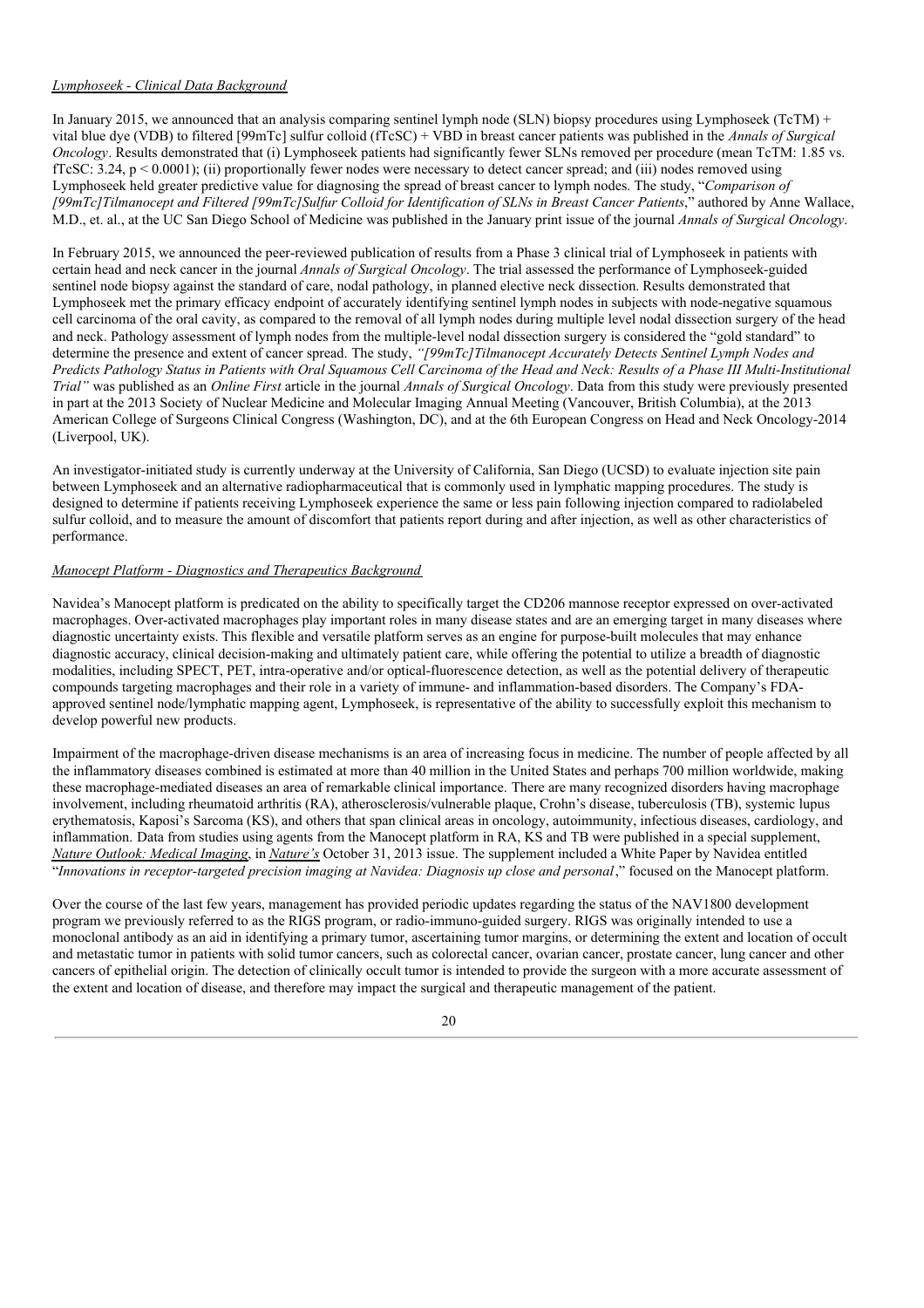### *Lymphoseek - Clinical Data Background*

In January 2015, we announced that an analysis comparing sentinel lymph node (SLN) biopsy procedures using Lymphoseek (TcTM) + vital blue dye (VDB) to filtered [99mTc] sulfur colloid (fTcSC) + VBD in breast cancer patients was published in the *Annals of Surgical Oncology*. Results demonstrated that (i) Lymphoseek patients had significantly fewer SLNs removed per procedure (mean TcTM: 1.85 vs. fTcSC:  $3.24$ ,  $p < 0.0001$ ; (ii) proportionally fewer nodes were necessary to detect cancer spread; and (iii) nodes removed using Lymphoseek held greater predictive value for diagnosing the spread of breast cancer to lymph nodes. The study, "*Comparison of* [99mTc]Tilmanocept and Filtered [99mTc]Sulfur Colloid for Identification of SLNs in Breast Cancer Patients," authored by Anne Wallace, M.D., et. al., at the UC San Diego School of Medicine was published in the January print issue of the journal *Annals of Surgical Oncology*.

In February 2015, we announced the peer-reviewed publication of results from a Phase 3 clinical trial of Lymphoseek in patients with certain head and neck cancer in the journal *Annals of Surgical Oncology*. The trial assessed the performance of Lymphoseek-guided sentinel node biopsy against the standard of care, nodal pathology, in planned elective neck dissection. Results demonstrated that Lymphoseek met the primary efficacy endpoint of accurately identifying sentinel lymph nodes in subjects with node-negative squamous cell carcinoma of the oral cavity, as compared to the removal of all lymph nodes during multiple level nodal dissection surgery of the head and neck. Pathology assessment of lymph nodes from the multiple-level nodal dissection surgery is considered the "gold standard" to determine the presence and extent of cancer spread. The study, *"[99mTc]Tilmanocept Accurately Detects Sentinel Lymph Nodes and* Predicts Pathology Status in Patients with Oral Squamous Cell Carcinoma of the Head and Neck: Results of a Phase III Multi-Institutional *Trial"* was published as an *Online First* article in the journal *Annals of Surgical Oncology*. Data from this study were previously presented in part at the 2013 Society of Nuclear Medicine and Molecular Imaging Annual Meeting (Vancouver, British Columbia), at the 2013 American College of Surgeons Clinical Congress (Washington, DC), and at the 6th European Congress on Head and Neck Oncology-2014 (Liverpool, UK).

An investigator-initiated study is currently underway at the University of California, San Diego (UCSD) to evaluate injection site pain between Lymphoseek and an alternative radiopharmaceutical that is commonly used in lymphatic mapping procedures. The study is designed to determine if patients receiving Lymphoseek experience the same or less pain following injection compared to radiolabeled sulfur colloid, and to measure the amount of discomfort that patients report during and after injection, as well as other characteristics of performance.

#### *Manocept Platform - Diagnostics and Therapeutics Background*

Navidea's Manocept platform is predicated on the ability to specifically target the CD206 mannose receptor expressed on over-activated macrophages. Over-activated macrophages play important roles in many disease states and are an emerging target in many diseases where diagnostic uncertainty exists. This flexible and versatile platform serves as an engine for purpose-built molecules that may enhance diagnostic accuracy, clinical decision-making and ultimately patient care, while offering the potential to utilize a breadth of diagnostic modalities, including SPECT, PET, intra-operative and/or optical-fluorescence detection, as well as the potential delivery of therapeutic compounds targeting macrophages and their role in a variety of immune- and inflammation-based disorders. The Company's FDAapproved sentinel node/lymphatic mapping agent, Lymphoseek, is representative of the ability to successfully exploit this mechanism to develop powerful new products.

Impairment of the macrophage-driven disease mechanisms is an area of increasing focus in medicine. The number of people affected by all the inflammatory diseases combined is estimated at more than 40 million in the United States and perhaps 700 million worldwide, making these macrophage-mediated diseases an area of remarkable clinical importance. There are many recognized disorders having macrophage involvement, including rheumatoid arthritis (RA), atherosclerosis/vulnerable plaque, Crohn's disease, tuberculosis (TB), systemic lupus erythematosis, Kaposi's Sarcoma (KS), and others that span clinical areas in oncology, autoimmunity, infectious diseases, cardiology, and inflammation. Data from studies using agents from the Manocept platform in RA, KS and TB were published in a special supplement, *Nature Outlook: Medical Imaging*, in *Nature's* October 31, 2013 issue. The supplement included a White Paper by Navidea entitled "*Innovations in receptor-targeted precision imaging at Navidea: Diagnosis up close and personal*," focused on the Manocept platform.

Over the course of the last few years, management has provided periodic updates regarding the status of the NAV1800 development program we previously referred to as the RIGS program, or radio-immuno-guided surgery. RIGS was originally intended to use a monoclonal antibody as an aid in identifying a primary tumor, ascertaining tumor margins, or determining the extent and location of occult and metastatic tumor in patients with solid tumor cancers, such as colorectal cancer, ovarian cancer, prostate cancer, lung cancer and other cancers of epithelial origin. The detection of clinically occult tumor is intended to provide the surgeon with a more accurate assessment of the extent and location of disease, and therefore may impact the surgical and therapeutic management of the patient.

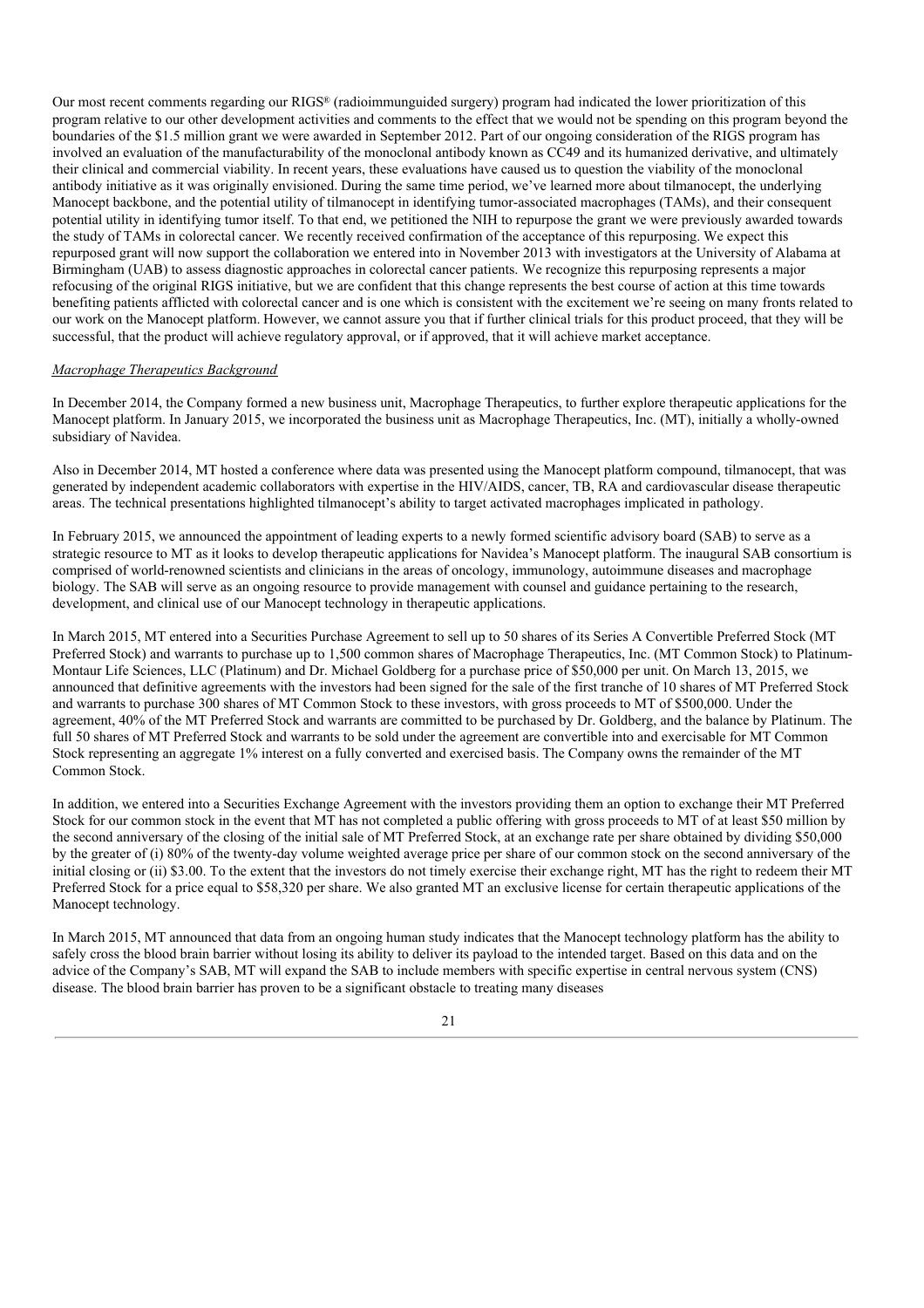Our most recent comments regarding our RIGS® (radioimmunguided surgery) program had indicated the lower prioritization of this program relative to our other development activities and comments to the effect that we would not be spending on this program beyond the boundaries of the \$1.5 million grant we were awarded in September 2012. Part of our ongoing consideration of the RIGS program has involved an evaluation of the manufacturability of the monoclonal antibody known as CC49 and its humanized derivative, and ultimately their clinical and commercial viability. In recent years, these evaluations have caused us to question the viability of the monoclonal antibody initiative as it was originally envisioned. During the same time period, we've learned more about tilmanocept, the underlying Manocept backbone, and the potential utility of tilmanocept in identifying tumor-associated macrophages (TAMs), and their consequent potential utility in identifying tumor itself. To that end, we petitioned the NIH to repurpose the grant we were previously awarded towards the study of TAMs in colorectal cancer. We recently received confirmation of the acceptance of this repurposing. We expect this repurposed grant will now support the collaboration we entered into in November 2013 with investigators at the University of Alabama at Birmingham (UAB) to assess diagnostic approaches in colorectal cancer patients. We recognize this repurposing represents a major refocusing of the original RIGS initiative, but we are confident that this change represents the best course of action at this time towards benefiting patients afflicted with colorectal cancer and is one which is consistent with the excitement we're seeing on many fronts related to our work on the Manocept platform. However, we cannot assure you that if further clinical trials for this product proceed, that they will be successful, that the product will achieve regulatory approval, or if approved, that it will achieve market acceptance.

#### *Macrophage Therapeutics Background*

In December 2014, the Company formed a new business unit, Macrophage Therapeutics, to further explore therapeutic applications for the Manocept platform. In January 2015, we incorporated the business unit as Macrophage Therapeutics, Inc. (MT), initially a wholly-owned subsidiary of Navidea.

Also in December 2014, MT hosted a conference where data was presented using the Manocept platform compound, tilmanocept, that was generated by independent academic collaborators with expertise in the HIV/AIDS, cancer, TB, RA and cardiovascular disease therapeutic areas. The technical presentations highlighted tilmanocept's ability to target activated macrophages implicated in pathology.

In February 2015, we announced the appointment of leading experts to a newly formed scientific advisory board (SAB) to serve as a strategic resource to MT as it looks to develop therapeutic applications for Navidea's Manocept platform. The inaugural SAB consortium is comprised of world-renowned scientists and clinicians in the areas of oncology, immunology, autoimmune diseases and macrophage biology. The SAB will serve as an ongoing resource to provide management with counsel and guidance pertaining to the research, development, and clinical use of our Manocept technology in therapeutic applications.

In March 2015, MT entered into a Securities Purchase Agreement to sell up to 50 shares of its Series A Convertible Preferred Stock (MT Preferred Stock) and warrants to purchase up to 1,500 common shares of Macrophage Therapeutics, Inc. (MT Common Stock) to Platinum-Montaur Life Sciences, LLC (Platinum) and Dr. Michael Goldberg for a purchase price of \$50,000 per unit. On March 13, 2015, we announced that definitive agreements with the investors had been signed for the sale of the first tranche of 10 shares of MT Preferred Stock and warrants to purchase 300 shares of MT Common Stock to these investors, with gross proceeds to MT of \$500,000. Under the agreement, 40% of the MT Preferred Stock and warrants are committed to be purchased by Dr. Goldberg, and the balance by Platinum. The full 50 shares of MT Preferred Stock and warrants to be sold under the agreement are convertible into and exercisable for MT Common Stock representing an aggregate 1% interest on a fully converted and exercised basis. The Company owns the remainder of the MT Common Stock.

In addition, we entered into a Securities Exchange Agreement with the investors providing them an option to exchange their MT Preferred Stock for our common stock in the event that MT has not completed a public offering with gross proceeds to MT of at least \$50 million by the second anniversary of the closing of the initial sale of MT Preferred Stock, at an exchange rate per share obtained by dividing \$50,000 by the greater of (i) 80% of the twenty-day volume weighted average price per share of our common stock on the second anniversary of the initial closing or (ii) \$3.00. To the extent that the investors do not timely exercise their exchange right, MT has the right to redeem their MT Preferred Stock for a price equal to \$58,320 per share. We also granted MT an exclusive license for certain therapeutic applications of the Manocept technology.

In March 2015, MT announced that data from an ongoing human study indicates that the Manocept technology platform has the ability to safely cross the blood brain barrier without losing its ability to deliver its payload to the intended target. Based on this data and on the advice of the Company's SAB, MT will expand the SAB to include members with specific expertise in central nervous system (CNS) disease. The blood brain barrier has proven to be a significant obstacle to treating many diseases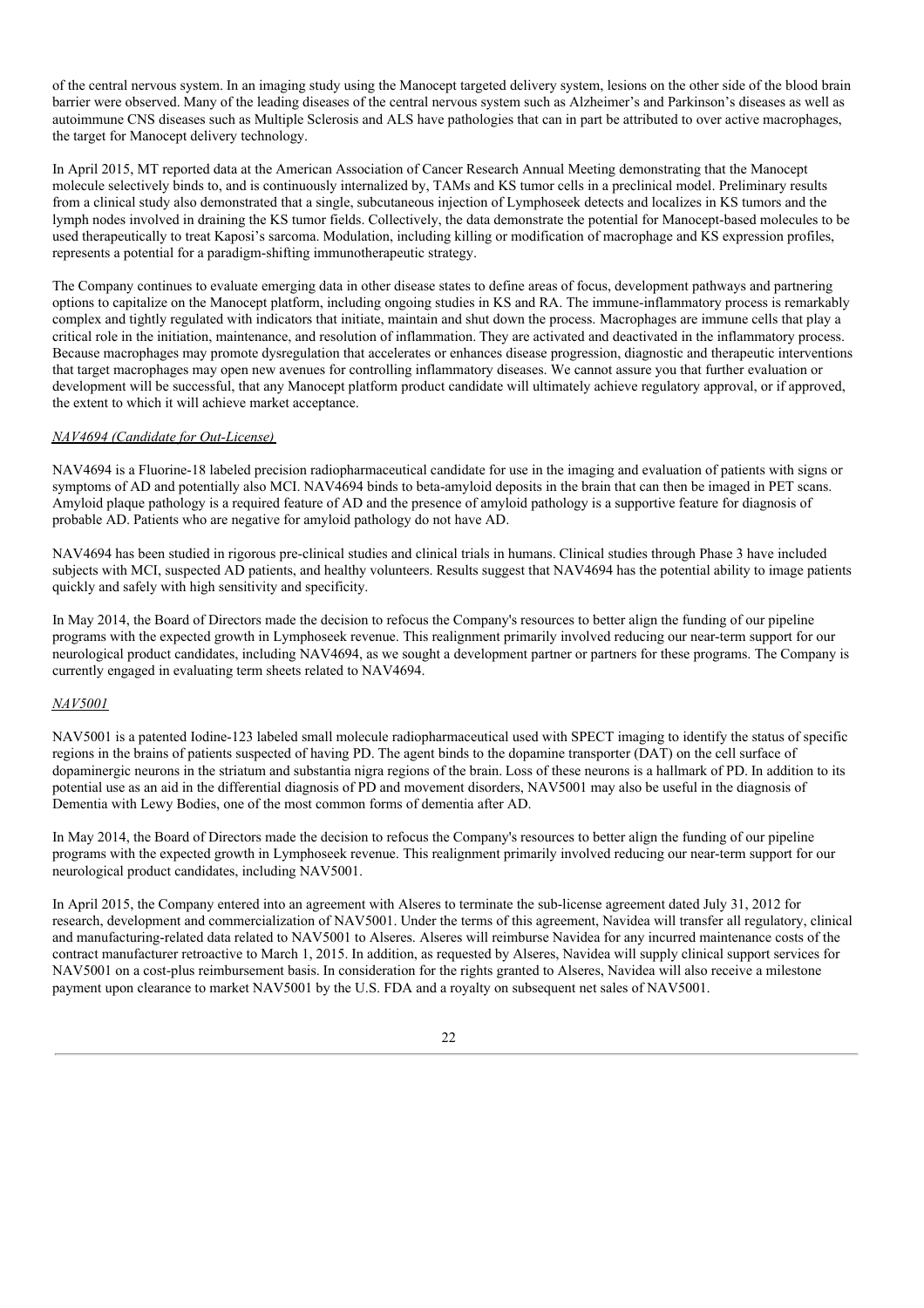of the central nervous system. In an imaging study using the Manocept targeted delivery system, lesions on the other side of the blood brain barrier were observed. Many of the leading diseases of the central nervous system such as Alzheimer's and Parkinson's diseases as well as autoimmune CNS diseases such as Multiple Sclerosis and ALS have pathologies that can in part be attributed to over active macrophages, the target for Manocept delivery technology.

In April 2015, MT reported data at the American Association of Cancer Research Annual Meeting demonstrating that the Manocept molecule selectively binds to, and is continuously internalized by, TAMs and KS tumor cells in a preclinical model. Preliminary results from a clinical study also demonstrated that a single, subcutaneous injection of Lymphoseek detects and localizes in KS tumors and the lymph nodes involved in draining the KS tumor fields. Collectively, the data demonstrate the potential for Manocept-based molecules to be used therapeutically to treat Kaposi's sarcoma. Modulation, including killing or modification of macrophage and KS expression profiles, represents a potential for a paradigm-shifting immunotherapeutic strategy.

The Company continues to evaluate emerging data in other disease states to define areas of focus, development pathways and partnering options to capitalize on the Manocept platform, including ongoing studies in KS and RA. The immune-inflammatory process is remarkably complex and tightly regulated with indicators that initiate, maintain and shut down the process. Macrophages are immune cells that play a critical role in the initiation, maintenance, and resolution of inflammation. They are activated and deactivated in the inflammatory process. Because macrophages may promote dysregulation that accelerates or enhances disease progression, diagnostic and therapeutic interventions that target macrophages may open new avenues for controlling inflammatory diseases. We cannot assure you that further evaluation or development will be successful, that any Manocept platform product candidate will ultimately achieve regulatory approval, or if approved, the extent to which it will achieve market acceptance.

### *NAV4694 (Candidate for Out-License)*

NAV4694 is a Fluorine-18 labeled precision radiopharmaceutical candidate for use in the imaging and evaluation of patients with signs or symptoms of AD and potentially also MCI. NAV4694 binds to beta-amyloid deposits in the brain that can then be imaged in PET scans. Amyloid plaque pathology is a required feature of AD and the presence of amyloid pathology is a supportive feature for diagnosis of probable AD. Patients who are negative for amyloid pathology do not have AD.

NAV4694 has been studied in rigorous pre-clinical studies and clinical trials in humans. Clinical studies through Phase 3 have included subjects with MCI, suspected AD patients, and healthy volunteers. Results suggest that NAV4694 has the potential ability to image patients quickly and safely with high sensitivity and specificity.

In May 2014, the Board of Directors made the decision to refocus the Company's resources to better align the funding of our pipeline programs with the expected growth in Lymphoseek revenue. This realignment primarily involved reducing our near-term support for our neurological product candidates, including NAV4694, as we sought a development partner or partners for these programs. The Company is currently engaged in evaluating term sheets related to NAV4694.

### *NAV5001*

NAV5001 is a patented Iodine-123 labeled small molecule radiopharmaceutical used with SPECT imaging to identify the status of specific regions in the brains of patients suspected of having PD. The agent binds to the dopamine transporter (DAT) on the cell surface of dopaminergic neurons in the striatum and substantia nigra regions of the brain. Loss of these neurons is a hallmark of PD. In addition to its potential use as an aid in the differential diagnosis of PD and movement disorders, NAV5001 may also be useful in the diagnosis of Dementia with Lewy Bodies, one of the most common forms of dementia after AD.

In May 2014, the Board of Directors made the decision to refocus the Company's resources to better align the funding of our pipeline programs with the expected growth in Lymphoseek revenue. This realignment primarily involved reducing our near-term support for our neurological product candidates, including NAV5001.

In April 2015, the Company entered into an agreement with Alseres to terminate the sub-license agreement dated July 31, 2012 for research, development and commercialization of NAV5001. Under the terms of this agreement, Navidea will transfer all regulatory, clinical and manufacturing-related data related to NAV5001 to Alseres. Alseres will reimburse Navidea for any incurred maintenance costs of the contract manufacturer retroactive to March 1, 2015. In addition, as requested by Alseres, Navidea will supply clinical support services for NAV5001 on a cost-plus reimbursement basis. In consideration for the rights granted to Alseres, Navidea will also receive a milestone payment upon clearance to market NAV5001 by the U.S. FDA and a royalty on subsequent net sales of NAV5001.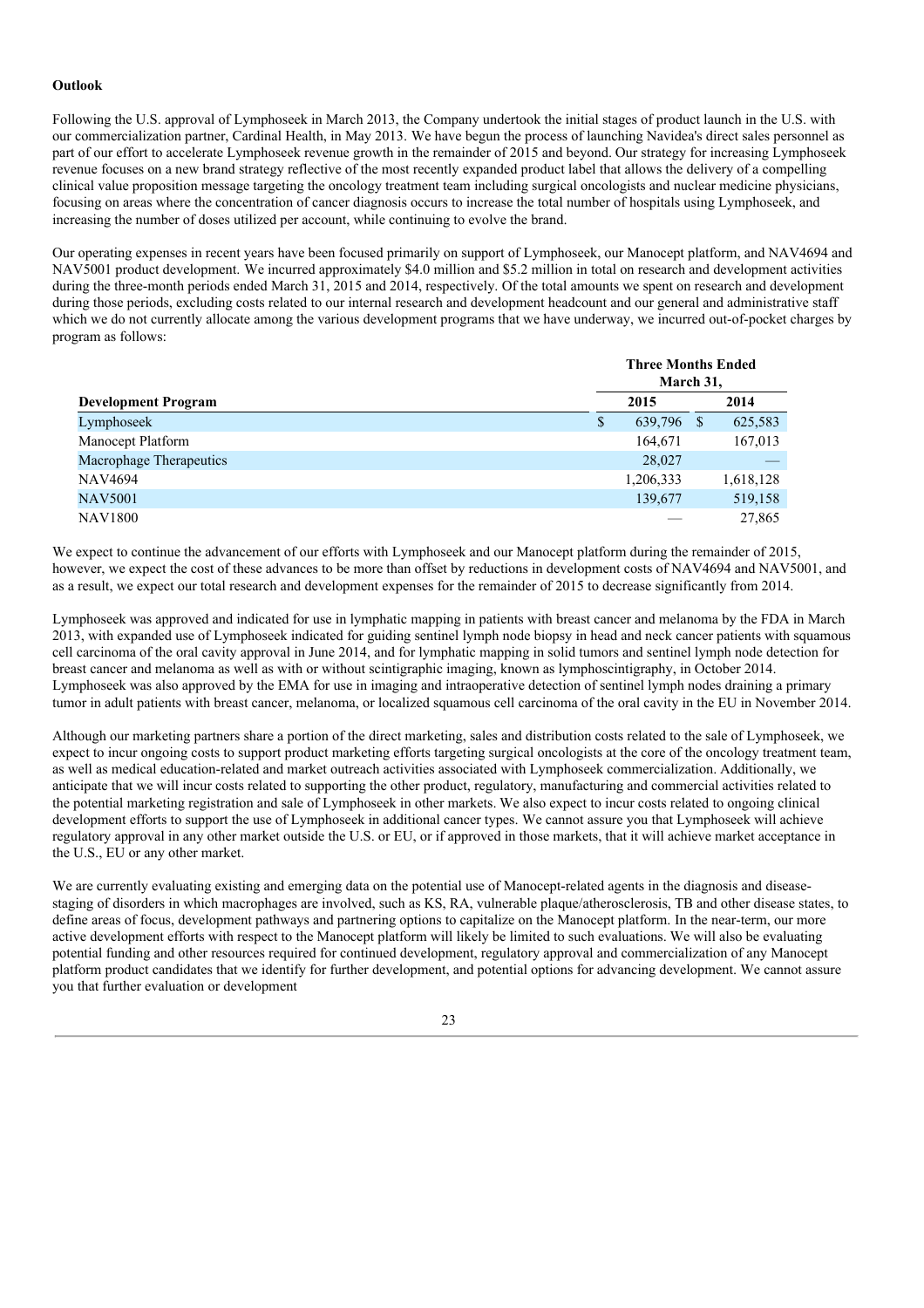#### **Outlook**

Following the U.S. approval of Lymphoseek in March 2013, the Company undertook the initial stages of product launch in the U.S. with our commercialization partner, Cardinal Health, in May 2013. We have begun the process of launching Navidea's direct sales personnel as part of our effort to accelerate Lymphoseek revenue growth in the remainder of 2015 and beyond. Our strategy for increasing Lymphoseek revenue focuses on a new brand strategy reflective of the most recently expanded product label that allows the delivery of a compelling clinical value proposition message targeting the oncology treatment team including surgical oncologists and nuclear medicine physicians, focusing on areas where the concentration of cancer diagnosis occurs to increase the total number of hospitals using Lymphoseek, and increasing the number of doses utilized per account, while continuing to evolve the brand.

Our operating expenses in recent years have been focused primarily on support of Lymphoseek, our Manocept platform, and NAV4694 and NAV5001 product development. We incurred approximately \$4.0 million and \$5.2 million in total on research and development activities during the three-month periods ended March 31, 2015 and 2014, respectively. Of the total amounts we spent on research and development during those periods, excluding costs related to our internal research and development headcount and our general and administrative staff which we do not currently allocate among the various development programs that we have underway, we incurred out-of-pocket charges by program as follows:

|                            |              | <b>Three Months Ended</b><br>March 31, |           |  |  |
|----------------------------|--------------|----------------------------------------|-----------|--|--|
| <b>Development Program</b> | 2015         |                                        | 2014      |  |  |
| Lymphoseek                 | 639,796<br>S | <sup>S</sup>                           | 625,583   |  |  |
| Manocept Platform          | 164,671      |                                        | 167,013   |  |  |
| Macrophage Therapeutics    | 28,027       |                                        |           |  |  |
| <b>NAV4694</b>             | 1,206,333    |                                        | 1,618,128 |  |  |
| <b>NAV5001</b>             | 139,677      |                                        | 519,158   |  |  |
| <b>NAV1800</b>             |              |                                        | 27,865    |  |  |

We expect to continue the advancement of our efforts with Lymphoseek and our Manocept platform during the remainder of 2015, however, we expect the cost of these advances to be more than offset by reductions in development costs of NAV4694 and NAV5001, and as a result, we expect our total research and development expenses for the remainder of 2015 to decrease significantly from 2014.

Lymphoseek was approved and indicated for use in lymphatic mapping in patients with breast cancer and melanoma by the FDA in March 2013, with expanded use of Lymphoseek indicated for guiding sentinel lymph node biopsy in head and neck cancer patients with squamous cell carcinoma of the oral cavity approval in June 2014, and for lymphatic mapping in solid tumors and sentinel lymph node detection for breast cancer and melanoma as well as with or without scintigraphic imaging, known as lymphoscintigraphy, in October 2014. Lymphoseek was also approved by the EMA for use in imaging and intraoperative detection of sentinel lymph nodes draining a primary tumor in adult patients with breast cancer, melanoma, or localized squamous cell carcinoma of the oral cavity in the EU in November 2014.

Although our marketing partners share a portion of the direct marketing, sales and distribution costs related to the sale of Lymphoseek, we expect to incur ongoing costs to support product marketing efforts targeting surgical oncologists at the core of the oncology treatment team, as well as medical education-related and market outreach activities associated with Lymphoseek commercialization. Additionally, we anticipate that we will incur costs related to supporting the other product, regulatory, manufacturing and commercial activities related to the potential marketing registration and sale of Lymphoseek in other markets. We also expect to incur costs related to ongoing clinical development efforts to support the use of Lymphoseek in additional cancer types. We cannot assure you that Lymphoseek will achieve regulatory approval in any other market outside the U.S. or EU, or if approved in those markets, that it will achieve market acceptance in the U.S., EU or any other market.

We are currently evaluating existing and emerging data on the potential use of Manocept-related agents in the diagnosis and diseasestaging of disorders in which macrophages are involved, such as KS, RA, vulnerable plaque/atherosclerosis, TB and other disease states, to define areas of focus, development pathways and partnering options to capitalize on the Manocept platform. In the near-term, our more active development efforts with respect to the Manocept platform will likely be limited to such evaluations. We will also be evaluating potential funding and other resources required for continued development, regulatory approval and commercialization of any Manocept platform product candidates that we identify for further development, and potential options for advancing development. We cannot assure you that further evaluation or development

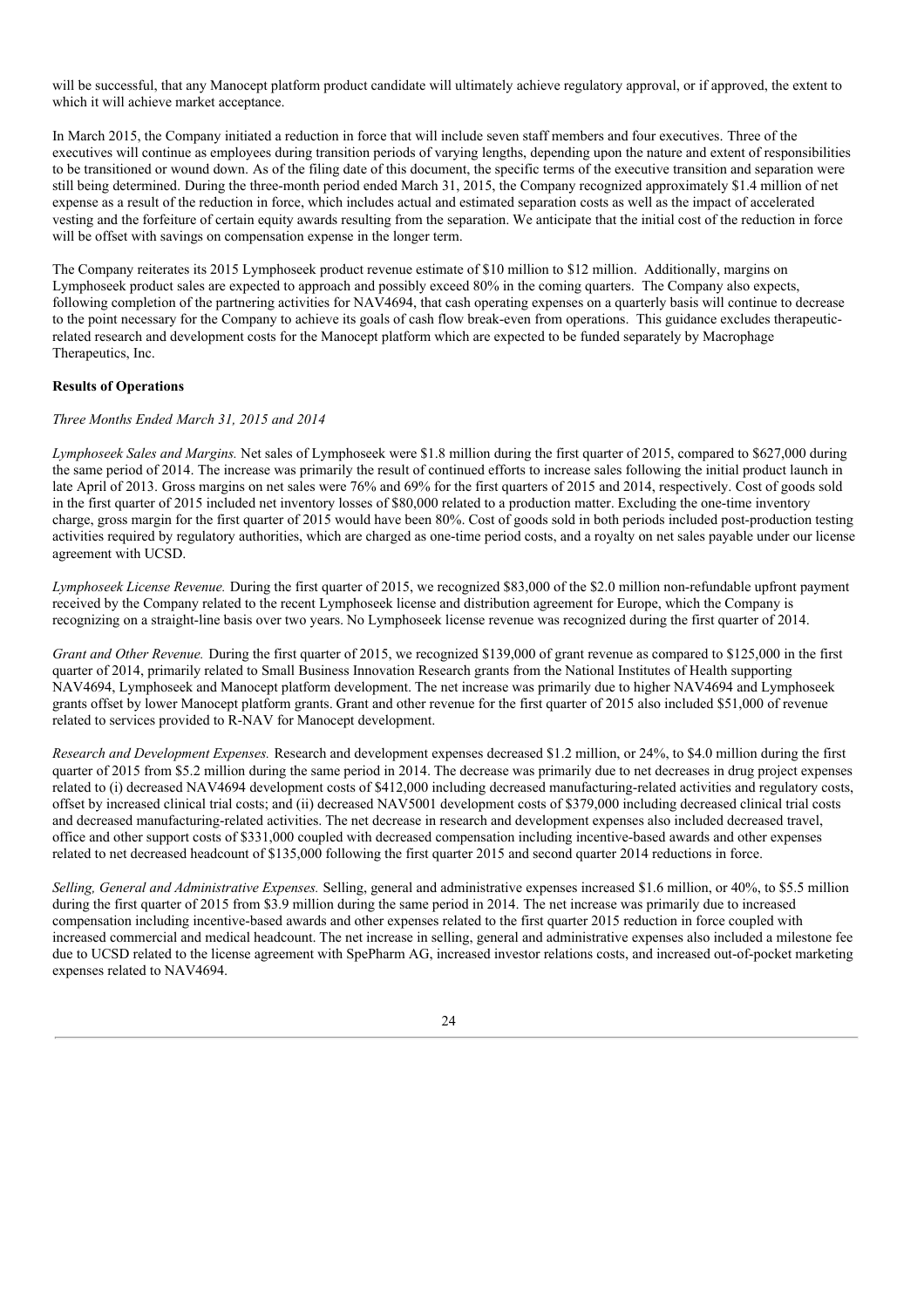will be successful, that any Manocept platform product candidate will ultimately achieve regulatory approval, or if approved, the extent to which it will achieve market acceptance.

In March 2015, the Company initiated a reduction in force that will include seven staff members and four executives. Three of the executives will continue as employees during transition periods of varying lengths, depending upon the nature and extent of responsibilities to be transitioned or wound down. As of the filing date of this document, the specific terms of the executive transition and separation were still being determined. During the three-month period ended March 31, 2015, the Company recognized approximately \$1.4 million of net expense as a result of the reduction in force, which includes actual and estimated separation costs as well as the impact of accelerated vesting and the forfeiture of certain equity awards resulting from the separation. We anticipate that the initial cost of the reduction in force will be offset with savings on compensation expense in the longer term.

The Company reiterates its 2015 Lymphoseek product revenue estimate of \$10 million to \$12 million. Additionally, margins on Lymphoseek product sales are expected to approach and possibly exceed 80% in the coming quarters. The Company also expects, following completion of the partnering activities for NAV4694, that cash operating expenses on a quarterly basis will continue to decrease to the point necessary for the Company to achieve its goals of cash flow break-even from operations. This guidance excludes therapeuticrelated research and development costs for the Manocept platform which are expected to be funded separately by Macrophage Therapeutics, Inc.

#### **Results of Operations**

### *Three Months Ended March 31, 2015 and 2014*

*Lymphoseek Sales and Margins.* Net sales of Lymphoseek were \$1.8 million during the first quarter of 2015, compared to \$627,000 during the same period of 2014. The increase was primarily the result of continued efforts to increase sales following the initial product launch in late April of 2013. Gross margins on net sales were 76% and 69% for the first quarters of 2015 and 2014, respectively. Cost of goods sold in the first quarter of 2015 included net inventory losses of \$80,000 related to a production matter. Excluding the one-time inventory charge, gross margin for the first quarter of 2015 would have been 80%. Cost of goods sold in both periods included post-production testing activities required by regulatory authorities, which are charged as one-time period costs, and a royalty on net sales payable under our license agreement with UCSD.

*Lymphoseek License Revenue.* During the first quarter of 2015, we recognized \$83,000 of the \$2.0 million non-refundable upfront payment received by the Company related to the recent Lymphoseek license and distribution agreement for Europe, which the Company is recognizing on a straight-line basis over two years. No Lymphoseek license revenue was recognized during the first quarter of 2014.

*Grant and Other Revenue.* During the first quarter of 2015, we recognized \$139,000 of grant revenue as compared to \$125,000 in the first quarter of 2014, primarily related to Small Business Innovation Research grants from the National Institutes of Health supporting NAV4694, Lymphoseek and Manocept platform development. The net increase was primarily due to higher NAV4694 and Lymphoseek grants offset by lower Manocept platform grants. Grant and other revenue for the first quarter of 2015 also included \$51,000 of revenue related to services provided to R-NAV for Manocept development.

*Research and Development Expenses.* Research and development expenses decreased \$1.2 million, or 24%, to \$4.0 million during the first quarter of 2015 from \$5.2 million during the same period in 2014. The decrease was primarily due to net decreases in drug project expenses related to (i) decreased NAV4694 development costs of \$412,000 including decreased manufacturing-related activities and regulatory costs, offset by increased clinical trial costs; and (ii) decreased NAV5001 development costs of \$379,000 including decreased clinical trial costs and decreased manufacturing-related activities. The net decrease in research and development expenses also included decreased travel, office and other support costs of \$331,000 coupled with decreased compensation including incentive-based awards and other expenses related to net decreased headcount of \$135,000 following the first quarter 2015 and second quarter 2014 reductions in force.

*Selling, General and Administrative Expenses.* Selling, general and administrative expenses increased \$1.6 million, or 40%, to \$5.5 million during the first quarter of 2015 from \$3.9 million during the same period in 2014. The net increase was primarily due to increased compensation including incentive-based awards and other expenses related to the first quarter 2015 reduction in force coupled with increased commercial and medical headcount. The net increase in selling, general and administrative expenses also included a milestone fee due to UCSD related to the license agreement with SpePharm AG, increased investor relations costs, and increased out-of-pocket marketing expenses related to NAV4694.

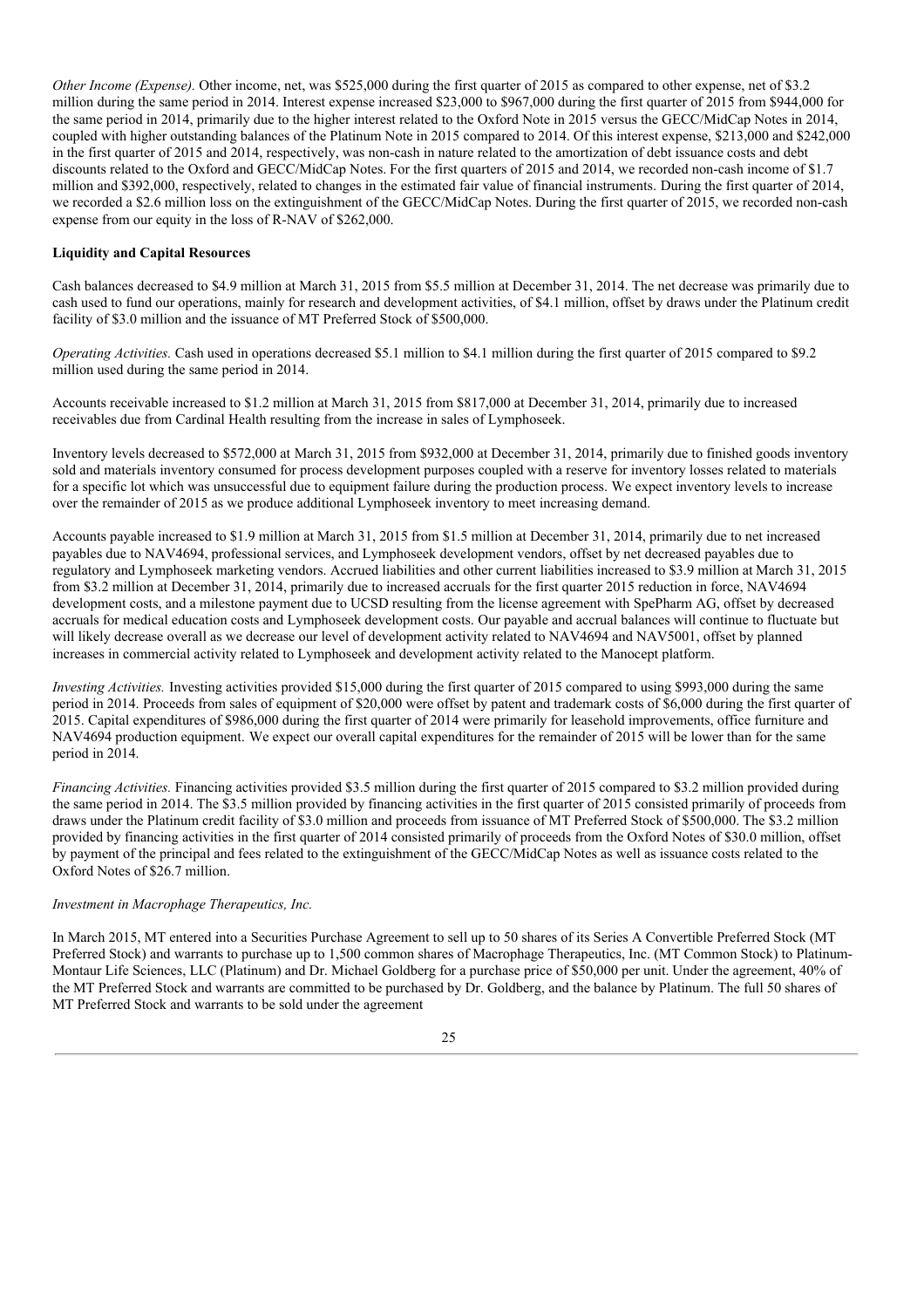*Other Income (Expense).* Other income, net, was \$525,000 during the first quarter of 2015 as compared to other expense, net of \$3.2 million during the same period in 2014. Interest expense increased \$23,000 to \$967,000 during the first quarter of 2015 from \$944,000 for the same period in 2014, primarily due to the higher interest related to the Oxford Note in 2015 versus the GECC/MidCap Notes in 2014, coupled with higher outstanding balances of the Platinum Note in 2015 compared to 2014. Of this interest expense, \$213,000 and \$242,000 in the first quarter of 2015 and 2014, respectively, was non-cash in nature related to the amortization of debt issuance costs and debt discounts related to the Oxford and GECC/MidCap Notes. For the first quarters of 2015 and 2014, we recorded non-cash income of \$1.7 million and \$392,000, respectively, related to changes in the estimated fair value of financial instruments. During the first quarter of 2014, we recorded a \$2.6 million loss on the extinguishment of the GECC/MidCap Notes. During the first quarter of 2015, we recorded non-cash expense from our equity in the loss of R-NAV of \$262,000.

### **Liquidity and Capital Resources**

Cash balances decreased to \$4.9 million at March 31, 2015 from \$5.5 million at December 31, 2014. The net decrease was primarily due to cash used to fund our operations, mainly for research and development activities, of \$4.1 million, offset by draws under the Platinum credit facility of \$3.0 million and the issuance of MT Preferred Stock of \$500,000.

*Operating Activities.* Cash used in operations decreased \$5.1 million to \$4.1 million during the first quarter of 2015 compared to \$9.2 million used during the same period in 2014.

Accounts receivable increased to \$1.2 million at March 31, 2015 from \$817,000 at December 31, 2014, primarily due to increased receivables due from Cardinal Health resulting from the increase in sales of Lymphoseek.

Inventory levels decreased to \$572,000 at March 31, 2015 from \$932,000 at December 31, 2014, primarily due to finished goods inventory sold and materials inventory consumed for process development purposes coupled with a reserve for inventory losses related to materials for a specific lot which was unsuccessful due to equipment failure during the production process. We expect inventory levels to increase over the remainder of 2015 as we produce additional Lymphoseek inventory to meet increasing demand.

Accounts payable increased to \$1.9 million at March 31, 2015 from \$1.5 million at December 31, 2014, primarily due to net increased payables due to NAV4694, professional services, and Lymphoseek development vendors, offset by net decreased payables due to regulatory and Lymphoseek marketing vendors. Accrued liabilities and other current liabilities increased to \$3.9 million at March 31, 2015 from \$3.2 million at December 31, 2014, primarily due to increased accruals for the first quarter 2015 reduction in force, NAV4694 development costs, and a milestone payment due to UCSD resulting from the license agreement with SpePharm AG, offset by decreased accruals for medical education costs and Lymphoseek development costs. Our payable and accrual balances will continue to fluctuate but will likely decrease overall as we decrease our level of development activity related to NAV4694 and NAV5001, offset by planned increases in commercial activity related to Lymphoseek and development activity related to the Manocept platform.

*Investing Activities.* Investing activities provided \$15,000 during the first quarter of 2015 compared to using \$993,000 during the same period in 2014. Proceeds from sales of equipment of \$20,000 were offset by patent and trademark costs of \$6,000 during the first quarter of 2015. Capital expenditures of \$986,000 during the first quarter of 2014 were primarily for leasehold improvements, office furniture and NAV4694 production equipment. We expect our overall capital expenditures for the remainder of 2015 will be lower than for the same period in 2014.

*Financing Activities.* Financing activities provided \$3.5 million during the first quarter of 2015 compared to \$3.2 million provided during the same period in 2014. The \$3.5 million provided by financing activities in the first quarter of 2015 consisted primarily of proceeds from draws under the Platinum credit facility of \$3.0 million and proceeds from issuance of MT Preferred Stock of \$500,000. The \$3.2 million provided by financing activities in the first quarter of 2014 consisted primarily of proceeds from the Oxford Notes of \$30.0 million, offset by payment of the principal and fees related to the extinguishment of the GECC/MidCap Notes as well as issuance costs related to the Oxford Notes of \$26.7 million.

### *Investment in Macrophage Therapeutics, Inc.*

In March 2015, MT entered into a Securities Purchase Agreement to sell up to 50 shares of its Series A Convertible Preferred Stock (MT Preferred Stock) and warrants to purchase up to 1,500 common shares of Macrophage Therapeutics, Inc. (MT Common Stock) to Platinum-Montaur Life Sciences, LLC (Platinum) and Dr. Michael Goldberg for a purchase price of \$50,000 per unit. Under the agreement, 40% of the MT Preferred Stock and warrants are committed to be purchased by Dr. Goldberg, and the balance by Platinum. The full 50 shares of MT Preferred Stock and warrants to be sold under the agreement

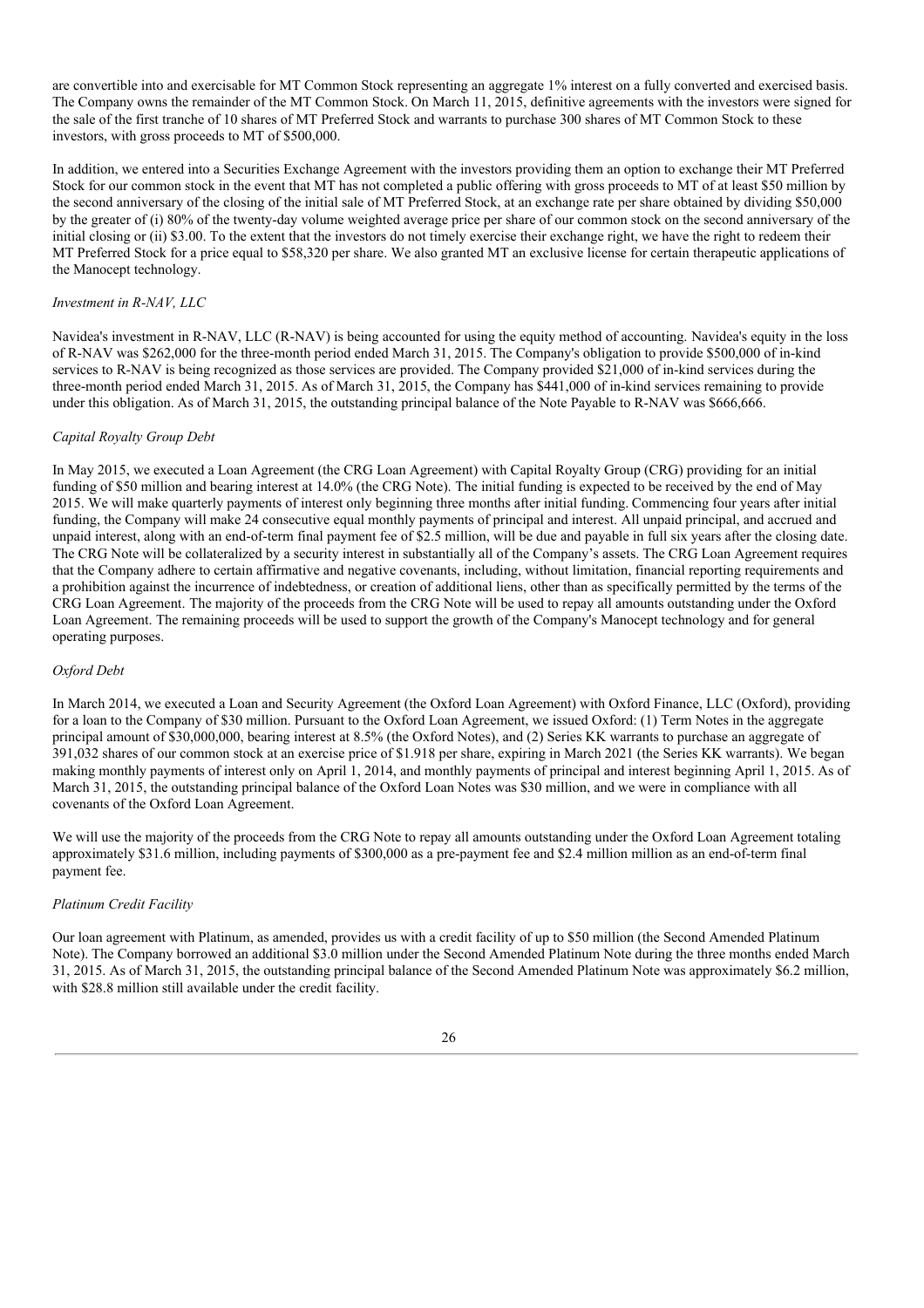are convertible into and exercisable for MT Common Stock representing an aggregate 1% interest on a fully converted and exercised basis. The Company owns the remainder of the MT Common Stock. On March 11, 2015, definitive agreements with the investors were signed for the sale of the first tranche of 10 shares of MT Preferred Stock and warrants to purchase 300 shares of MT Common Stock to these investors, with gross proceeds to MT of \$500,000.

In addition, we entered into a Securities Exchange Agreement with the investors providing them an option to exchange their MT Preferred Stock for our common stock in the event that MT has not completed a public offering with gross proceeds to MT of at least \$50 million by the second anniversary of the closing of the initial sale of MT Preferred Stock, at an exchange rate per share obtained by dividing \$50,000 by the greater of (i) 80% of the twenty-day volume weighted average price per share of our common stock on the second anniversary of the initial closing or (ii) \$3.00. To the extent that the investors do not timely exercise their exchange right, we have the right to redeem their MT Preferred Stock for a price equal to \$58,320 per share. We also granted MT an exclusive license for certain therapeutic applications of the Manocept technology.

#### *Investment in R-NAV, LLC*

Navidea's investment in R-NAV, LLC (R-NAV) is being accounted for using the equity method of accounting. Navidea's equity in the loss of R-NAV was \$262,000 for the three-month period ended March 31, 2015. The Company's obligation to provide \$500,000 of in-kind services to R-NAV is being recognized as those services are provided. The Company provided \$21,000 of in-kind services during the three-month period ended March 31, 2015. As of March 31, 2015, the Company has \$441,000 of in-kind services remaining to provide under this obligation. As of March 31, 2015, the outstanding principal balance of the Note Payable to R-NAV was \$666,666.

#### *Capital Royalty Group Debt*

In May 2015, we executed a Loan Agreement (the CRG Loan Agreement) with Capital Royalty Group (CRG) providing for an initial funding of \$50 million and bearing interest at 14.0% (the CRG Note). The initial funding is expected to be received by the end of May 2015. We will make quarterly payments of interest only beginning three months after initial funding. Commencing four years after initial funding, the Company will make 24 consecutive equal monthly payments of principal and interest. All unpaid principal, and accrued and unpaid interest, along with an end-of-term final payment fee of \$2.5 million, will be due and payable in full six years after the closing date. The CRG Note will be collateralized by a security interest in substantially all of the Company's assets. The CRG Loan Agreement requires that the Company adhere to certain affirmative and negative covenants, including, without limitation, financial reporting requirements and a prohibition against the incurrence of indebtedness, or creation of additional liens, other than as specifically permitted by the terms of the CRG Loan Agreement. The majority of the proceeds from the CRG Note will be used to repay all amounts outstanding under the Oxford Loan Agreement. The remaining proceeds will be used to support the growth of the Company's Manocept technology and for general operating purposes.

#### *Oxford Debt*

In March 2014, we executed a Loan and Security Agreement (the Oxford Loan Agreement) with Oxford Finance, LLC (Oxford), providing for a loan to the Company of \$30 million. Pursuant to the Oxford Loan Agreement, we issued Oxford: (1) Term Notes in the aggregate principal amount of \$30,000,000, bearing interest at 8.5% (the Oxford Notes), and (2) Series KK warrants to purchase an aggregate of 391,032 shares of our common stock at an exercise price of \$1.918 per share, expiring in March 2021 (the Series KK warrants). We began making monthly payments of interest only on April 1, 2014, and monthly payments of principal and interest beginning April 1, 2015. As of March 31, 2015, the outstanding principal balance of the Oxford Loan Notes was \$30 million, and we were in compliance with all covenants of the Oxford Loan Agreement.

We will use the majority of the proceeds from the CRG Note to repay all amounts outstanding under the Oxford Loan Agreement totaling approximately \$31.6 million, including payments of \$300,000 as a pre-payment fee and \$2.4 million million as an end-of-term final payment fee.

#### *Platinum Credit Facility*

Our loan agreement with Platinum, as amended, provides us with a credit facility of up to \$50 million (the Second Amended Platinum Note). The Company borrowed an additional \$3.0 million under the Second Amended Platinum Note during the three months ended March 31, 2015. As of March 31, 2015, the outstanding principal balance of the Second Amended Platinum Note was approximately \$6.2 million, with \$28.8 million still available under the credit facility.

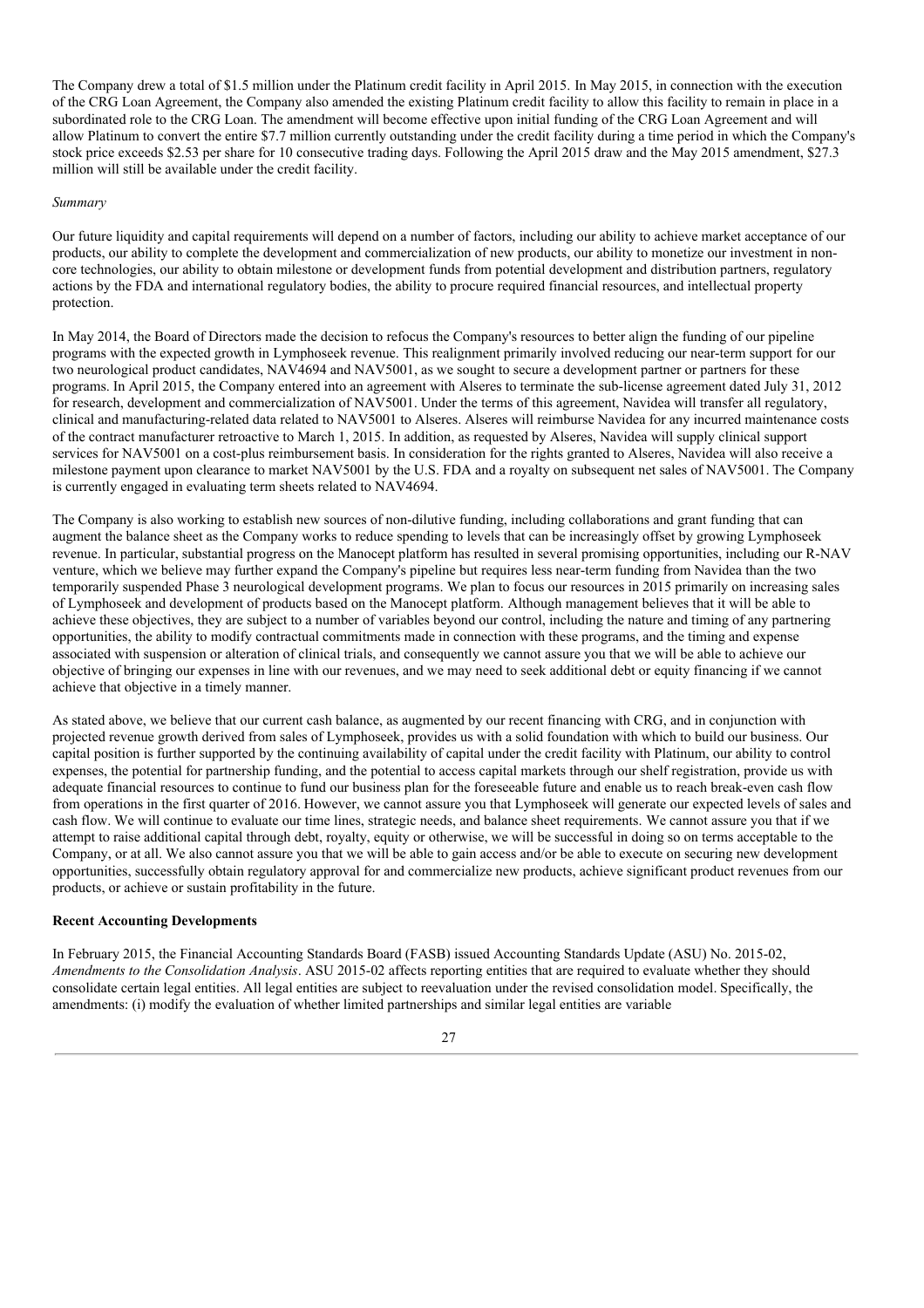The Company drew a total of \$1.5 million under the Platinum credit facility in April 2015. In May 2015, in connection with the execution of the CRG Loan Agreement, the Company also amended the existing Platinum credit facility to allow this facility to remain in place in a subordinated role to the CRG Loan. The amendment will become effective upon initial funding of the CRG Loan Agreement and will allow Platinum to convert the entire \$7.7 million currently outstanding under the credit facility during a time period in which the Company's stock price exceeds \$2.53 per share for 10 consecutive trading days. Following the April 2015 draw and the May 2015 amendment, \$27.3 million will still be available under the credit facility.

#### *Summary*

Our future liquidity and capital requirements will depend on a number of factors, including our ability to achieve market acceptance of our products, our ability to complete the development and commercialization of new products, our ability to monetize our investment in noncore technologies, our ability to obtain milestone or development funds from potential development and distribution partners, regulatory actions by the FDA and international regulatory bodies, the ability to procure required financial resources, and intellectual property protection.

In May 2014, the Board of Directors made the decision to refocus the Company's resources to better align the funding of our pipeline programs with the expected growth in Lymphoseek revenue. This realignment primarily involved reducing our near-term support for our two neurological product candidates, NAV4694 and NAV5001, as we sought to secure a development partner or partners for these programs. In April 2015, the Company entered into an agreement with Alseres to terminate the sub-license agreement dated July 31, 2012 for research, development and commercialization of NAV5001. Under the terms of this agreement, Navidea will transfer all regulatory, clinical and manufacturing-related data related to NAV5001 to Alseres. Alseres will reimburse Navidea for any incurred maintenance costs of the contract manufacturer retroactive to March 1, 2015. In addition, as requested by Alseres, Navidea will supply clinical support services for NAV5001 on a cost-plus reimbursement basis. In consideration for the rights granted to Alseres, Navidea will also receive a milestone payment upon clearance to market NAV5001 by the U.S. FDA and a royalty on subsequent net sales of NAV5001. The Company is currently engaged in evaluating term sheets related to NAV4694.

The Company is also working to establish new sources of non-dilutive funding, including collaborations and grant funding that can augment the balance sheet as the Company works to reduce spending to levels that can be increasingly offset by growing Lymphoseek revenue. In particular, substantial progress on the Manocept platform has resulted in several promising opportunities, including our R-NAV venture, which we believe may further expand the Company's pipeline but requires less near-term funding from Navidea than the two temporarily suspended Phase 3 neurological development programs. We plan to focus our resources in 2015 primarily on increasing sales of Lymphoseek and development of products based on the Manocept platform. Although management believes that it will be able to achieve these objectives, they are subject to a number of variables beyond our control, including the nature and timing of any partnering opportunities, the ability to modify contractual commitments made in connection with these programs, and the timing and expense associated with suspension or alteration of clinical trials, and consequently we cannot assure you that we will be able to achieve our objective of bringing our expenses in line with our revenues, and we may need to seek additional debt or equity financing if we cannot achieve that objective in a timely manner.

As stated above, we believe that our current cash balance, as augmented by our recent financing with CRG, and in conjunction with projected revenue growth derived from sales of Lymphoseek, provides us with a solid foundation with which to build our business. Our capital position is further supported by the continuing availability of capital under the credit facility with Platinum, our ability to control expenses, the potential for partnership funding, and the potential to access capital markets through our shelf registration, provide us with adequate financial resources to continue to fund our business plan for the foreseeable future and enable us to reach break-even cash flow from operations in the first quarter of 2016. However, we cannot assure you that Lymphoseek will generate our expected levels of sales and cash flow. We will continue to evaluate our time lines, strategic needs, and balance sheet requirements. We cannot assure you that if we attempt to raise additional capital through debt, royalty, equity or otherwise, we will be successful in doing so on terms acceptable to the Company, or at all. We also cannot assure you that we will be able to gain access and/or be able to execute on securing new development opportunities, successfully obtain regulatory approval for and commercialize new products, achieve significant product revenues from our products, or achieve or sustain profitability in the future.

#### **Recent Accounting Developments**

In February 2015, the Financial Accounting Standards Board (FASB) issued Accounting Standards Update (ASU) No. 2015-02, *Amendments to the Consolidation Analysis*. ASU 2015-02 affects reporting entities that are required to evaluate whether they should consolidate certain legal entities. All legal entities are subject to reevaluation under the revised consolidation model. Specifically, the amendments: (i) modify the evaluation of whether limited partnerships and similar legal entities are variable

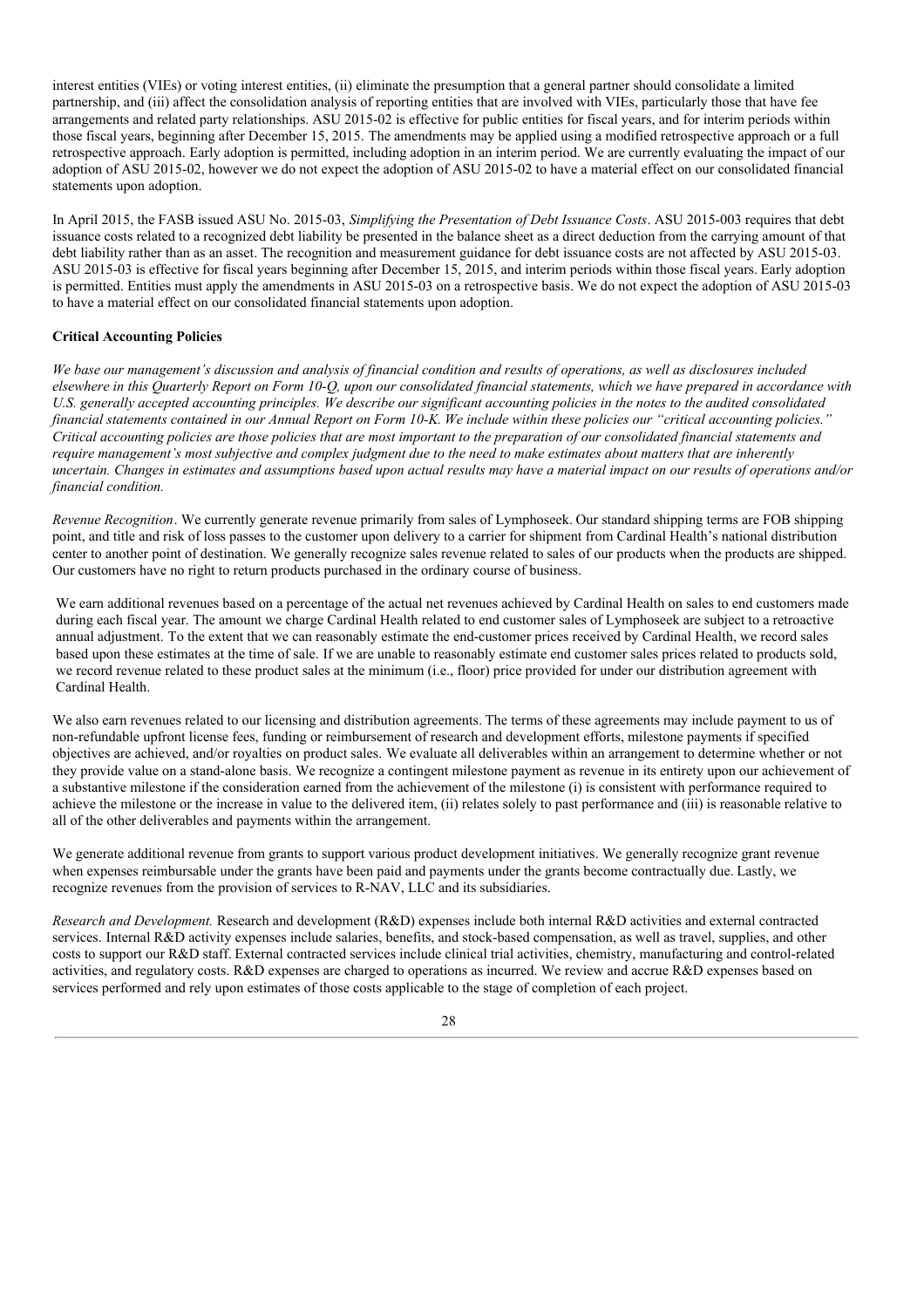interest entities (VIEs) or voting interest entities, (ii) eliminate the presumption that a general partner should consolidate a limited partnership, and (iii) affect the consolidation analysis of reporting entities that are involved with VIEs, particularly those that have fee arrangements and related party relationships. ASU 2015-02 is effective for public entities for fiscal years, and for interim periods within those fiscal years, beginning after December 15, 2015. The amendments may be applied using a modified retrospective approach or a full retrospective approach. Early adoption is permitted, including adoption in an interim period. We are currently evaluating the impact of our adoption of ASU 2015-02, however we do not expect the adoption of ASU 2015-02 to have a material effect on our consolidated financial statements upon adoption.

In April 2015, the FASB issued ASU No. 2015-03, *Simplifying the Presentation of Debt Issuance Costs*. ASU 2015-003 requires that debt issuance costs related to a recognized debt liability be presented in the balance sheet as a direct deduction from the carrying amount of that debt liability rather than as an asset. The recognition and measurement guidance for debt issuance costs are not affected by ASU 2015-03. ASU 2015-03 is effective for fiscal years beginning after December 15, 2015, and interim periods within those fiscal years. Early adoption is permitted. Entities must apply the amendments in ASU 2015-03 on a retrospective basis. We do not expect the adoption of ASU 2015-03 to have a material effect on our consolidated financial statements upon adoption.

#### **Critical Accounting Policies**

We base our management's discussion and analysis of financial condition and results of operations, as well as disclosures included elsewhere in this Quarterly Report on Form 10-Q, upon our consolidated financial statements, which we have prepared in accordance with U.S. generally accepted accounting principles. We describe our significant accounting policies in the notes to the audited consolidated financial statements contained in our Annual Report on Form 10-K. We include within these policies our "critical accounting policies." Critical accounting policies are those policies that are most important to the preparation of our consolidated financial statements and require management's most subjective and complex judgment due to the need to make estimates about matters that are inherently uncertain. Changes in estimates and assumptions based upon actual results may have a material impact on our results of operations and/or *financial condition.*

*Revenue Recognition*. We currently generate revenue primarily from sales of Lymphoseek. Our standard shipping terms are FOB shipping point, and title and risk of loss passes to the customer upon delivery to a carrier for shipment from Cardinal Health's national distribution center to another point of destination. We generally recognize sales revenue related to sales of our products when the products are shipped. Our customers have no right to return products purchased in the ordinary course of business.

We earn additional revenues based on a percentage of the actual net revenues achieved by Cardinal Health on sales to end customers made during each fiscal year. The amount we charge Cardinal Health related to end customer sales of Lymphoseek are subject to a retroactive annual adjustment. To the extent that we can reasonably estimate the end-customer prices received by Cardinal Health, we record sales based upon these estimates at the time of sale. If we are unable to reasonably estimate end customer sales prices related to products sold, we record revenue related to these product sales at the minimum (i.e., floor) price provided for under our distribution agreement with Cardinal Health.

We also earn revenues related to our licensing and distribution agreements. The terms of these agreements may include payment to us of non-refundable upfront license fees, funding or reimbursement of research and development efforts, milestone payments if specified objectives are achieved, and/or royalties on product sales. We evaluate all deliverables within an arrangement to determine whether or not they provide value on a stand-alone basis. We recognize a contingent milestone payment as revenue in its entirety upon our achievement of a substantive milestone if the consideration earned from the achievement of the milestone (i) is consistent with performance required to achieve the milestone or the increase in value to the delivered item, (ii) relates solely to past performance and (iii) is reasonable relative to all of the other deliverables and payments within the arrangement.

We generate additional revenue from grants to support various product development initiatives. We generally recognize grant revenue when expenses reimbursable under the grants have been paid and payments under the grants become contractually due. Lastly, we recognize revenues from the provision of services to R-NAV, LLC and its subsidiaries.

*Research and Development.* Research and development (R&D) expenses include both internal R&D activities and external contracted services. Internal R&D activity expenses include salaries, benefits, and stock-based compensation, as well as travel, supplies, and other costs to support our R&D staff. External contracted services include clinical trial activities, chemistry, manufacturing and control-related activities, and regulatory costs. R&D expenses are charged to operations as incurred. We review and accrue R&D expenses based on services performed and rely upon estimates of those costs applicable to the stage of completion of each project.

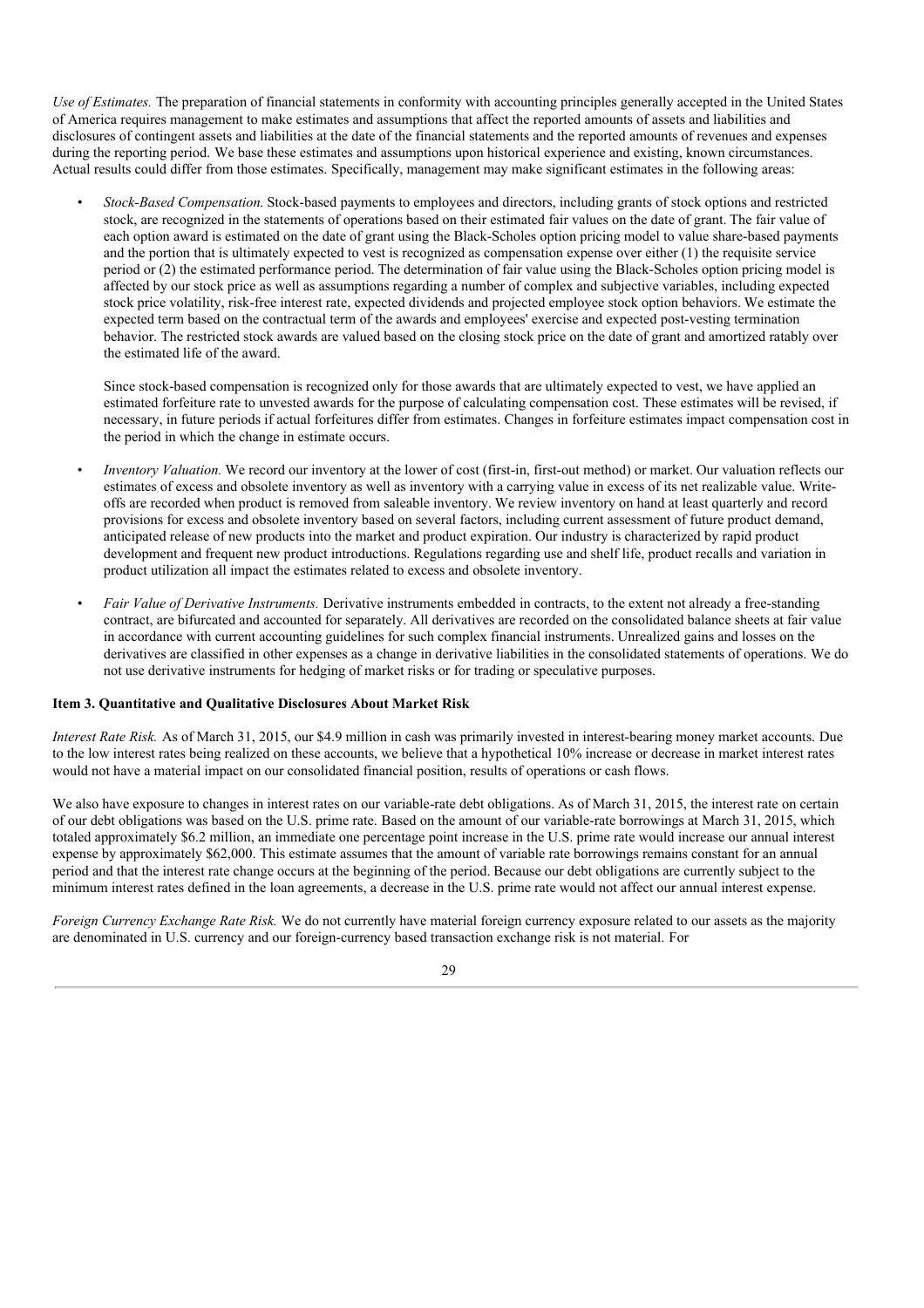*Use of Estimates.* The preparation of financial statements in conformity with accounting principles generally accepted in the United States of America requires management to make estimates and assumptions that affect the reported amounts of assets and liabilities and disclosures of contingent assets and liabilities at the date of the financial statements and the reported amounts of revenues and expenses during the reporting period. We base these estimates and assumptions upon historical experience and existing, known circumstances. Actual results could differ from those estimates. Specifically, management may make significant estimates in the following areas:

• *Stock-Based Compensation*. Stock-based payments to employees and directors, including grants of stock options and restricted stock, are recognized in the statements of operations based on their estimated fair values on the date of grant. The fair value of each option award is estimated on the date of grant using the Black-Scholes option pricing model to value share-based payments and the portion that is ultimately expected to vest is recognized as compensation expense over either (1) the requisite service period or (2) the estimated performance period. The determination of fair value using the Black-Scholes option pricing model is affected by our stock price as well as assumptions regarding a number of complex and subjective variables, including expected stock price volatility, risk-free interest rate, expected dividends and projected employee stock option behaviors. We estimate the expected term based on the contractual term of the awards and employees' exercise and expected post-vesting termination behavior. The restricted stock awards are valued based on the closing stock price on the date of grant and amortized ratably over the estimated life of the award.

Since stock-based compensation is recognized only for those awards that are ultimately expected to vest, we have applied an estimated forfeiture rate to unvested awards for the purpose of calculating compensation cost. These estimates will be revised, if necessary, in future periods if actual forfeitures differ from estimates. Changes in forfeiture estimates impact compensation cost in the period in which the change in estimate occurs.

- *Inventory Valuation.* We record our inventory at the lower of cost (first-in, first-out method) or market. Our valuation reflects our estimates of excess and obsolete inventory as well as inventory with a carrying value in excess of its net realizable value. Writeoffs are recorded when product is removed from saleable inventory. We review inventory on hand at least quarterly and record provisions for excess and obsolete inventory based on several factors, including current assessment of future product demand, anticipated release of new products into the market and product expiration. Our industry is characterized by rapid product development and frequent new product introductions. Regulations regarding use and shelf life, product recalls and variation in product utilization all impact the estimates related to excess and obsolete inventory.
- *Fair Value of Derivative Instruments.* Derivative instruments embedded in contracts, to the extent not already a free-standing contract, are bifurcated and accounted for separately. All derivatives are recorded on the consolidated balance sheets at fair value in accordance with current accounting guidelines for such complex financial instruments. Unrealized gains and losses on the derivatives are classified in other expenses as a change in derivative liabilities in the consolidated statements of operations. We do not use derivative instruments for hedging of market risks or for trading or speculative purposes.

#### **Item 3. Quantitative and Qualitative Disclosures About Market Risk**

*Interest Rate Risk.* As of March 31, 2015, our \$4.9 million in cash was primarily invested in interest-bearing money market accounts. Due to the low interest rates being realized on these accounts, we believe that a hypothetical 10% increase or decrease in market interest rates would not have a material impact on our consolidated financial position, results of operations or cash flows.

We also have exposure to changes in interest rates on our variable-rate debt obligations. As of March 31, 2015, the interest rate on certain of our debt obligations was based on the U.S. prime rate. Based on the amount of our variable-rate borrowings at March 31, 2015, which totaled approximately \$6.2 million, an immediate one percentage point increase in the U.S. prime rate would increase our annual interest expense by approximately \$62,000. This estimate assumes that the amount of variable rate borrowings remains constant for an annual period and that the interest rate change occurs at the beginning of the period. Because our debt obligations are currently subject to the minimum interest rates defined in the loan agreements, a decrease in the U.S. prime rate would not affect our annual interest expense.

*Foreign Currency Exchange Rate Risk.* We do not currently have material foreign currency exposure related to our assets as the majority are denominated in U.S. currency and our foreign-currency based transaction exchange risk is not material. For

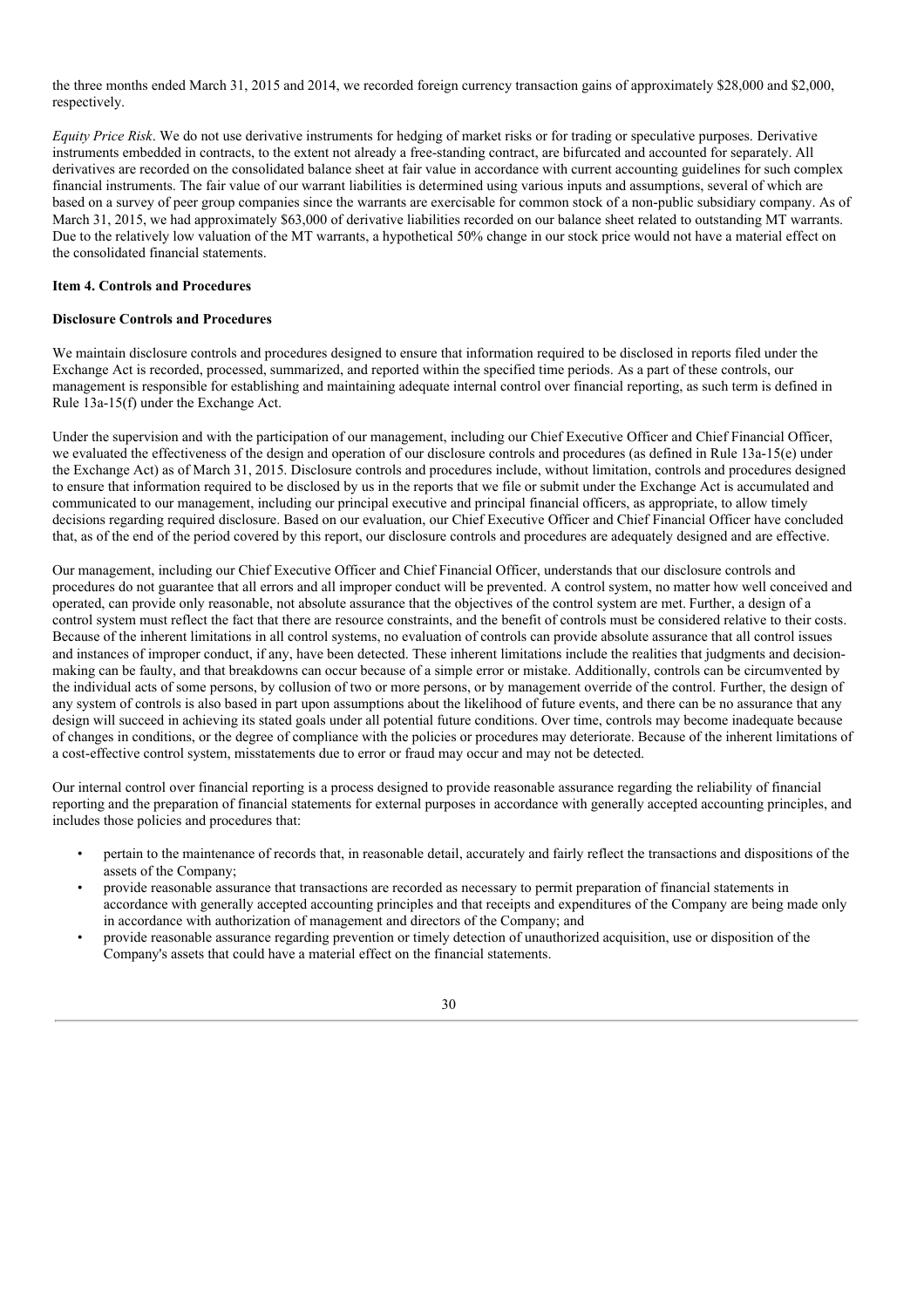the three months ended March 31, 2015 and 2014, we recorded foreign currency transaction gains of approximately \$28,000 and \$2,000, respectively.

*Equity Price Risk*. We do not use derivative instruments for hedging of market risks or for trading or speculative purposes. Derivative instruments embedded in contracts, to the extent not already a free-standing contract, are bifurcated and accounted for separately. All derivatives are recorded on the consolidated balance sheet at fair value in accordance with current accounting guidelines for such complex financial instruments. The fair value of our warrant liabilities is determined using various inputs and assumptions, several of which are based on a survey of peer group companies since the warrants are exercisable for common stock of a non-public subsidiary company. As of March 31, 2015, we had approximately \$63,000 of derivative liabilities recorded on our balance sheet related to outstanding MT warrants. Due to the relatively low valuation of the MT warrants, a hypothetical 50% change in our stock price would not have a material effect on the consolidated financial statements.

#### **Item 4. Controls and Procedures**

#### **Disclosure Controls and Procedures**

We maintain disclosure controls and procedures designed to ensure that information required to be disclosed in reports filed under the Exchange Act is recorded, processed, summarized, and reported within the specified time periods. As a part of these controls, our management is responsible for establishing and maintaining adequate internal control over financial reporting, as such term is defined in Rule 13a-15(f) under the Exchange Act.

Under the supervision and with the participation of our management, including our Chief Executive Officer and Chief Financial Officer, we evaluated the effectiveness of the design and operation of our disclosure controls and procedures (as defined in Rule 13a-15(e) under the Exchange Act) as of March 31, 2015. Disclosure controls and procedures include, without limitation, controls and procedures designed to ensure that information required to be disclosed by us in the reports that we file or submit under the Exchange Act is accumulated and communicated to our management, including our principal executive and principal financial officers, as appropriate, to allow timely decisions regarding required disclosure. Based on our evaluation, our Chief Executive Officer and Chief Financial Officer have concluded that, as of the end of the period covered by this report, our disclosure controls and procedures are adequately designed and are effective.

Our management, including our Chief Executive Officer and Chief Financial Officer, understands that our disclosure controls and procedures do not guarantee that all errors and all improper conduct will be prevented. A control system, no matter how well conceived and operated, can provide only reasonable, not absolute assurance that the objectives of the control system are met. Further, a design of a control system must reflect the fact that there are resource constraints, and the benefit of controls must be considered relative to their costs. Because of the inherent limitations in all control systems, no evaluation of controls can provide absolute assurance that all control issues and instances of improper conduct, if any, have been detected. These inherent limitations include the realities that judgments and decisionmaking can be faulty, and that breakdowns can occur because of a simple error or mistake. Additionally, controls can be circumvented by the individual acts of some persons, by collusion of two or more persons, or by management override of the control. Further, the design of any system of controls is also based in part upon assumptions about the likelihood of future events, and there can be no assurance that any design will succeed in achieving its stated goals under all potential future conditions. Over time, controls may become inadequate because of changes in conditions, or the degree of compliance with the policies or procedures may deteriorate. Because of the inherent limitations of a cost-effective control system, misstatements due to error or fraud may occur and may not be detected.

Our internal control over financial reporting is a process designed to provide reasonable assurance regarding the reliability of financial reporting and the preparation of financial statements for external purposes in accordance with generally accepted accounting principles, and includes those policies and procedures that:

- pertain to the maintenance of records that, in reasonable detail, accurately and fairly reflect the transactions and dispositions of the assets of the Company;
- provide reasonable assurance that transactions are recorded as necessary to permit preparation of financial statements in accordance with generally accepted accounting principles and that receipts and expenditures of the Company are being made only in accordance with authorization of management and directors of the Company; and
- provide reasonable assurance regarding prevention or timely detection of unauthorized acquisition, use or disposition of the Company's assets that could have a material effect on the financial statements.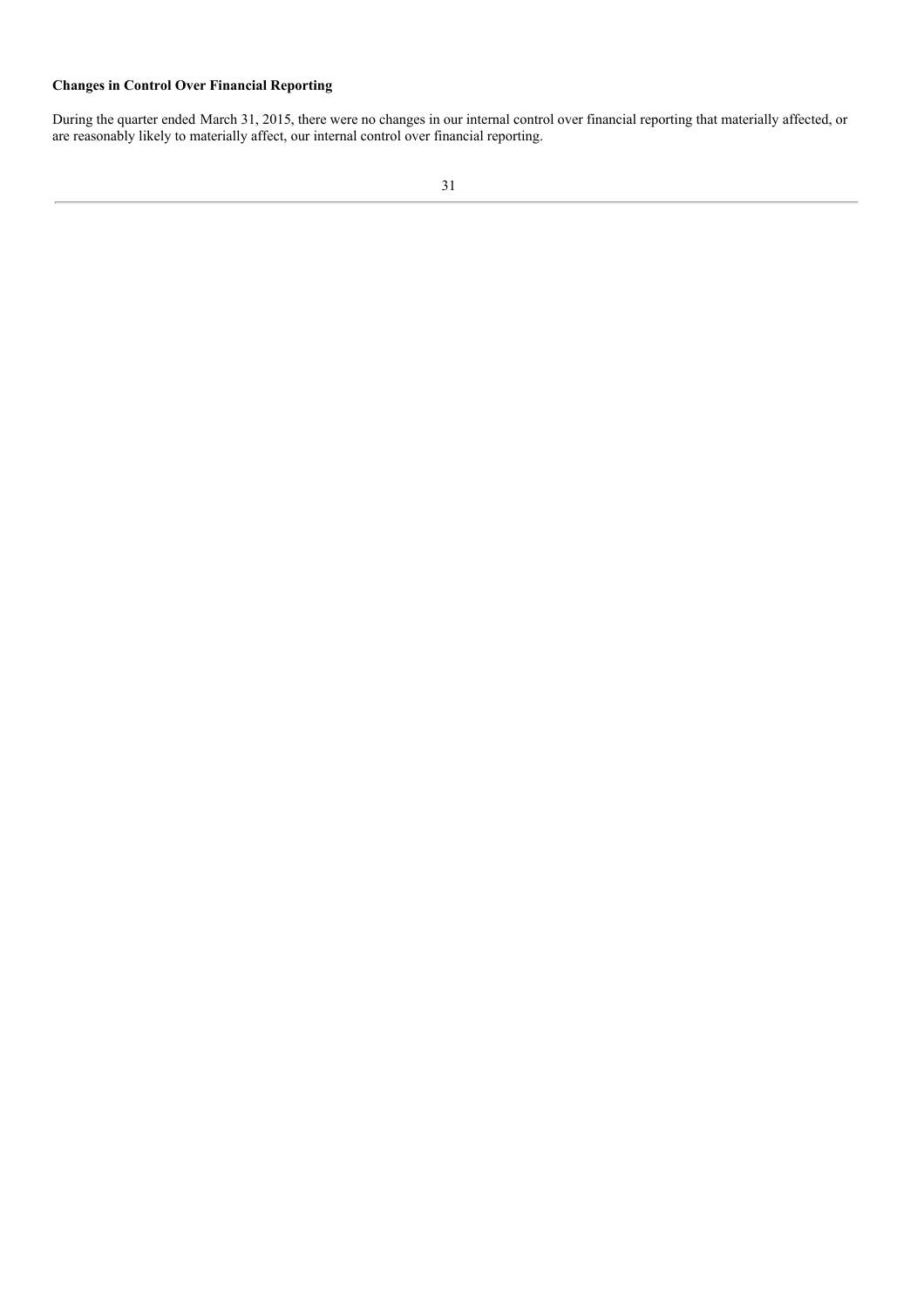## **Changes in Control Over Financial Reporting**

During the quarter ended March 31, 2015, there were no changes in our internal control over financial reporting that materially affected, or are reasonably likely to materially affect, our internal control over financial reporting.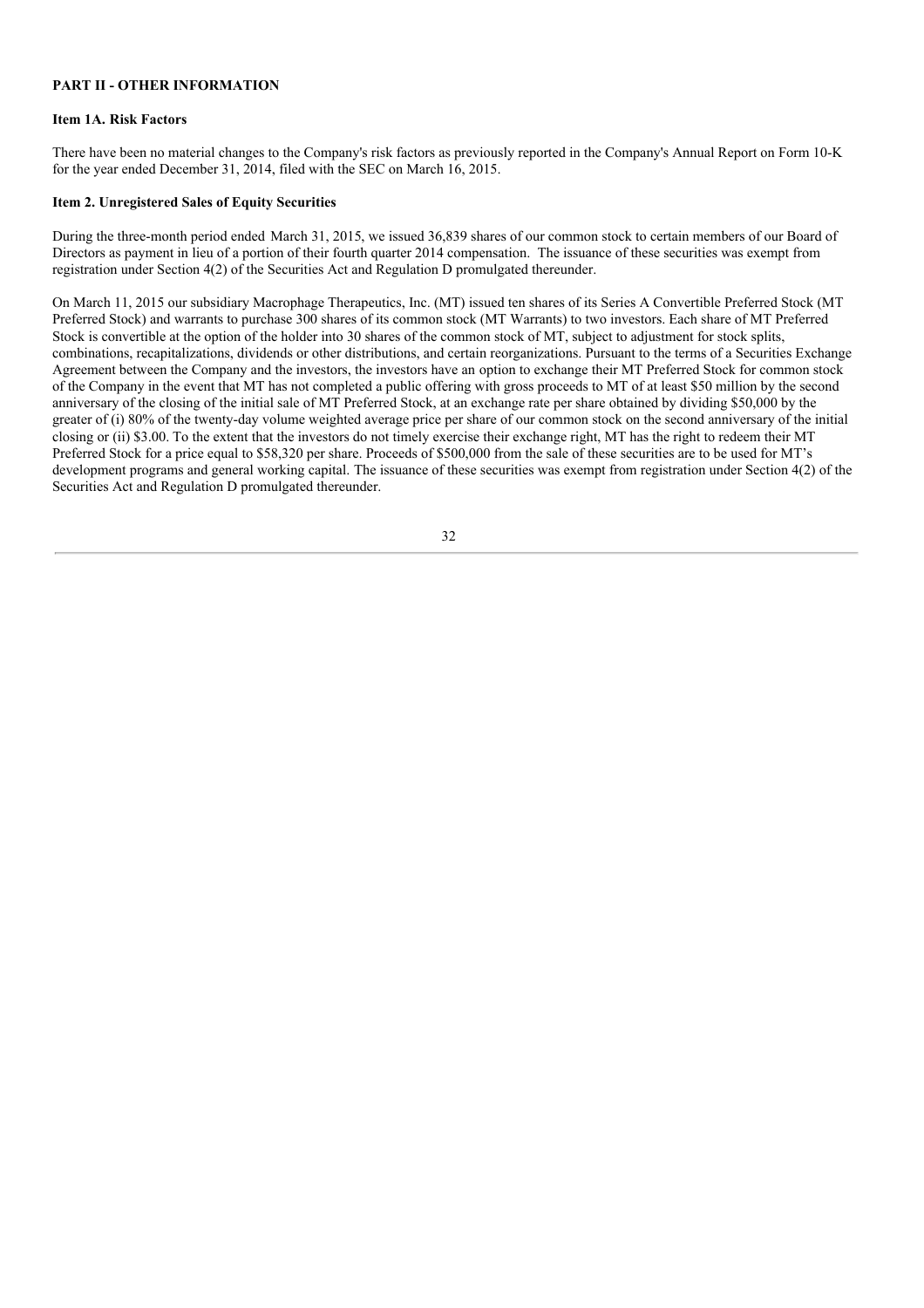#### **PART II - OTHER INFORMATION**

#### **Item 1A. Risk Factors**

There have been no material changes to the Company's risk factors as previously reported in the Company's Annual Report on Form 10-K for the year ended December 31, 2014, filed with the SEC on March 16, 2015.

## **Item 2. Unregistered Sales of Equity Securities**

During the three-month period ended March 31, 2015, we issued 36,839 shares of our common stock to certain members of our Board of Directors as payment in lieu of a portion of their fourth quarter 2014 compensation. The issuance of these securities was exempt from registration under Section 4(2) of the Securities Act and Regulation D promulgated thereunder.

On March 11, 2015 our subsidiary Macrophage Therapeutics, Inc. (MT) issued ten shares of its Series A Convertible Preferred Stock (MT Preferred Stock) and warrants to purchase 300 shares of its common stock (MT Warrants) to two investors. Each share of MT Preferred Stock is convertible at the option of the holder into 30 shares of the common stock of MT, subject to adjustment for stock splits, combinations, recapitalizations, dividends or other distributions, and certain reorganizations. Pursuant to the terms of a Securities Exchange Agreement between the Company and the investors, the investors have an option to exchange their MT Preferred Stock for common stock of the Company in the event that MT has not completed a public offering with gross proceeds to MT of at least \$50 million by the second anniversary of the closing of the initial sale of MT Preferred Stock, at an exchange rate per share obtained by dividing \$50,000 by the greater of (i) 80% of the twenty-day volume weighted average price per share of our common stock on the second anniversary of the initial closing or (ii) \$3.00. To the extent that the investors do not timely exercise their exchange right, MT has the right to redeem their MT Preferred Stock for a price equal to \$58,320 per share. Proceeds of \$500,000 from the sale of these securities are to be used for MT's development programs and general working capital. The issuance of these securities was exempt from registration under Section 4(2) of the Securities Act and Regulation D promulgated thereunder.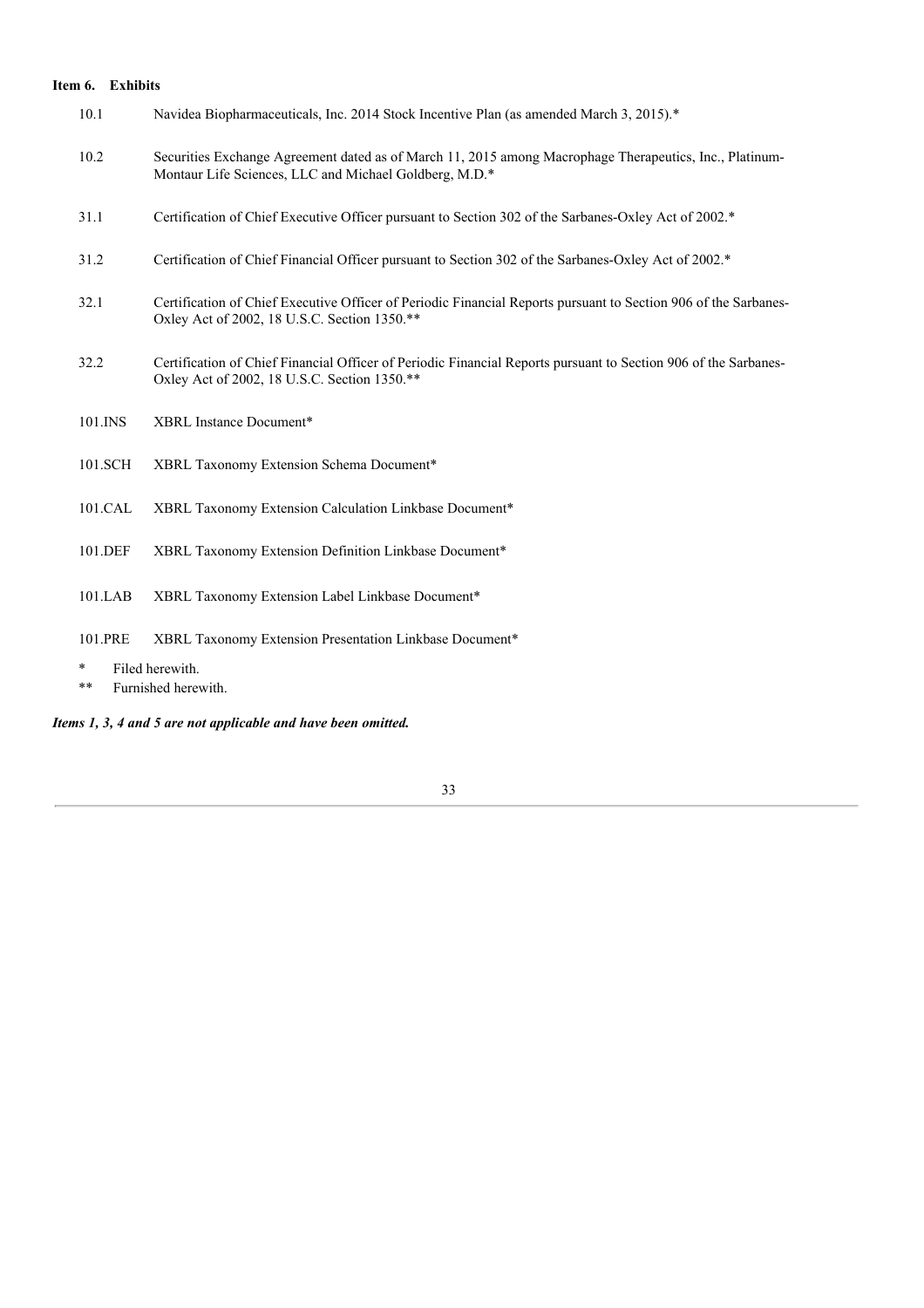### **Item 6. Exhibits**

| 10.1                      | Navidea Biopharmaceuticals, Inc. 2014 Stock Incentive Plan (as amended March 3, 2015). <sup>*</sup>                                                               |  |  |
|---------------------------|-------------------------------------------------------------------------------------------------------------------------------------------------------------------|--|--|
| 10.2                      | Securities Exchange Agreement dated as of March 11, 2015 among Macrophage Therapeutics, Inc., Platinum-<br>Montaur Life Sciences, LLC and Michael Goldberg, M.D.* |  |  |
| 31.1                      | Certification of Chief Executive Officer pursuant to Section 302 of the Sarbanes-Oxley Act of 2002.*                                                              |  |  |
| 31.2                      | Certification of Chief Financial Officer pursuant to Section 302 of the Sarbanes-Oxley Act of 2002.*                                                              |  |  |
| 32.1                      | Certification of Chief Executive Officer of Periodic Financial Reports pursuant to Section 906 of the Sarbanes-<br>Oxley Act of 2002, 18 U.S.C. Section 1350.**   |  |  |
| 32.2                      | Certification of Chief Financial Officer of Periodic Financial Reports pursuant to Section 906 of the Sarbanes-<br>Oxley Act of 2002, 18 U.S.C. Section 1350.**   |  |  |
| 101.INS                   | XBRL Instance Document*                                                                                                                                           |  |  |
| 101.SCH                   | XBRL Taxonomy Extension Schema Document*                                                                                                                          |  |  |
| 101.CAL                   | XBRL Taxonomy Extension Calculation Linkbase Document*                                                                                                            |  |  |
| 101.DEF                   | XBRL Taxonomy Extension Definition Linkbase Document*                                                                                                             |  |  |
| 101.LAB                   | XBRL Taxonomy Extension Label Linkbase Document*                                                                                                                  |  |  |
| 101.PRE                   | XBRL Taxonomy Extension Presentation Linkbase Document*                                                                                                           |  |  |
| Filed herewith.<br>$\ast$ |                                                                                                                                                                   |  |  |
| **<br>Furnished herewith. |                                                                                                                                                                   |  |  |

*Items 1, 3, 4 and 5 are not applicable and have been omitted.*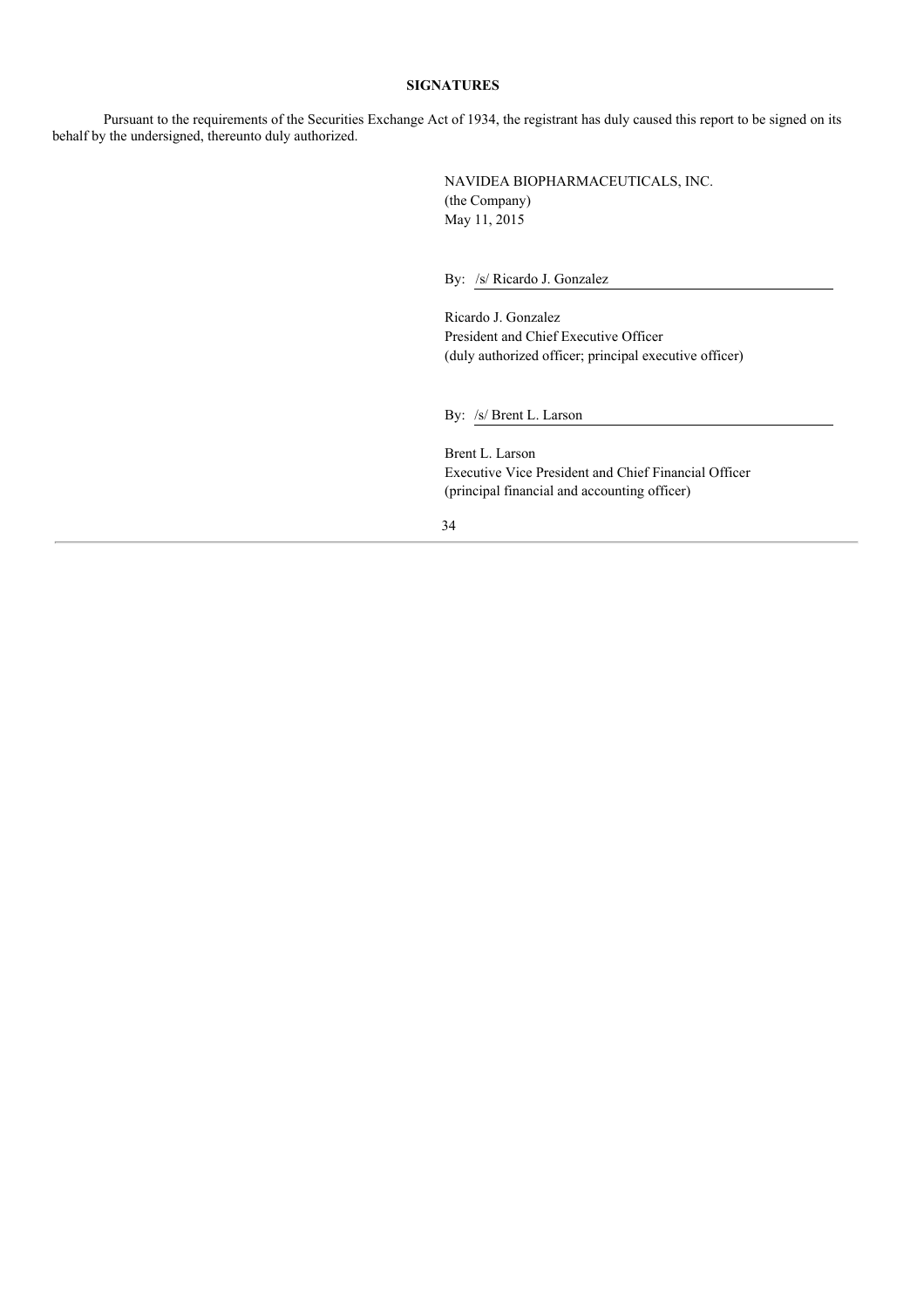### **SIGNATURES**

Pursuant to the requirements of the Securities Exchange Act of 1934, the registrant has duly caused this report to be signed on its behalf by the undersigned, thereunto duly authorized.

> NAVIDEA BIOPHARMACEUTICALS, INC. (the Company) May 11, 2015

By: /s/ Ricardo J. Gonzalez

Ricardo J. Gonzalez President and Chief Executive Officer (duly authorized officer; principal executive officer)

By: /s/ Brent L. Larson

Brent L. Larson Executive Vice President and Chief Financial Officer (principal financial and accounting officer)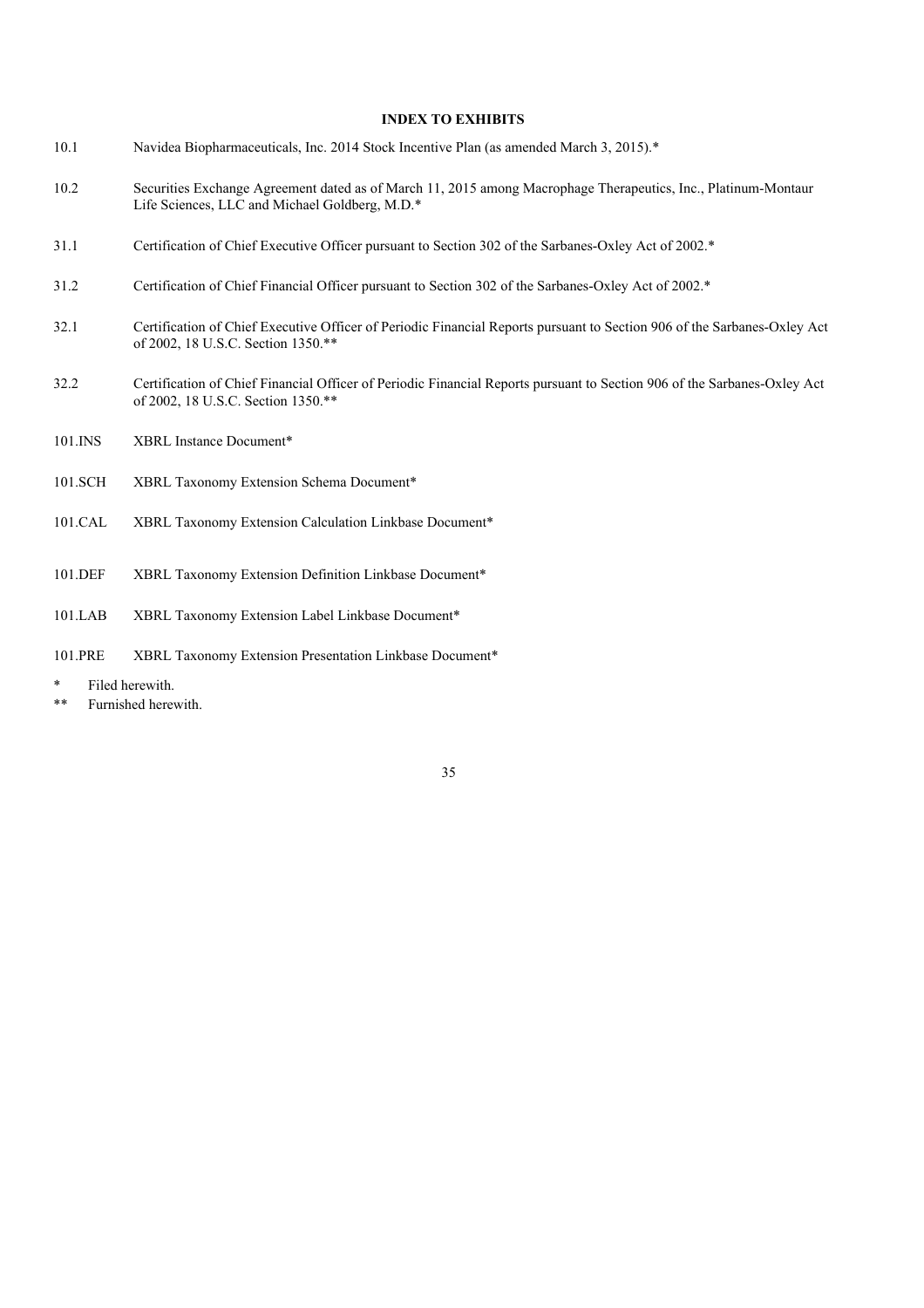### **INDEX TO EXHIBITS**

- 10.1 Navidea Biopharmaceuticals, Inc. 2014 Stock Incentive Plan (as amended March 3, 2015).\*
- 10.2 Securities Exchange Agreement dated as of March 11, 2015 among Macrophage Therapeutics, Inc., Platinum-Montaur Life Sciences, LLC and Michael Goldberg, M.D.\*
- 31.1 Certification of Chief Executive Officer pursuant to Section 302 of the Sarbanes-Oxley Act of 2002.\*
- 31.2 Certification of Chief Financial Officer pursuant to Section 302 of the Sarbanes-Oxley Act of 2002.\*
- 32.1 Certification of Chief Executive Officer of Periodic Financial Reports pursuant to Section 906 of the Sarbanes-Oxley Act of 2002, 18 U.S.C. Section 1350.\*\*
- 32.2 Certification of Chief Financial Officer of Periodic Financial Reports pursuant to Section 906 of the Sarbanes-Oxley Act of 2002, 18 U.S.C. Section 1350.\*\*
- 101.INS XBRL Instance Document\*
- 101.SCH XBRL Taxonomy Extension Schema Document\*
- 101.CAL XBRL Taxonomy Extension Calculation Linkbase Document\*
- 101.DEF XBRL Taxonomy Extension Definition Linkbase Document\*
- 101.LAB XBRL Taxonomy Extension Label Linkbase Document\*
- 101.PRE XBRL Taxonomy Extension Presentation Linkbase Document\*
- Filed herewith.
- Furnished herewith.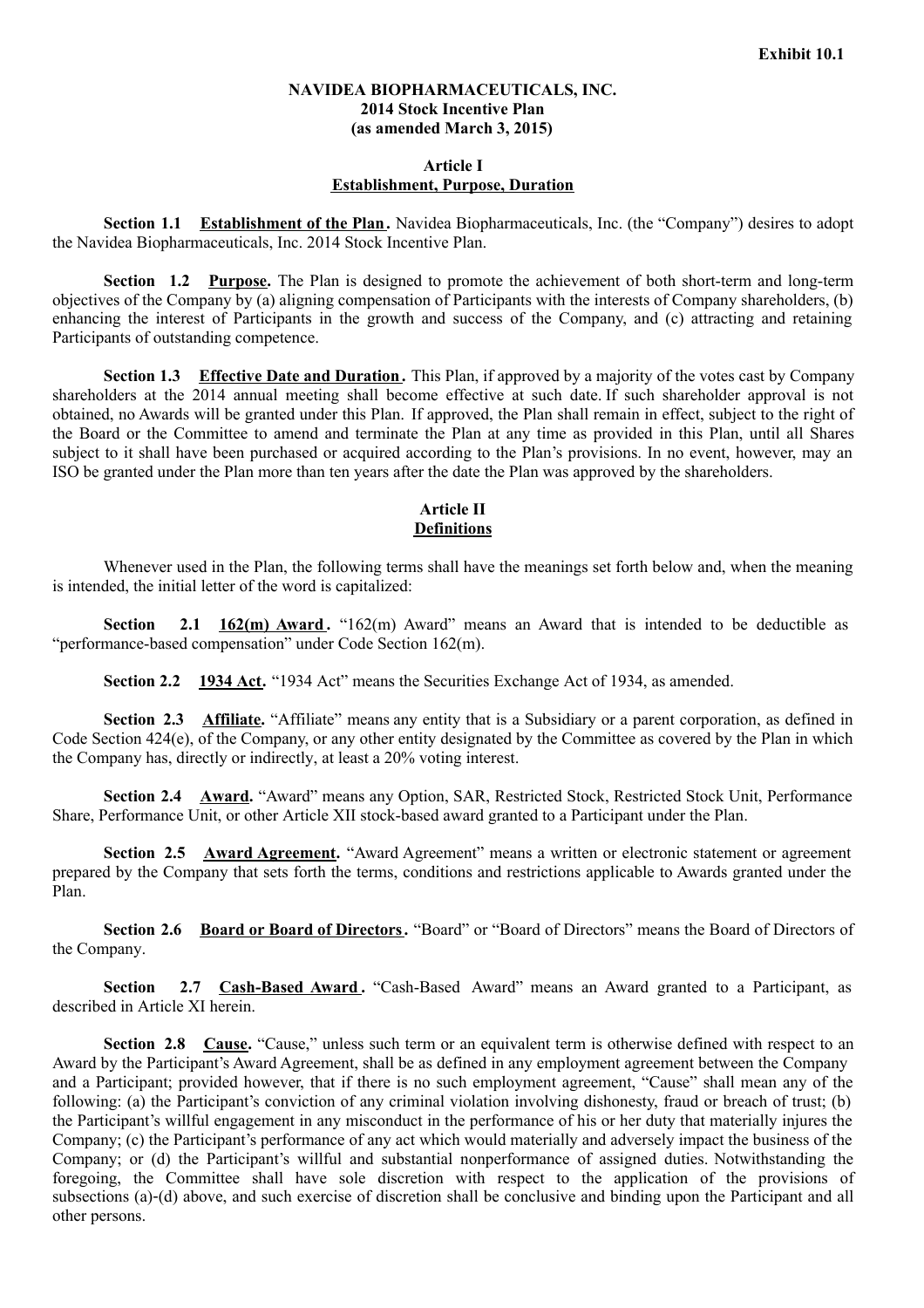## **NAVIDEA BIOPHARMACEUTICALS, INC. 2014 Stock Incentive Plan (as amended March 3, 2015)**

### **Article I Establishment, Purpose, Duration**

**Section 1.1 Establishment of the Plan.** Navidea Biopharmaceuticals, Inc. (the "Company") desires to adopt the Navidea Biopharmaceuticals, Inc. 2014 Stock Incentive Plan.

**Section 1.2 Purpose.** The Plan is designed to promote the achievement of both short-term and long-term objectives of the Company by (a) aligning compensation of Participants with the interests of Company shareholders, (b) enhancing the interest of Participants in the growth and success of the Company, and (c) attracting and retaining Participants of outstanding competence.

**Section 1.3 Effective Date and Duration.** This Plan, if approved by a majority of the votes cast by Company shareholders at the 2014 annual meeting shall become effective at such date. If such shareholder approval is not obtained, no Awards will be granted under this Plan. If approved, the Plan shall remain in effect, subject to the right of the Board or the Committee to amend and terminate the Plan at any time as provided in this Plan, until all Shares subject to it shall have been purchased or acquired according to the Plan's provisions. In no event, however, may an ISO be granted under the Plan more than ten years after the date the Plan was approved by the shareholders.

## **Article II Definitions**

Whenever used in the Plan, the following terms shall have the meanings set forth below and, when the meaning is intended, the initial letter of the word is capitalized:

**Section 2.1 162(m) Award .** "162(m) Award" means an Award that is intended to be deductible as "performance-based compensation" under Code Section 162(m).

**Section 2.2 1934 Act.** "1934 Act" means the Securities Exchange Act of 1934, as amended.

**Section 2.3 Affiliate.** "Affiliate" means any entity that is a Subsidiary or a parent corporation, as defined in Code Section 424(e), of the Company, or any other entity designated by the Committee as covered by the Plan in which the Company has, directly or indirectly, at least a 20% voting interest.

**Section 2.4 Award.** "Award" means any Option, SAR, Restricted Stock, Restricted Stock Unit, Performance Share, Performance Unit, or other Article XII stock-based award granted to a Participant under the Plan.

**Section 2.5 Award Agreement.** "Award Agreement" means a written or electronic statement or agreement prepared by the Company that sets forth the terms, conditions and restrictions applicable to Awards granted under the Plan.

**Section 2.6 Board or Board of Directors.** "Board" or "Board of Directors" means the Board of Directors of the Company.

**Section 2.7 Cash-Based Award .** "Cash-Based Award" means an Award granted to a Participant, as described in Article XI herein.

**Section 2.8 Cause.** "Cause," unless such term or an equivalent term is otherwise defined with respect to an Award by the Participant's Award Agreement, shall be as defined in any employment agreement between the Company and a Participant; provided however, that if there is no such employment agreement, "Cause" shall mean any of the following: (a) the Participant's conviction of any criminal violation involving dishonesty, fraud or breach of trust; (b) the Participant's willful engagement in any misconduct in the performance of his or her duty that materially injures the Company; (c) the Participant's performance of any act which would materially and adversely impact the business of the Company; or (d) the Participant's willful and substantial nonperformance of assigned duties. Notwithstanding the foregoing, the Committee shall have sole discretion with respect to the application of the provisions of subsections (a)–(d) above, and such exercise of discretion shall be conclusive and binding upon the Participant and all other persons.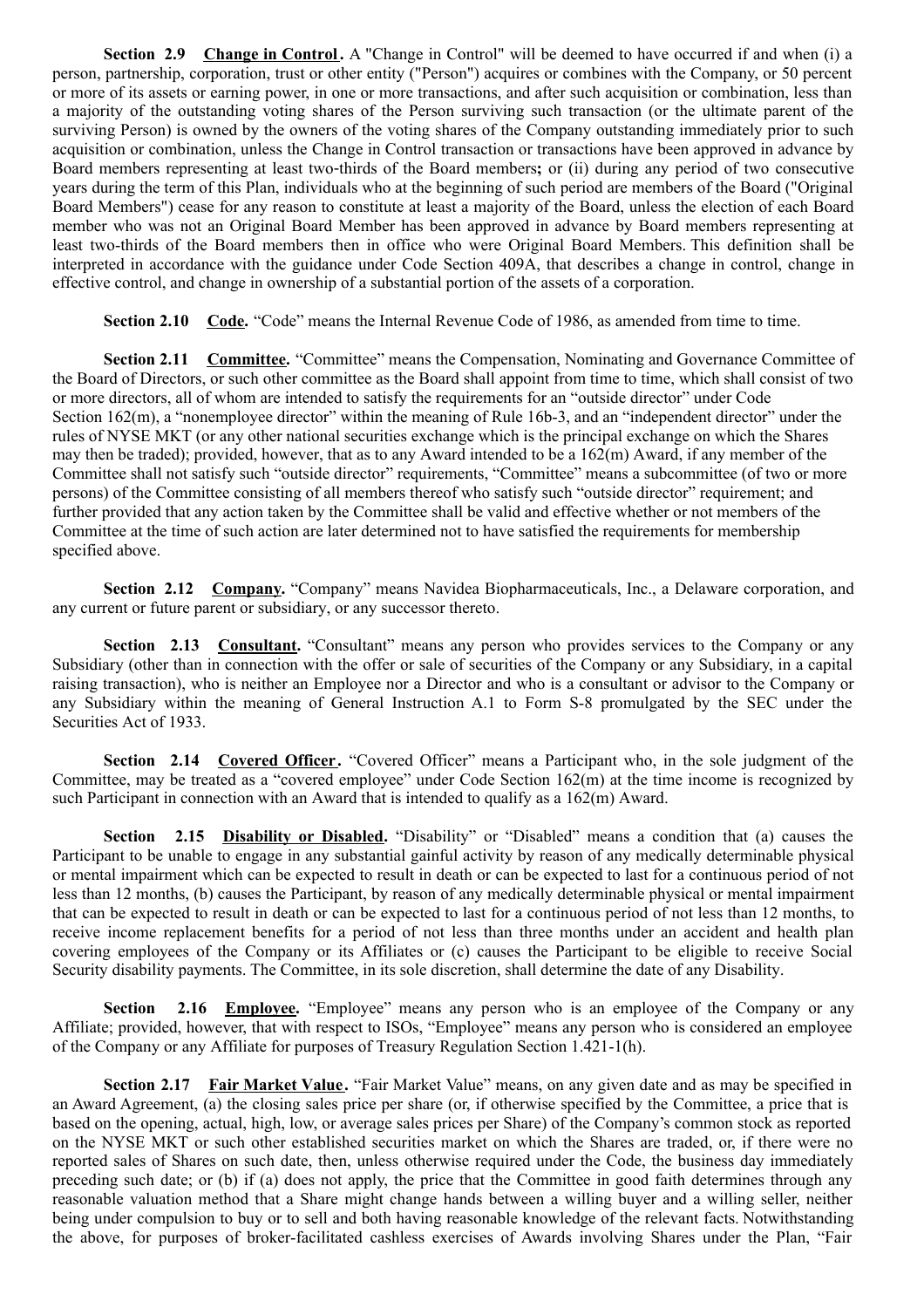**Section 2.9 Change in Control.** A "Change in Control" will be deemed to have occurred if and when (i) a person, partnership, corporation, trust or other entity ("Person") acquires or combines with the Company, or 50 percent or more of its assets or earning power, in one or more transactions, and after such acquisition or combination, less than a majority of the outstanding voting shares of the Person surviving such transaction (or the ultimate parent of the surviving Person) is owned by the owners of the voting shares of the Company outstanding immediately prior to such acquisition or combination, unless the Change in Control transaction or transactions have been approved in advance by Board members representing at least two-thirds of the Board members; or (ii) during any period of two consecutive years during the term of this Plan, individuals who at the beginning of such period are members of the Board ("Original Board Members") cease for any reason to constitute at least a majority of the Board, unless the election of each Board member who was not an Original Board Member has been approved in advance by Board members representing at least two-thirds of the Board members then in office who were Original Board Members. This definition shall be interpreted in accordance with the guidance under Code Section 409A, that describes a change in control, change in effective control, and change in ownership of a substantial portion of the assets of a corporation.

**Section 2.10 Code.** "Code" means the Internal Revenue Code of 1986, as amended from time to time.

**Section 2.11 Committee.** "Committee" means the Compensation, Nominating and Governance Committee of the Board of Directors, or such other committee as the Board shall appoint from time to time, which shall consist of two or more directors, all of whom are intended to satisfy the requirements for an "outside director" under Code Section 162(m), a "nonemployee director" within the meaning of Rule 16b-3, and an "independent director" under the rules of NYSE MKT (or any other national securities exchange which is the principal exchange on which the Shares may then be traded); provided, however, that as to any Award intended to be a 162(m) Award, if any member of the Committee shall not satisfy such "outside director" requirements, "Committee" means a subcommittee (of two or more persons) of the Committee consisting of all members thereof who satisfy such "outside director" requirement; and further provided that any action taken by the Committee shall be valid and effective whether or not members of the Committee at the time of such action are later determined not to have satisfied the requirements for membership specified above.

**Section 2.12 Company.** "Company" means Navidea Biopharmaceuticals, Inc., a Delaware corporation, and any current or future parent or subsidiary, or any successor thereto.

**Section** 2.13 **Consultant.** "Consultant" means any person who provides services to the Company or any Subsidiary (other than in connection with the offer or sale of securities of the Company or any Subsidiary, in a capital raising transaction), who is neither an Employee nor a Director and who is a consultant or advisor to the Company or any Subsidiary within the meaning of General Instruction A.1 to Form S-8 promulgated by the SEC under the Securities Act of 1933.

**Section 2.14 Covered Officer.** "Covered Officer" means a Participant who, in the sole judgment of the Committee, may be treated as a "covered employee" under Code Section 162(m) at the time income is recognized by such Participant in connection with an Award that is intended to qualify as a 162(m) Award.

**Section 2.15 Disability or Disabled.** "Disability" or "Disabled" means a condition that (a) causes the Participant to be unable to engage in any substantial gainful activity by reason of any medically determinable physical or mental impairment which can be expected to result in death or can be expected to last for a continuous period of not less than 12 months, (b) causes the Participant, by reason of any medically determinable physical or mental impairment that can be expected to result in death or can be expected to last for a continuous period of not less than 12 months, to receive income replacement benefits for a period of not less than three months under an accident and health plan covering employees of the Company or its Affiliates or (c) causes the Participant to be eligible to receive Social Security disability payments. The Committee, in its sole discretion, shall determine the date of any Disability.

**Section 2.16 Employee.** "Employee" means any person who is an employee of the Company or any Affiliate; provided, however, that with respect to ISOs, "Employee" means any person who is considered an employee of the Company or any Affiliate for purposes of Treasury Regulation Section 1.421-1(h).

**Section 2.17 Fair Market Value.** "Fair Market Value" means, on any given date and as may be specified in an Award Agreement, (a) the closing sales price per share (or, if otherwise specified by the Committee, a price that is based on the opening, actual, high, low, or average sales prices per Share) of the Company's common stock as reported on the NYSE MKT or such other established securities market on which the Shares are traded, or, if there were no reported sales of Shares on such date, then, unless otherwise required under the Code, the business day immediately preceding such date; or (b) if (a) does not apply, the price that the Committee in good faith determines through any reasonable valuation method that a Share might change hands between a willing buyer and a willing seller, neither being under compulsion to buy or to sell and both having reasonable knowledge of the relevant facts. Notwithstanding the above, for purposes of broker-facilitated cashless exercises of Awards involving Shares under the Plan, "Fair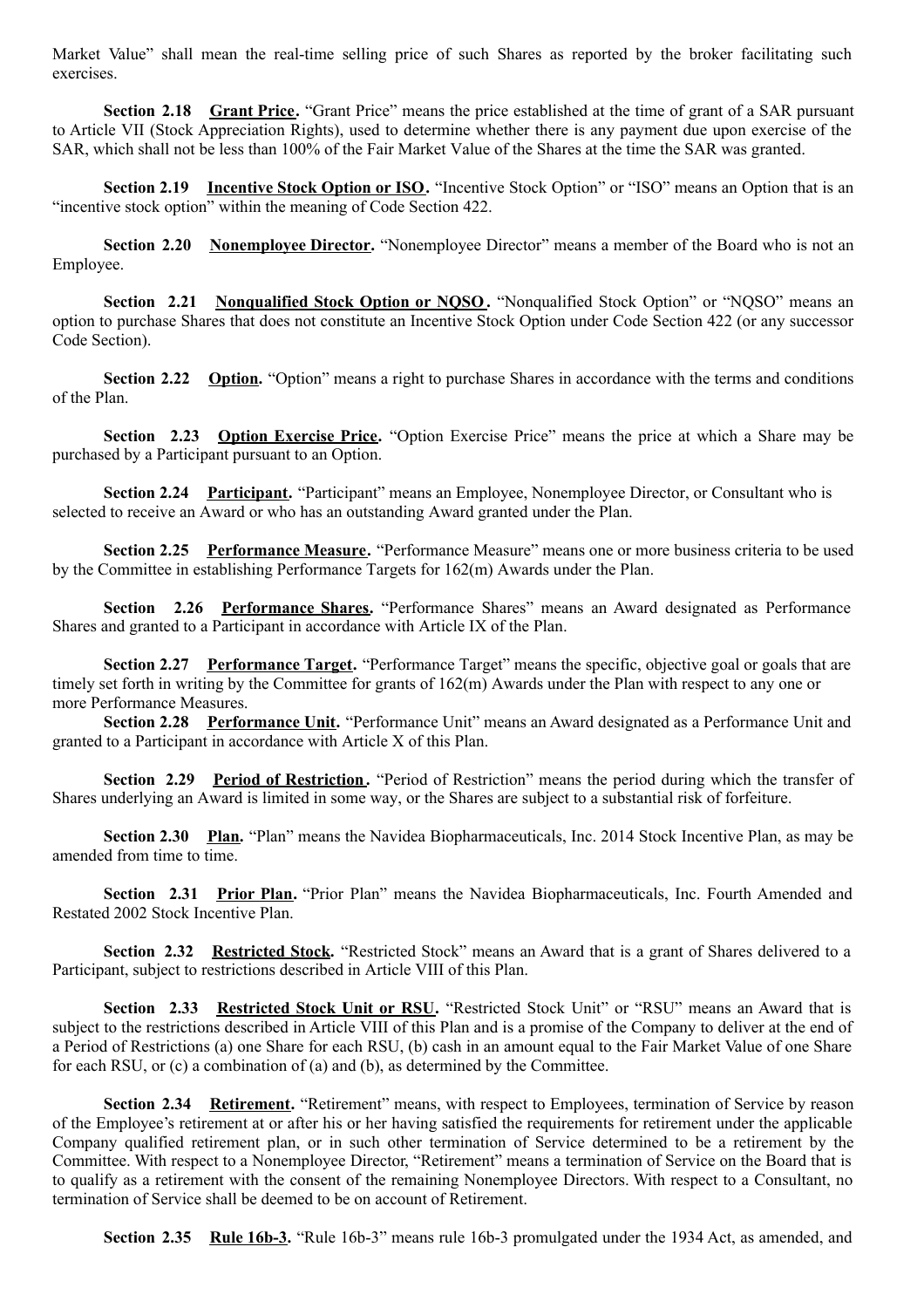Market Value" shall mean the real-time selling price of such Shares as reported by the broker facilitating such exercises.

**Section 2.18 Grant Price.** "Grant Price" means the price established at the time of grant of a SAR pursuant to Article VII (Stock Appreciation Rights), used to determine whether there is any payment due upon exercise of the SAR, which shall not be less than 100% of the Fair Market Value of the Shares at the time the SAR was granted.

**Section 2.19 Incentive Stock Option or ISO.** "Incentive Stock Option" or "ISO" means an Option that is an "incentive stock option" within the meaning of Code Section 422.

**Section 2.20 Nonemployee Director.** "Nonemployee Director" means a member of the Board who is not an Employee.

**Section 2.21 Nonqualified Stock Option or NQSO.** "Nonqualified Stock Option" or "NQSO" means an option to purchase Shares that does not constitute an Incentive Stock Option under Code Section 422 (or any successor Code Section).

**Section 2.22 Option.** "Option" means a right to purchase Shares in accordance with the terms and conditions of the Plan.

**Section 2.23 Option Exercise Price.** "Option Exercise Price" means the price at which a Share may be purchased by a Participant pursuant to an Option.

**Section 2.24 Participant.** "Participant" means an Employee, Nonemployee Director, or Consultant who is selected to receive an Award or who has an outstanding Award granted under the Plan.

**Section 2.25 Performance Measure.** "Performance Measure" means one or more business criteria to be used by the Committee in establishing Performance Targets for 162(m) Awards under the Plan.

**Section 2.26 Performance Shares.** "Performance Shares" means an Award designated as Performance Shares and granted to a Participant in accordance with Article IX of the Plan.

**Section 2.27 Performance Target.** "Performance Target" means the specific, objective goal or goals that are timely set forth in writing by the Committee for grants of 162(m) Awards under the Plan with respect to any one or more Performance Measures.

**Section 2.28** Performance Unit. "Performance Unit" means an Award designated as a Performance Unit and granted to a Participant in accordance with Article X of this Plan.

**Section 2.29 Period of Restriction.** "Period of Restriction" means the period during which the transfer of Shares underlying an Award is limited in some way, or the Shares are subject to a substantial risk of forfeiture.

**Section 2.30 Plan.** "Plan" means the Navidea Biopharmaceuticals, Inc. 2014 Stock Incentive Plan, as may be amended from time to time.

**Section 2.31 Prior Plan.** "Prior Plan" means the Navidea Biopharmaceuticals, Inc. Fourth Amended and Restated 2002 Stock Incentive Plan.

**Section 2.32 Restricted Stock.** "Restricted Stock" means an Award that is a grant of Shares delivered to a Participant, subject to restrictions described in Article VIII of this Plan.

**Section 2.33 Restricted Stock Unit or RSU.** "Restricted Stock Unit" or "RSU" means an Award that is subject to the restrictions described in Article VIII of this Plan and is a promise of the Company to deliver at the end of a Period of Restrictions (a) one Share for each RSU, (b) cash in an amount equal to the Fair Market Value of one Share for each RSU, or (c) a combination of (a) and (b), as determined by the Committee.

**Section 2.34 Retirement.** "Retirement" means, with respect to Employees, termination of Service by reason of the Employee's retirement at or after his or her having satisfied the requirements for retirement under the applicable Company qualified retirement plan, or in such other termination of Service determined to be a retirement by the Committee. With respect to a Nonemployee Director, "Retirement" means a termination of Service on the Board that is to qualify as a retirement with the consent of the remaining Nonemployee Directors. With respect to a Consultant, no termination of Service shall be deemed to be on account of Retirement.

**Section 2.35 Rule 16b-3.** "Rule 16b-3" means rule 16b-3 promulgated under the 1934 Act, as amended, and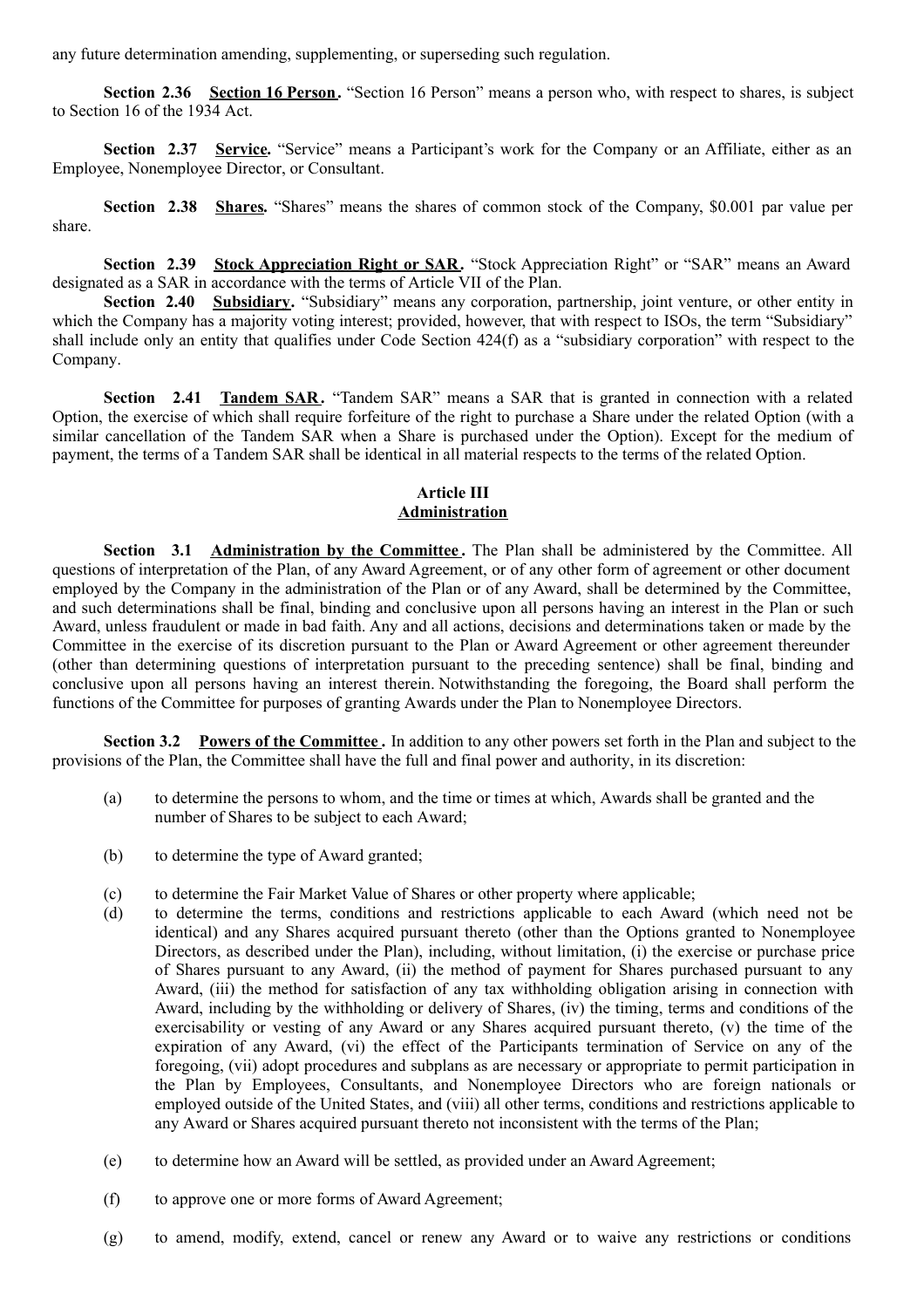any future determination amending, supplementing, or superseding such regulation.

**Section 2.36 Section 16 Person.** "Section 16 Person" means a person who, with respect to shares, is subject to Section 16 of the 1934 Act.

**Section 2.37 Service.** "Service" means a Participant's work for the Company or an Affiliate, either as an Employee, Nonemployee Director, or Consultant.

**Section 2.38 Shares.** "Shares" means the shares of common stock of the Company, \$0.001 par value per share.

**Section 2.39 Stock Appreciation Right or SAR.** "Stock Appreciation Right" or "SAR" means an Award designated as a SAR in accordance with the terms of Article VII of the Plan.

**Section 2.40 Subsidiary.** "Subsidiary" means any corporation, partnership, joint venture, or other entity in which the Company has a majority voting interest; provided, however, that with respect to ISOs, the term "Subsidiary" shall include only an entity that qualifies under Code Section 424(f) as a "subsidiary corporation" with respect to the Company.

**Section 2.41 Tandem SAR.** "Tandem SAR" means a SAR that is granted in connection with a related Option, the exercise of which shall require forfeiture of the right to purchase a Share under the related Option (with a similar cancellation of the Tandem SAR when a Share is purchased under the Option). Except for the medium of payment, the terms of a Tandem SAR shall be identical in all material respects to the terms of the related Option.

## **Article III Administration**

**Section 3.1 Administration by the Committee .** The Plan shall be administered by the Committee. All questions of interpretation of the Plan, of any Award Agreement, or of any other form of agreement or other document employed by the Company in the administration of the Plan or of any Award, shall be determined by the Committee, and such determinations shall be final, binding and conclusive upon all persons having an interest in the Plan or such Award, unless fraudulent or made in bad faith. Any and all actions, decisions and determinations taken or made by the Committee in the exercise of its discretion pursuant to the Plan or Award Agreement or other agreement thereunder (other than determining questions of interpretation pursuant to the preceding sentence) shall be final, binding and conclusive upon all persons having an interest therein. Notwithstanding the foregoing, the Board shall perform the functions of the Committee for purposes of granting Awards under the Plan to Nonemployee Directors.

**Section 3.2 Powers of the Committee .** In addition to any other powers set forth in the Plan and subject to the provisions of the Plan, the Committee shall have the full and final power and authority, in its discretion:

- (a) to determine the persons to whom, and the time or times at which, Awards shall be granted and the number of Shares to be subject to each Award;
- (b) to determine the type of Award granted;
- (c) to determine the Fair Market Value of Shares or other property where applicable;
- (d) to determine the terms, conditions and restrictions applicable to each Award (which need not be identical) and any Shares acquired pursuant thereto (other than the Options granted to Nonemployee Directors, as described under the Plan), including, without limitation, (i) the exercise or purchase price of Shares pursuant to any Award, (ii) the method of payment for Shares purchased pursuant to any Award, (iii) the method for satisfaction of any tax withholding obligation arising in connection with Award, including by the withholding or delivery of Shares, (iv) the timing, terms and conditions of the exercisability or vesting of any Award or any Shares acquired pursuant thereto, (v) the time of the expiration of any Award, (vi) the effect of the Participants termination of Service on any of the foregoing, (vii) adopt procedures and subplans as are necessary or appropriate to permit participation in the Plan by Employees, Consultants, and Nonemployee Directors who are foreign nationals or employed outside of the United States, and (viii) all other terms, conditions and restrictions applicable to any Award or Shares acquired pursuant thereto not inconsistent with the terms of the Plan;
- (e) to determine how an Award will be settled, as provided under an Award Agreement;
- (f) to approve one or more forms of Award Agreement;
- (g) to amend, modify, extend, cancel or renew any Award or to waive any restrictions or conditions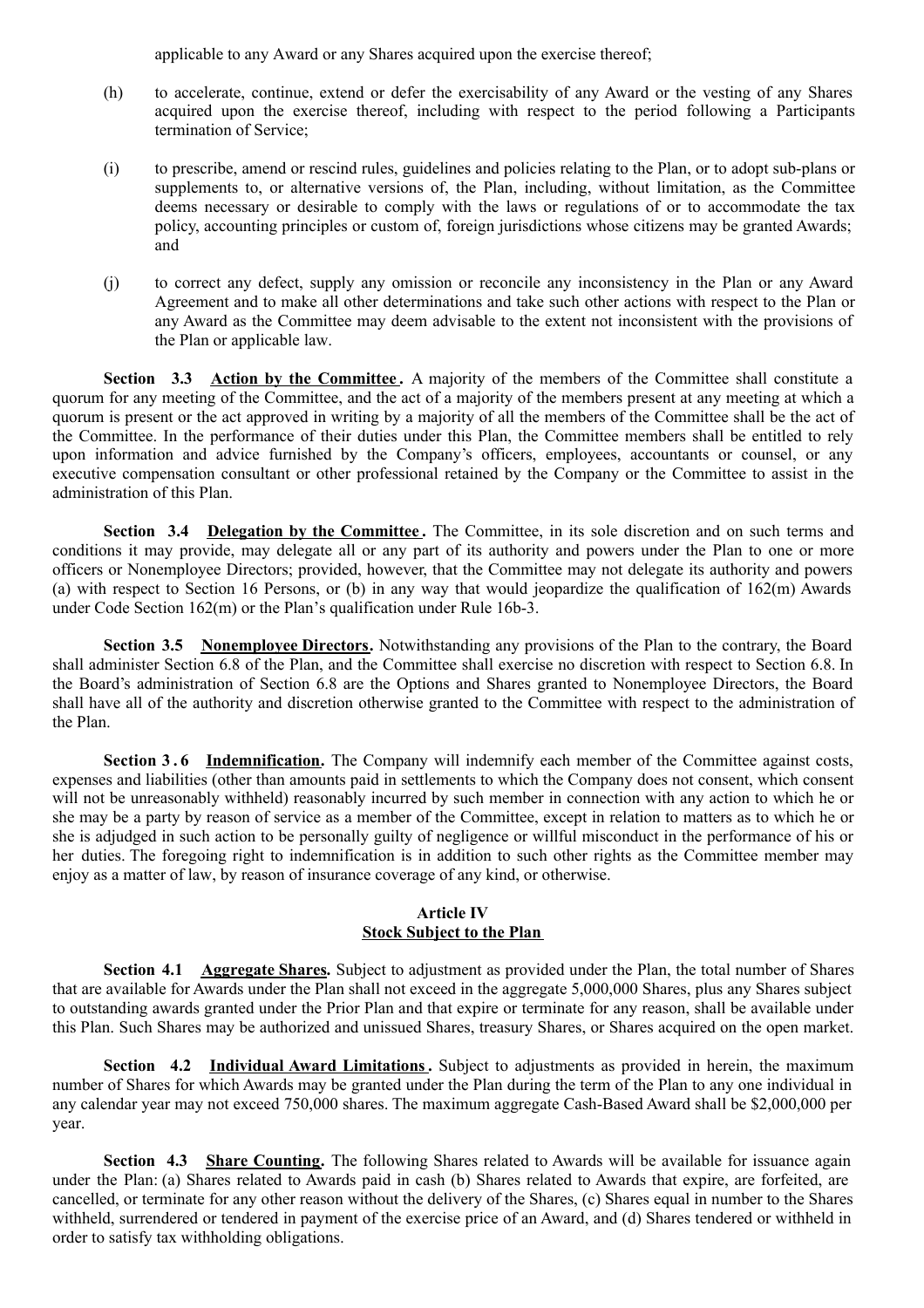applicable to any Award or any Shares acquired upon the exercise thereof;

- (h) to accelerate, continue, extend or defer the exercisability of any Award or the vesting of any Shares acquired upon the exercise thereof, including with respect to the period following a Participants termination of Service;
- (i) to prescribe, amend or rescind rules, guidelines and policies relating to the Plan, or to adopt sub-plans or supplements to, or alternative versions of, the Plan, including, without limitation, as the Committee deems necessary or desirable to comply with the laws or regulations of or to accommodate the tax policy, accounting principles or custom of, foreign jurisdictions whose citizens may be granted Awards; and
- (j) to correct any defect, supply any omission or reconcile any inconsistency in the Plan or any Award Agreement and to make all other determinations and take such other actions with respect to the Plan or any Award as the Committee may deem advisable to the extent not inconsistent with the provisions of the Plan or applicable law.

**Section 3.3 Action by the Committee .** A majority of the members of the Committee shall constitute a quorum for any meeting of the Committee, and the act of a majority of the members present at any meeting at which a quorum is present or the act approved in writing by a majority of all the members of the Committee shall be the act of the Committee. In the performance of their duties under this Plan, the Committee members shall be entitled to rely upon information and advice furnished by the Company's officers, employees, accountants or counsel, or any executive compensation consultant or other professional retained by the Company or the Committee to assist in the administration of this Plan.

**Section 3.4 Delegation by the Committee**. The Committee, in its sole discretion and on such terms and conditions it may provide, may delegate all or any part of its authority and powers under the Plan to one or more officers or Nonemployee Directors; provided, however, that the Committee may not delegate its authority and powers (a) with respect to Section 16 Persons, or (b) in any way that would jeopardize the qualification of 162(m) Awards under Code Section 162(m) or the Plan's qualification under Rule 16b-3.

**Section 3.5 Nonemployee Directors.** Notwithstanding any provisions of the Plan to the contrary, the Board shall administer Section 6.8 of the Plan, and the Committee shall exercise no discretion with respect to Section 6.8. In the Board's administration of Section 6.8 are the Options and Shares granted to Nonemployee Directors, the Board shall have all of the authority and discretion otherwise granted to the Committee with respect to the administration of the Plan.

**Section 3.6 Indemnification.** The Company will indemnify each member of the Committee against costs, expenses and liabilities (other than amounts paid in settlements to which the Company does not consent, which consent will not be unreasonably withheld) reasonably incurred by such member in connection with any action to which he or she may be a party by reason of service as a member of the Committee, except in relation to matters as to which he or she is adjudged in such action to be personally guilty of negligence or willful misconduct in the performance of his or her duties. The foregoing right to indemnification is in addition to such other rights as the Committee member may enjoy as a matter of law, by reason of insurance coverage of any kind, or otherwise.

## **Article IV Stock Subject to the Plan**

**Section 4.1 Aggregate Shares.** Subject to adjustment as provided under the Plan, the total number of Shares that are available for Awards under the Plan shall not exceed in the aggregate 5,000,000 Shares, plus any Shares subject to outstanding awards granted under the Prior Plan and that expire or terminate for any reason, shall be available under this Plan. Such Shares may be authorized and unissued Shares, treasury Shares, or Shares acquired on the open market.

**Section 4.2 Individual Award Limitations.** Subject to adjustments as provided in herein, the maximum number of Shares for which Awards may be granted under the Plan during the term of the Plan to any one individual in any calendar year may not exceed 750,000 shares. The maximum aggregate Cash-Based Award shall be \$2,000,000 per year.

**Section 4.3 Share Counting.** The following Shares related to Awards will be available for issuance again under the Plan: (a) Shares related to Awards paid in cash (b) Shares related to Awards that expire, are forfeited, are cancelled, or terminate for any other reason without the delivery of the Shares, (c) Shares equal in number to the Shares withheld, surrendered or tendered in payment of the exercise price of an Award, and (d) Shares tendered or withheld in order to satisfy tax withholding obligations.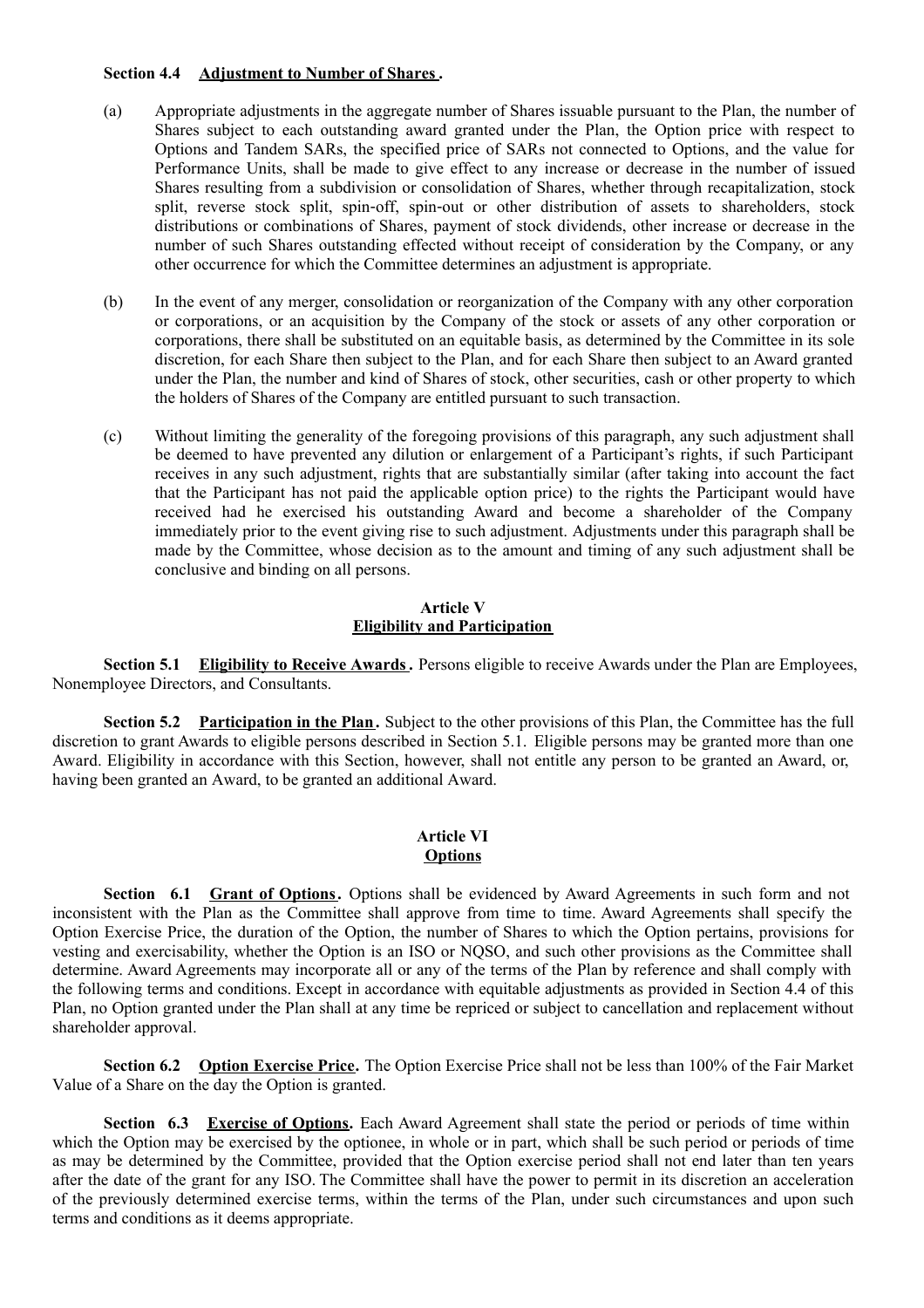## **Section 4.4 Adjustment to Number of Shares .**

- (a) Appropriate adjustments in the aggregate number of Shares issuable pursuant to the Plan, the number of Shares subject to each outstanding award granted under the Plan, the Option price with respect to Options and Tandem SARs, the specified price of SARs not connected to Options, and the value for Performance Units, shall be made to give effect to any increase or decrease in the number of issued Shares resulting from a subdivision or consolidation of Shares, whether through recapitalization, stock split, reverse stock split, spin-off, spin-out or other distribution of assets to shareholders, stock distributions or combinations of Shares, payment of stock dividends, other increase or decrease in the number of such Shares outstanding effected without receipt of consideration by the Company, or any other occurrence for which the Committee determines an adjustment is appropriate.
- (b) In the event of any merger, consolidation or reorganization of the Company with any other corporation or corporations, or an acquisition by the Company of the stock or assets of any other corporation or corporations, there shall be substituted on an equitable basis, as determined by the Committee in its sole discretion, for each Share then subject to the Plan, and for each Share then subject to an Award granted under the Plan, the number and kind of Shares of stock, other securities, cash or other property to which the holders of Shares of the Company are entitled pursuant to such transaction.
- (c) Without limiting the generality of the foregoing provisions of this paragraph, any such adjustment shall be deemed to have prevented any dilution or enlargement of a Participant's rights, if such Participant receives in any such adjustment, rights that are substantially similar (after taking into account the fact that the Participant has not paid the applicable option price) to the rights the Participant would have received had he exercised his outstanding Award and become a shareholder of the Company immediately prior to the event giving rise to such adjustment. Adjustments under this paragraph shall be made by the Committee, whose decision as to the amount and timing of any such adjustment shall be conclusive and binding on all persons.

## **Article V Eligibility and Participation**

**Section 5.1 Eligibility to Receive Awards.** Persons eligible to receive Awards under the Plan are Employees, Nonemployee Directors, and Consultants.

**Section 5.2 Participation in the Plan.** Subject to the other provisions of this Plan, the Committee has the full discretion to grant Awards to eligible persons described in Section 5.1. Eligible persons may be granted more than one Award. Eligibility in accordance with this Section, however, shall not entitle any person to be granted an Award, or, having been granted an Award, to be granted an additional Award.

## **Article VI Options**

**Section 6.1 Grant of Options.** Options shall be evidenced by Award Agreements in such form and not inconsistent with the Plan as the Committee shall approve from time to time. Award Agreements shall specify the Option Exercise Price, the duration of the Option, the number of Shares to which the Option pertains, provisions for vesting and exercisability, whether the Option is an ISO or NQSO, and such other provisions as the Committee shall determine. Award Agreements may incorporate all or any of the terms of the Plan by reference and shall comply with the following terms and conditions. Except in accordance with equitable adjustments as provided in Section 4.4 of this Plan, no Option granted under the Plan shall at any time be repriced or subject to cancellation and replacement without shareholder approval.

**Section 6.2 Option Exercise Price.** The Option Exercise Price shall not be less than 100% of the Fair Market Value of a Share on the day the Option is granted.

**Section 6.3 Exercise of Options.** Each Award Agreement shall state the period or periods of time within which the Option may be exercised by the optionee, in whole or in part, which shall be such period or periods of time as may be determined by the Committee, provided that the Option exercise period shall not end later than ten years after the date of the grant for any ISO. The Committee shall have the power to permit in its discretion an acceleration of the previously determined exercise terms, within the terms of the Plan, under such circumstances and upon such terms and conditions as it deems appropriate.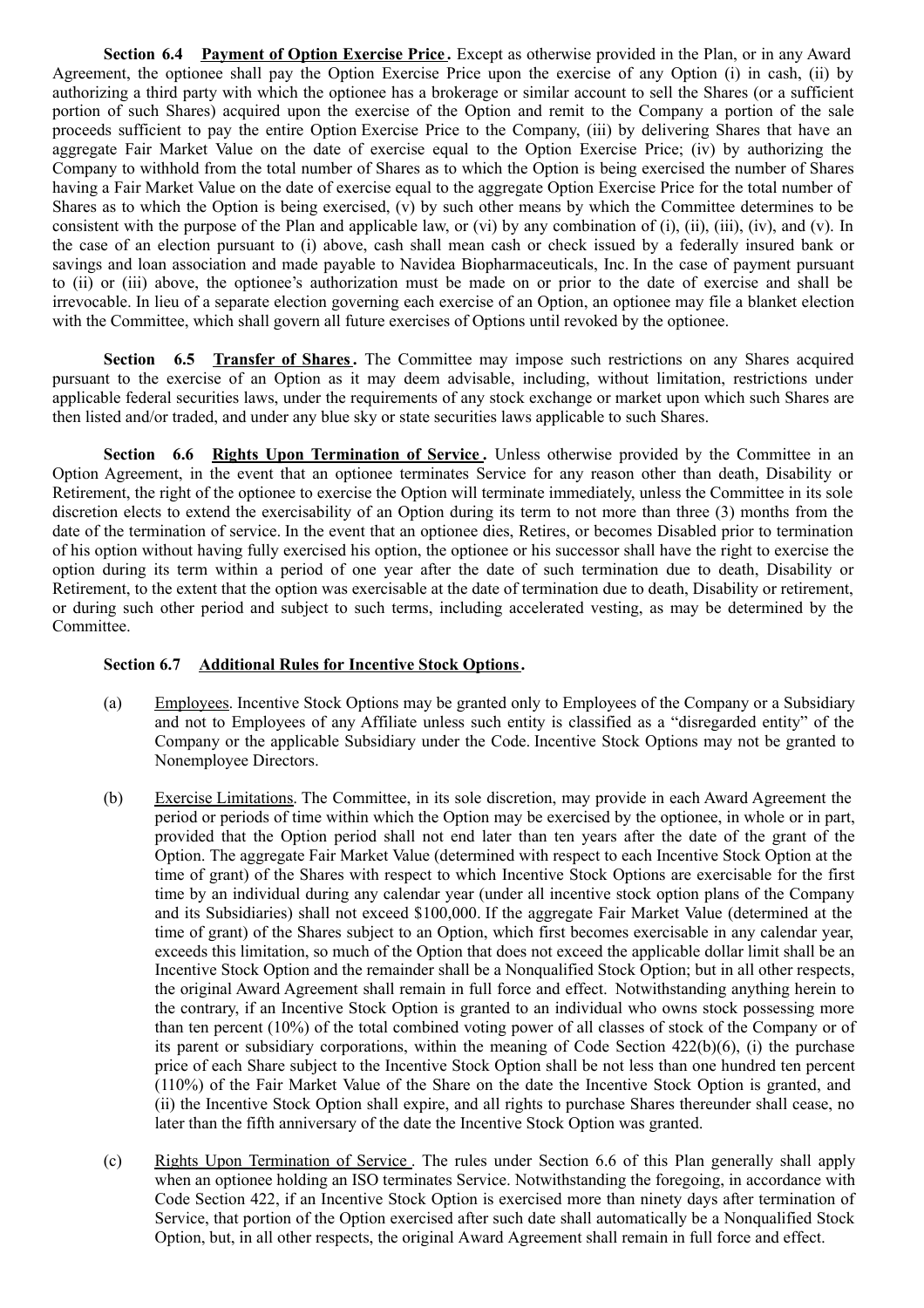**Section 6.4 Payment of Option Exercise Price .** Except as otherwise provided in the Plan, or in any Award Agreement, the optionee shall pay the Option Exercise Price upon the exercise of any Option (i) in cash, (ii) by authorizing a third party with which the optionee has a brokerage or similar account to sell the Shares (or a sufficient portion of such Shares) acquired upon the exercise of the Option and remit to the Company a portion of the sale proceeds sufficient to pay the entire Option Exercise Price to the Company, (iii) by delivering Shares that have an aggregate Fair Market Value on the date of exercise equal to the Option Exercise Price; (iv) by authorizing the Company to withhold from the total number of Shares as to which the Option is being exercised the number of Shares having a Fair Market Value on the date of exercise equal to the aggregate Option Exercise Price for the total number of Shares as to which the Option is being exercised, (v) by such other means by which the Committee determines to be consistent with the purpose of the Plan and applicable law, or (vi) by any combination of (i), (ii), (iii), (iv), and (v). In the case of an election pursuant to (i) above, cash shall mean cash or check issued by a federally insured bank or savings and loan association and made payable to Navidea Biopharmaceuticals, Inc. In the case of payment pursuant to (ii) or (iii) above, the optionee's authorization must be made on or prior to the date of exercise and shall be irrevocable. In lieu of a separate election governing each exercise of an Option, an optionee may file a blanket election with the Committee, which shall govern all future exercises of Options until revoked by the optionee.

**Section 6.5 Transfer of Shares.** The Committee may impose such restrictions on any Shares acquired pursuant to the exercise of an Option as it may deem advisable, including, without limitation, restrictions under applicable federal securities laws, under the requirements of any stock exchange or market upon which such Shares are then listed and/or traded, and under any blue sky or state securities laws applicable to such Shares.

**Section 6.6 Rights Upon Termination of Service .** Unless otherwise provided by the Committee in an Option Agreement, in the event that an optionee terminates Service for any reason other than death, Disability or Retirement, the right of the optionee to exercise the Option will terminate immediately, unless the Committee in its sole discretion elects to extend the exercisability of an Option during its term to not more than three (3) months from the date of the termination of service. In the event that an optionee dies, Retires, or becomes Disabled prior to termination of his option without having fully exercised his option, the optionee or his successor shall have the right to exercise the option during its term within a period of one year after the date of such termination due to death, Disability or Retirement, to the extent that the option was exercisable at the date of termination due to death, Disability or retirement, or during such other period and subject to such terms, including accelerated vesting, as may be determined by the Committee.

## **Section 6.7 Additional Rules for Incentive Stock Options.**

- (a) Employees. Incentive Stock Options may be granted only to Employees of the Company or a Subsidiary and not to Employees of any Affiliate unless such entity is classified as a "disregarded entity" of the Company or the applicable Subsidiary under the Code. Incentive Stock Options may not be granted to Nonemployee Directors.
- (b) Exercise Limitations. The Committee, in its sole discretion, may provide in each Award Agreement the period or periods of time within which the Option may be exercised by the optionee, in whole or in part, provided that the Option period shall not end later than ten years after the date of the grant of the Option. The aggregate Fair Market Value (determined with respect to each Incentive Stock Option at the time of grant) of the Shares with respect to which Incentive Stock Options are exercisable for the first time by an individual during any calendar year (under all incentive stock option plans of the Company and its Subsidiaries) shall not exceed \$100,000. If the aggregate Fair Market Value (determined at the time of grant) of the Shares subject to an Option, which first becomes exercisable in any calendar year, exceeds this limitation, so much of the Option that does not exceed the applicable dollar limit shall be an Incentive Stock Option and the remainder shall be a Nonqualified Stock Option; but in all other respects, the original Award Agreement shall remain in full force and effect. Notwithstanding anything herein to the contrary, if an Incentive Stock Option is granted to an individual who owns stock possessing more than ten percent (10%) of the total combined voting power of all classes of stock of the Company or of its parent or subsidiary corporations, within the meaning of Code Section 422(b)(6), (i) the purchase price of each Share subject to the Incentive Stock Option shall be not less than one hundred ten percent (110%) of the Fair Market Value of the Share on the date the Incentive Stock Option is granted, and (ii) the Incentive Stock Option shall expire, and all rights to purchase Shares thereunder shall cease, no later than the fifth anniversary of the date the Incentive Stock Option was granted.
- (c) Rights Upon Termination of Service . The rules under Section 6.6 of this Plan generally shall apply when an optionee holding an ISO terminates Service. Notwithstanding the foregoing, in accordance with Code Section 422, if an Incentive Stock Option is exercised more than ninety days after termination of Service, that portion of the Option exercised after such date shall automatically be a Nonqualified Stock Option, but, in all other respects, the original Award Agreement shall remain in full force and effect.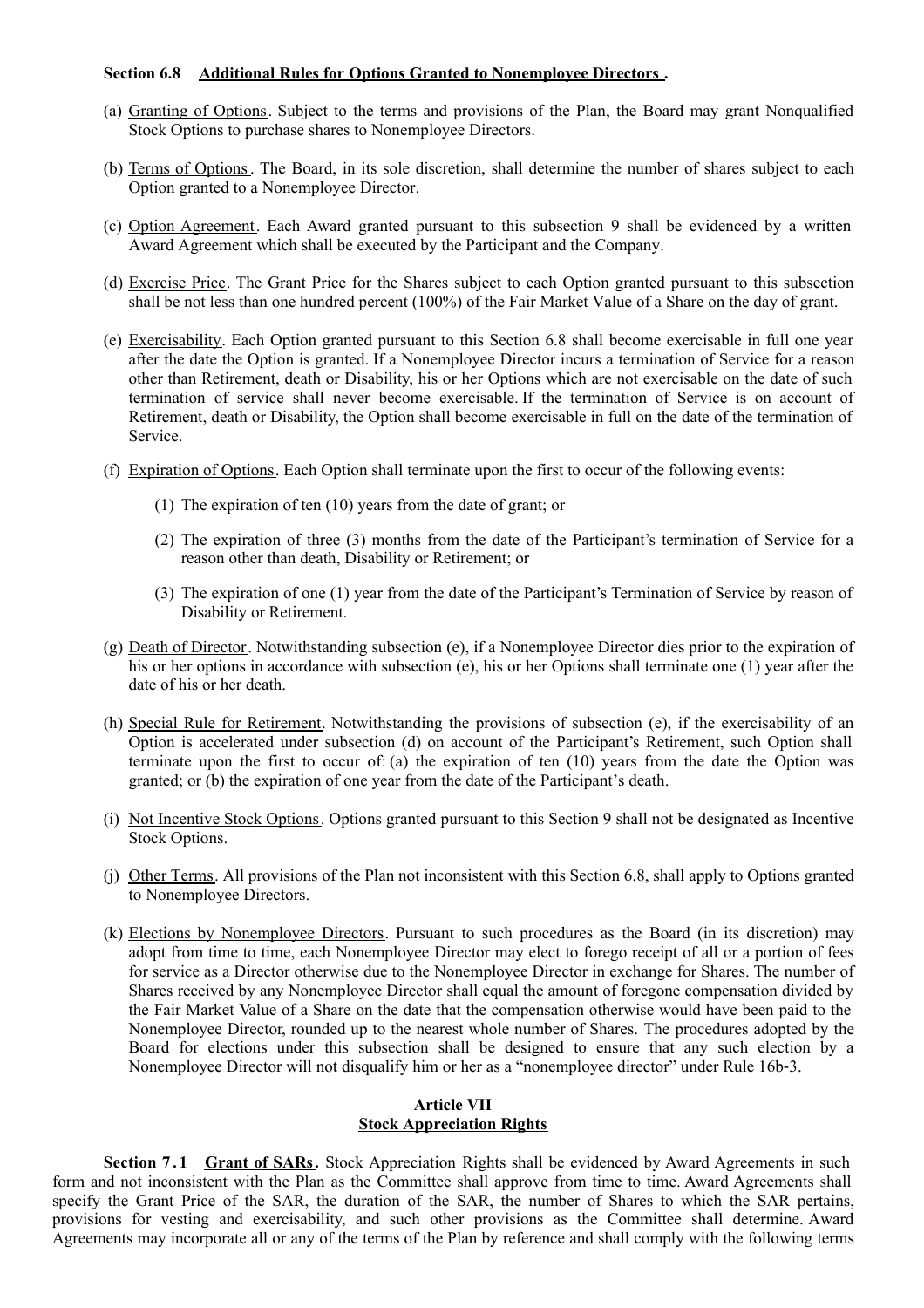## **Section 6.8 Additional Rules for Options Granted to Nonemployee Directors .**

- (a) Granting of Options. Subject to the terms and provisions of the Plan, the Board may grant Nonqualified Stock Options to purchase shares to Nonemployee Directors.
- (b) Terms of Options. The Board, in its sole discretion, shall determine the number of shares subject to each Option granted to a Nonemployee Director.
- (c) Option Agreement. Each Award granted pursuant to this subsection 9 shall be evidenced by a written Award Agreement which shall be executed by the Participant and the Company.
- (d) Exercise Price. The Grant Price for the Shares subject to each Option granted pursuant to this subsection shall be not less than one hundred percent (100%) of the Fair Market Value of a Share on the day of grant.
- (e) Exercisability. Each Option granted pursuant to this Section 6.8 shall become exercisable in full one year after the date the Option is granted. If a Nonemployee Director incurs a termination of Service for a reason other than Retirement, death or Disability, his or her Options which are not exercisable on the date of such termination of service shall never become exercisable. If the termination of Service is on account of Retirement, death or Disability, the Option shall become exercisable in full on the date of the termination of Service.
- (f) Expiration of Options. Each Option shall terminate upon the first to occur of the following events:
	- (1) The expiration of ten (10) years from the date of grant; or
	- (2) The expiration of three (3) months from the date of the Participant's termination of Service for a reason other than death, Disability or Retirement; or
	- (3) The expiration of one (1) year from the date of the Participant's Termination of Service by reason of Disability or Retirement.
- (g) Death of Director. Notwithstanding subsection (e), if a Nonemployee Director dies prior to the expiration of his or her options in accordance with subsection (e), his or her Options shall terminate one (1) year after the date of his or her death.
- (h) Special Rule for Retirement. Notwithstanding the provisions of subsection (e), if the exercisability of an Option is accelerated under subsection (d) on account of the Participant's Retirement, such Option shall terminate upon the first to occur of: (a) the expiration of ten  $(10)$  years from the date the Option was granted; or (b) the expiration of one year from the date of the Participant's death.
- (i) Not Incentive Stock Options. Options granted pursuant to this Section 9 shall not be designated as Incentive Stock Options.
- (j) Other Terms. All provisions of the Plan not inconsistent with this Section 6.8, shall apply to Options granted to Nonemployee Directors.
- (k) Elections by Nonemployee Directors. Pursuant to such procedures as the Board (in its discretion) may adopt from time to time, each Nonemployee Director may elect to forego receipt of all or a portion of fees for service as a Director otherwise due to the Nonemployee Director in exchange for Shares. The number of Shares received by any Nonemployee Director shall equal the amount of foregone compensation divided by the Fair Market Value of a Share on the date that the compensation otherwise would have been paid to the Nonemployee Director, rounded up to the nearest whole number of Shares. The procedures adopted by the Board for elections under this subsection shall be designed to ensure that any such election by a Nonemployee Director will not disqualify him or her as a "nonemployee director" under Rule 16b-3.

## **Article VII Stock Appreciation Rights**

**Section 7.1 Grant of SARs.** Stock Appreciation Rights shall be evidenced by Award Agreements in such form and not inconsistent with the Plan as the Committee shall approve from time to time. Award Agreements shall specify the Grant Price of the SAR, the duration of the SAR, the number of Shares to which the SAR pertains, provisions for vesting and exercisability, and such other provisions as the Committee shall determine. Award Agreements may incorporate all or any of the terms of the Plan by reference and shall comply with the following terms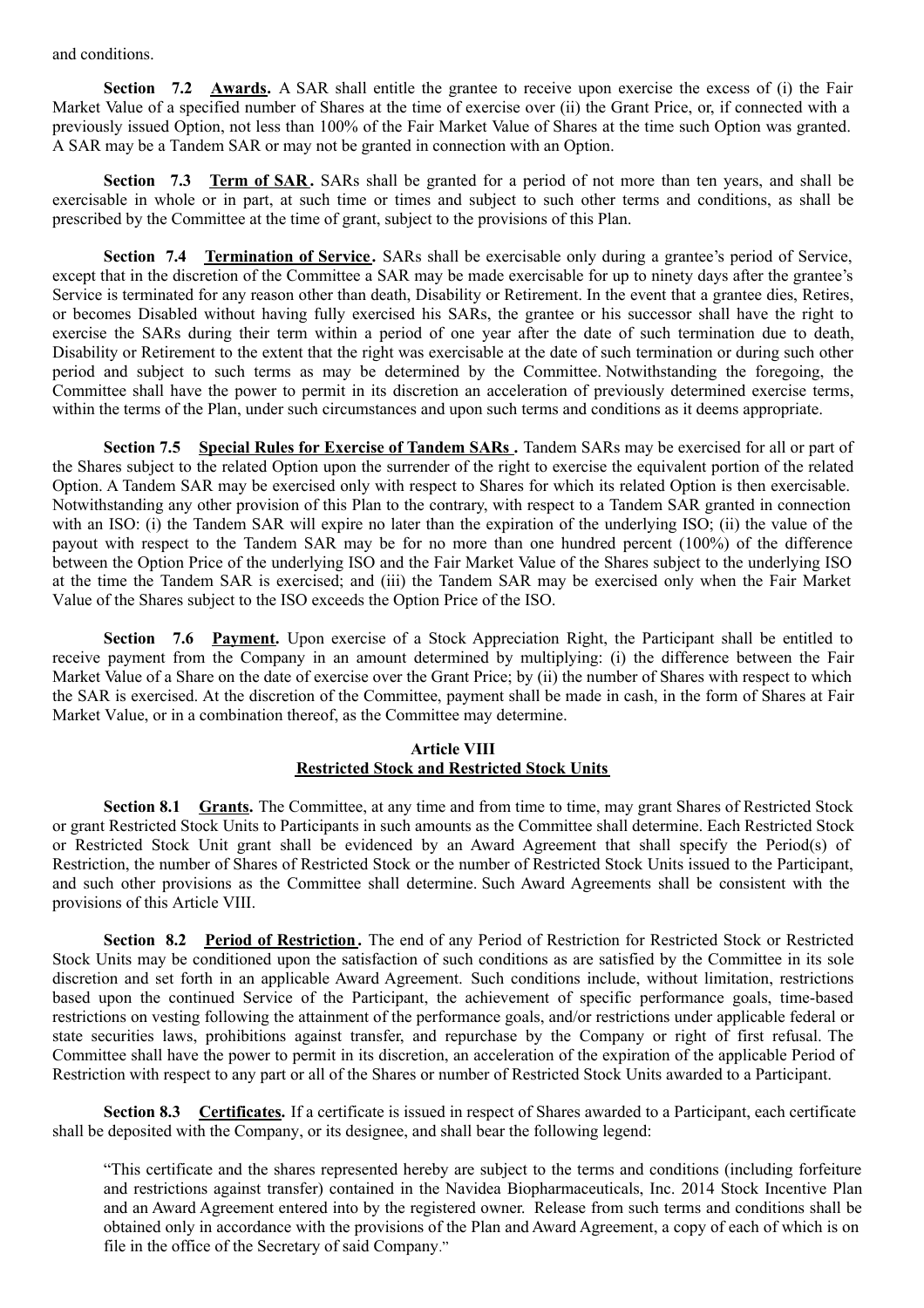and conditions.

**Section 7.2 Awards.** A SAR shall entitle the grantee to receive upon exercise the excess of (i) the Fair Market Value of a specified number of Shares at the time of exercise over (ii) the Grant Price, or, if connected with a previously issued Option, not less than 100% of the Fair Market Value of Shares at the time such Option was granted. A SAR may be a Tandem SAR or may not be granted in connection with an Option.

**Section 7.3 Term of SAR .** SARs shall be granted for a period of not more than ten years, and shall be exercisable in whole or in part, at such time or times and subject to such other terms and conditions, as shall be prescribed by the Committee at the time of grant, subject to the provisions of this Plan.

**Section 7.4 Termination of Service .** SARs shall be exercisable only during a grantee's period of Service, except that in the discretion of the Committee a SAR may be made exercisable for up to ninety days after the grantee's Service is terminated for any reason other than death, Disability or Retirement. In the event that a grantee dies, Retires, or becomes Disabled without having fully exercised his SARs, the grantee or his successor shall have the right to exercise the SARs during their term within a period of one year after the date of such termination due to death, Disability or Retirement to the extent that the right was exercisable at the date of such termination or during such other period and subject to such terms as may be determined by the Committee. Notwithstanding the foregoing, the Committee shall have the power to permit in its discretion an acceleration of previously determined exercise terms, within the terms of the Plan, under such circumstances and upon such terms and conditions as it deems appropriate.

**Section 7.5 Special Rules for Exercise of Tandem SARs .** Tandem SARs may be exercised for all or part of the Shares subject to the related Option upon the surrender of the right to exercise the equivalent portion of the related Option. A Tandem SAR may be exercised only with respect to Shares for which its related Option is then exercisable. Notwithstanding any other provision of this Plan to the contrary, with respect to a Tandem SAR granted in connection with an ISO: (i) the Tandem SAR will expire no later than the expiration of the underlying ISO; (ii) the value of the payout with respect to the Tandem SAR may be for no more than one hundred percent (100%) of the difference between the Option Price of the underlying ISO and the Fair Market Value of the Shares subject to the underlying ISO at the time the Tandem SAR is exercised; and (iii) the Tandem SAR may be exercised only when the Fair Market Value of the Shares subject to the ISO exceeds the Option Price of the ISO.

**Section 7.6 Payment.** Upon exercise of a Stock Appreciation Right, the Participant shall be entitled to receive payment from the Company in an amount determined by multiplying: (i) the difference between the Fair Market Value of a Share on the date of exercise over the Grant Price; by (ii) the number of Shares with respect to which the SAR is exercised. At the discretion of the Committee, payment shall be made in cash, in the form of Shares at Fair Market Value, or in a combination thereof, as the Committee may determine.

## **Article VIII Restricted Stock and Restricted Stock Units**

**Section 8.1 Grants.** The Committee, at any time and from time to time, may grant Shares of Restricted Stock or grant Restricted Stock Units to Participants in such amounts as the Committee shall determine. Each Restricted Stock or Restricted Stock Unit grant shall be evidenced by an Award Agreement that shall specify the Period(s) of Restriction, the number of Shares of Restricted Stock or the number of Restricted Stock Units issued to the Participant, and such other provisions as the Committee shall determine. Such Award Agreements shall be consistent with the provisions of this Article VIII.

**Section 8.2 Period of Restriction.** The end of any Period of Restriction for Restricted Stock or Restricted Stock Units may be conditioned upon the satisfaction of such conditions as are satisfied by the Committee in its sole discretion and set forth in an applicable Award Agreement. Such conditions include, without limitation, restrictions based upon the continued Service of the Participant, the achievement of specific performance goals, time-based restrictions on vesting following the attainment of the performance goals, and/or restrictions under applicable federal or state securities laws, prohibitions against transfer, and repurchase by the Company or right of first refusal. The Committee shall have the power to permit in its discretion, an acceleration of the expiration of the applicable Period of Restriction with respect to any part or all of the Shares or number of Restricted Stock Units awarded to a Participant.

**Section 8.3 Certificates.** If a certificate is issued in respect of Shares awarded to a Participant, each certificate shall be deposited with the Company, or its designee, and shall bear the following legend:

"This certificate and the shares represented hereby are subject to the terms and conditions (including forfeiture and restrictions against transfer) contained in the Navidea Biopharmaceuticals, Inc. 2014 Stock Incentive Plan and an Award Agreement entered into by the registered owner. Release from such terms and conditions shall be obtained only in accordance with the provisions of the Plan and Award Agreement, a copy of each of which is on file in the office of the Secretary of said Company."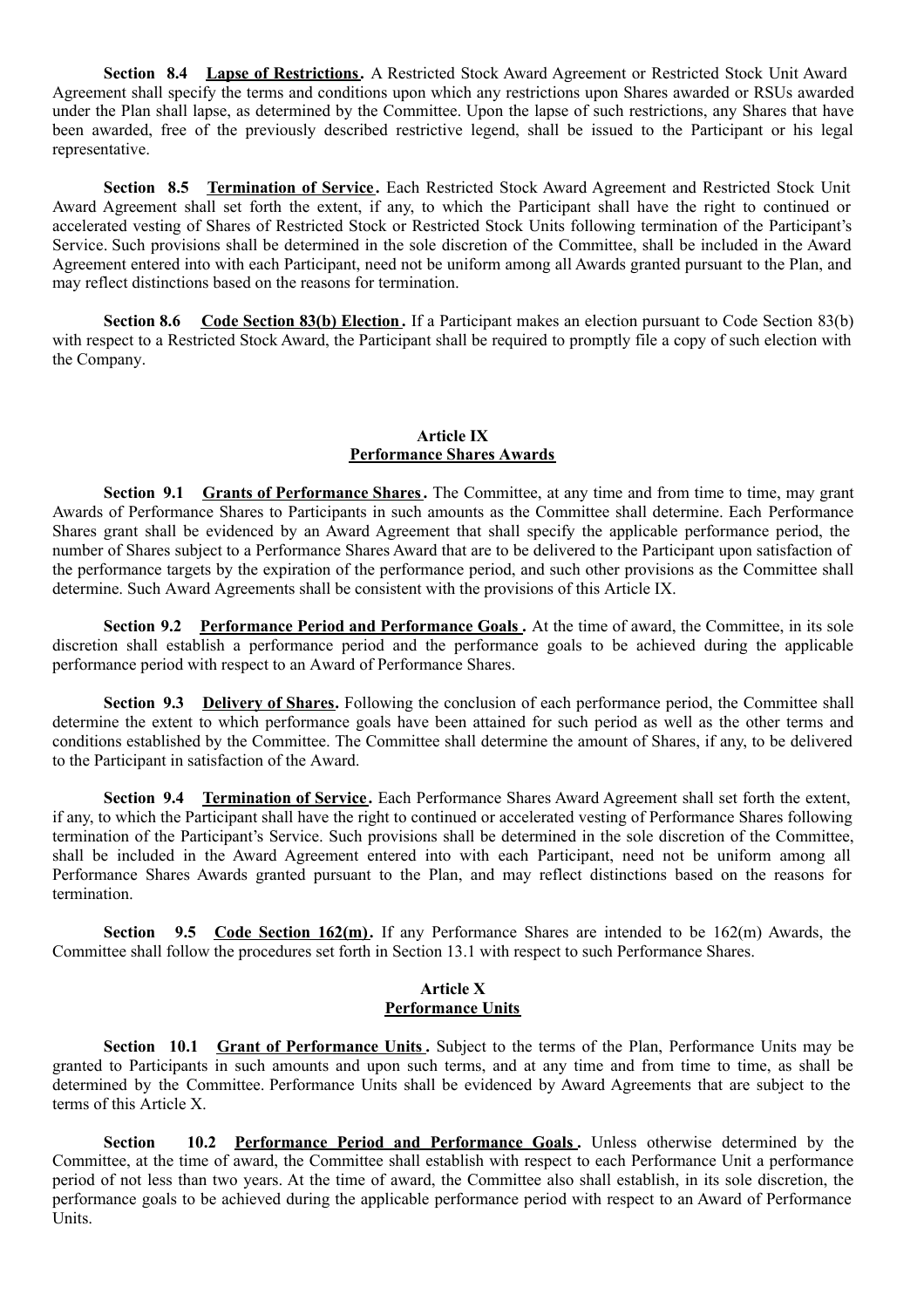**Section 8.4 Lapse of Restrictions.** A Restricted Stock Award Agreement or Restricted Stock Unit Award Agreement shall specify the terms and conditions upon which any restrictions upon Shares awarded or RSUs awarded under the Plan shall lapse, as determined by the Committee. Upon the lapse of such restrictions, any Shares that have been awarded, free of the previously described restrictive legend, shall be issued to the Participant or his legal representative.

**Section 8.5 Termination of Service .** Each Restricted Stock Award Agreement and Restricted Stock Unit Award Agreement shall set forth the extent, if any, to which the Participant shall have the right to continued or accelerated vesting of Shares of Restricted Stock or Restricted Stock Units following termination of the Participant's Service. Such provisions shall be determined in the sole discretion of the Committee, shall be included in the Award Agreement entered into with each Participant, need not be uniform among all Awards granted pursuant to the Plan, and may reflect distinctions based on the reasons for termination.

**Section 8.6 Code Section 83(b) Election .** If a Participant makes an election pursuant to Code Section 83(b) with respect to a Restricted Stock Award, the Participant shall be required to promptly file a copy of such election with the Company.

## **Article IX Performance Shares Awards**

**Section 9.1 Grants of Performance Shares.** The Committee, at any time and from time to time, may grant Awards of Performance Shares to Participants in such amounts as the Committee shall determine. Each Performance Shares grant shall be evidenced by an Award Agreement that shall specify the applicable performance period, the number of Shares subject to a Performance Shares Award that are to be delivered to the Participant upon satisfaction of the performance targets by the expiration of the performance period, and such other provisions as the Committee shall determine. Such Award Agreements shall be consistent with the provisions of this Article IX.

**Section 9.2 Performance Period and Performance Goals .** At the time of award, the Committee, in its sole discretion shall establish a performance period and the performance goals to be achieved during the applicable performance period with respect to an Award of Performance Shares.

**Section 9.3 Delivery of Shares.** Following the conclusion of each performance period, the Committee shall determine the extent to which performance goals have been attained for such period as well as the other terms and conditions established by the Committee. The Committee shall determine the amount of Shares, if any, to be delivered to the Participant in satisfaction of the Award.

**Section 9.4 Termination of Service .** Each Performance Shares Award Agreement shall set forth the extent, if any, to which the Participant shall have the right to continued or accelerated vesting of Performance Shares following termination of the Participant's Service. Such provisions shall be determined in the sole discretion of the Committee, shall be included in the Award Agreement entered into with each Participant, need not be uniform among all Performance Shares Awards granted pursuant to the Plan, and may reflect distinctions based on the reasons for termination.

**Section 9.5 Code Section 162(m).** If any Performance Shares are intended to be 162(m) Awards, the Committee shall follow the procedures set forth in Section 13.1 with respect to such Performance Shares.

## **Article X Performance Units**

**Section 10.1 Grant of Performance Units .** Subject to the terms of the Plan, Performance Units may be granted to Participants in such amounts and upon such terms, and at any time and from time to time, as shall be determined by the Committee. Performance Units shall be evidenced by Award Agreements that are subject to the terms of this Article X.

**Section 10.2 Performance Period and Performance Goals .** Unless otherwise determined by the Committee, at the time of award, the Committee shall establish with respect to each Performance Unit a performance period of not less than two years. At the time of award, the Committee also shall establish, in its sole discretion, the performance goals to be achieved during the applicable performance period with respect to an Award of Performance Units.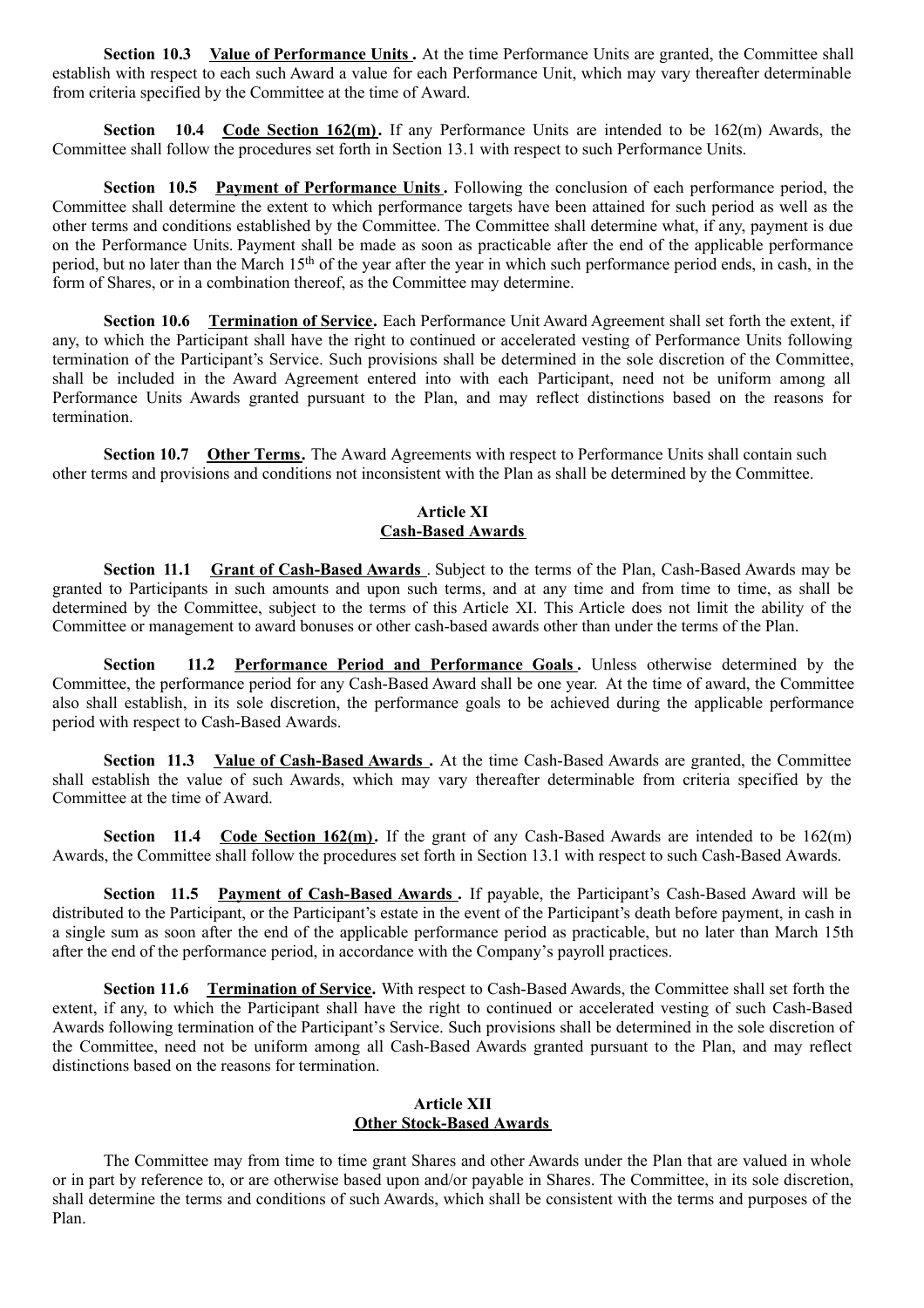**Section 10.3 Value of Performance Units .** At the time Performance Units are granted, the Committee shall establish with respect to each such Award a value for each Performance Unit, which may vary thereafter determinable from criteria specified by the Committee at the time of Award.

**Section 10.4 Code Section 162(m).** If any Performance Units are intended to be 162(m) Awards, the Committee shall follow the procedures set forth in Section 13.1 with respect to such Performance Units.

**Section 10.5 Payment of Performance Units.** Following the conclusion of each performance period, the Committee shall determine the extent to which performance targets have been attained for such period as well as the other terms and conditions established by the Committee. The Committee shall determine what, if any, payment is due on the Performance Units. Payment shall be made as soon as practicable after the end of the applicable performance period, but no later than the March 15<sup>th</sup> of the year after the year in which such performance period ends, in cash, in the form of Shares, or in a combination thereof, as the Committee may determine.

**Section 10.6 Termination of Service.** Each Performance Unit Award Agreement shall set forth the extent, if any, to which the Participant shall have the right to continued or accelerated vesting of Performance Units following termination of the Participant's Service. Such provisions shall be determined in the sole discretion of the Committee, shall be included in the Award Agreement entered into with each Participant, need not be uniform among all Performance Units Awards granted pursuant to the Plan, and may reflect distinctions based on the reasons for termination.

**Section 10.7 Other Terms.** The Award Agreements with respect to Performance Units shall contain such other terms and provisions and conditions not inconsistent with the Plan as shall be determined by the Committee.

## **Article XI Cash-Based Awards**

**Section 11.1 Grant of Cash-Based Awards** . Subject to the terms of the Plan, Cash-Based Awards may be granted to Participants in such amounts and upon such terms, and at any time and from time to time, as shall be determined by the Committee, subject to the terms of this Article XI. This Article does not limit the ability of the Committee or management to award bonuses or other cash-based awards other than under the terms of the Plan.

**Section 11.2 Performance Period and Performance Goals .** Unless otherwise determined by the Committee, the performance period for any Cash-Based Award shall be one year. At the time of award, the Committee also shall establish, in its sole discretion, the performance goals to be achieved during the applicable performance period with respect to Cash-Based Awards.

**Section 11.3 Value of Cash-Based Awards .** At the time Cash-Based Awards are granted, the Committee shall establish the value of such Awards, which may vary thereafter determinable from criteria specified by the Committee at the time of Award.

**Section 11.4 Code Section 162(m).** If the grant of any Cash-Based Awards are intended to be 162(m) Awards, the Committee shall follow the procedures set forth in Section 13.1 with respect to such Cash-Based Awards.

**Section 11.5 Payment of Cash-Based Awards .** If payable, the Participant's Cash-Based Award will be distributed to the Participant, or the Participant's estate in the event of the Participant's death before payment, in cash in a single sum as soon after the end of the applicable performance period as practicable, but no later than March 15th after the end of the performance period, in accordance with the Company's payroll practices.

**Section 11.6 Termination of Service.** With respect to Cash-Based Awards, the Committee shall set forth the extent, if any, to which the Participant shall have the right to continued or accelerated vesting of such Cash-Based Awards following termination of the Participant's Service. Such provisions shall be determined in the sole discretion of the Committee, need not be uniform among all Cash-Based Awards granted pursuant to the Plan, and may reflect distinctions based on the reasons for termination.

## **Article XII Other Stock-Based Awards**

The Committee may from time to time grant Shares and other Awards under the Plan that are valued in whole or in part by reference to, or are otherwise based upon and/or payable in Shares. The Committee, in its sole discretion, shall determine the terms and conditions of such Awards, which shall be consistent with the terms and purposes of the Plan.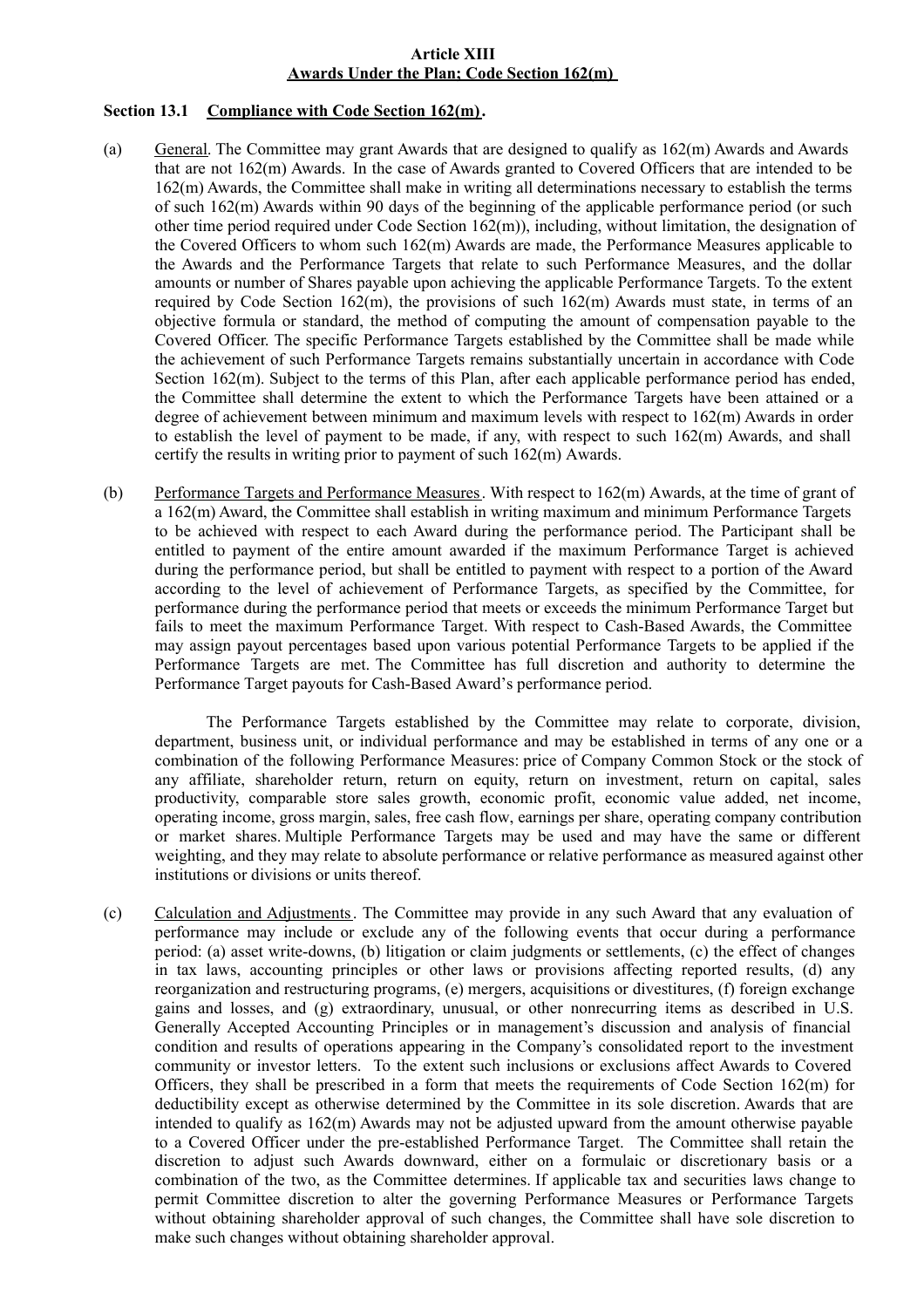## **Article XIII Awards Under the Plan; Code Section 162(m)**

## **Section 13.1 Compliance with Code Section 162(m).**

- (a) General. The Committee may grant Awards that are designed to qualify as 162(m) Awards and Awards that are not 162(m) Awards. In the case of Awards granted to Covered Officers that are intended to be 162(m) Awards, the Committee shall make in writing all determinations necessary to establish the terms of such 162(m) Awards within 90 days of the beginning of the applicable performance period (or such other time period required under Code Section 162(m)), including, without limitation, the designation of the Covered Officers to whom such 162(m) Awards are made, the Performance Measures applicable to the Awards and the Performance Targets that relate to such Performance Measures, and the dollar amounts or number of Shares payable upon achieving the applicable Performance Targets. To the extent required by Code Section 162(m), the provisions of such 162(m) Awards must state, in terms of an objective formula or standard, the method of computing the amount of compensation payable to the Covered Officer. The specific Performance Targets established by the Committee shall be made while the achievement of such Performance Targets remains substantially uncertain in accordance with Code Section 162(m). Subject to the terms of this Plan, after each applicable performance period has ended, the Committee shall determine the extent to which the Performance Targets have been attained or a degree of achievement between minimum and maximum levels with respect to 162(m) Awards in order to establish the level of payment to be made, if any, with respect to such 162(m) Awards, and shall certify the results in writing prior to payment of such 162(m) Awards.
- (b) Performance Targets and Performance Measures. With respect to 162(m) Awards, at the time of grant of a 162(m) Award, the Committee shall establish in writing maximum and minimum Performance Targets to be achieved with respect to each Award during the performance period. The Participant shall be entitled to payment of the entire amount awarded if the maximum Performance Target is achieved during the performance period, but shall be entitled to payment with respect to a portion of the Award according to the level of achievement of Performance Targets, as specified by the Committee, for performance during the performance period that meets or exceeds the minimum Performance Target but fails to meet the maximum Performance Target. With respect to Cash-Based Awards, the Committee may assign payout percentages based upon various potential Performance Targets to be applied if the Performance Targets are met. The Committee has full discretion and authority to determine the Performance Target payouts for Cash-Based Award's performance period.

The Performance Targets established by the Committee may relate to corporate, division, department, business unit, or individual performance and may be established in terms of any one or a combination of the following Performance Measures: price of Company Common Stock or the stock of any affiliate, shareholder return, return on equity, return on investment, return on capital, sales productivity, comparable store sales growth, economic profit, economic value added, net income, operating income, gross margin, sales, free cash flow, earnings per share, operating company contribution or market shares. Multiple Performance Targets may be used and may have the same or different weighting, and they may relate to absolute performance or relative performance as measured against other institutions or divisions or units thereof.

(c) Calculation and Adjustments. The Committee may provide in any such Award that any evaluation of performance may include or exclude any of the following events that occur during a performance period: (a) asset write-downs, (b) litigation or claim judgments or settlements, (c) the effect of changes in tax laws, accounting principles or other laws or provisions affecting reported results, (d) any reorganization and restructuring programs, (e) mergers, acquisitions or divestitures, (f) foreign exchange gains and losses, and (g) extraordinary, unusual, or other nonrecurring items as described in U.S. Generally Accepted Accounting Principles or in management's discussion and analysis of financial condition and results of operations appearing in the Company's consolidated report to the investment community or investor letters. To the extent such inclusions or exclusions affect Awards to Covered Officers, they shall be prescribed in a form that meets the requirements of Code Section 162(m) for deductibility except as otherwise determined by the Committee in its sole discretion. Awards that are intended to qualify as 162(m) Awards may not be adjusted upward from the amount otherwise payable to a Covered Officer under the pre-established Performance Target. The Committee shall retain the discretion to adjust such Awards downward, either on a formulaic or discretionary basis or a combination of the two, as the Committee determines. If applicable tax and securities laws change to permit Committee discretion to alter the governing Performance Measures or Performance Targets without obtaining shareholder approval of such changes, the Committee shall have sole discretion to make such changes without obtaining shareholder approval.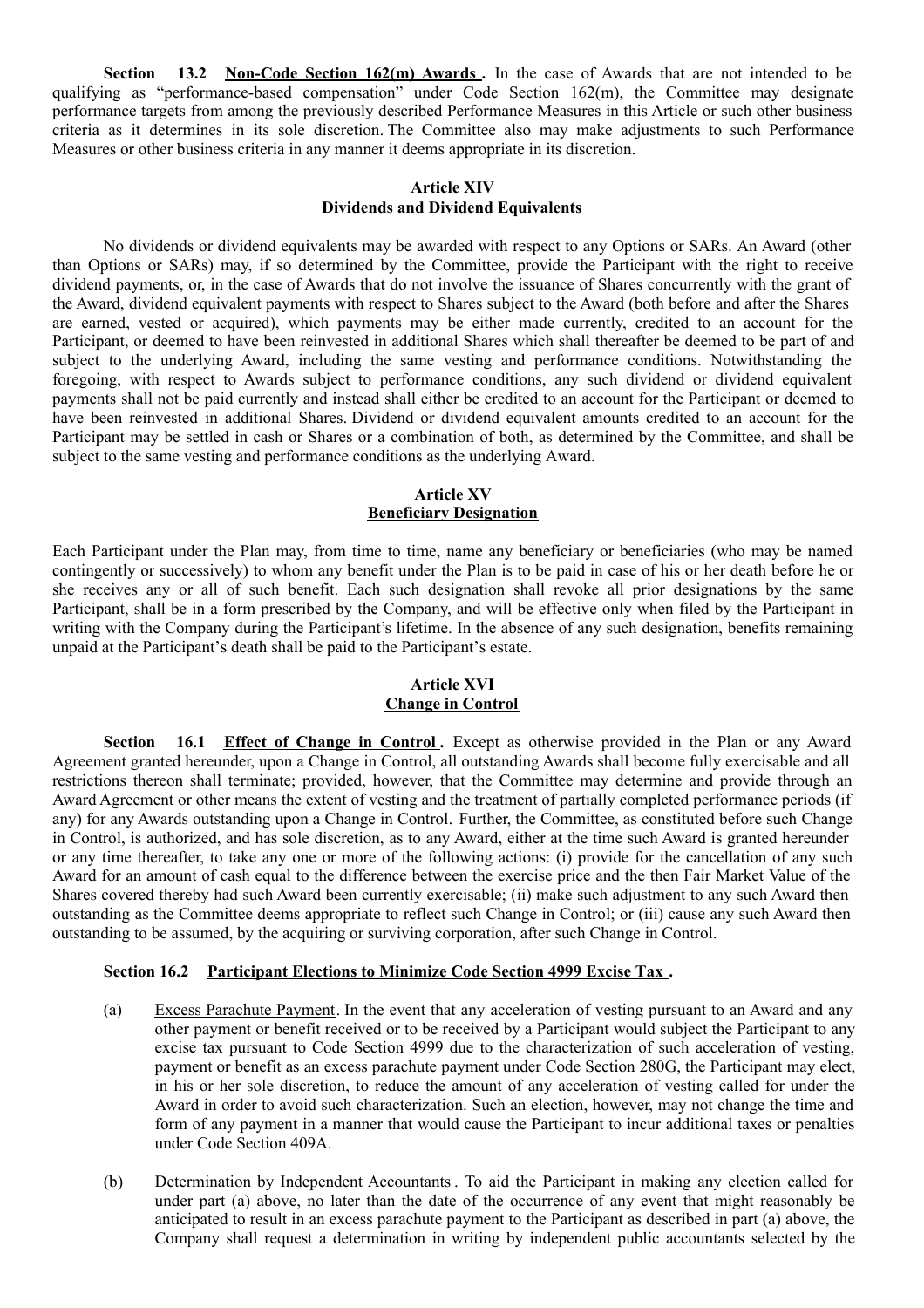**Section 13.2 Non-Code Section 162(m) Awards .** In the case of Awards that are not intended to be qualifying as "performance-based compensation" under Code Section 162(m), the Committee may designate performance targets from among the previously described Performance Measures in this Article or such other business criteria as it determines in its sole discretion. The Committee also may make adjustments to such Performance Measures or other business criteria in any manner it deems appropriate in its discretion.

## **Article XIV Dividends and Dividend Equivalents**

No dividends or dividend equivalents may be awarded with respect to any Options or SARs. An Award (other than Options or SARs) may, if so determined by the Committee, provide the Participant with the right to receive dividend payments, or, in the case of Awards that do not involve the issuance of Shares concurrently with the grant of the Award, dividend equivalent payments with respect to Shares subject to the Award (both before and after the Shares are earned, vested or acquired), which payments may be either made currently, credited to an account for the Participant, or deemed to have been reinvested in additional Shares which shall thereafter be deemed to be part of and subject to the underlying Award, including the same vesting and performance conditions. Notwithstanding the foregoing, with respect to Awards subject to performance conditions, any such dividend or dividend equivalent payments shall not be paid currently and instead shall either be credited to an account for the Participant or deemed to have been reinvested in additional Shares. Dividend or dividend equivalent amounts credited to an account for the Participant may be settled in cash or Shares or a combination of both, as determined by the Committee, and shall be subject to the same vesting and performance conditions as the underlying Award.

## **Article XV Beneficiary Designation**

Each Participant under the Plan may, from time to time, name any beneficiary or beneficiaries (who may be named contingently or successively) to whom any benefit under the Plan is to be paid in case of his or her death before he or she receives any or all of such benefit. Each such designation shall revoke all prior designations by the same Participant, shall be in a form prescribed by the Company, and will be effective only when filed by the Participant in writing with the Company during the Participant's lifetime. In the absence of any such designation, benefits remaining unpaid at the Participant's death shall be paid to the Participant's estate.

### **Article XVI Change in Control**

**Section 16.1 Effect of Change in Control .** Except as otherwise provided in the Plan or any Award Agreement granted hereunder, upon a Change in Control, all outstanding Awards shall become fully exercisable and all restrictions thereon shall terminate; provided, however, that the Committee may determine and provide through an Award Agreement or other means the extent of vesting and the treatment of partially completed performance periods (if any) for any Awards outstanding upon a Change in Control. Further, the Committee, as constituted before such Change in Control, is authorized, and has sole discretion, as to any Award, either at the time such Award is granted hereunder or any time thereafter, to take any one or more of the following actions: (i) provide for the cancellation of any such Award for an amount of cash equal to the difference between the exercise price and the then Fair Market Value of the Shares covered thereby had such Award been currently exercisable; (ii) make such adjustment to any such Award then outstanding as the Committee deems appropriate to reflect such Change in Control; or (iii) cause any such Award then outstanding to be assumed, by the acquiring or surviving corporation, after such Change in Control.

## **Section 16.2 Participant Elections to Minimize Code Section 4999 Excise Tax .**

- (a) Excess Parachute Payment. In the event that any acceleration of vesting pursuant to an Award and any other payment or benefit received or to be received by a Participant would subject the Participant to any excise tax pursuant to Code Section 4999 due to the characterization of such acceleration of vesting, payment or benefit as an excess parachute payment under Code Section 280G, the Participant may elect, in his or her sole discretion, to reduce the amount of any acceleration of vesting called for under the Award in order to avoid such characterization. Such an election, however, may not change the time and form of any payment in a manner that would cause the Participant to incur additional taxes or penalties under Code Section 409A.
- (b) Determination by Independent Accountants . To aid the Participant in making any election called for under part (a) above, no later than the date of the occurrence of any event that might reasonably be anticipated to result in an excess parachute payment to the Participant as described in part (a) above, the Company shall request a determination in writing by independent public accountants selected by the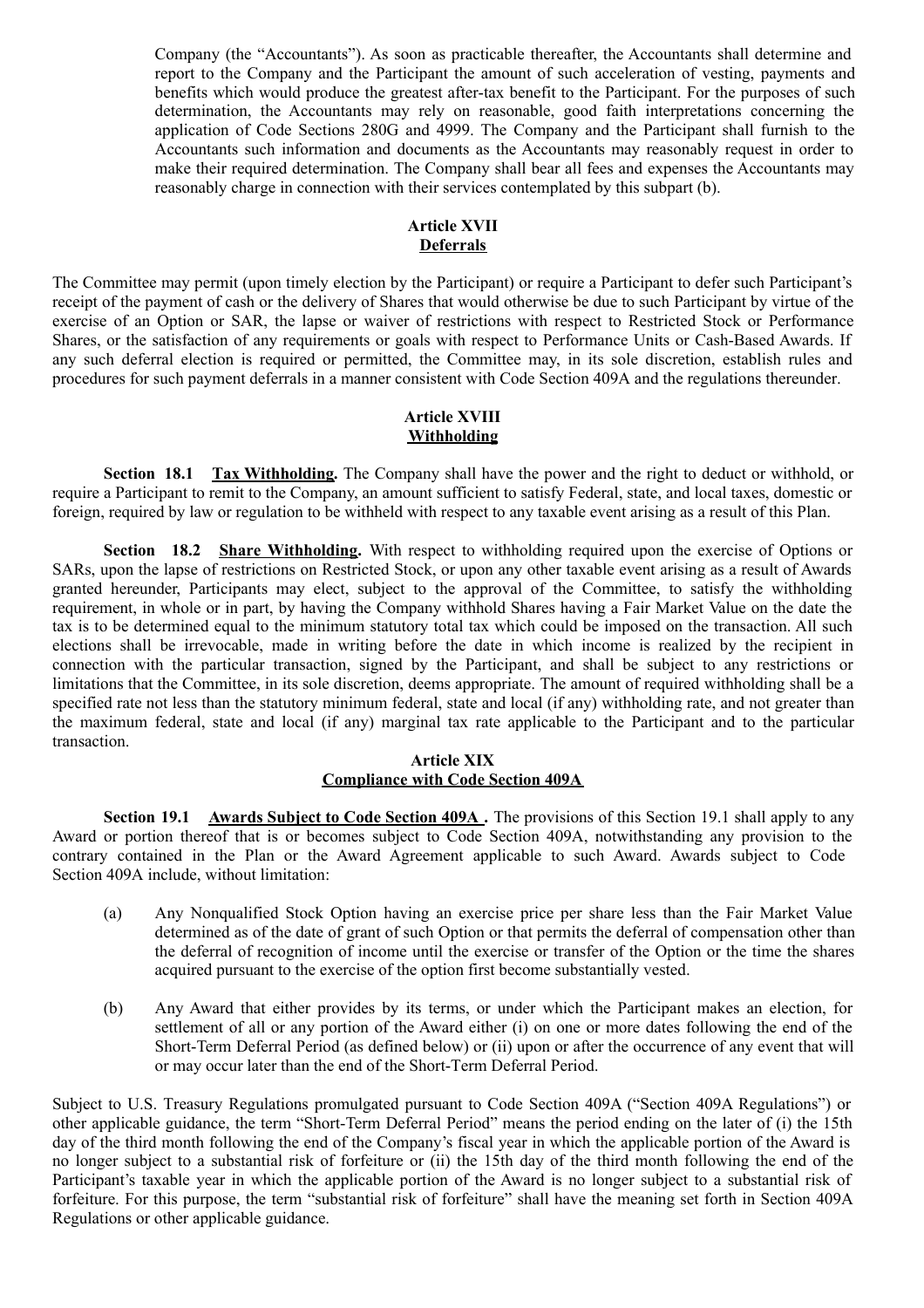Company (the "Accountants"). As soon as practicable thereafter, the Accountants shall determine and report to the Company and the Participant the amount of such acceleration of vesting, payments and benefits which would produce the greatest after-tax benefit to the Participant. For the purposes of such determination, the Accountants may rely on reasonable, good faith interpretations concerning the application of Code Sections 280G and 4999. The Company and the Participant shall furnish to the Accountants such information and documents as the Accountants may reasonably request in order to make their required determination. The Company shall bear all fees and expenses the Accountants may reasonably charge in connection with their services contemplated by this subpart (b).

## **Article XVII Deferrals**

The Committee may permit (upon timely election by the Participant) or require a Participant to defer such Participant's receipt of the payment of cash or the delivery of Shares that would otherwise be due to such Participant by virtue of the exercise of an Option or SAR, the lapse or waiver of restrictions with respect to Restricted Stock or Performance Shares, or the satisfaction of any requirements or goals with respect to Performance Units or Cash-Based Awards. If any such deferral election is required or permitted, the Committee may, in its sole discretion, establish rules and procedures for such payment deferrals in a manner consistent with Code Section 409A and the regulations thereunder.

# **Article XVIII Withholding**

**Section 18.1 Tax Withholding.** The Company shall have the power and the right to deduct or withhold, or require a Participant to remit to the Company, an amount sufficient to satisfy Federal, state, and local taxes, domestic or foreign, required by law or regulation to be withheld with respect to any taxable event arising as a result of this Plan.

**Section 18.2 Share Withholding.** With respect to withholding required upon the exercise of Options or SARs, upon the lapse of restrictions on Restricted Stock, or upon any other taxable event arising as a result of Awards granted hereunder, Participants may elect, subject to the approval of the Committee, to satisfy the withholding requirement, in whole or in part, by having the Company withhold Shares having a Fair Market Value on the date the tax is to be determined equal to the minimum statutory total tax which could be imposed on the transaction. All such elections shall be irrevocable, made in writing before the date in which income is realized by the recipient in connection with the particular transaction, signed by the Participant, and shall be subject to any restrictions or limitations that the Committee, in its sole discretion, deems appropriate. The amount of required withholding shall be a specified rate not less than the statutory minimum federal, state and local (if any) withholding rate, and not greater than the maximum federal, state and local (if any) marginal tax rate applicable to the Participant and to the particular transaction.

## **Article XIX Compliance with Code Section 409A**

**Section 19.1 Awards Subject to Code Section 409A .** The provisions of this Section 19.1 shall apply to any Award or portion thereof that is or becomes subject to Code Section 409A, notwithstanding any provision to the contrary contained in the Plan or the Award Agreement applicable to such Award. Awards subject to Code Section 409A include, without limitation:

- (a) Any Nonqualified Stock Option having an exercise price per share less than the Fair Market Value determined as of the date of grant of such Option or that permits the deferral of compensation other than the deferral of recognition of income until the exercise or transfer of the Option or the time the shares acquired pursuant to the exercise of the option first become substantially vested.
- (b) Any Award that either provides by its terms, or under which the Participant makes an election, for settlement of all or any portion of the Award either (i) on one or more dates following the end of the Short-Term Deferral Period (as defined below) or (ii) upon or after the occurrence of any event that will or may occur later than the end of the Short-Term Deferral Period.

Subject to U.S. Treasury Regulations promulgated pursuant to Code Section 409A ("Section 409A Regulations") or other applicable guidance, the term "Short-Term Deferral Period" means the period ending on the later of (i) the 15th day of the third month following the end of the Company's fiscal year in which the applicable portion of the Award is no longer subject to a substantial risk of forfeiture or (ii) the 15th day of the third month following the end of the Participant's taxable year in which the applicable portion of the Award is no longer subject to a substantial risk of forfeiture. For this purpose, the term "substantial risk of forfeiture" shall have the meaning set forth in Section 409A Regulations or other applicable guidance.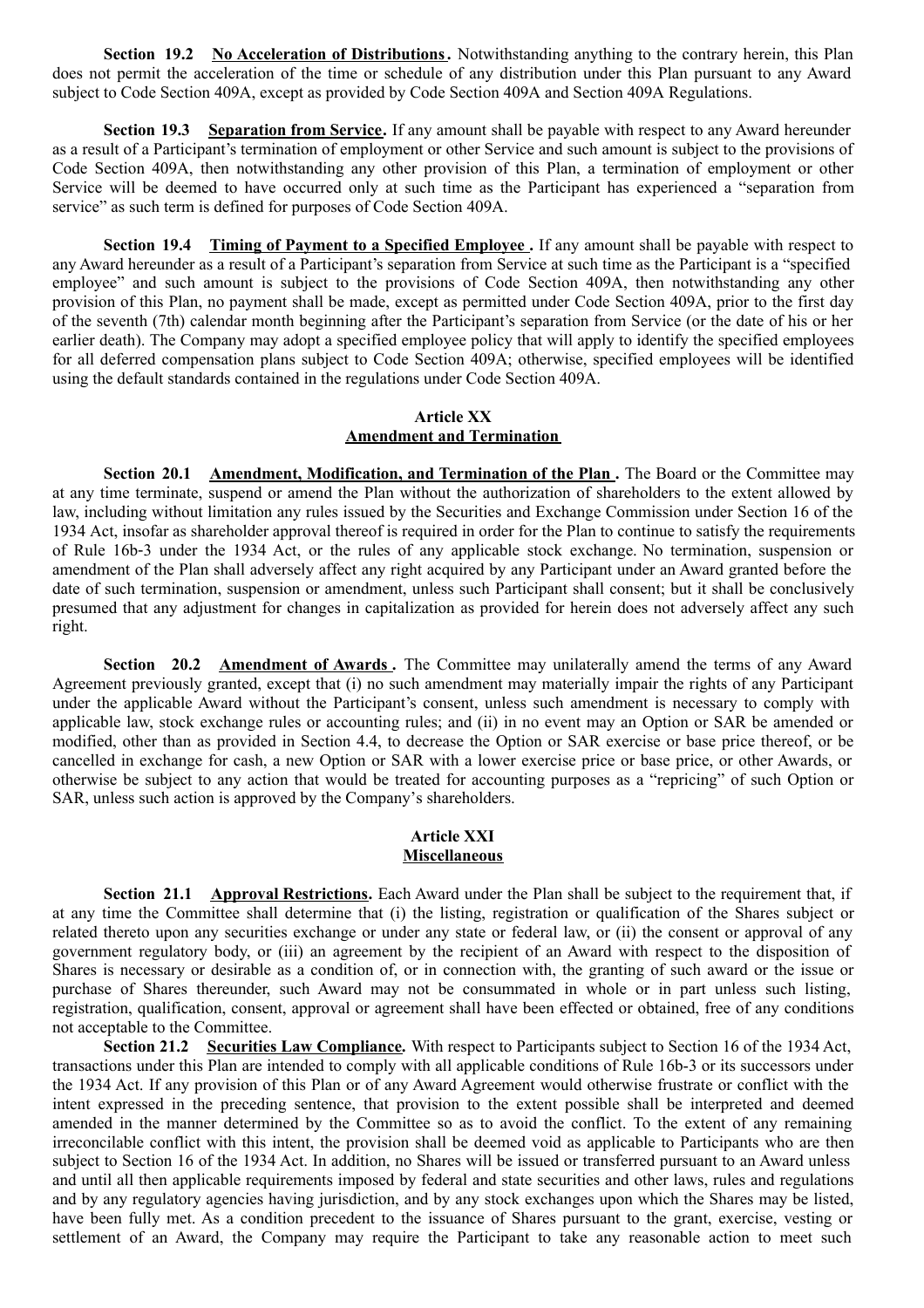**Section 19.2 No Acceleration of Distributions.** Notwithstanding anything to the contrary herein, this Plan does not permit the acceleration of the time or schedule of any distribution under this Plan pursuant to any Award subject to Code Section 409A, except as provided by Code Section 409A and Section 409A Regulations.

**Section 19.3 Separation from Service.** If any amount shall be payable with respect to any Award hereunder as a result of a Participant's termination of employment or other Service and such amount is subject to the provisions of Code Section 409A, then notwithstanding any other provision of this Plan, a termination of employment or other Service will be deemed to have occurred only at such time as the Participant has experienced a "separation from service" as such term is defined for purposes of Code Section 409A.

**Section 19.4 Timing of Payment to a Specified Employee .** If any amount shall be payable with respect to any Award hereunder as a result of a Participant's separation from Service at such time as the Participant is a "specified employee" and such amount is subject to the provisions of Code Section 409A, then notwithstanding any other provision of this Plan, no payment shall be made, except as permitted under Code Section 409A, prior to the first day of the seventh (7th) calendar month beginning after the Participant's separation from Service (or the date of his or her earlier death). The Company may adopt a specified employee policy that will apply to identify the specified employees for all deferred compensation plans subject to Code Section 409A; otherwise, specified employees will be identified using the default standards contained in the regulations under Code Section 409A.

## **Article XX Amendment and Termination**

**Section 20.1 Amendment, Modification, and Termination of the Plan .** The Board or the Committee may at any time terminate, suspend or amend the Plan without the authorization of shareholders to the extent allowed by law, including without limitation any rules issued by the Securities and Exchange Commission under Section 16 of the 1934 Act, insofar as shareholder approval thereof is required in order for the Plan to continue to satisfy the requirements of Rule 16b‑3 under the 1934 Act, or the rules of any applicable stock exchange. No termination, suspension or amendment of the Plan shall adversely affect any right acquired by any Participant under an Award granted before the date of such termination, suspension or amendment, unless such Participant shall consent; but it shall be conclusively presumed that any adjustment for changes in capitalization as provided for herein does not adversely affect any such right.

**Section 20.2 Amendment of Awards .** The Committee may unilaterally amend the terms of any Award Agreement previously granted, except that (i) no such amendment may materially impair the rights of any Participant under the applicable Award without the Participant's consent, unless such amendment is necessary to comply with applicable law, stock exchange rules or accounting rules; and (ii) in no event may an Option or SAR be amended or modified, other than as provided in Section 4.4, to decrease the Option or SAR exercise or base price thereof, or be cancelled in exchange for cash, a new Option or SAR with a lower exercise price or base price, or other Awards, or otherwise be subject to any action that would be treated for accounting purposes as a "repricing" of such Option or SAR, unless such action is approved by the Company's shareholders.

### **Article XXI Miscellaneous**

**Section 21.1 Approval Restrictions.** Each Award under the Plan shall be subject to the requirement that, if at any time the Committee shall determine that (i) the listing, registration or qualification of the Shares subject or related thereto upon any securities exchange or under any state or federal law, or (ii) the consent or approval of any government regulatory body, or (iii) an agreement by the recipient of an Award with respect to the disposition of Shares is necessary or desirable as a condition of, or in connection with, the granting of such award or the issue or purchase of Shares thereunder, such Award may not be consummated in whole or in part unless such listing, registration, qualification, consent, approval or agreement shall have been effected or obtained, free of any conditions not acceptable to the Committee.

**Section 21.2 Securities Law Compliance.** With respect to Participants subject to Section 16 of the 1934 Act, transactions under this Plan are intended to comply with all applicable conditions of Rule 16b-3 or its successors under the 1934 Act. If any provision of this Plan or of any Award Agreement would otherwise frustrate or conflict with the intent expressed in the preceding sentence, that provision to the extent possible shall be interpreted and deemed amended in the manner determined by the Committee so as to avoid the conflict. To the extent of any remaining irreconcilable conflict with this intent, the provision shall be deemed void as applicable to Participants who are then subject to Section 16 of the 1934 Act. In addition, no Shares will be issued or transferred pursuant to an Award unless and until all then applicable requirements imposed by federal and state securities and other laws, rules and regulations and by any regulatory agencies having jurisdiction, and by any stock exchanges upon which the Shares may be listed, have been fully met. As a condition precedent to the issuance of Shares pursuant to the grant, exercise, vesting or settlement of an Award, the Company may require the Participant to take any reasonable action to meet such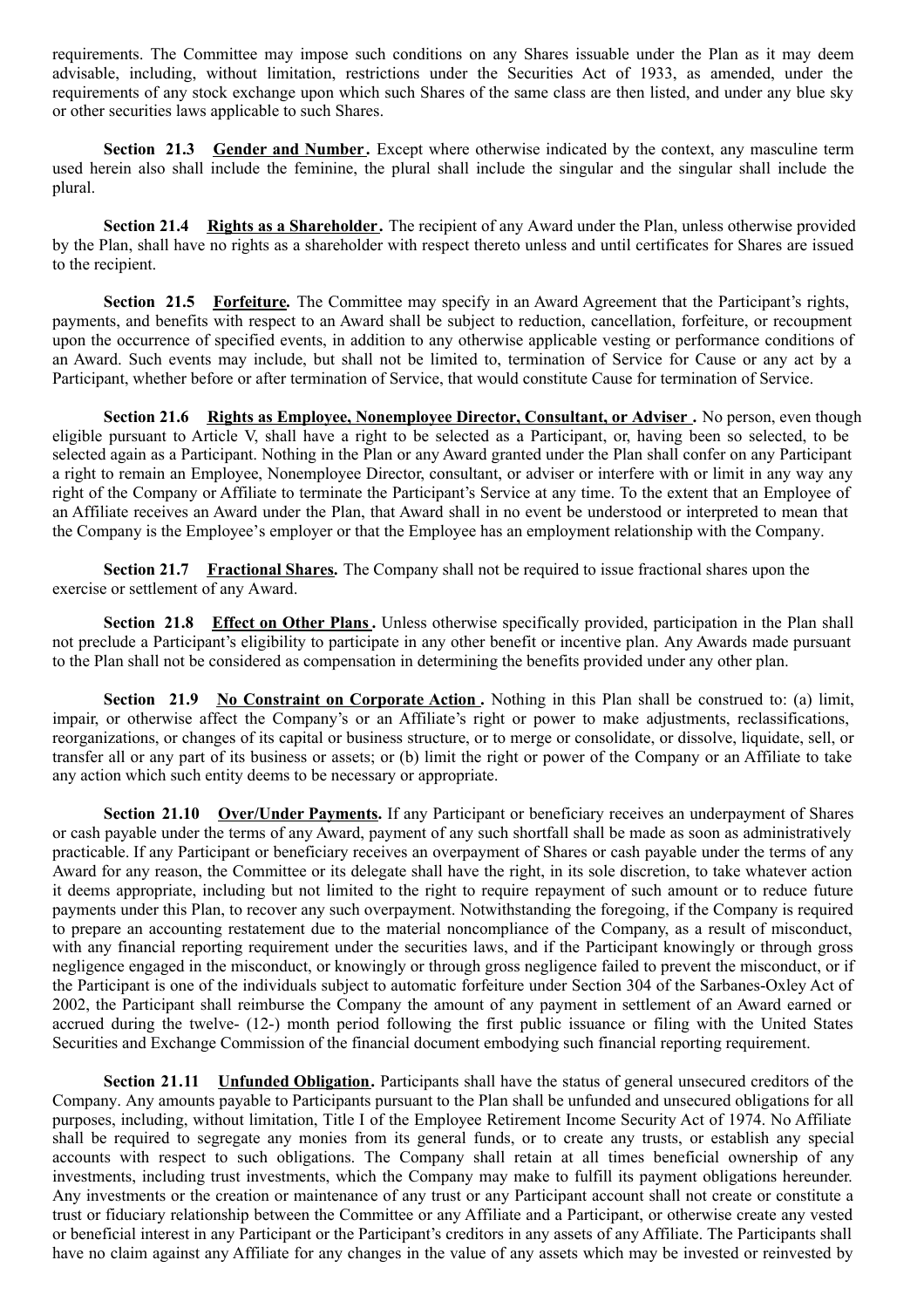requirements. The Committee may impose such conditions on any Shares issuable under the Plan as it may deem advisable, including, without limitation, restrictions under the Securities Act of 1933, as amended, under the requirements of any stock exchange upon which such Shares of the same class are then listed, and under any blue sky or other securities laws applicable to such Shares.

**Section 21.3 Gender and Number .** Except where otherwise indicated by the context, any masculine term used herein also shall include the feminine, the plural shall include the singular and the singular shall include the plural.

**Section 21.4 Rights as a Shareholder.** The recipient of any Award under the Plan, unless otherwise provided by the Plan, shall have no rights as a shareholder with respect thereto unless and until certificates for Shares are issued to the recipient.

**Section 21.5 Forfeiture.** The Committee may specify in an Award Agreement that the Participant's rights, payments, and benefits with respect to an Award shall be subject to reduction, cancellation, forfeiture, or recoupment upon the occurrence of specified events, in addition to any otherwise applicable vesting or performance conditions of an Award. Such events may include, but shall not be limited to, termination of Service for Cause or any act by a Participant, whether before or after termination of Service, that would constitute Cause for termination of Service.

**Section 21.6 Rights as Employee, Nonemployee Director, Consultant, or Adviser .** No person, even though eligible pursuant to Article V, shall have a right to be selected as a Participant, or, having been so selected, to be selected again as a Participant. Nothing in the Plan or any Award granted under the Plan shall confer on any Participant a right to remain an Employee, Nonemployee Director, consultant, or adviser or interfere with or limit in any way any right of the Company or Affiliate to terminate the Participant's Service at any time. To the extent that an Employee of an Affiliate receives an Award under the Plan, that Award shall in no event be understood or interpreted to mean that the Company is the Employee's employer or that the Employee has an employment relationship with the Company.

**Section 21.7 Fractional Shares.** The Company shall not be required to issue fractional shares upon the exercise or settlement of any Award.

**Section 21.8 Effect on Other Plans.** Unless otherwise specifically provided, participation in the Plan shall not preclude a Participant's eligibility to participate in any other benefit or incentive plan. Any Awards made pursuant to the Plan shall not be considered as compensation in determining the benefits provided under any other plan.

**Section** 21.9 **No Constraint on Corporate Action**. Nothing in this Plan shall be construed to: (a) limit, impair, or otherwise affect the Company's or an Affiliate's right or power to make adjustments, reclassifications, reorganizations, or changes of its capital or business structure, or to merge or consolidate, or dissolve, liquidate, sell, or transfer all or any part of its business or assets; or (b) limit the right or power of the Company or an Affiliate to take any action which such entity deems to be necessary or appropriate.

**Section 21.10 Over/Under Payments.** If any Participant or beneficiary receives an underpayment of Shares or cash payable under the terms of any Award, payment of any such shortfall shall be made as soon as administratively practicable. If any Participant or beneficiary receives an overpayment of Shares or cash payable under the terms of any Award for any reason, the Committee or its delegate shall have the right, in its sole discretion, to take whatever action it deems appropriate, including but not limited to the right to require repayment of such amount or to reduce future payments under this Plan, to recover any such overpayment. Notwithstanding the foregoing, if the Company is required to prepare an accounting restatement due to the material noncompliance of the Company, as a result of misconduct, with any financial reporting requirement under the securities laws, and if the Participant knowingly or through gross negligence engaged in the misconduct, or knowingly or through gross negligence failed to prevent the misconduct, or if the Participant is one of the individuals subject to automatic forfeiture under Section 304 of the Sarbanes-Oxley Act of 2002, the Participant shall reimburse the Company the amount of any payment in settlement of an Award earned or accrued during the twelve- (12-) month period following the first public issuance or filing with the United States Securities and Exchange Commission of the financial document embodying such financial reporting requirement.

**Section 21.11 Unfunded Obligation.** Participants shall have the status of general unsecured creditors of the Company. Any amounts payable to Participants pursuant to the Plan shall be unfunded and unsecured obligations for all purposes, including, without limitation, Title I of the Employee Retirement Income Security Act of 1974. No Affiliate shall be required to segregate any monies from its general funds, or to create any trusts, or establish any special accounts with respect to such obligations. The Company shall retain at all times beneficial ownership of any investments, including trust investments, which the Company may make to fulfill its payment obligations hereunder. Any investments or the creation or maintenance of any trust or any Participant account shall not create or constitute a trust or fiduciary relationship between the Committee or any Affiliate and a Participant, or otherwise create any vested or beneficial interest in any Participant or the Participant's creditors in any assets of any Affiliate. The Participants shall have no claim against any Affiliate for any changes in the value of any assets which may be invested or reinvested by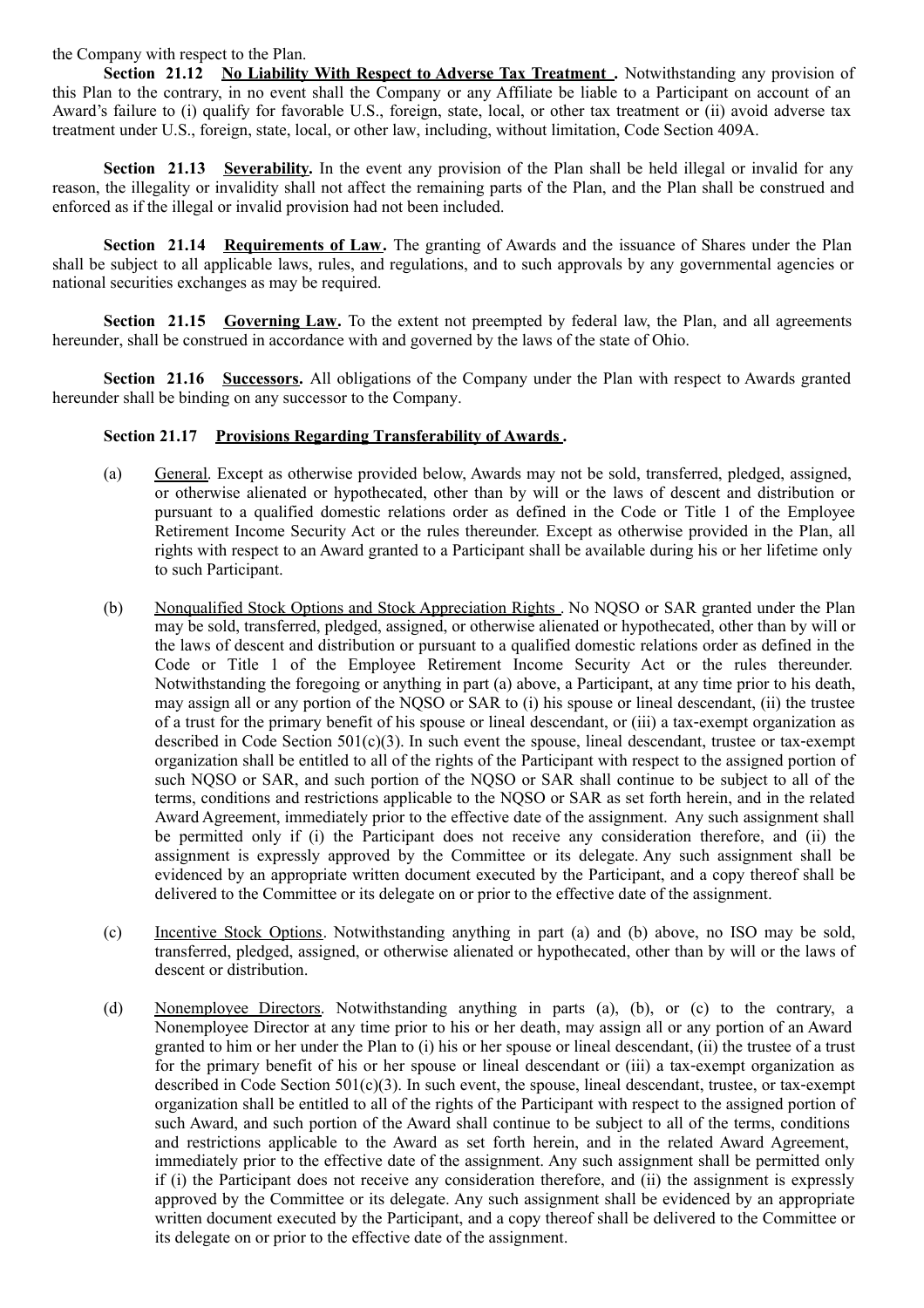the Company with respect to the Plan.

**Section 21.12 No Liability With Respect to Adverse Tax Treatment .** Notwithstanding any provision of this Plan to the contrary, in no event shall the Company or any Affiliate be liable to a Participant on account of an Award's failure to (i) qualify for favorable U.S., foreign, state, local, or other tax treatment or (ii) avoid adverse tax treatment under U.S., foreign, state, local, or other law, including, without limitation, Code Section 409A.

**Section 21.13 Severability.** In the event any provision of the Plan shall be held illegal or invalid for any reason, the illegality or invalidity shall not affect the remaining parts of the Plan, and the Plan shall be construed and enforced as if the illegal or invalid provision had not been included.

**Section 21.14 Requirements of Law.** The granting of Awards and the issuance of Shares under the Plan shall be subject to all applicable laws, rules, and regulations, and to such approvals by any governmental agencies or national securities exchanges as may be required.

**Section 21.15 Governing Law.** To the extent not preempted by federal law, the Plan, and all agreements hereunder, shall be construed in accordance with and governed by the laws of the state of Ohio.

**Section 21.16 Successors.** All obligations of the Company under the Plan with respect to Awards granted hereunder shall be binding on any successor to the Company.

## **Section 21.17 Provisions Regarding Transferability of Awards .**

- (a) General. Except as otherwise provided below, Awards may not be sold, transferred, pledged, assigned, or otherwise alienated or hypothecated, other than by will or the laws of descent and distribution or pursuant to a qualified domestic relations order as defined in the Code or Title 1 of the Employee Retirement Income Security Act or the rules thereunder. Except as otherwise provided in the Plan, all rights with respect to an Award granted to a Participant shall be available during his or her lifetime only to such Participant.
- (b) Nonqualified Stock Options and Stock Appreciation Rights . No NQSO or SAR granted under the Plan may be sold, transferred, pledged, assigned, or otherwise alienated or hypothecated, other than by will or the laws of descent and distribution or pursuant to a qualified domestic relations order as defined in the Code or Title 1 of the Employee Retirement Income Security Act or the rules thereunder. Notwithstanding the foregoing or anything in part (a) above, a Participant, at any time prior to his death, may assign all or any portion of the NQSO or SAR to (i) his spouse or lineal descendant, (ii) the trustee of a trust for the primary benefit of his spouse or lineal descendant, or (iii) a tax‑exempt organization as described in Code Section 501(c)(3). In such event the spouse, lineal descendant, trustee or tax–exempt organization shall be entitled to all of the rights of the Participant with respect to the assigned portion of such NQSO or SAR, and such portion of the NQSO or SAR shall continue to be subject to all of the terms, conditions and restrictions applicable to the NQSO or SAR as set forth herein, and in the related Award Agreement, immediately prior to the effective date of the assignment. Any such assignment shall be permitted only if (i) the Participant does not receive any consideration therefore, and (ii) the assignment is expressly approved by the Committee or its delegate. Any such assignment shall be evidenced by an appropriate written document executed by the Participant, and a copy thereof shall be delivered to the Committee or its delegate on or prior to the effective date of the assignment.
- (c) Incentive Stock Options. Notwithstanding anything in part (a) and (b) above, no ISO may be sold, transferred, pledged, assigned, or otherwise alienated or hypothecated, other than by will or the laws of descent or distribution.
- (d) Nonemployee Directors. Notwithstanding anything in parts (a), (b), or (c) to the contrary, a Nonemployee Director at any time prior to his or her death, may assign all or any portion of an Award granted to him or her under the Plan to (i) his or her spouse or lineal descendant, (ii) the trustee of a trust for the primary benefit of his or her spouse or lineal descendant or (iii) a tax-exempt organization as described in Code Section  $501(c)(3)$ . In such event, the spouse, lineal descendant, trustee, or tax-exempt organization shall be entitled to all of the rights of the Participant with respect to the assigned portion of such Award, and such portion of the Award shall continue to be subject to all of the terms, conditions and restrictions applicable to the Award as set forth herein, and in the related Award Agreement, immediately prior to the effective date of the assignment. Any such assignment shall be permitted only if (i) the Participant does not receive any consideration therefore, and (ii) the assignment is expressly approved by the Committee or its delegate. Any such assignment shall be evidenced by an appropriate written document executed by the Participant, and a copy thereof shall be delivered to the Committee or its delegate on or prior to the effective date of the assignment.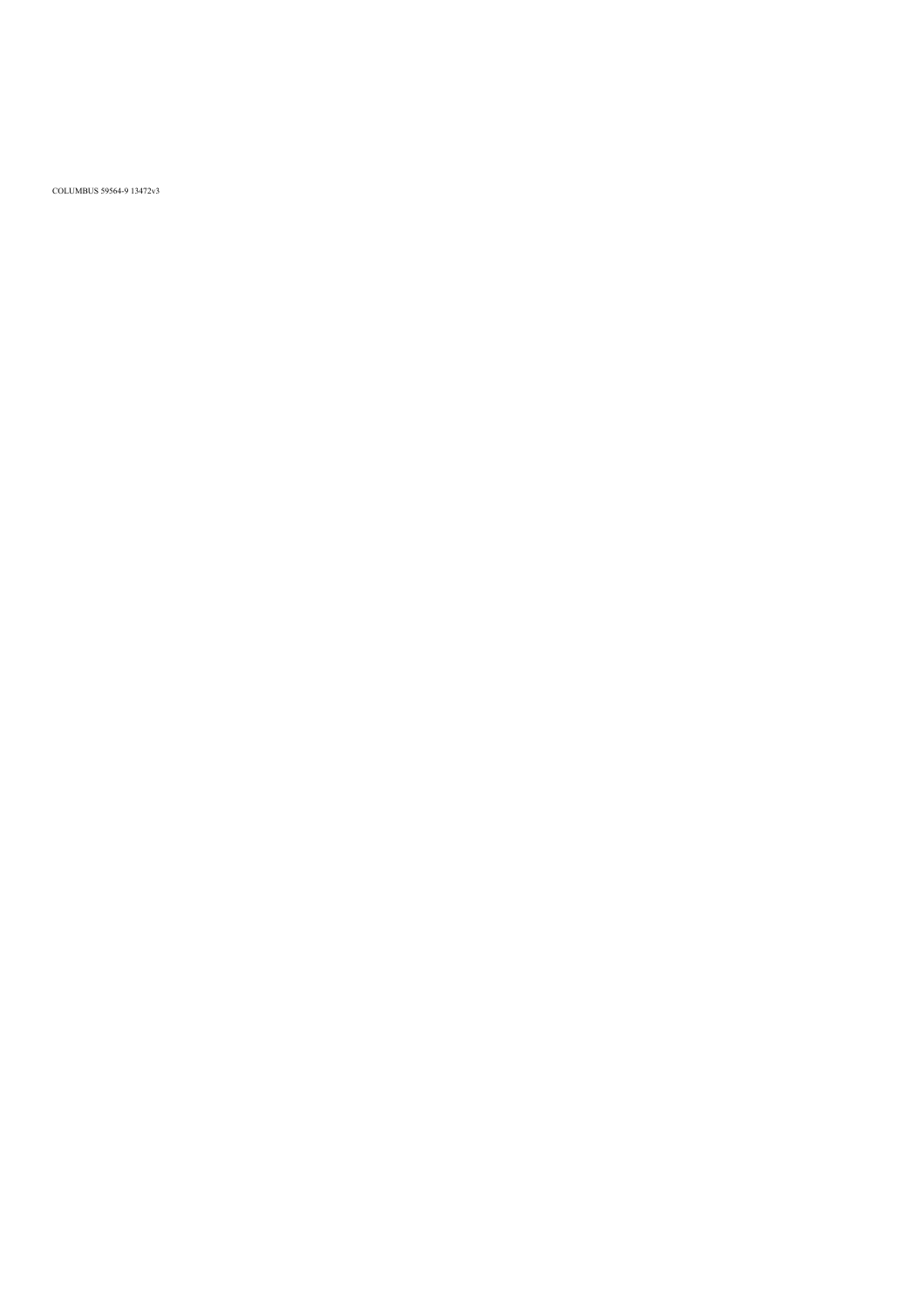COLUMBUS 59564-9 13472v3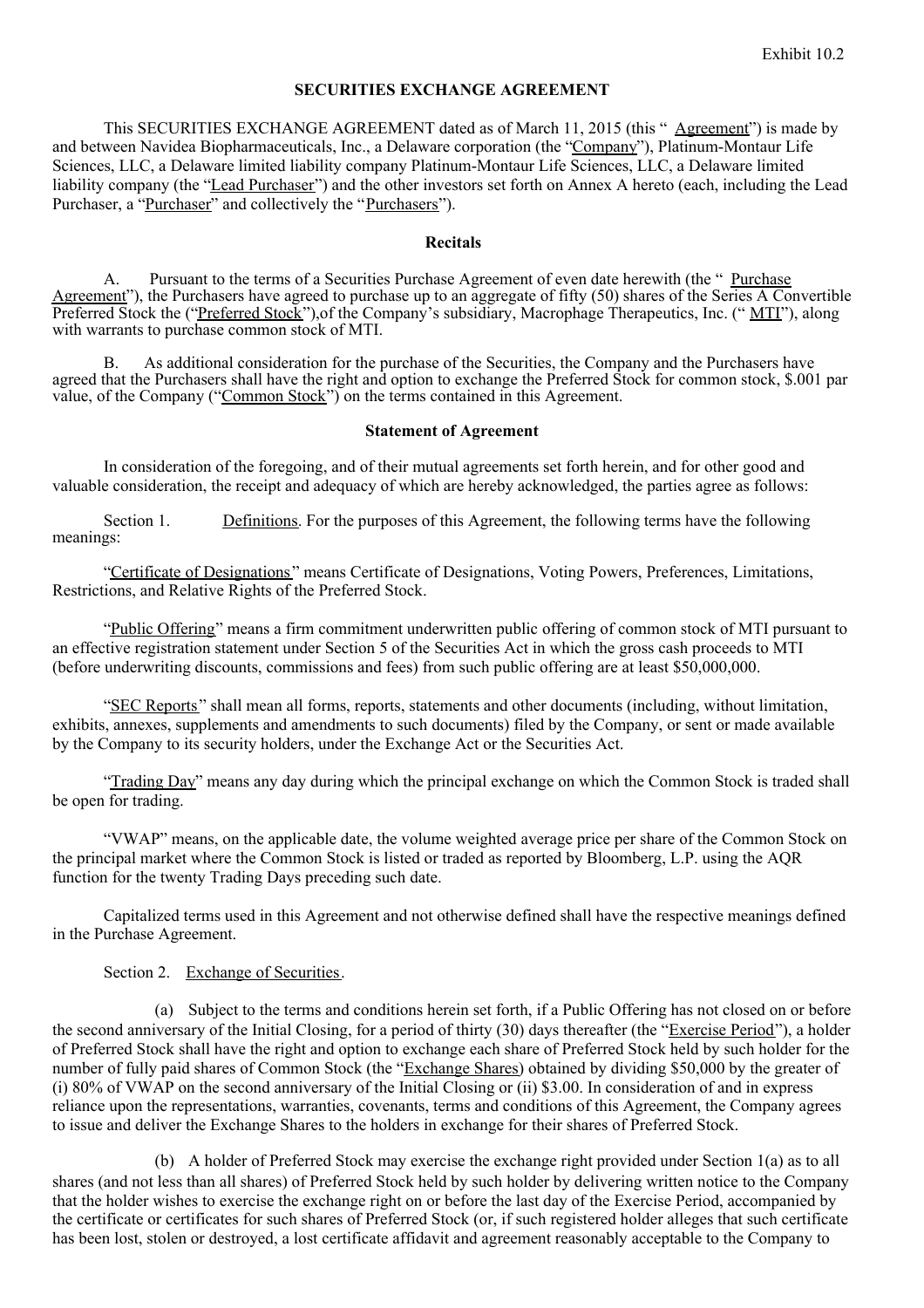# **SECURITIES EXCHANGE AGREEMENT**

This SECURITIES EXCHANGE AGREEMENT dated as of March 11, 2015 (this "Agreement") is made by and between Navidea Biopharmaceuticals, Inc., a Delaware corporation (the "Company"), Platinum-Montaur Life Sciences, LLC, a Delaware limited liability company Platinum-Montaur Life Sciences, LLC, a Delaware limited liability company (the "Lead Purchaser") and the other investors set forth on Annex A hereto (each, including the Lead Purchaser, a "Purchaser" and collectively the "Purchasers").

### **Recitals**

A. Pursuant to the terms of a Securities Purchase Agreement of even date herewith (the " Purchase Agreement"), the Purchasers have agreed to purchase up to an aggregate of fifty (50) shares of the Series A Convertible Preferred Stock the ("Preferred Stock"), of the Company's subsidiary, Macrophage Therapeutics, Inc. (" MTI"), along with warrants to purchase common stock of MTI.

B. As additional consideration for the purchase of the Securities, the Company and the Purchasers have agreed that the Purchasers shall have the right and option to exchange the Preferred Stock for common stock, \$.001 par value, of the Company ("Common Stock") on the terms contained in this Agreement.

## **Statement of Agreement**

In consideration of the foregoing, and of their mutual agreements set forth herein, and for other good and valuable consideration, the receipt and adequacy of which are hereby acknowledged, the parties agree as follows:

Section 1. Definitions. For the purposes of this Agreement, the following terms have the following meanings:

"Certificate of Designations" means Certificate of Designations, Voting Powers, Preferences, Limitations, Restrictions, and Relative Rights of the Preferred Stock.

"Public Offering" means a firm commitment underwritten public offering of common stock of MTI pursuant to an effective registration statement under Section 5 of the Securities Act in which the gross cash proceeds to MTI (before underwriting discounts, commissions and fees) from such public offering are at least \$50,000,000.

"SEC Reports" shall mean all forms, reports, statements and other documents (including, without limitation, exhibits, annexes, supplements and amendments to such documents) filed by the Company, or sent or made available by the Company to its security holders, under the Exchange Act or the Securities Act.

"Trading Day" means any day during which the principal exchange on which the Common Stock is traded shall be open for trading.

"VWAP" means, on the applicable date, the volume weighted average price per share of the Common Stock on the principal market where the Common Stock is listed or traded as reported by Bloomberg, L.P. using the AQR function for the twenty Trading Days preceding such date.

Capitalized terms used in this Agreement and not otherwise defined shall have the respective meanings defined in the Purchase Agreement.

## Section 2. Exchange of Securities.

(a) Subject to the terms and conditions herein set forth, if a Public Offering has not closed on or before the second anniversary of the Initial Closing, for a period of thirty (30) days thereafter (the "Exercise Period"), a holder of Preferred Stock shall have the right and option to exchange each share of Preferred Stock held by such holder for the number of fully paid shares of Common Stock (the "Exchange Shares) obtained by dividing \$50,000 by the greater of (i) 80% of VWAP on the second anniversary of the Initial Closing or (ii) \$3.00. In consideration of and in express reliance upon the representations, warranties, covenants, terms and conditions of this Agreement, the Company agrees to issue and deliver the Exchange Shares to the holders in exchange for their shares of Preferred Stock.

(b) A holder of Preferred Stock may exercise the exchange right provided under Section 1(a) as to all shares (and not less than all shares) of Preferred Stock held by such holder by delivering written notice to the Company that the holder wishes to exercise the exchange right on or before the last day of the Exercise Period, accompanied by the certificate or certificates for such shares of Preferred Stock (or, if such registered holder alleges that such certificate has been lost, stolen or destroyed, a lost certificate affidavit and agreement reasonably acceptable to the Company to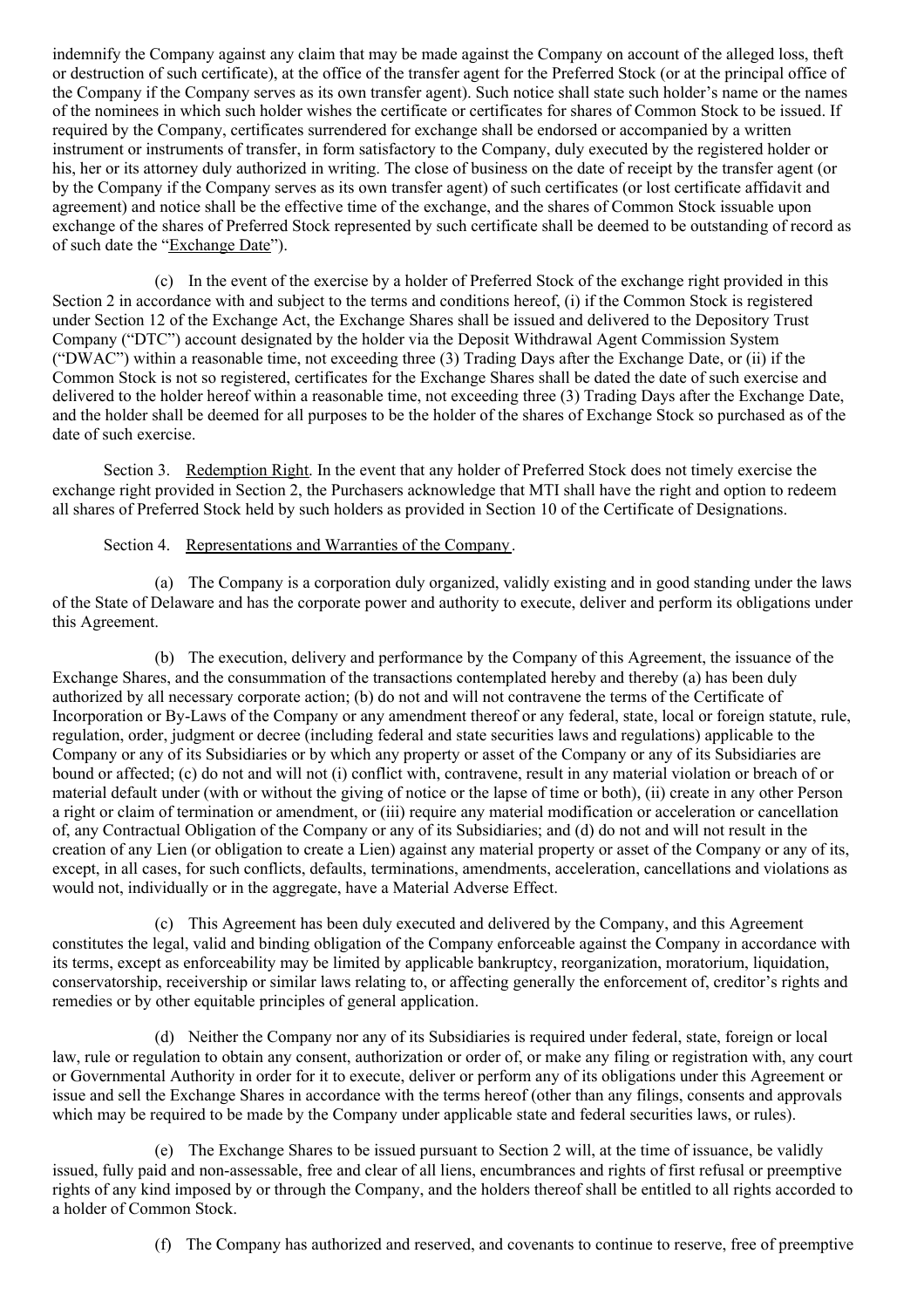indemnify the Company against any claim that may be made against the Company on account of the alleged loss, theft or destruction of such certificate), at the office of the transfer agent for the Preferred Stock (or at the principal office of the Company if the Company serves as its own transfer agent). Such notice shall state such holder's name or the names of the nominees in which such holder wishes the certificate or certificates for shares of Common Stock to be issued. If required by the Company, certificates surrendered for exchange shall be endorsed or accompanied by a written instrument or instruments of transfer, in form satisfactory to the Company, duly executed by the registered holder or his, her or its attorney duly authorized in writing. The close of business on the date of receipt by the transfer agent (or by the Company if the Company serves as its own transfer agent) of such certificates (or lost certificate affidavit and agreement) and notice shall be the effective time of the exchange, and the shares of Common Stock issuable upon exchange of the shares of Preferred Stock represented by such certificate shall be deemed to be outstanding of record as of such date the "Exchange Date").

(c) In the event of the exercise by a holder of Preferred Stock of the exchange right provided in this Section 2 in accordance with and subject to the terms and conditions hereof, (i) if the Common Stock is registered under Section 12 of the Exchange Act, the Exchange Shares shall be issued and delivered to the Depository Trust Company ("DTC") account designated by the holder via the Deposit Withdrawal Agent Commission System ("DWAC") within a reasonable time, not exceeding three (3) Trading Days after the Exchange Date, or (ii) if the Common Stock is not so registered, certificates for the Exchange Shares shall be dated the date of such exercise and delivered to the holder hereof within a reasonable time, not exceeding three (3) Trading Days after the Exchange Date, and the holder shall be deemed for all purposes to be the holder of the shares of Exchange Stock so purchased as of the date of such exercise.

Section 3. Redemption Right. In the event that any holder of Preferred Stock does not timely exercise the exchange right provided in Section 2, the Purchasers acknowledge that MTI shall have the right and option to redeem all shares of Preferred Stock held by such holders as provided in Section 10 of the Certificate of Designations.

# Section 4. Representations and Warranties of the Company.

(a) The Company is a corporation duly organized, validly existing and in good standing under the laws of the State of Delaware and has the corporate power and authority to execute, deliver and perform its obligations under this Agreement.

(b) The execution, delivery and performance by the Company of this Agreement, the issuance of the Exchange Shares, and the consummation of the transactions contemplated hereby and thereby (a) has been duly authorized by all necessary corporate action; (b) do not and will not contravene the terms of the Certificate of Incorporation or By-Laws of the Company or any amendment thereof or any federal, state, local or foreign statute, rule, regulation, order, judgment or decree (including federal and state securities laws and regulations) applicable to the Company or any of its Subsidiaries or by which any property or asset of the Company or any of its Subsidiaries are bound or affected; (c) do not and will not (i) conflict with, contravene, result in any material violation or breach of or material default under (with or without the giving of notice or the lapse of time or both), (ii) create in any other Person a right or claim of termination or amendment, or (iii) require any material modification or acceleration or cancellation of, any Contractual Obligation of the Company or any of its Subsidiaries; and (d) do not and will not result in the creation of any Lien (or obligation to create a Lien) against any material property or asset of the Company or any of its, except, in all cases, for such conflicts, defaults, terminations, amendments, acceleration, cancellations and violations as would not, individually or in the aggregate, have a Material Adverse Effect.

(c) This Agreement has been duly executed and delivered by the Company, and this Agreement constitutes the legal, valid and binding obligation of the Company enforceable against the Company in accordance with its terms, except as enforceability may be limited by applicable bankruptcy, reorganization, moratorium, liquidation, conservatorship, receivership or similar laws relating to, or affecting generally the enforcement of, creditor's rights and remedies or by other equitable principles of general application.

(d) Neither the Company nor any of its Subsidiaries is required under federal, state, foreign or local law, rule or regulation to obtain any consent, authorization or order of, or make any filing or registration with, any court or Governmental Authority in order for it to execute, deliver or perform any of its obligations under this Agreement or issue and sell the Exchange Shares in accordance with the terms hereof (other than any filings, consents and approvals which may be required to be made by the Company under applicable state and federal securities laws, or rules).

(e) The Exchange Shares to be issued pursuant to Section 2 will, at the time of issuance, be validly issued, fully paid and non-assessable, free and clear of all liens, encumbrances and rights of first refusal or preemptive rights of any kind imposed by or through the Company, and the holders thereof shall be entitled to all rights accorded to a holder of Common Stock.

(f) The Company has authorized and reserved, and covenants to continue to reserve, free of preemptive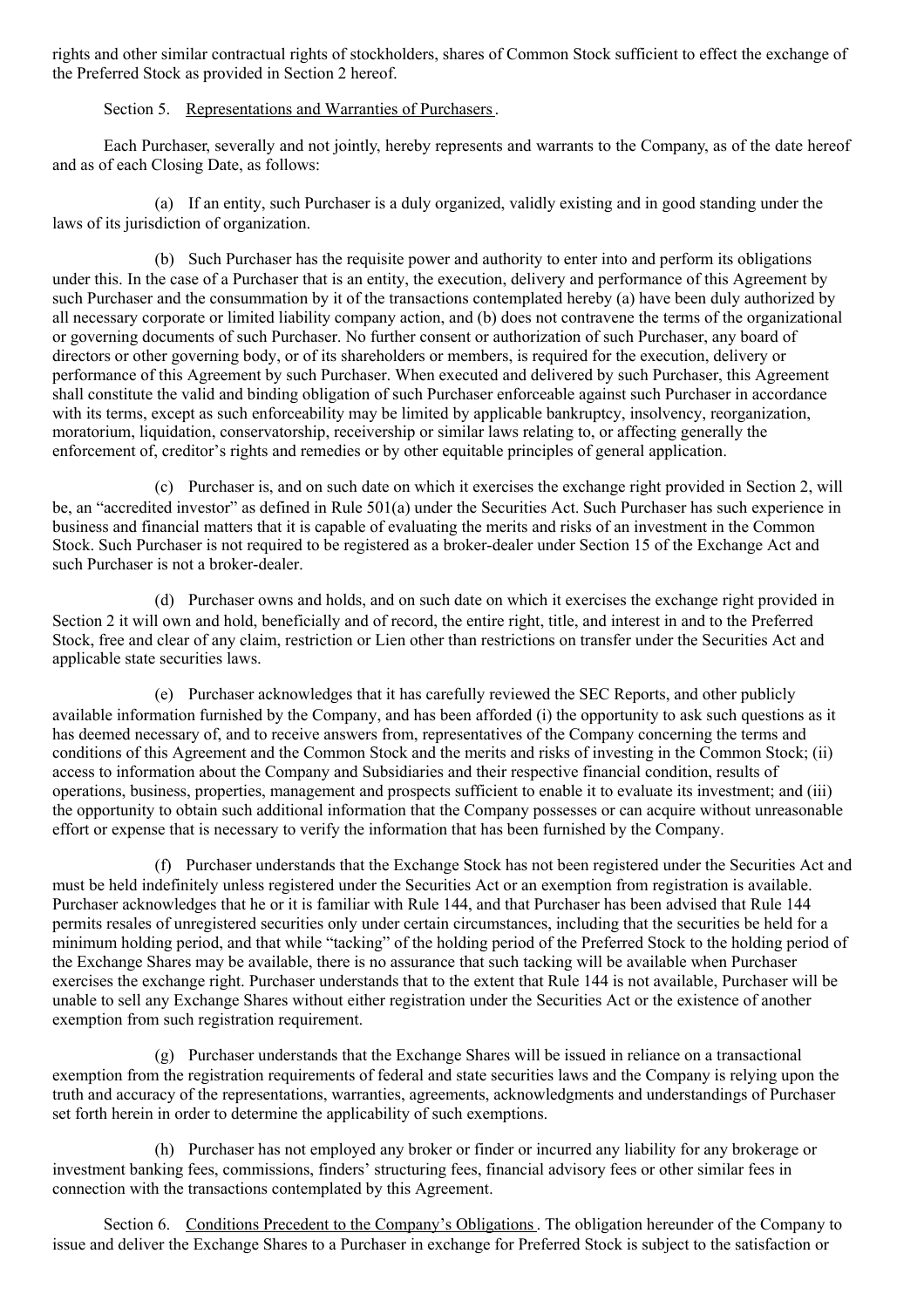rights and other similar contractual rights of stockholders, shares of Common Stock sufficient to effect the exchange of the Preferred Stock as provided in Section 2 hereof.

## Section 5. Representations and Warranties of Purchasers.

Each Purchaser, severally and not jointly, hereby represents and warrants to the Company, as of the date hereof and as of each Closing Date, as follows:

(a) If an entity, such Purchaser is a duly organized, validly existing and in good standing under the laws of its jurisdiction of organization.

(b) Such Purchaser has the requisite power and authority to enter into and perform its obligations under this. In the case of a Purchaser that is an entity, the execution, delivery and performance of this Agreement by such Purchaser and the consummation by it of the transactions contemplated hereby (a) have been duly authorized by all necessary corporate or limited liability company action, and (b) does not contravene the terms of the organizational or governing documents of such Purchaser. No further consent or authorization of such Purchaser, any board of directors or other governing body, or of its shareholders or members, is required for the execution, delivery or performance of this Agreement by such Purchaser. When executed and delivered by such Purchaser, this Agreement shall constitute the valid and binding obligation of such Purchaser enforceable against such Purchaser in accordance with its terms, except as such enforceability may be limited by applicable bankruptcy, insolvency, reorganization, moratorium, liquidation, conservatorship, receivership or similar laws relating to, or affecting generally the enforcement of, creditor's rights and remedies or by other equitable principles of general application.

(c) Purchaser is, and on such date on which it exercises the exchange right provided in Section 2, will be, an "accredited investor" as defined in Rule 501(a) under the Securities Act. Such Purchaser has such experience in business and financial matters that it is capable of evaluating the merits and risks of an investment in the Common Stock. Such Purchaser is not required to be registered as a broker-dealer under Section 15 of the Exchange Act and such Purchaser is not a broker-dealer.

(d) Purchaser owns and holds, and on such date on which it exercises the exchange right provided in Section 2 it will own and hold, beneficially and of record, the entire right, title, and interest in and to the Preferred Stock, free and clear of any claim, restriction or Lien other than restrictions on transfer under the Securities Act and applicable state securities laws.

(e) Purchaser acknowledges that it has carefully reviewed the SEC Reports, and other publicly available information furnished by the Company, and has been afforded (i) the opportunity to ask such questions as it has deemed necessary of, and to receive answers from, representatives of the Company concerning the terms and conditions of this Agreement and the Common Stock and the merits and risks of investing in the Common Stock; (ii) access to information about the Company and Subsidiaries and their respective financial condition, results of operations, business, properties, management and prospects sufficient to enable it to evaluate its investment; and (iii) the opportunity to obtain such additional information that the Company possesses or can acquire without unreasonable effort or expense that is necessary to verify the information that has been furnished by the Company.

(f) Purchaser understands that the Exchange Stock has not been registered under the Securities Act and must be held indefinitely unless registered under the Securities Act or an exemption from registration is available. Purchaser acknowledges that he or it is familiar with Rule 144, and that Purchaser has been advised that Rule 144 permits resales of unregistered securities only under certain circumstances, including that the securities be held for a minimum holding period, and that while "tacking" of the holding period of the Preferred Stock to the holding period of the Exchange Shares may be available, there is no assurance that such tacking will be available when Purchaser exercises the exchange right. Purchaser understands that to the extent that Rule 144 is not available, Purchaser will be unable to sell any Exchange Shares without either registration under the Securities Act or the existence of another exemption from such registration requirement.

(g) Purchaser understands that the Exchange Shares will be issued in reliance on a transactional exemption from the registration requirements of federal and state securities laws and the Company is relying upon the truth and accuracy of the representations, warranties, agreements, acknowledgments and understandings of Purchaser set forth herein in order to determine the applicability of such exemptions.

(h) Purchaser has not employed any broker or finder or incurred any liability for any brokerage or investment banking fees, commissions, finders' structuring fees, financial advisory fees or other similar fees in connection with the transactions contemplated by this Agreement.

Section 6. Conditions Precedent to the Company's Obligations. The obligation hereunder of the Company to issue and deliver the Exchange Shares to a Purchaser in exchange for Preferred Stock is subject to the satisfaction or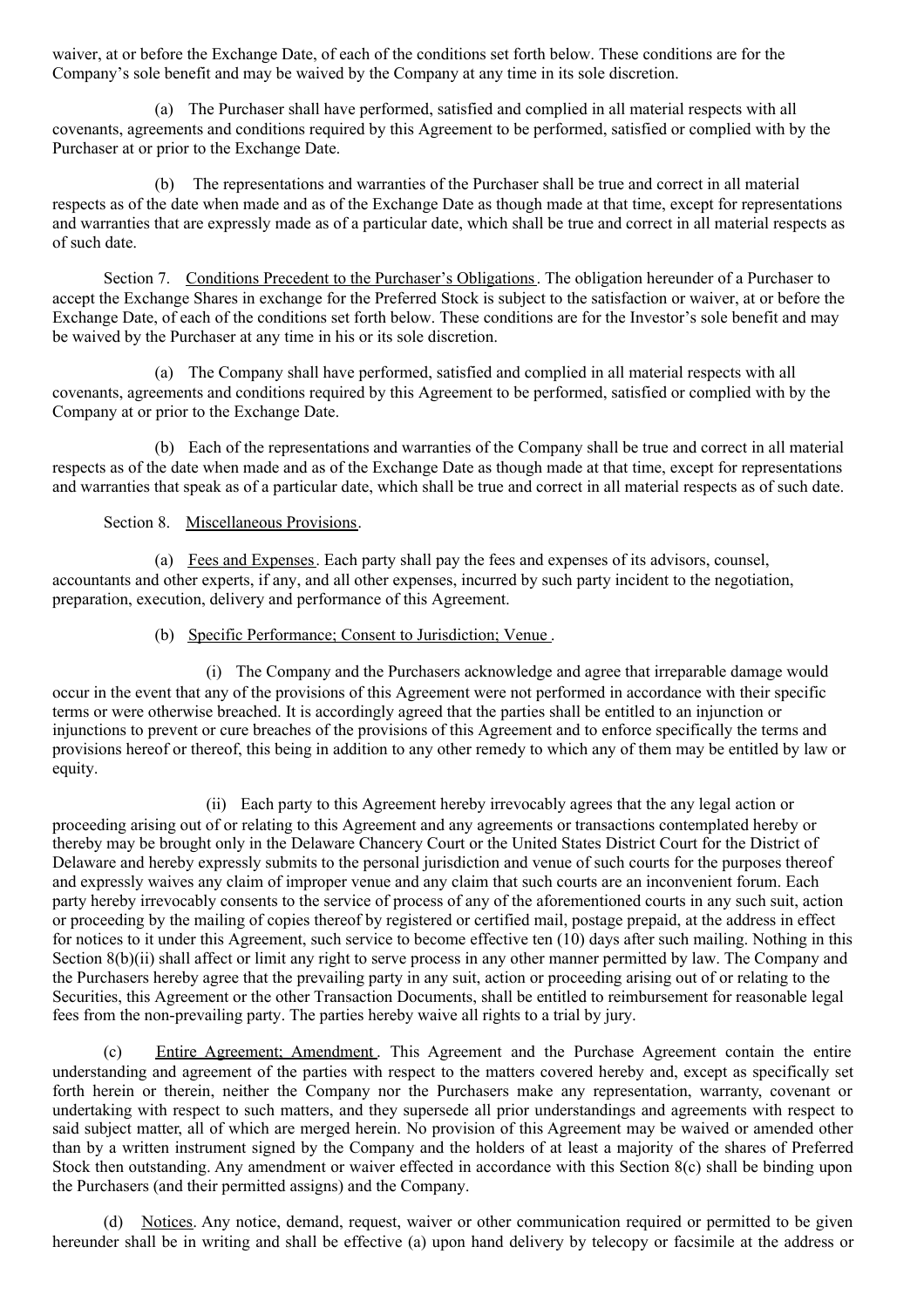waiver, at or before the Exchange Date, of each of the conditions set forth below. These conditions are for the Company's sole benefit and may be waived by the Company at any time in its sole discretion.

(a) The Purchaser shall have performed, satisfied and complied in all material respects with all covenants, agreements and conditions required by this Agreement to be performed, satisfied or complied with by the Purchaser at or prior to the Exchange Date.

(b) The representations and warranties of the Purchaser shall be true and correct in all material respects as of the date when made and as of the Exchange Date as though made at that time, except for representations and warranties that are expressly made as of a particular date, which shall be true and correct in all material respects as of such date.

Section 7. Conditions Precedent to the Purchaser's Obligations. The obligation hereunder of a Purchaser to accept the Exchange Shares in exchange for the Preferred Stock is subject to the satisfaction or waiver, at or before the Exchange Date, of each of the conditions set forth below. These conditions are for the Investor's sole benefit and may be waived by the Purchaser at any time in his or its sole discretion.

(a) The Company shall have performed, satisfied and complied in all material respects with all covenants, agreements and conditions required by this Agreement to be performed, satisfied or complied with by the Company at or prior to the Exchange Date.

(b) Each of the representations and warranties of the Company shall be true and correct in all material respects as of the date when made and as of the Exchange Date as though made at that time, except for representations and warranties that speak as of a particular date, which shall be true and correct in all material respects as of such date.

Section 8. Miscellaneous Provisions.

(a) Fees and Expenses. Each party shall pay the fees and expenses of its advisors, counsel, accountants and other experts, if any, and all other expenses, incurred by such party incident to the negotiation, preparation, execution, delivery and performance of this Agreement.

## (b) Specific Performance; Consent to Jurisdiction; Venue .

(i) The Company and the Purchasers acknowledge and agree that irreparable damage would occur in the event that any of the provisions of this Agreement were not performed in accordance with their specific terms or were otherwise breached. It is accordingly agreed that the parties shall be entitled to an injunction or injunctions to prevent or cure breaches of the provisions of this Agreement and to enforce specifically the terms and provisions hereof or thereof, this being in addition to any other remedy to which any of them may be entitled by law or equity.

(ii) Each party to this Agreement hereby irrevocably agrees that the any legal action or proceeding arising out of or relating to this Agreement and any agreements or transactions contemplated hereby or thereby may be brought only in the Delaware Chancery Court or the United States District Court for the District of Delaware and hereby expressly submits to the personal jurisdiction and venue of such courts for the purposes thereof and expressly waives any claim of improper venue and any claim that such courts are an inconvenient forum. Each party hereby irrevocably consents to the service of process of any of the aforementioned courts in any such suit, action or proceeding by the mailing of copies thereof by registered or certified mail, postage prepaid, at the address in effect for notices to it under this Agreement, such service to become effective ten (10) days after such mailing. Nothing in this Section 8(b)(ii) shall affect or limit any right to serve process in any other manner permitted by law. The Company and the Purchasers hereby agree that the prevailing party in any suit, action or proceeding arising out of or relating to the Securities, this Agreement or the other Transaction Documents, shall be entitled to reimbursement for reasonable legal fees from the non-prevailing party. The parties hereby waive all rights to a trial by jury.

(c) Entire Agreement; Amendment . This Agreement and the Purchase Agreement contain the entire understanding and agreement of the parties with respect to the matters covered hereby and, except as specifically set forth herein or therein, neither the Company nor the Purchasers make any representation, warranty, covenant or undertaking with respect to such matters, and they supersede all prior understandings and agreements with respect to said subject matter, all of which are merged herein. No provision of this Agreement may be waived or amended other than by a written instrument signed by the Company and the holders of at least a majority of the shares of Preferred Stock then outstanding. Any amendment or waiver effected in accordance with this Section 8(c) shall be binding upon the Purchasers (and their permitted assigns) and the Company.

(d) Notices. Any notice, demand, request, waiver or other communication required or permitted to be given hereunder shall be in writing and shall be effective (a) upon hand delivery by telecopy or facsimile at the address or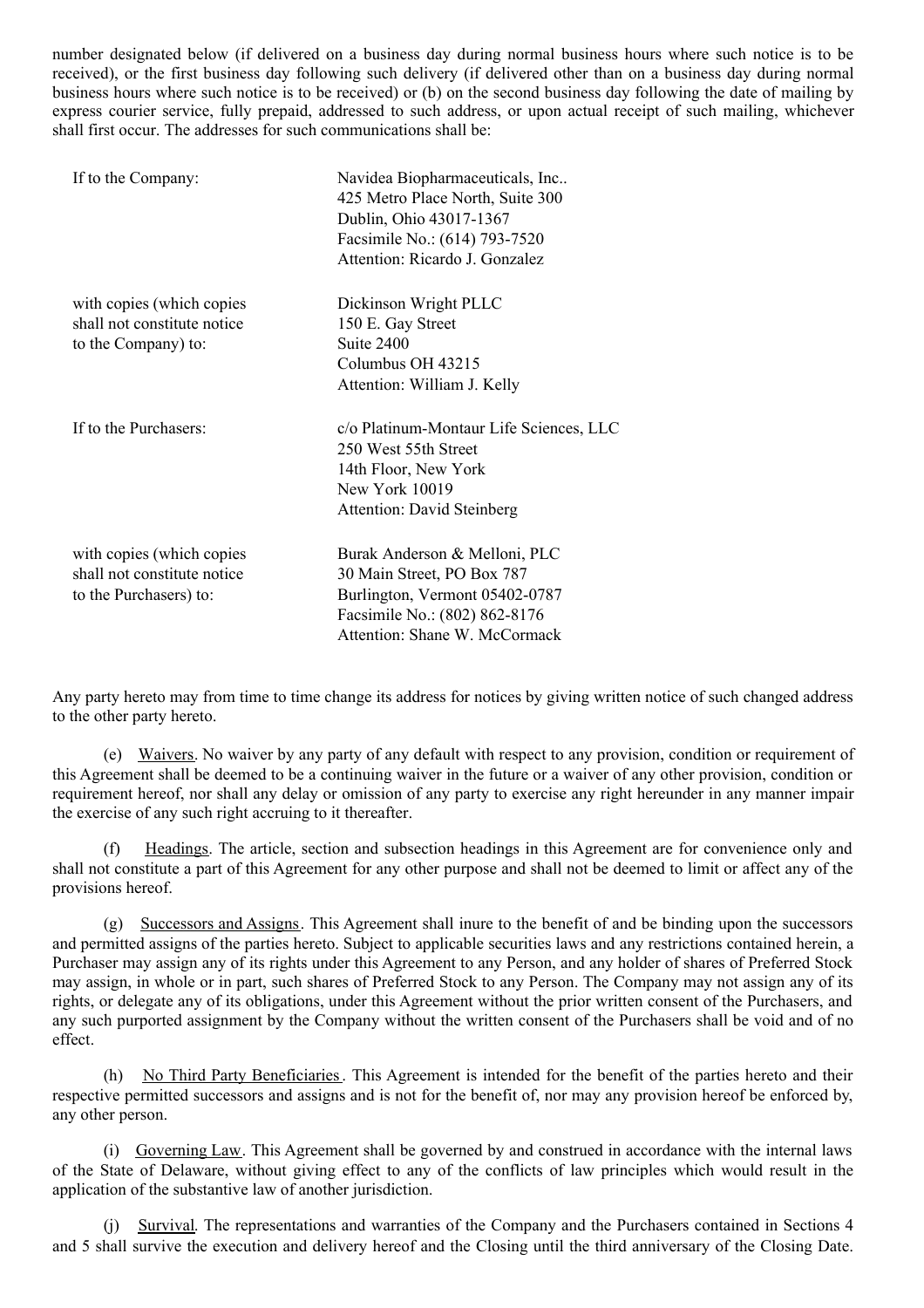number designated below (if delivered on a business day during normal business hours where such notice is to be received), or the first business day following such delivery (if delivered other than on a business day during normal business hours where such notice is to be received) or (b) on the second business day following the date of mailing by express courier service, fully prepaid, addressed to such address, or upon actual receipt of such mailing, whichever shall first occur. The addresses for such communications shall be:

| If to the Company:                                                                 | Navidea Biopharmaceuticals, Inc<br>425 Metro Place North, Suite 300<br>Dublin, Ohio 43017-1367<br>Facsimile No.: (614) 793-7520<br>Attention: Ricardo J. Gonzalez |
|------------------------------------------------------------------------------------|-------------------------------------------------------------------------------------------------------------------------------------------------------------------|
| with copies (which copies<br>shall not constitute notice<br>to the Company) to:    | Dickinson Wright PLLC<br>150 E. Gay Street<br>Suite 2400<br>Columbus OH 43215<br>Attention: William J. Kelly                                                      |
| If to the Purchasers:                                                              | c/o Platinum-Montaur Life Sciences, LLC<br>250 West 55th Street<br>14th Floor, New York<br>New York 10019<br><b>Attention: David Steinberg</b>                    |
| with copies (which copies<br>shall not constitute notice<br>to the Purchasers) to: | Burak Anderson & Melloni, PLC<br>30 Main Street, PO Box 787<br>Burlington, Vermont 05402-0787<br>Facsimile No.: (802) 862-8176<br>Attention: Shane W. McCormack   |

Any party hereto may from time to time change its address for notices by giving written notice of such changed address to the other party hereto.

(e) Waivers. No waiver by any party of any default with respect to any provision, condition or requirement of this Agreement shall be deemed to be a continuing waiver in the future or a waiver of any other provision, condition or requirement hereof, nor shall any delay or omission of any party to exercise any right hereunder in any manner impair the exercise of any such right accruing to it thereafter.

(f) Headings. The article, section and subsection headings in this Agreement are for convenience only and shall not constitute a part of this Agreement for any other purpose and shall not be deemed to limit or affect any of the provisions hereof.

(g) Successors and Assigns. This Agreement shall inure to the benefit of and be binding upon the successors and permitted assigns of the parties hereto. Subject to applicable securities laws and any restrictions contained herein, a Purchaser may assign any of its rights under this Agreement to any Person, and any holder of shares of Preferred Stock may assign, in whole or in part, such shares of Preferred Stock to any Person. The Company may not assign any of its rights, or delegate any of its obligations, under this Agreement without the prior written consent of the Purchasers, and any such purported assignment by the Company without the written consent of the Purchasers shall be void and of no effect.

No Third Party Beneficiaries. This Agreement is intended for the benefit of the parties hereto and their respective permitted successors and assigns and is not for the benefit of, nor may any provision hereof be enforced by, any other person.

(i) Governing Law. This Agreement shall be governed by and construed in accordance with the internal laws of the State of Delaware, without giving effect to any of the conflicts of law principles which would result in the application of the substantive law of another jurisdiction.

(j) Survival. The representations and warranties of the Company and the Purchasers contained in Sections 4 and 5 shall survive the execution and delivery hereof and the Closing until the third anniversary of the Closing Date.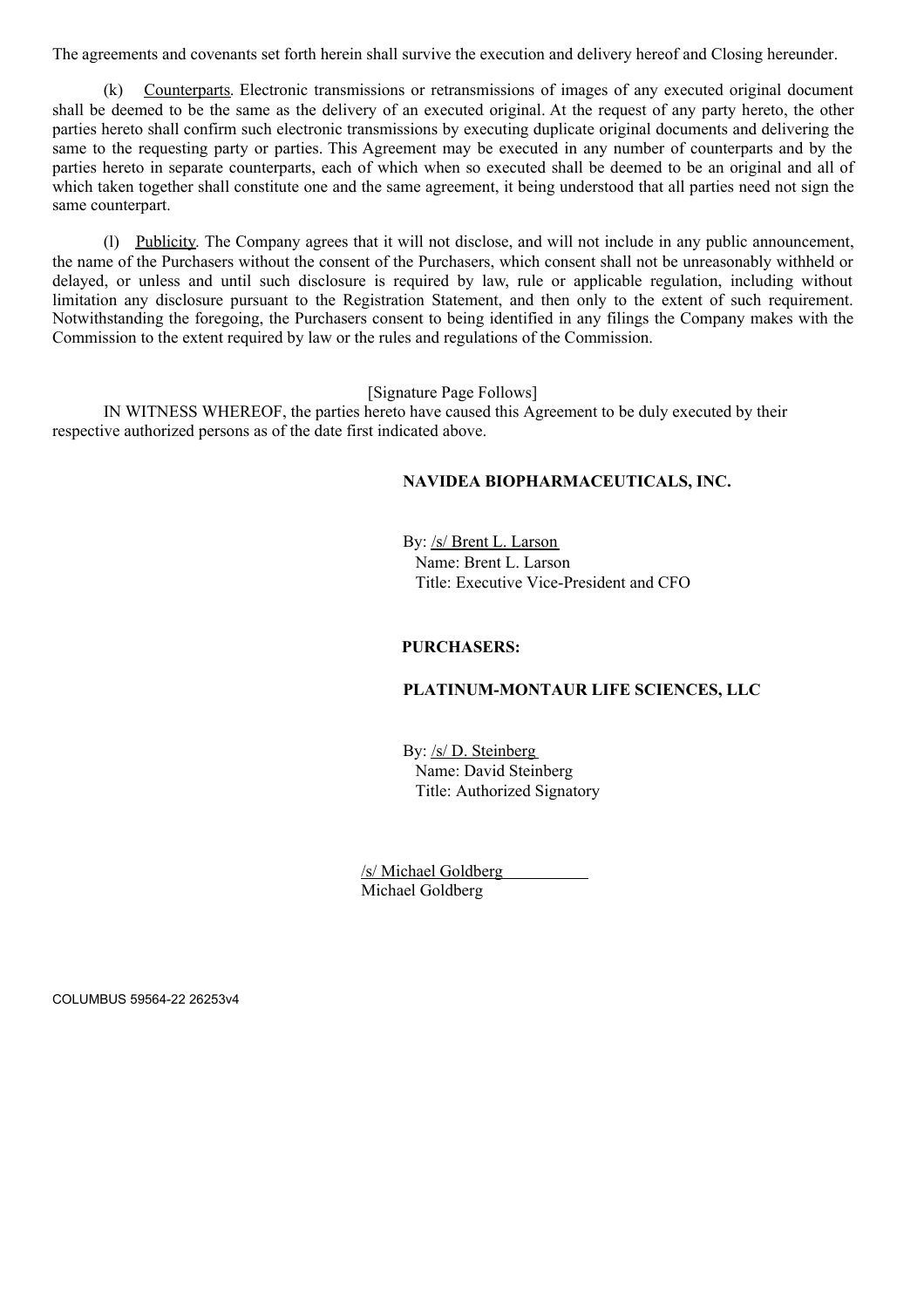The agreements and covenants set forth herein shall survive the execution and delivery hereof and Closing hereunder.

(k) Counterparts. Electronic transmissions or retransmissions of images of any executed original document shall be deemed to be the same as the delivery of an executed original. At the request of any party hereto, the other parties hereto shall confirm such electronic transmissions by executing duplicate original documents and delivering the same to the requesting party or parties. This Agreement may be executed in any number of counterparts and by the parties hereto in separate counterparts, each of which when so executed shall be deemed to be an original and all of which taken together shall constitute one and the same agreement, it being understood that all parties need not sign the same counterpart.

(l) Publicity. The Company agrees that it will not disclose, and will not include in any public announcement, the name of the Purchasers without the consent of the Purchasers, which consent shall not be unreasonably withheld or delayed, or unless and until such disclosure is required by law, rule or applicable regulation, including without limitation any disclosure pursuant to the Registration Statement, and then only to the extent of such requirement. Notwithstanding the foregoing, the Purchasers consent to being identified in any filings the Company makes with the Commission to the extent required by law or the rules and regulations of the Commission.

[Signature Page Follows]

IN WITNESS WHEREOF, the parties hereto have caused this Agreement to be duly executed by their respective authorized persons as of the date first indicated above.

### **NAVIDEA BIOPHARMACEUTICALS, INC.**

By: /s/ Brent L. Larson Name: Brent L. Larson Title: Executive Vice-President and CFO

### **PURCHASERS:**

## **PLATINUM-MONTAUR LIFE SCIENCES, LLC**

By: /s/ D. Steinberg Name: David Steinberg Title: Authorized Signatory

/s/ Michael Goldberg Michael Goldberg

COLUMBUS 59564-22 26253v4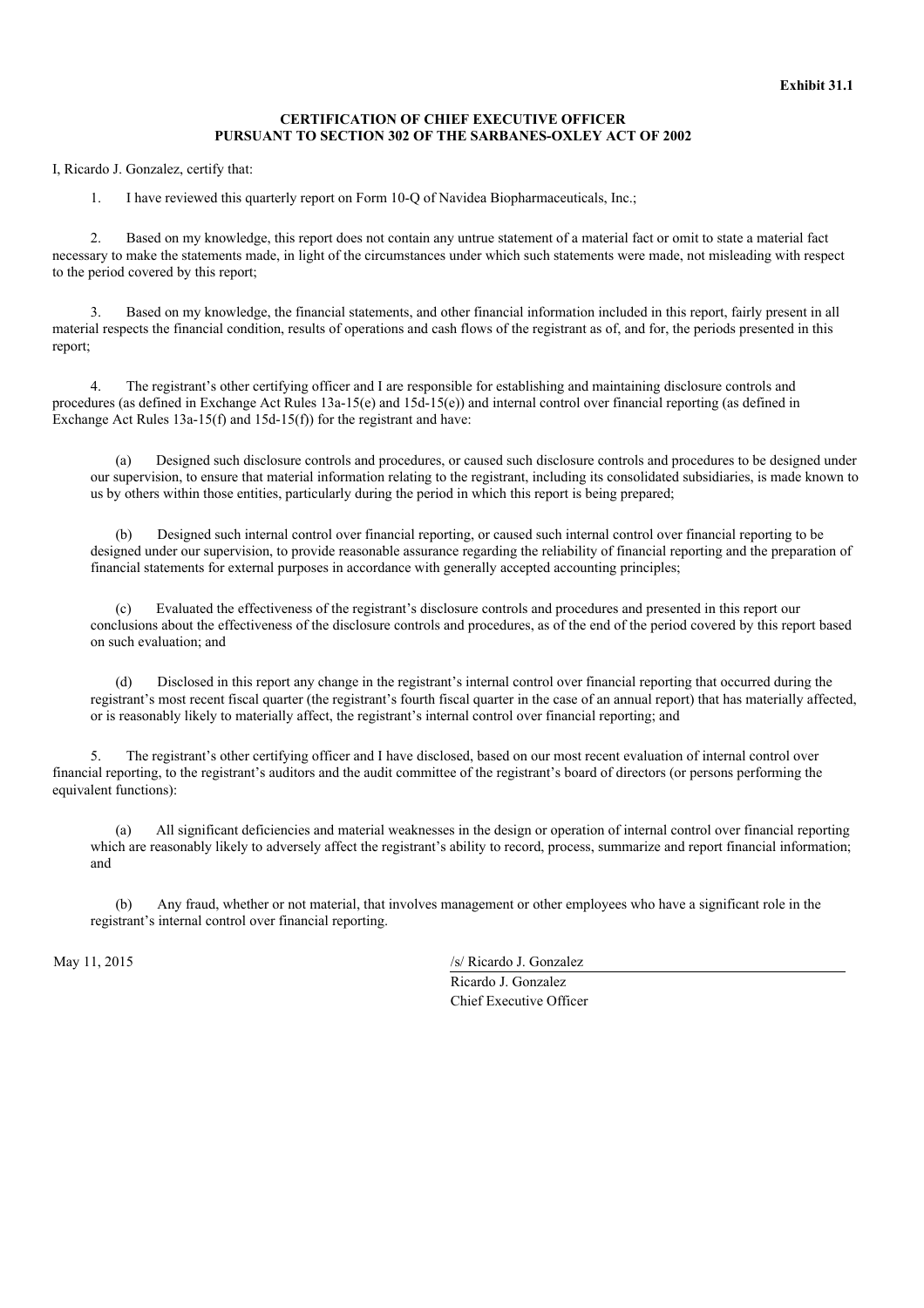### **CERTIFICATION OF CHIEF EXECUTIVE OFFICER PURSUANT TO SECTION 302 OF THE SARBANES-OXLEY ACT OF 2002**

I, Ricardo J. Gonzalez, certify that:

1. I have reviewed this quarterly report on Form 10-Q of Navidea Biopharmaceuticals, Inc.;

2. Based on my knowledge, this report does not contain any untrue statement of a material fact or omit to state a material fact necessary to make the statements made, in light of the circumstances under which such statements were made, not misleading with respect to the period covered by this report;

3. Based on my knowledge, the financial statements, and other financial information included in this report, fairly present in all material respects the financial condition, results of operations and cash flows of the registrant as of, and for, the periods presented in this report;

4. The registrant's other certifying officer and I are responsible for establishing and maintaining disclosure controls and procedures (as defined in Exchange Act Rules 13a-15(e) and 15d-15(e)) and internal control over financial reporting (as defined in Exchange Act Rules  $13a-15(f)$  and  $15d-15(f)$  for the registrant and have:

(a) Designed such disclosure controls and procedures, or caused such disclosure controls and procedures to be designed under our supervision, to ensure that material information relating to the registrant, including its consolidated subsidiaries, is made known to us by others within those entities, particularly during the period in which this report is being prepared;

(b) Designed such internal control over financial reporting, or caused such internal control over financial reporting to be designed under our supervision, to provide reasonable assurance regarding the reliability of financial reporting and the preparation of financial statements for external purposes in accordance with generally accepted accounting principles;

(c) Evaluated the effectiveness of the registrant's disclosure controls and procedures and presented in this report our conclusions about the effectiveness of the disclosure controls and procedures, as of the end of the period covered by this report based on such evaluation; and

(d) Disclosed in this report any change in the registrant's internal control over financial reporting that occurred during the registrant's most recent fiscal quarter (the registrant's fourth fiscal quarter in the case of an annual report) that has materially affected, or is reasonably likely to materially affect, the registrant's internal control over financial reporting; and

5. The registrant's other certifying officer and I have disclosed, based on our most recent evaluation of internal control over financial reporting, to the registrant's auditors and the audit committee of the registrant's board of directors (or persons performing the equivalent functions):

(a) All significant deficiencies and material weaknesses in the design or operation of internal control over financial reporting which are reasonably likely to adversely affect the registrant's ability to record, process, summarize and report financial information; and

(b) Any fraud, whether or not material, that involves management or other employees who have a significant role in the registrant's internal control over financial reporting.

May 11, 2015 /s/ Ricardo J. Gonzalez

Ricardo J. Gonzalez Chief Executive Officer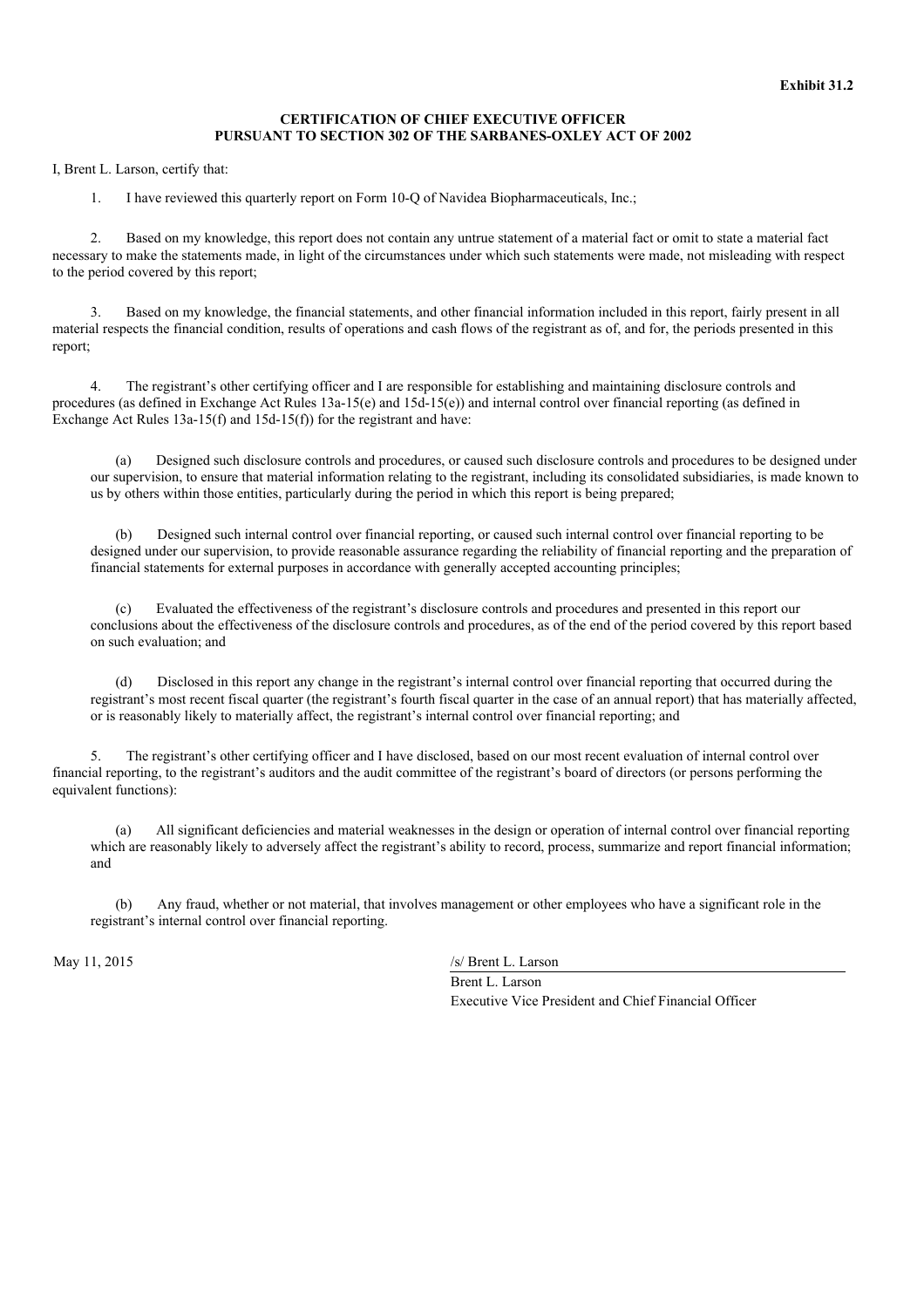### **CERTIFICATION OF CHIEF EXECUTIVE OFFICER PURSUANT TO SECTION 302 OF THE SARBANES-OXLEY ACT OF 2002**

I, Brent L. Larson, certify that:

1. I have reviewed this quarterly report on Form 10-Q of Navidea Biopharmaceuticals, Inc.;

2. Based on my knowledge, this report does not contain any untrue statement of a material fact or omit to state a material fact necessary to make the statements made, in light of the circumstances under which such statements were made, not misleading with respect to the period covered by this report;

3. Based on my knowledge, the financial statements, and other financial information included in this report, fairly present in all material respects the financial condition, results of operations and cash flows of the registrant as of, and for, the periods presented in this report;

4. The registrant's other certifying officer and I are responsible for establishing and maintaining disclosure controls and procedures (as defined in Exchange Act Rules 13a-15(e) and 15d-15(e)) and internal control over financial reporting (as defined in Exchange Act Rules  $13a-15(f)$  and  $15d-15(f)$  for the registrant and have:

(a) Designed such disclosure controls and procedures, or caused such disclosure controls and procedures to be designed under our supervision, to ensure that material information relating to the registrant, including its consolidated subsidiaries, is made known to us by others within those entities, particularly during the period in which this report is being prepared;

(b) Designed such internal control over financial reporting, or caused such internal control over financial reporting to be designed under our supervision, to provide reasonable assurance regarding the reliability of financial reporting and the preparation of financial statements for external purposes in accordance with generally accepted accounting principles;

(c) Evaluated the effectiveness of the registrant's disclosure controls and procedures and presented in this report our conclusions about the effectiveness of the disclosure controls and procedures, as of the end of the period covered by this report based on such evaluation; and

(d) Disclosed in this report any change in the registrant's internal control over financial reporting that occurred during the registrant's most recent fiscal quarter (the registrant's fourth fiscal quarter in the case of an annual report) that has materially affected, or is reasonably likely to materially affect, the registrant's internal control over financial reporting; and

5. The registrant's other certifying officer and I have disclosed, based on our most recent evaluation of internal control over financial reporting, to the registrant's auditors and the audit committee of the registrant's board of directors (or persons performing the equivalent functions):

(a) All significant deficiencies and material weaknesses in the design or operation of internal control over financial reporting which are reasonably likely to adversely affect the registrant's ability to record, process, summarize and report financial information; and

(b) Any fraud, whether or not material, that involves management or other employees who have a significant role in the registrant's internal control over financial reporting.

May 11, 2015 /s/ Brent L. Larson

Brent L. Larson Executive Vice President and Chief Financial Officer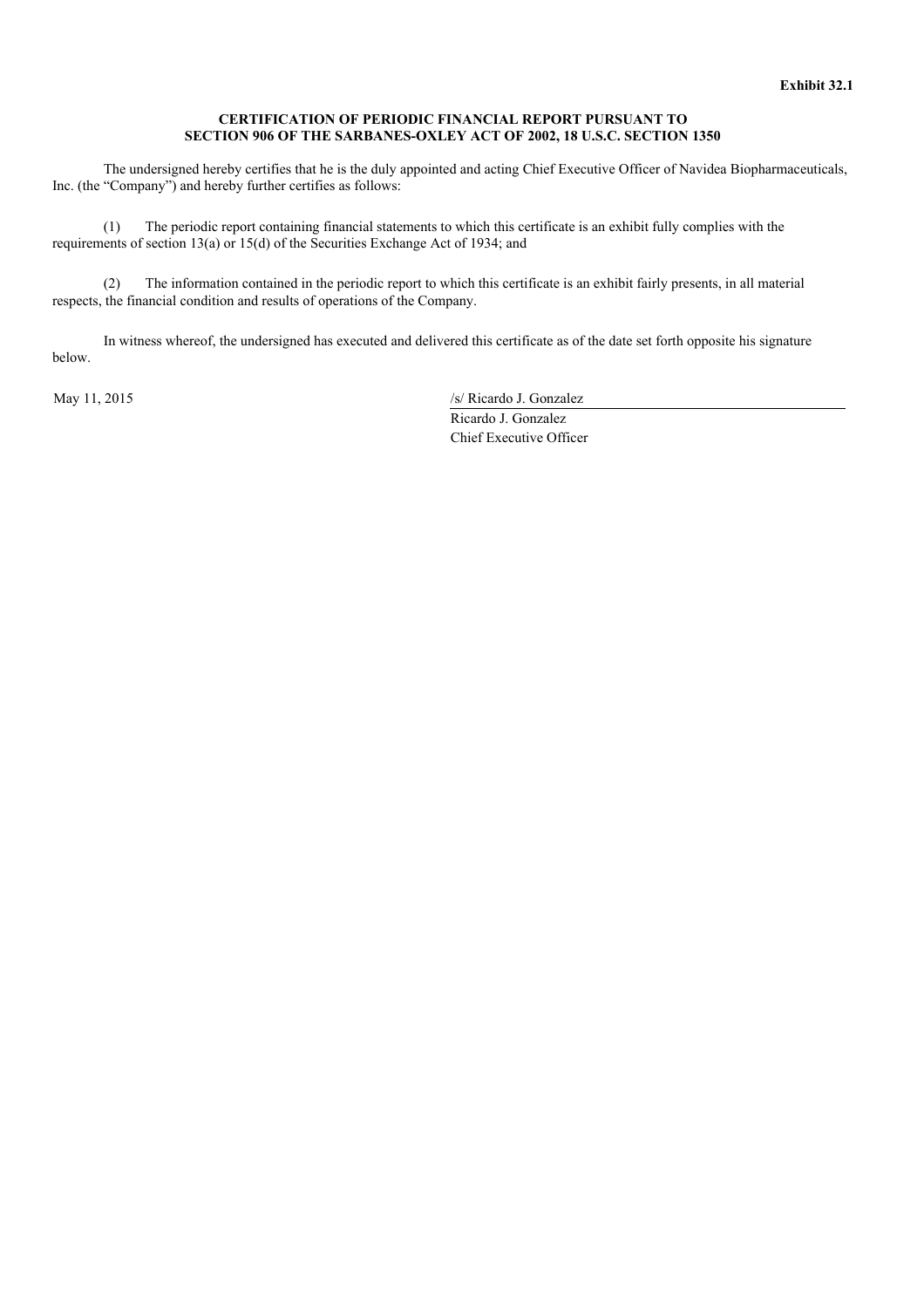### **CERTIFICATION OF PERIODIC FINANCIAL REPORT PURSUANT TO SECTION 906 OF THE SARBANES-OXLEY ACT OF 2002, 18 U.S.C. SECTION 1350**

The undersigned hereby certifies that he is the duly appointed and acting Chief Executive Officer of Navidea Biopharmaceuticals, Inc. (the "Company") and hereby further certifies as follows:

(1) The periodic report containing financial statements to which this certificate is an exhibit fully complies with the requirements of section 13(a) or 15(d) of the Securities Exchange Act of 1934; and

(2) The information contained in the periodic report to which this certificate is an exhibit fairly presents, in all material respects, the financial condition and results of operations of the Company.

In witness whereof, the undersigned has executed and delivered this certificate as of the date set forth opposite his signature below.

May 11, 2015 /s/ Ricardo J. Gonzalez

Ricardo J. Gonzalez Chief Executive Officer